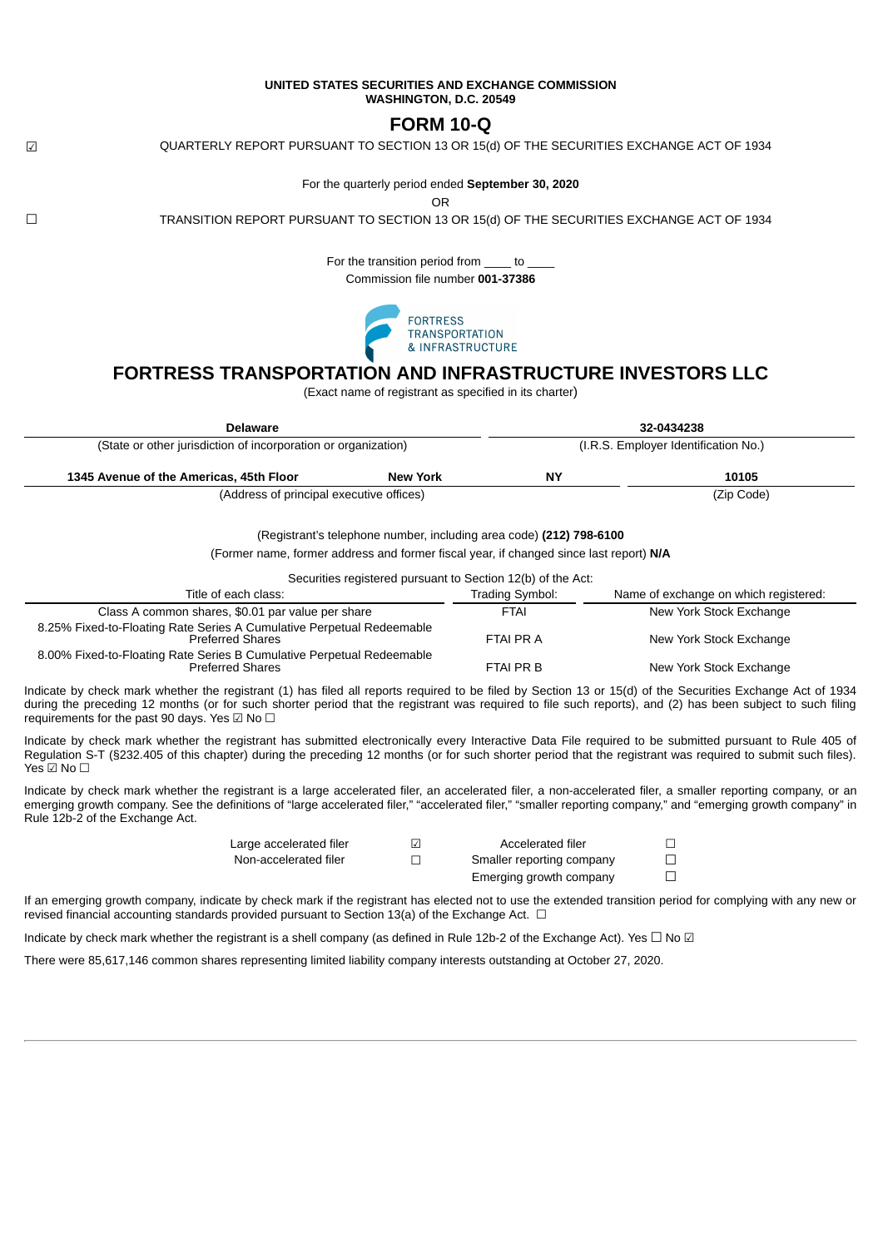#### **UNITED STATES SECURITIES AND EXCHANGE COMMISSION WASHINGTON, D.C. 20549**

# **FORM 10-Q**

☑ QUARTERLY REPORT PURSUANT TO SECTION 13 OR 15(d) OF THE SECURITIES EXCHANGE ACT OF 1934

For the quarterly period ended **September 30, 2020**

OR

☐ TRANSITION REPORT PURSUANT TO SECTION 13 OR 15(d) OF THE SECURITIES EXCHANGE ACT OF 1934

For the transition period from to Commission file number **001-37386**



# **FORTRESS TRANSPORTATION AND INFRASTRUCTURE INVESTORS LLC**

(Exact name of registrant as specified in its charter)

| <b>Delaware</b>                                                |                 | 32-0434238                           |       |  |  |  |  |
|----------------------------------------------------------------|-----------------|--------------------------------------|-------|--|--|--|--|
| (State or other jurisdiction of incorporation or organization) |                 | (I.R.S. Employer Identification No.) |       |  |  |  |  |
| 1345 Avenue of the Americas, 45th Floor                        | <b>New York</b> | <b>NY</b>                            | 10105 |  |  |  |  |
| (Address of principal executive offices)                       |                 | (Zip Code)                           |       |  |  |  |  |

(Registrant's telephone number, including area code) **(212) 798-6100**

(Former name, former address and former fiscal year, if changed since last report) **N/A**

Securities registered pursuant to Section 12(b) of the Act:

| Title of each class:                                                                             | Trading Symbol: | Name of exchange on which registered: |  |  |  |  |  |  |  |
|--------------------------------------------------------------------------------------------------|-----------------|---------------------------------------|--|--|--|--|--|--|--|
| Class A common shares, \$0.01 par value per share                                                | FTAI            | New York Stock Exchange               |  |  |  |  |  |  |  |
| 8.25% Fixed-to-Floating Rate Series A Cumulative Perpetual Redeemable<br><b>Preferred Shares</b> | FTAI PR A       | New York Stock Exchange               |  |  |  |  |  |  |  |
| 8.00% Fixed-to-Floating Rate Series B Cumulative Perpetual Redeemable<br><b>Preferred Shares</b> | FTAI PR B       | New York Stock Exchange               |  |  |  |  |  |  |  |

Indicate by check mark whether the registrant (1) has filed all reports required to be filed by Section 13 or 15(d) of the Securities Exchange Act of 1934 during the preceding 12 months (or for such shorter period that the registrant was required to file such reports), and (2) has been subject to such filing requirements for the past 90 days. Yes  $\boxdot$  No  $\Box$ 

Indicate by check mark whether the registrant has submitted electronically every Interactive Data File required to be submitted pursuant to Rule 405 of Regulation S-T (§232.405 of this chapter) during the preceding 12 months (or for such shorter period that the registrant was required to submit such files). Yes <u>☑</u> No □

Indicate by check mark whether the registrant is a large accelerated filer, an accelerated filer, a non-accelerated filer, a smaller reporting company, or an emerging growth company. See the definitions of "large accelerated filer," "accelerated filer," "smaller reporting company," and "emerging growth company" in Rule 12b-2 of the Exchange Act.

| Large accelerated filer | Accelerated filer         |  |
|-------------------------|---------------------------|--|
| Non-accelerated filer   | Smaller reporting company |  |
|                         | Emerging growth company   |  |

If an emerging growth company, indicate by check mark if the registrant has elected not to use the extended transition period for complying with any new or revised financial accounting standards provided pursuant to Section 13(a) of the Exchange Act. □

Indicate by check mark whether the registrant is a shell company (as defined in Rule 12b-2 of the Exchange Act). Yes  $\Box$  No  $\Box$ 

There were 85,617,146 common shares representing limited liability company interests outstanding at October 27, 2020.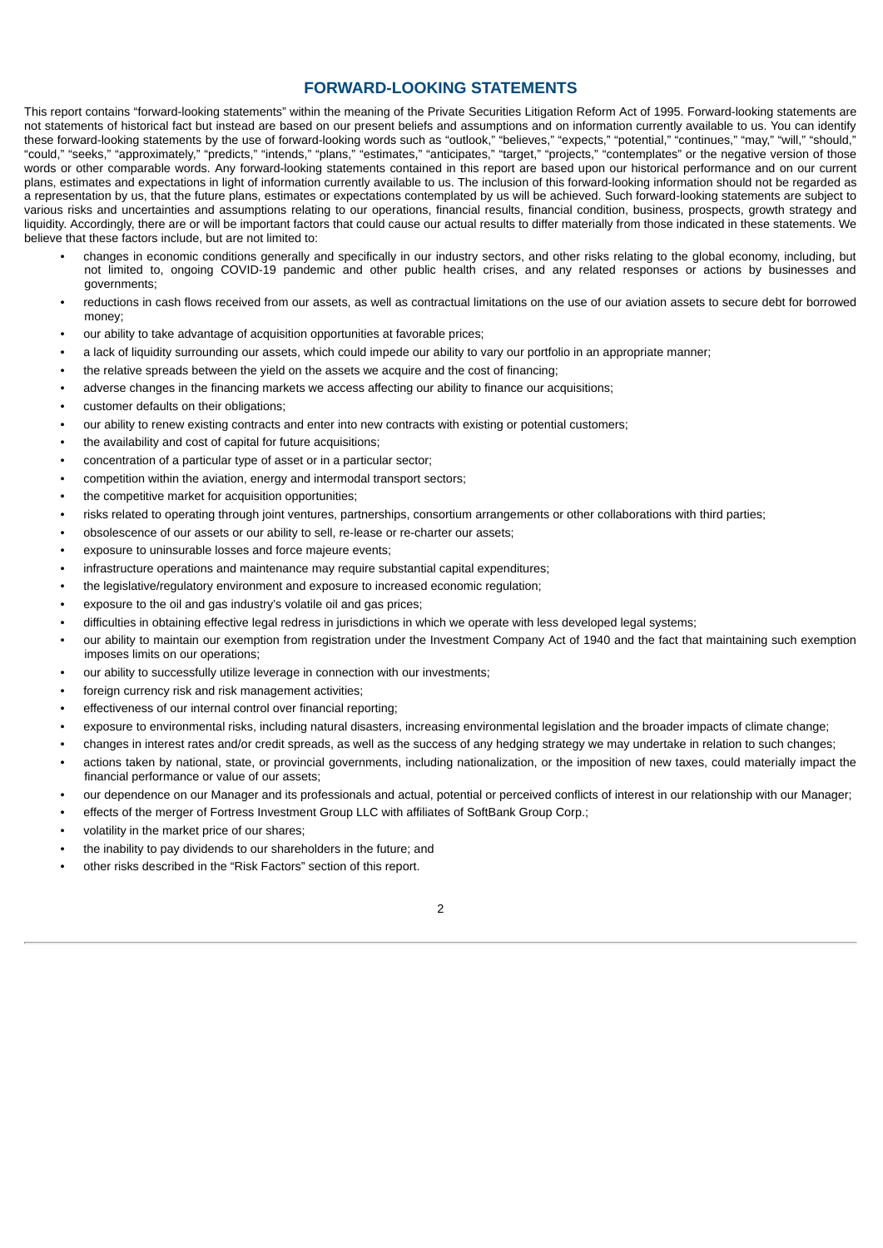### **FORWARD-LOOKING STATEMENTS**

This report contains "forward-looking statements" within the meaning of the Private Securities Litigation Reform Act of 1995. Forward-looking statements are not statements of historical fact but instead are based on our present beliefs and assumptions and on information currently available to us. You can identify these forward-looking statements by the use of forward-looking words such as "outlook," "believes," "expects," "potential," "continues," "may," "will," "should," "could," "seeks," "approximately," "predicts," "intends," "plans," "estimates," "anticipates," "target," "projects," "contemplates" or the negative version of those words or other comparable words. Any forward-looking statements contained in this report are based upon our historical performance and on our current plans, estimates and expectations in light of information currently available to us. The inclusion of this forward-looking information should not be regarded as a representation by us, that the future plans, estimates or expectations contemplated by us will be achieved. Such forward-looking statements are subject to various risks and uncertainties and assumptions relating to our operations, financial results, financial condition, business, prospects, growth strategy and liquidity. Accordingly, there are or will be important factors that could cause our actual results to differ materially from those indicated in these statements. We believe that these factors include, but are not limited to:

- changes in economic conditions generally and specifically in our industry sectors, and other risks relating to the global economy, including, but not limited to, ongoing COVID-19 pandemic and other public health crises, and any related responses or actions by businesses and governments;
- reductions in cash flows received from our assets, as well as contractual limitations on the use of our aviation assets to secure debt for borrowed money;
- our ability to take advantage of acquisition opportunities at favorable prices;
- a lack of liquidity surrounding our assets, which could impede our ability to vary our portfolio in an appropriate manner;
- the relative spreads between the yield on the assets we acquire and the cost of financing;
- adverse changes in the financing markets we access affecting our ability to finance our acquisitions:
- customer defaults on their obligations;
- our ability to renew existing contracts and enter into new contracts with existing or potential customers;
- the availability and cost of capital for future acquisitions;
- concentration of a particular type of asset or in a particular sector;
- competition within the aviation, energy and intermodal transport sectors;
- the competitive market for acquisition opportunities;
- risks related to operating through joint ventures, partnerships, consortium arrangements or other collaborations with third parties;
- obsolescence of our assets or our ability to sell, re-lease or re-charter our assets;
- exposure to uninsurable losses and force majeure events;
- infrastructure operations and maintenance may require substantial capital expenditures;
- the legislative/regulatory environment and exposure to increased economic regulation;
- exposure to the oil and gas industry's volatile oil and gas prices;
- difficulties in obtaining effective legal redress in jurisdictions in which we operate with less developed legal systems;
- our ability to maintain our exemption from registration under the Investment Company Act of 1940 and the fact that maintaining such exemption imposes limits on our operations;
- our ability to successfully utilize leverage in connection with our investments;
- foreign currency risk and risk management activities;
- effectiveness of our internal control over financial reporting:
- exposure to environmental risks, including natural disasters, increasing environmental legislation and the broader impacts of climate change;
- changes in interest rates and/or credit spreads, as well as the success of any hedging strategy we may undertake in relation to such changes;
- actions taken by national, state, or provincial governments, including nationalization, or the imposition of new taxes, could materially impact the financial performance or value of our assets;
- our dependence on our Manager and its professionals and actual, potential or perceived conflicts of interest in our relationship with our Manager;
- effects of the merger of Fortress Investment Group LLC with affiliates of SoftBank Group Corp.;
- volatility in the market price of our shares;
- the inability to pay dividends to our shareholders in the future; and
- other risks described in the "Risk Factors" section of this report.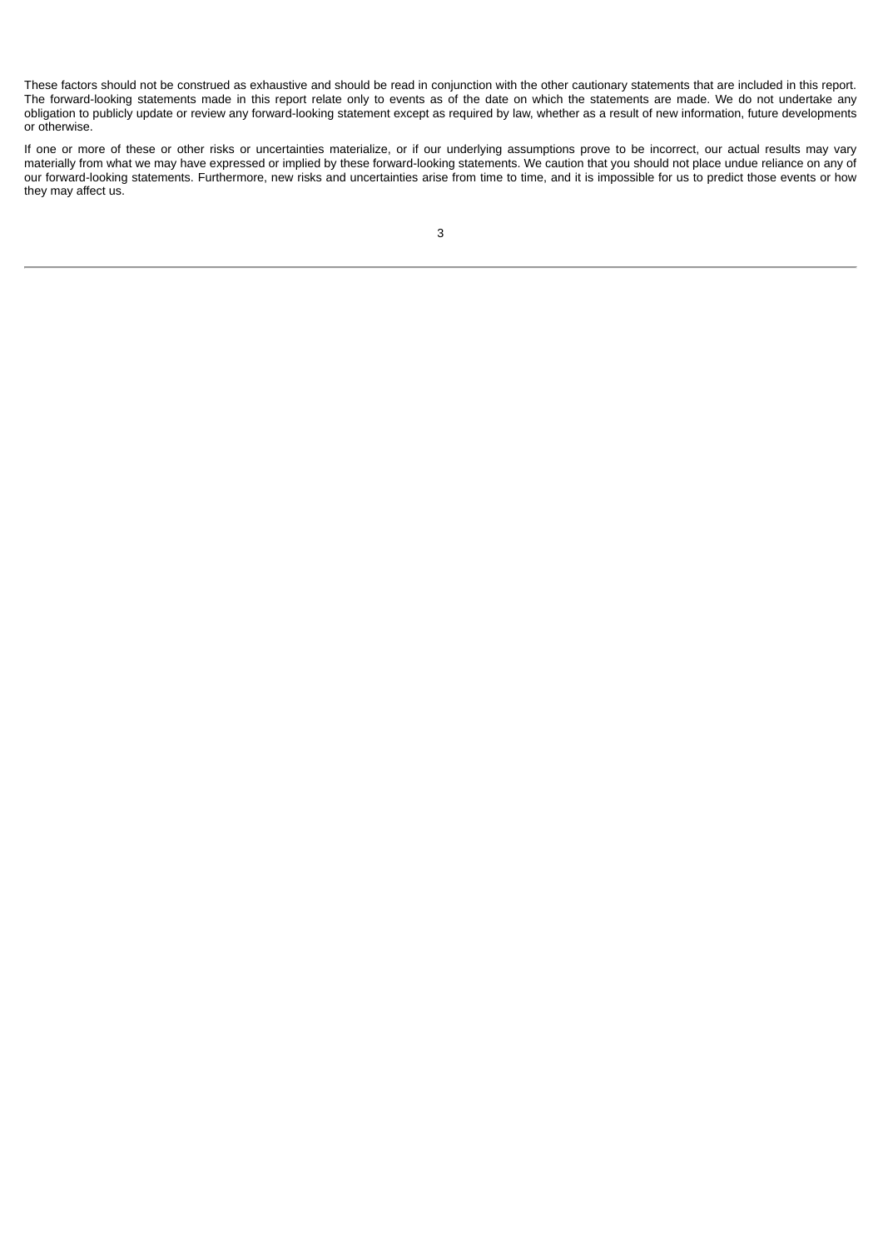These factors should not be construed as exhaustive and should be read in conjunction with the other cautionary statements that are included in this report. The forward-looking statements made in this report relate only to events as of the date on which the statements are made. We do not undertake any obligation to publicly update or review any forward-looking statement except as required by law, whether as a result of new information, future developments or otherwise.

If one or more of these or other risks or uncertainties materialize, or if our underlying assumptions prove to be incorrect, our actual results may vary materially from what we may have expressed or implied by these forward-looking statements. We caution that you should not place undue reliance on any of our forward-looking statements. Furthermore, new risks and uncertainties arise from time to time, and it is impossible for us to predict those events or how they may affect us.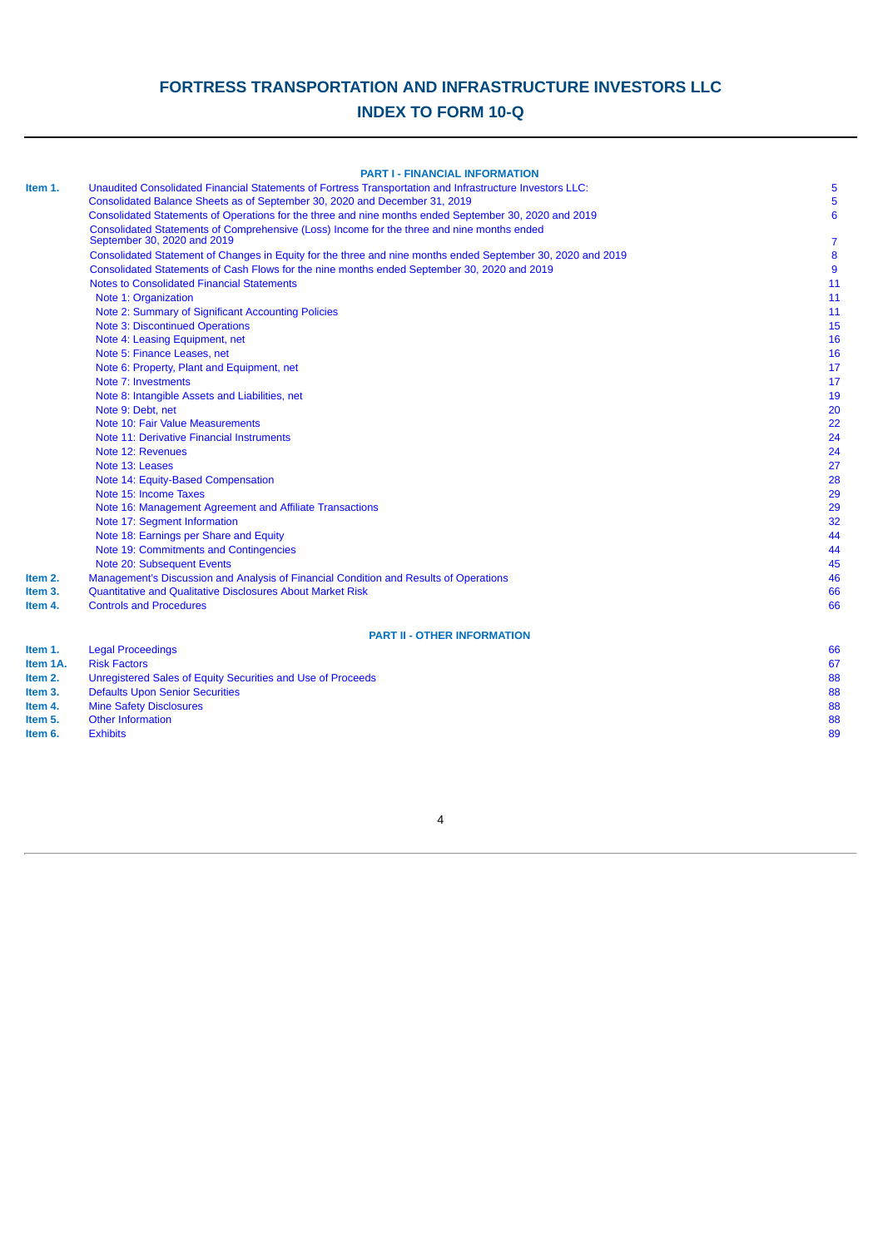# **FORTRESS TRANSPORTATION AND INFRASTRUCTURE INVESTORS LLC**

# **INDEX TO FORM 10-Q**

|          | <b>PART I - FINANCIAL INFORMATION</b>                                                                       |                 |
|----------|-------------------------------------------------------------------------------------------------------------|-----------------|
| Item 1.  | Unaudited Consolidated Financial Statements of Fortress Transportation and Infrastructure Investors LLC:    | 5               |
|          | Consolidated Balance Sheets as of September 30, 2020 and December 31, 2019                                  | 5               |
|          | Consolidated Statements of Operations for the three and nine months ended September 30, 2020 and 2019       | $6\phantom{1}6$ |
|          | Consolidated Statements of Comprehensive (Loss) Income for the three and nine months ended                  |                 |
|          | September 30, 2020 and 2019                                                                                 | $\overline{7}$  |
|          | Consolidated Statement of Changes in Equity for the three and nine months ended September 30, 2020 and 2019 | 8               |
|          | Consolidated Statements of Cash Flows for the nine months ended September 30, 2020 and 2019                 | $\overline{9}$  |
|          | <b>Notes to Consolidated Financial Statements</b>                                                           | 11              |
|          | Note 1: Organization                                                                                        | 11              |
|          | Note 2: Summary of Significant Accounting Policies                                                          | 11              |
|          | <b>Note 3: Discontinued Operations</b>                                                                      | 15              |
|          | Note 4: Leasing Equipment, net                                                                              | 16              |
|          | Note 5: Finance Leases, net                                                                                 | 16              |
|          | Note 6: Property, Plant and Equipment, net                                                                  | 17              |
|          | Note 7: Investments                                                                                         | 17              |
|          | Note 8: Intangible Assets and Liabilities, net                                                              | 19              |
|          | Note 9: Debt, net                                                                                           | 20              |
|          | Note 10: Fair Value Measurements                                                                            | 22              |
|          | Note 11: Derivative Financial Instruments                                                                   | 24              |
|          | Note 12: Revenues                                                                                           | 24              |
|          | Note 13: Leases                                                                                             | 27              |
|          | Note 14: Equity-Based Compensation                                                                          | 28              |
|          | Note 15: Income Taxes                                                                                       | 29              |
|          | Note 16: Management Agreement and Affiliate Transactions                                                    | 29              |
|          | Note 17: Segment Information                                                                                | 32              |
|          | Note 18: Earnings per Share and Equity                                                                      | 44              |
|          | Note 19: Commitments and Contingencies                                                                      | 44              |
|          | Note 20: Subsequent Events                                                                                  | 45              |
| Item 2.  | Management's Discussion and Analysis of Financial Condition and Results of Operations                       | 46              |
| Item 3.  | Quantitative and Qualitative Disclosures About Market Risk                                                  | 66              |
| Item 4.  | <b>Controls and Procedures</b>                                                                              | 66              |
|          | <b>PART II - OTHER INFORMATION</b>                                                                          |                 |
| Item 1.  | <b>Legal Proceedings</b>                                                                                    | 66              |
| Item 1A. | <b>Risk Factors</b>                                                                                         | 67              |
| Item 2.  | Unregistered Sales of Equity Securities and Use of Proceeds                                                 | 88              |
| Item 3.  | <b>Defaults Upon Senior Securities</b>                                                                      | 88              |
| Item 4.  | <b>Mine Safety Disclosures</b>                                                                              | 88              |
| Item 5.  | <b>Other Information</b>                                                                                    | 88              |
| Item 6.  | <b>Exhibits</b>                                                                                             | 89              |
|          |                                                                                                             |                 |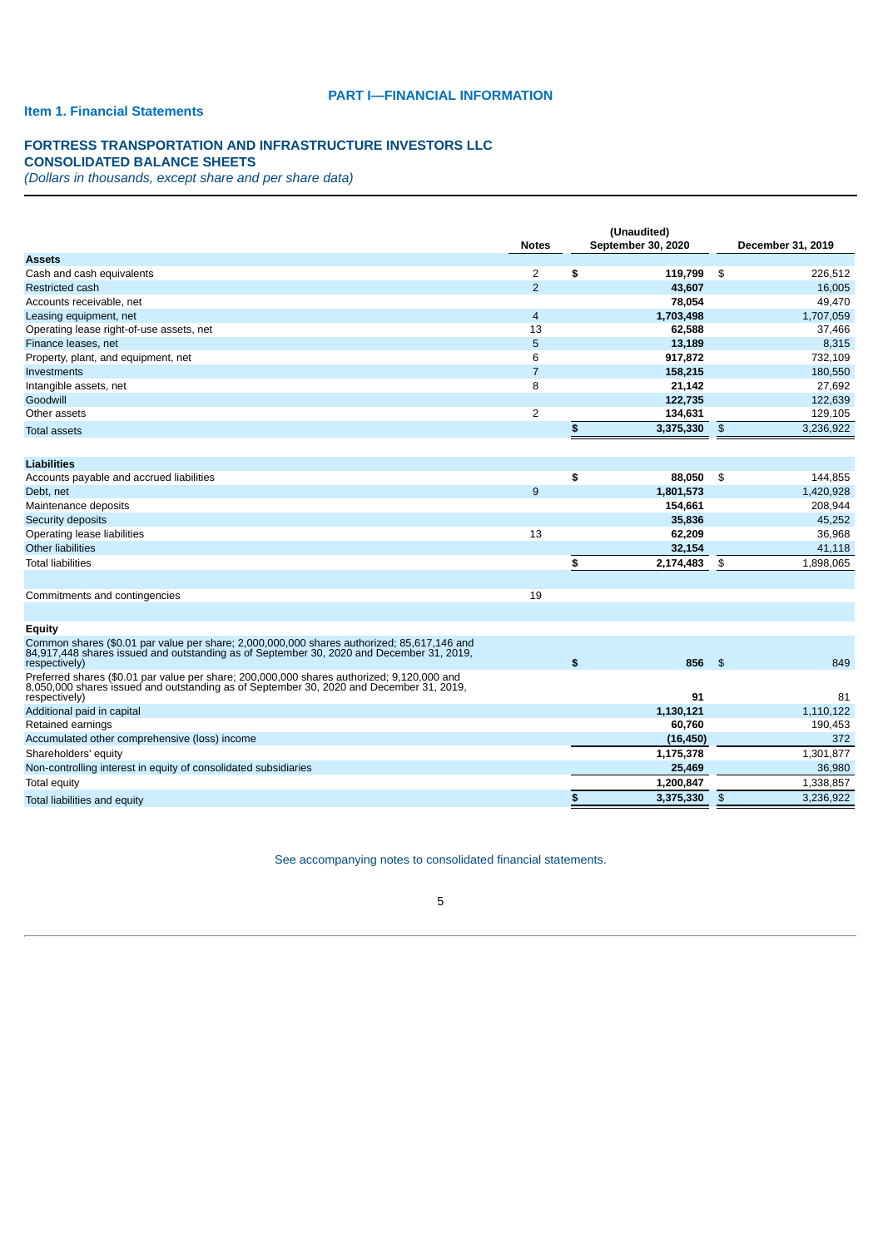### **PART I—FINANCIAL INFORMATION**

### <span id="page-4-0"></span>**Item 1. Financial Statements**

### **FORTRESS TRANSPORTATION AND INFRASTRUCTURE INVESTORS LLC**

### **CONSOLIDATED BALANCE SHEETS**

*(Dollars in thousands, except share and per share data)*

|                                                                                                                                                                                                         | <b>Notes</b>   | (Unaudited)<br>September 30, 2020 |                | December 31, 2019 |  |  |
|---------------------------------------------------------------------------------------------------------------------------------------------------------------------------------------------------------|----------------|-----------------------------------|----------------|-------------------|--|--|
| <b>Assets</b>                                                                                                                                                                                           |                |                                   |                |                   |  |  |
| Cash and cash equivalents                                                                                                                                                                               | 2              | \$<br>119,799                     | \$             | 226,512           |  |  |
| <b>Restricted cash</b>                                                                                                                                                                                  | $\overline{2}$ | 43,607                            |                | 16,005            |  |  |
| Accounts receivable, net                                                                                                                                                                                |                | 78,054                            |                | 49,470            |  |  |
| Leasing equipment, net                                                                                                                                                                                  | $\overline{4}$ | 1,703,498                         |                | 1,707,059         |  |  |
| Operating lease right-of-use assets, net                                                                                                                                                                | 13             | 62,588                            |                | 37,466            |  |  |
| Finance leases, net                                                                                                                                                                                     | 5              | 13,189                            |                | 8,315             |  |  |
| Property, plant, and equipment, net                                                                                                                                                                     | 6              | 917,872                           |                | 732,109           |  |  |
| Investments                                                                                                                                                                                             | $\overline{7}$ | 158,215                           |                | 180,550           |  |  |
| Intangible assets, net                                                                                                                                                                                  | 8              | 21,142                            |                | 27,692            |  |  |
| Goodwill                                                                                                                                                                                                |                | 122,735                           |                | 122.639           |  |  |
| Other assets                                                                                                                                                                                            | 2              | 134,631                           |                | 129,105           |  |  |
| <b>Total assets</b>                                                                                                                                                                                     |                | \$<br>3,375,330                   | $\mathfrak{S}$ | 3,236,922         |  |  |
|                                                                                                                                                                                                         |                |                                   |                |                   |  |  |
| <b>Liabilities</b>                                                                                                                                                                                      |                |                                   |                |                   |  |  |
| Accounts payable and accrued liabilities                                                                                                                                                                |                | \$<br>88,050                      | \$             | 144,855           |  |  |
| Debt, net                                                                                                                                                                                               | 9              | 1,801,573                         |                | 1,420,928         |  |  |
| Maintenance deposits                                                                                                                                                                                    |                | 154,661                           |                | 208,944           |  |  |
| Security deposits                                                                                                                                                                                       |                | 35,836                            |                | 45,252            |  |  |
| Operating lease liabilities                                                                                                                                                                             | 13             | 62,209                            |                | 36,968            |  |  |
| <b>Other liabilities</b>                                                                                                                                                                                |                | 32,154                            |                | 41,118            |  |  |
| <b>Total liabilities</b>                                                                                                                                                                                |                | \$<br>2,174,483                   | \$             | 1,898,065         |  |  |
| Commitments and contingencies                                                                                                                                                                           | 19             |                                   |                |                   |  |  |
|                                                                                                                                                                                                         |                |                                   |                |                   |  |  |
| <b>Equity</b>                                                                                                                                                                                           |                |                                   |                |                   |  |  |
| Common shares (\$0.01 par value per share; 2,000,000,000 shares authorized; 85,617,146 and<br>84,917,448 shares issued and outstanding as of September 30, 2020 and December 31, 2019,<br>respectively) |                | \$<br>856                         | - \$           | 849               |  |  |
| Preferred shares (\$0.01 par value per share; 200,000,000 shares authorized; 9,120,000 and<br>8,050,000 shares issued and outstanding as of September 30, 2020 and December 31, 2019,<br>respectively)  |                | 91                                |                | 81                |  |  |
| Additional paid in capital                                                                                                                                                                              |                | 1,130,121                         |                | 1,110,122         |  |  |
| Retained earnings                                                                                                                                                                                       |                | 60,760                            |                | 190,453           |  |  |
| Accumulated other comprehensive (loss) income                                                                                                                                                           |                | (16, 450)                         |                | 372               |  |  |
| Shareholders' equity                                                                                                                                                                                    |                | 1,175,378                         |                | 1,301,877         |  |  |
| Non-controlling interest in equity of consolidated subsidiaries                                                                                                                                         |                | 25,469                            |                | 36,980            |  |  |
| Total equity                                                                                                                                                                                            |                | 1,200,847                         |                | 1,338,857         |  |  |
| Total liabilities and equity                                                                                                                                                                            |                | \$<br>3,375,330                   | $\frac{1}{2}$  | 3,236,922         |  |  |
|                                                                                                                                                                                                         |                |                                   |                |                   |  |  |

<span id="page-4-1"></span>See accompanying notes to consolidated financial statements.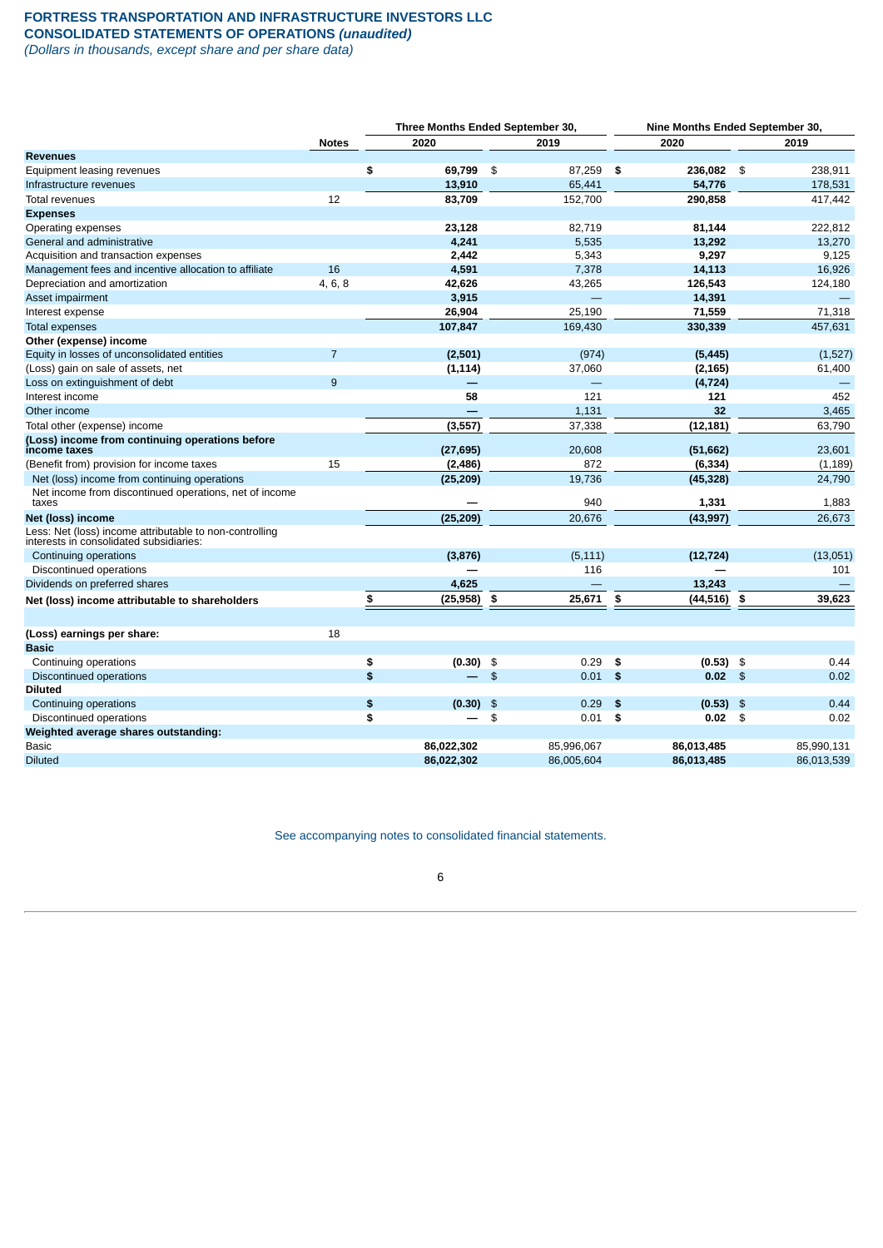## **FORTRESS TRANSPORTATION AND INFRASTRUCTURE INVESTORS LLC**

**CONSOLIDATED STATEMENTS OF OPERATIONS** *(unaudited)*

*(Dollars in thousands, except share and per share data)*

|                                                                                                    |                | Three Months Ended September 30, |                |            |      | Nine Months Ended September 30, |      |            |  |  |  |
|----------------------------------------------------------------------------------------------------|----------------|----------------------------------|----------------|------------|------|---------------------------------|------|------------|--|--|--|
|                                                                                                    | <b>Notes</b>   | 2020                             |                | 2019       | 2020 |                                 |      | 2019       |  |  |  |
| <b>Revenues</b>                                                                                    |                |                                  |                |            |      |                                 |      |            |  |  |  |
| Equipment leasing revenues                                                                         |                | \$<br>69,799                     | \$             | 87,259     | \$   | 236,082                         | - \$ | 238.911    |  |  |  |
| Infrastructure revenues                                                                            |                | 13,910                           |                | 65,441     |      | 54,776                          |      | 178,531    |  |  |  |
| Total revenues                                                                                     | 12             | 83,709                           |                | 152,700    |      | 290,858                         |      | 417,442    |  |  |  |
| <b>Expenses</b>                                                                                    |                |                                  |                |            |      |                                 |      |            |  |  |  |
| Operating expenses                                                                                 |                | 23,128                           |                | 82,719     |      | 81,144                          |      | 222,812    |  |  |  |
| General and administrative                                                                         |                | 4,241                            |                | 5,535      |      | 13,292                          |      | 13,270     |  |  |  |
| Acquisition and transaction expenses                                                               |                | 2,442                            |                | 5,343      |      | 9,297                           |      | 9,125      |  |  |  |
| Management fees and incentive allocation to affiliate                                              | 16             | 4,591                            |                | 7,378      |      | 14,113                          |      | 16,926     |  |  |  |
| Depreciation and amortization                                                                      | 4, 6, 8        | 42,626                           |                | 43,265     |      | 126,543                         |      | 124,180    |  |  |  |
| Asset impairment                                                                                   |                | 3,915                            |                |            |      | 14,391                          |      |            |  |  |  |
| Interest expense                                                                                   |                | 26,904                           |                | 25,190     |      | 71,559                          |      | 71,318     |  |  |  |
| <b>Total expenses</b>                                                                              |                | 107,847                          |                | 169,430    |      | 330,339                         |      | 457,631    |  |  |  |
| Other (expense) income                                                                             |                |                                  |                |            |      |                                 |      |            |  |  |  |
| Equity in losses of unconsolidated entities                                                        | $\overline{7}$ | (2,501)                          |                | (974)      |      | (5, 445)                        |      | (1,527)    |  |  |  |
| (Loss) gain on sale of assets, net                                                                 |                | (1, 114)                         |                | 37,060     |      | (2, 165)                        |      | 61,400     |  |  |  |
| Loss on extinguishment of debt                                                                     | 9              |                                  |                |            |      | (4, 724)                        |      |            |  |  |  |
| Interest income                                                                                    |                | 58                               |                | 121        |      | 121                             |      | 452        |  |  |  |
| Other income                                                                                       |                |                                  |                | 1,131      |      | 32                              |      | 3,465      |  |  |  |
| Total other (expense) income                                                                       |                | (3, 557)                         |                | 37,338     |      | (12, 181)                       |      | 63,790     |  |  |  |
| (Loss) income from continuing operations before<br>income taxes                                    |                | (27, 695)                        |                | 20,608     |      | (51,662)                        |      | 23,601     |  |  |  |
| (Benefit from) provision for income taxes                                                          | 15             | (2, 486)                         |                | 872        |      | (6, 334)                        |      | (1, 189)   |  |  |  |
| Net (loss) income from continuing operations                                                       |                | (25, 209)                        |                | 19,736     |      | (45, 328)                       |      | 24,790     |  |  |  |
| Net income from discontinued operations, net of income                                             |                |                                  |                |            |      |                                 |      |            |  |  |  |
| taxes                                                                                              |                |                                  |                | 940        |      | 1,331                           |      | 1,883      |  |  |  |
| Net (loss) income                                                                                  |                | (25, 209)                        |                | 20,676     |      | (43, 997)                       |      | 26,673     |  |  |  |
| Less: Net (loss) income attributable to non-controlling<br>interests in consolidated subsidiaries: |                |                                  |                |            |      |                                 |      |            |  |  |  |
| Continuing operations                                                                              |                | (3,876)                          |                | (5, 111)   |      | (12, 724)                       |      | (13,051)   |  |  |  |
| Discontinued operations                                                                            |                |                                  |                | 116        |      |                                 |      | 101        |  |  |  |
| Dividends on preferred shares                                                                      |                | 4,625                            |                |            |      | 13,243                          |      |            |  |  |  |
| Net (loss) income attributable to shareholders                                                     |                | \$<br>(25, 958)                  | \$             | 25,671     | \$   | (44,516) \$                     |      | 39.623     |  |  |  |
|                                                                                                    |                |                                  |                |            |      |                                 |      |            |  |  |  |
| (Loss) earnings per share:                                                                         | 18             |                                  |                |            |      |                                 |      |            |  |  |  |
| Basic                                                                                              |                |                                  |                |            |      |                                 |      |            |  |  |  |
| Continuing operations                                                                              |                | \$<br>(0.30)                     | \$             | 0.29       | \$   | $(0.53)$ \$                     |      | 0.44       |  |  |  |
| Discontinued operations                                                                            |                | \$                               | $\mathfrak{S}$ | 0.01       | \$   | $0.02$ \$                       |      | 0.02       |  |  |  |
| <b>Diluted</b>                                                                                     |                |                                  |                |            |      |                                 |      |            |  |  |  |
| Continuing operations                                                                              |                | \$<br>(0.30)                     | $\mathfrak{F}$ | 0.29       | \$   | $(0.53)$ \$                     |      | 0.44       |  |  |  |
| Discontinued operations                                                                            |                | \$                               | $\frac{2}{3}$  | $0.01$ \$  |      | $0.02$ \$                       |      | 0.02       |  |  |  |
| Weighted average shares outstanding:                                                               |                |                                  |                |            |      |                                 |      |            |  |  |  |
| Basic                                                                                              |                | 86.022.302                       |                | 85.996.067 |      | 86.013.485                      |      | 85.990.131 |  |  |  |
| <b>Diluted</b>                                                                                     |                | 86,022,302                       |                | 86,005,604 |      | 86,013,485                      |      | 86,013,539 |  |  |  |

<span id="page-5-0"></span>See accompanying notes to consolidated financial statements.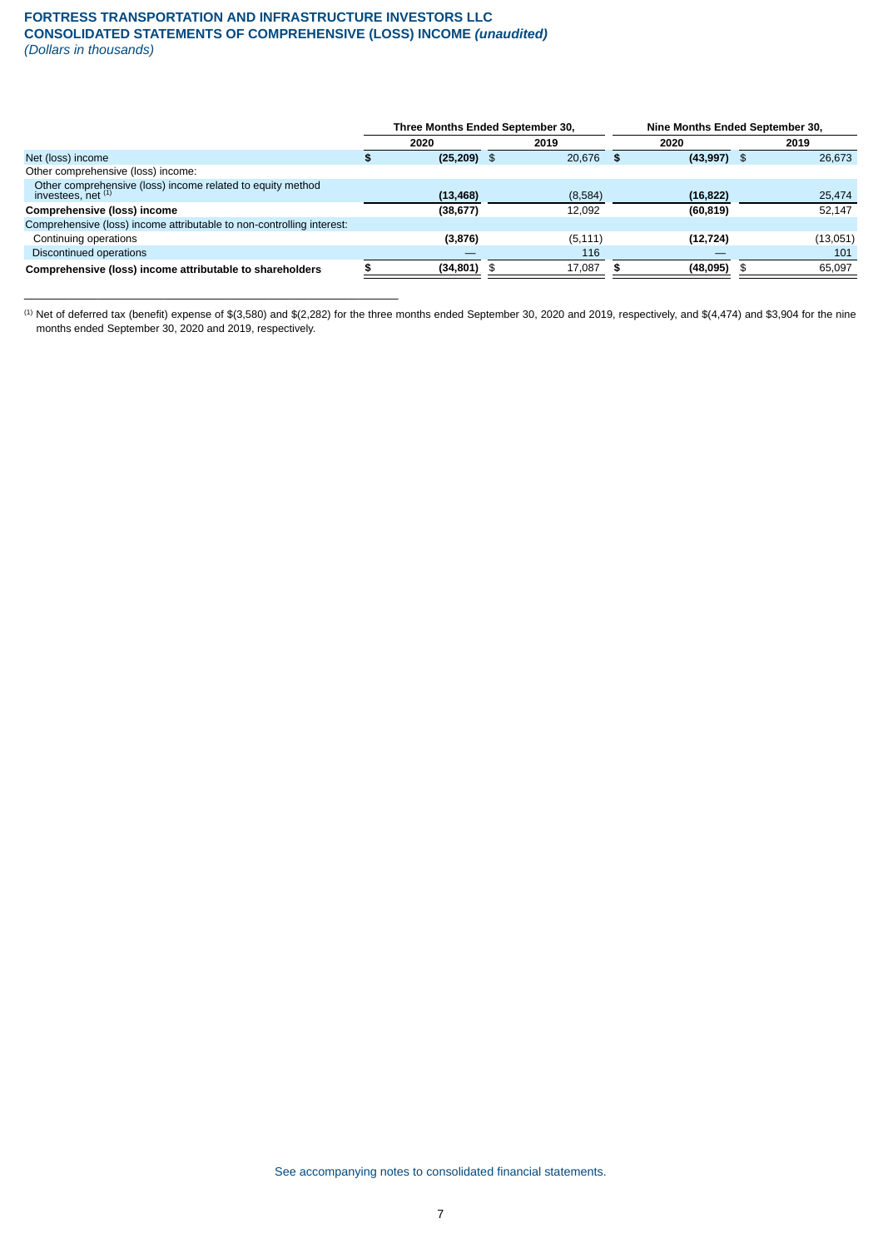### **FORTRESS TRANSPORTATION AND INFRASTRUCTURE INVESTORS LLC CONSOLIDATED STATEMENTS OF COMPREHENSIVE (LOSS) INCOME** *(unaudited) (Dollars in thousands)*

\_\_\_\_\_\_\_\_\_\_\_\_\_\_\_\_\_\_\_\_\_\_\_\_\_\_\_\_\_\_\_\_\_\_\_\_\_\_\_\_\_\_\_\_\_\_\_\_\_\_\_\_\_\_\_\_

|                                                                                    | Three Months Ended September 30, |          | Nine Months Ended September 30, |               |    |          |  |  |
|------------------------------------------------------------------------------------|----------------------------------|----------|---------------------------------|---------------|----|----------|--|--|
|                                                                                    | 2020                             | 2019     |                                 | 2020          |    | 2019     |  |  |
| Net (loss) income                                                                  | $(25, 209)$ \$                   | 20,676   |                                 | $(43,997)$ \$ |    | 26.673   |  |  |
| Other comprehensive (loss) income:                                                 |                                  |          |                                 |               |    |          |  |  |
| Other comprehensive (loss) income related to equity method<br>investees. net $(1)$ | (13, 468)                        | (8,584)  |                                 | (16, 822)     |    | 25,474   |  |  |
| <b>Comprehensive (loss) income</b>                                                 | (38, 677)                        | 12.092   |                                 | (60, 819)     |    | 52,147   |  |  |
| Comprehensive (loss) income attributable to non-controlling interest:              |                                  |          |                                 |               |    |          |  |  |
| Continuing operations                                                              | (3,876)                          | (5, 111) |                                 | (12, 724)     |    | (13,051) |  |  |
| Discontinued operations                                                            |                                  | 116      |                                 |               |    | 101      |  |  |
| Comprehensive (loss) income attributable to shareholders                           | $(34,801)$ \$                    | 17,087   |                                 | (48,095)      | \$ | 65,097   |  |  |

 $^{(1)}$  Net of deferred tax (benefit) expense of \$(3,580) and \$(2,282) for the three months ended September 30, 2020 and 2019, respectively, and \$(4,474) and \$3,904 for the nine months ended September 30, 2020 and 2019, respectively.

See accompanying notes to consolidated financial statements.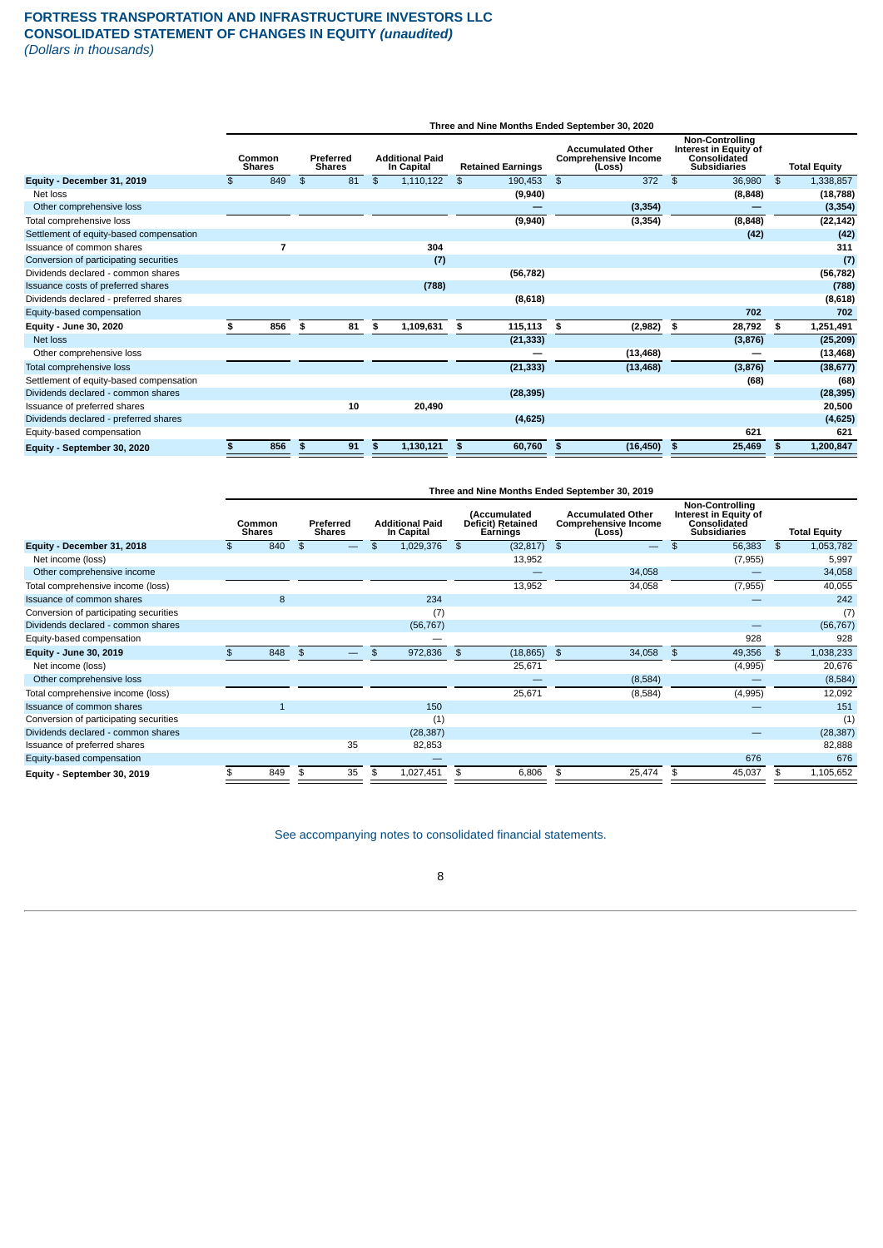|                                         |    | Three and Nine Months Ended September 30, 2020 |    |                            |    |                                      |                          |           |                                                                   |    |                                                                                 |                     |           |
|-----------------------------------------|----|------------------------------------------------|----|----------------------------|----|--------------------------------------|--------------------------|-----------|-------------------------------------------------------------------|----|---------------------------------------------------------------------------------|---------------------|-----------|
|                                         |    | Common<br><b>Shares</b>                        |    | Preferred<br><b>Shares</b> |    | <b>Additional Paid</b><br>In Capital | <b>Retained Earnings</b> |           | <b>Accumulated Other</b><br><b>Comprehensive Income</b><br>(Loss) |    | Non-Controlling<br>Interest in Equity of<br>Consolidated<br><b>Subsidiaries</b> | <b>Total Equity</b> |           |
| Equity - December 31, 2019              | \$ | 849                                            | \$ | 81                         | \$ | 1,110,122                            | \$                       | 190,453   | 372<br>\$                                                         | \$ | 36,980                                                                          | $\mathfrak{s}$      | 1,338,857 |
| Net loss                                |    |                                                |    |                            |    |                                      |                          | (9,940)   |                                                                   |    | (8, 848)                                                                        |                     | (18, 788) |
| Other comprehensive loss                |    |                                                |    |                            |    |                                      |                          |           | (3, 354)                                                          |    |                                                                                 |                     | (3, 354)  |
| Total comprehensive loss                |    |                                                |    |                            |    |                                      |                          | (9,940)   | (3, 354)                                                          |    | (8, 848)                                                                        |                     | (22, 142) |
| Settlement of equity-based compensation |    |                                                |    |                            |    |                                      |                          |           |                                                                   |    | (42)                                                                            |                     | (42)      |
| Issuance of common shares               |    |                                                |    |                            |    | 304                                  |                          |           |                                                                   |    |                                                                                 |                     | 311       |
| Conversion of participating securities  |    |                                                |    |                            |    | (7)                                  |                          |           |                                                                   |    |                                                                                 |                     | (7)       |
| Dividends declared - common shares      |    |                                                |    |                            |    |                                      |                          | (56, 782) |                                                                   |    |                                                                                 |                     | (56, 782) |
| Issuance costs of preferred shares      |    |                                                |    |                            |    | (788)                                |                          |           |                                                                   |    |                                                                                 |                     | (788)     |
| Dividends declared - preferred shares   |    |                                                |    |                            |    |                                      |                          | (8,618)   |                                                                   |    |                                                                                 |                     | (8,618)   |
| Equity-based compensation               |    |                                                |    |                            |    |                                      |                          |           |                                                                   |    | 702                                                                             |                     | 702       |
| Equity - June 30, 2020                  | s  | 856                                            | Ŝ. | 81                         | Ŝ. | 1,109,631                            | \$                       | 115,113   | (2,982)<br>\$                                                     | \$ | 28,792                                                                          | \$.                 | 1,251,491 |
| Net loss                                |    |                                                |    |                            |    |                                      |                          | (21, 333) |                                                                   |    | (3,876)                                                                         |                     | (25, 209) |
| Other comprehensive loss                |    |                                                |    |                            |    |                                      |                          |           | (13, 468)                                                         |    |                                                                                 |                     | (13, 468) |
| Total comprehensive loss                |    |                                                |    |                            |    |                                      |                          | (21, 333) | (13, 468)                                                         |    | (3, 876)                                                                        |                     | (38, 677) |
| Settlement of equity-based compensation |    |                                                |    |                            |    |                                      |                          |           |                                                                   |    | (68)                                                                            |                     | (68)      |
| Dividends declared - common shares      |    |                                                |    |                            |    |                                      |                          | (28, 395) |                                                                   |    |                                                                                 |                     | (28, 395) |
| Issuance of preferred shares            |    |                                                |    | 10                         |    | 20,490                               |                          |           |                                                                   |    |                                                                                 |                     | 20,500    |
| Dividends declared - preferred shares   |    |                                                |    |                            |    |                                      |                          | (4,625)   |                                                                   |    |                                                                                 |                     | (4,625)   |
| Equity-based compensation               |    |                                                |    |                            |    |                                      |                          |           |                                                                   |    | 621                                                                             |                     | 621       |
| Equity - September 30, 2020             | \$ | 856                                            | \$ | 91                         | \$ | 1,130,121                            | \$                       | 60,760    | (16, 450)<br>\$                                                   | \$ | 25,469                                                                          | \$                  | 1,200,847 |

### **Three and Nine Months Ended September 30, 2020**

|                                        | Three and Nine Months Ended September 30, 2019 |                                                       |    |    |                                      |           |    |                                               |                                                                   |                          |    |                                                                                        |    |                     |
|----------------------------------------|------------------------------------------------|-------------------------------------------------------|----|----|--------------------------------------|-----------|----|-----------------------------------------------|-------------------------------------------------------------------|--------------------------|----|----------------------------------------------------------------------------------------|----|---------------------|
|                                        |                                                | Preferred<br>Common<br><b>Shares</b><br><b>Shares</b> |    |    | <b>Additional Paid</b><br>In Capital |           |    | (Accumulated<br>Deficit) Retained<br>Earnings | <b>Accumulated Other</b><br><b>Comprehensive Income</b><br>(Loss) |                          |    | <b>Non-Controlling</b><br>Interest in Equity of<br>Consolidated<br><b>Subsidiaries</b> |    | <b>Total Equity</b> |
| Equity - December 31, 2018             |                                                | 840                                                   | \$ |    |                                      | 1,029,376 | \$ | (32, 817)                                     | $\frac{2}{3}$                                                     | $\overline{\phantom{0}}$ |    | 56,383                                                                                 | \$ | 1,053,782           |
| Net income (loss)                      |                                                |                                                       |    |    |                                      |           |    | 13,952                                        |                                                                   |                          |    | (7, 955)                                                                               |    | 5,997               |
| Other comprehensive income             |                                                |                                                       |    |    |                                      |           |    |                                               |                                                                   | 34,058                   |    |                                                                                        |    | 34,058              |
| Total comprehensive income (loss)      |                                                |                                                       |    |    |                                      |           |    | 13,952                                        |                                                                   | 34,058                   |    | (7, 955)                                                                               |    | 40,055              |
| <b>Issuance of common shares</b>       |                                                | 8                                                     |    |    |                                      | 234       |    |                                               |                                                                   |                          |    |                                                                                        |    | 242                 |
| Conversion of participating securities |                                                |                                                       |    |    |                                      | (7)       |    |                                               |                                                                   |                          |    |                                                                                        |    | (7)                 |
| Dividends declared - common shares     |                                                |                                                       |    |    |                                      | (56, 767) |    |                                               |                                                                   |                          |    |                                                                                        |    | (56, 767)           |
| Equity-based compensation              |                                                |                                                       |    |    |                                      |           |    |                                               |                                                                   |                          |    | 928                                                                                    |    | 928                 |
| Equity - June 30, 2019                 |                                                | 848                                                   | \$ |    | \$                                   | 972,836   | \$ | (18, 865)                                     | \$                                                                | 34,058                   | \$ | 49,356                                                                                 | \$ | 1,038,233           |
| Net income (loss)                      |                                                |                                                       |    |    |                                      |           |    | 25,671                                        |                                                                   |                          |    | (4,995)                                                                                |    | 20,676              |
| Other comprehensive loss               |                                                |                                                       |    |    |                                      |           |    |                                               |                                                                   | (8,584)                  |    |                                                                                        |    | (8,584)             |
| Total comprehensive income (loss)      |                                                |                                                       |    |    |                                      |           |    | 25,671                                        |                                                                   | (8,584)                  |    | (4,995)                                                                                |    | 12,092              |
| <b>Issuance of common shares</b>       |                                                | $\mathbf{1}$                                          |    |    |                                      | 150       |    |                                               |                                                                   |                          |    |                                                                                        |    | 151                 |
| Conversion of participating securities |                                                |                                                       |    |    |                                      | (1)       |    |                                               |                                                                   |                          |    |                                                                                        |    | (1)                 |
| Dividends declared - common shares     |                                                |                                                       |    |    |                                      | (28, 387) |    |                                               |                                                                   |                          |    |                                                                                        |    | (28, 387)           |
| Issuance of preferred shares           |                                                |                                                       |    | 35 |                                      | 82,853    |    |                                               |                                                                   |                          |    |                                                                                        |    | 82,888              |
| Equity-based compensation              |                                                |                                                       |    |    |                                      |           |    |                                               |                                                                   |                          |    | 676                                                                                    |    | 676                 |
| Equity - September 30, 2019            |                                                | 849                                                   | \$ | 35 | \$                                   | 1,027,451 | \$ | 6,806                                         | \$                                                                | 25,474                   | \$ | 45,037                                                                                 | \$ | 1,105,652           |

<span id="page-8-0"></span>See accompanying notes to consolidated financial statements.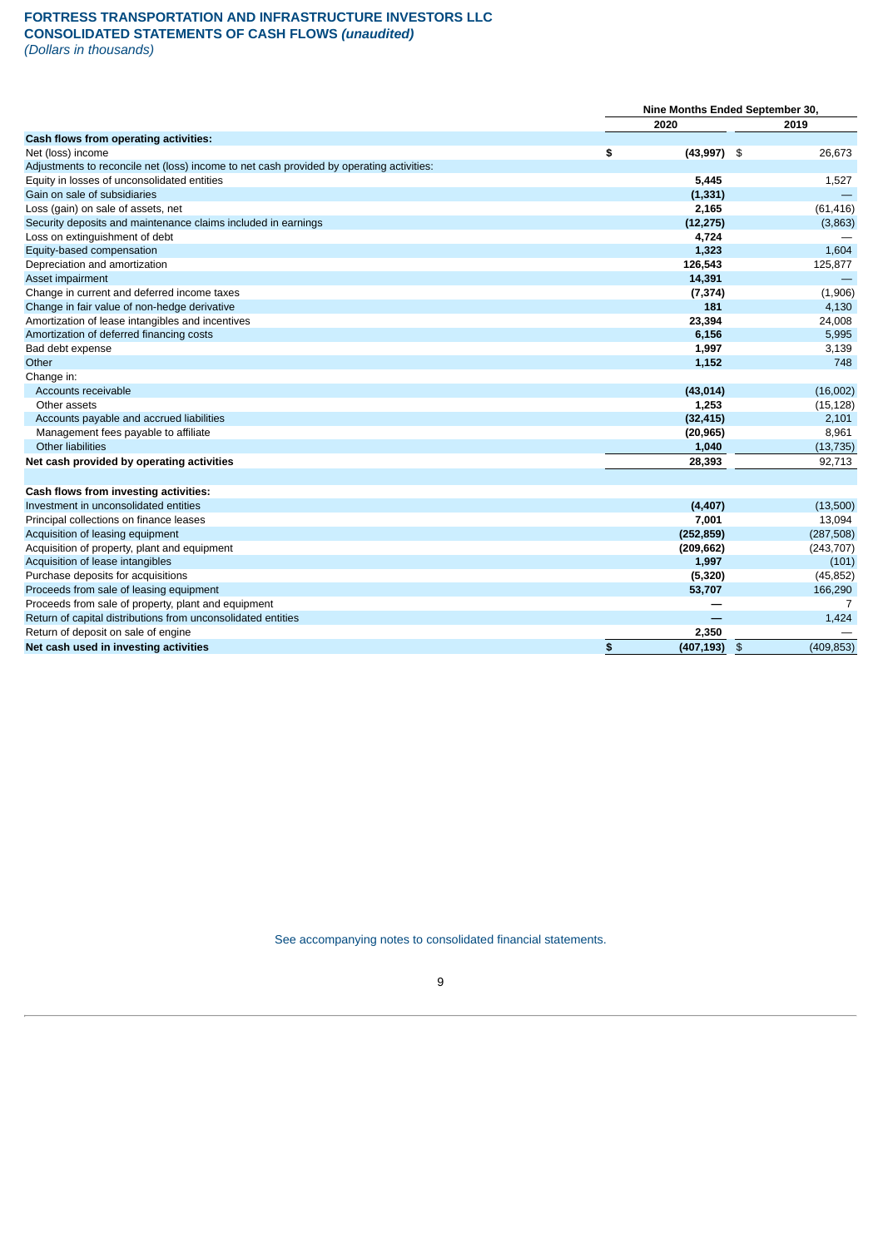# **FORTRESS TRANSPORTATION AND INFRASTRUCTURE INVESTORS LLC CONSOLIDATED STATEMENTS OF CASH FLOWS** *(unaudited)*

*(Dollars in thousands)*

|                                                                                          | Nine Months Ended September 30, |                 |      |                                 |  |
|------------------------------------------------------------------------------------------|---------------------------------|-----------------|------|---------------------------------|--|
|                                                                                          |                                 | 2020            | 2019 |                                 |  |
| Cash flows from operating activities:                                                    |                                 |                 |      |                                 |  |
| Net (loss) income                                                                        | \$                              | $(43,997)$ \$   |      | 26,673                          |  |
| Adjustments to reconcile net (loss) income to net cash provided by operating activities: |                                 |                 |      |                                 |  |
| Equity in losses of unconsolidated entities                                              |                                 | 5,445           |      | 1,527                           |  |
| Gain on sale of subsidiaries                                                             |                                 | (1, 331)        |      |                                 |  |
| Loss (gain) on sale of assets, net                                                       |                                 | 2,165           |      | (61, 416)                       |  |
| Security deposits and maintenance claims included in earnings                            |                                 | (12, 275)       |      | (3,863)                         |  |
| Loss on extinguishment of debt                                                           |                                 | 4,724           |      |                                 |  |
| Equity-based compensation                                                                |                                 | 1,323           |      | 1,604                           |  |
| Depreciation and amortization                                                            |                                 | 126,543         |      | 125,877                         |  |
| Asset impairment                                                                         |                                 | 14,391          |      | $\hspace{0.1mm}-\hspace{0.1mm}$ |  |
| Change in current and deferred income taxes                                              |                                 | (7, 374)        |      | (1,906)                         |  |
| Change in fair value of non-hedge derivative                                             |                                 | 181             |      | 4,130                           |  |
| Amortization of lease intangibles and incentives                                         |                                 | 23,394          |      | 24,008                          |  |
| Amortization of deferred financing costs                                                 |                                 | 6,156           |      | 5,995                           |  |
| Bad debt expense                                                                         |                                 | 1,997           |      | 3,139                           |  |
| Other                                                                                    |                                 | 1,152           |      | 748                             |  |
| Change in:                                                                               |                                 |                 |      |                                 |  |
| Accounts receivable                                                                      |                                 | (43, 014)       |      | (16,002)                        |  |
| Other assets                                                                             |                                 | 1,253           |      | (15, 128)                       |  |
| Accounts payable and accrued liabilities                                                 |                                 | (32, 415)       |      | 2,101                           |  |
| Management fees payable to affiliate                                                     |                                 | (20, 965)       |      | 8,961                           |  |
| <b>Other liabilities</b>                                                                 |                                 | 1,040           |      | (13, 735)                       |  |
| Net cash provided by operating activities                                                |                                 | 28,393          |      | 92,713                          |  |
| Cash flows from investing activities:                                                    |                                 |                 |      |                                 |  |
| Investment in unconsolidated entities                                                    |                                 | (4, 407)        |      | (13,500)                        |  |
| Principal collections on finance leases                                                  |                                 | 7,001           |      | 13,094                          |  |
| Acquisition of leasing equipment                                                         |                                 | (252, 859)      |      | (287, 508)                      |  |
| Acquisition of property, plant and equipment                                             |                                 | (209, 662)      |      | (243, 707)                      |  |
| Acquisition of lease intangibles                                                         |                                 | 1,997           |      | (101)                           |  |
| Purchase deposits for acquisitions                                                       |                                 | (5, 320)        |      | (45, 852)                       |  |
| Proceeds from sale of leasing equipment                                                  |                                 | 53,707          |      | 166,290                         |  |
| Proceeds from sale of property, plant and equipment                                      |                                 |                 |      | 7                               |  |
| Return of capital distributions from unconsolidated entities                             |                                 |                 |      | 1,424                           |  |
| Return of deposit on sale of engine                                                      |                                 | 2,350           |      |                                 |  |
| Net cash used in investing activities                                                    | \$                              | $(407, 193)$ \$ |      | (409.853)                       |  |

See accompanying notes to consolidated financial statements.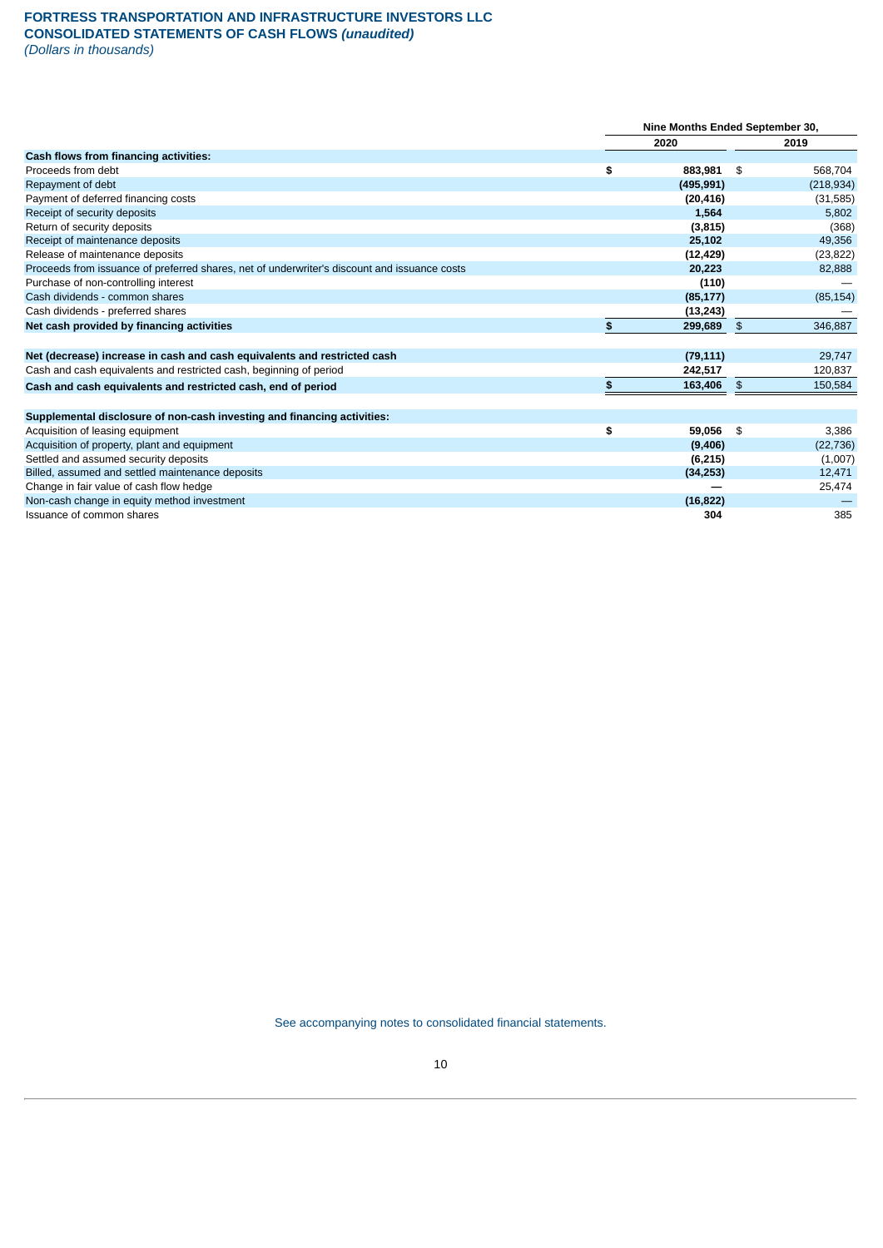### **FORTRESS TRANSPORTATION AND INFRASTRUCTURE INVESTORS LLC CONSOLIDATED STATEMENTS OF CASH FLOWS** *(unaudited) (Dollars in thousands)*

|                                                                                              | Nine Months Ended September 30, |            |               |            |  |
|----------------------------------------------------------------------------------------------|---------------------------------|------------|---------------|------------|--|
|                                                                                              |                                 | 2020       |               | 2019       |  |
| Cash flows from financing activities:                                                        |                                 |            |               |            |  |
| Proceeds from debt                                                                           | \$                              | 883.981    | \$            | 568.704    |  |
| Repayment of debt                                                                            |                                 | (495, 991) |               | (218, 934) |  |
| Payment of deferred financing costs                                                          |                                 | (20, 416)  |               | (31, 585)  |  |
| Receipt of security deposits                                                                 |                                 | 1,564      |               | 5,802      |  |
| Return of security deposits                                                                  |                                 | (3, 815)   |               | (368)      |  |
| Receipt of maintenance deposits                                                              |                                 | 25,102     |               | 49,356     |  |
| Release of maintenance deposits                                                              |                                 | (12, 429)  |               | (23, 822)  |  |
| Proceeds from issuance of preferred shares, net of underwriter's discount and issuance costs |                                 | 20,223     |               | 82,888     |  |
| Purchase of non-controlling interest                                                         |                                 | (110)      |               |            |  |
| Cash dividends - common shares                                                               |                                 | (85, 177)  |               | (85, 154)  |  |
| Cash dividends - preferred shares                                                            |                                 | (13, 243)  |               |            |  |
| Net cash provided by financing activities                                                    | \$                              | 299,689    | $\frac{2}{3}$ | 346,887    |  |
|                                                                                              |                                 |            |               |            |  |
| Net (decrease) increase in cash and cash equivalents and restricted cash                     |                                 | (79, 111)  |               | 29,747     |  |
| Cash and cash equivalents and restricted cash, beginning of period                           |                                 | 242,517    |               | 120,837    |  |
| Cash and cash equivalents and restricted cash, end of period                                 | \$                              | 163,406    | \$            | 150,584    |  |
|                                                                                              |                                 |            |               |            |  |
| Supplemental disclosure of non-cash investing and financing activities:                      |                                 |            |               |            |  |
| Acquisition of leasing equipment                                                             | \$                              | 59,056     | \$            | 3,386      |  |
| Acquisition of property, plant and equipment                                                 |                                 | (9,406)    |               | (22, 736)  |  |
| Settled and assumed security deposits                                                        |                                 | (6, 215)   |               | (1,007)    |  |
| Billed, assumed and settled maintenance deposits                                             |                                 | (34, 253)  |               | 12,471     |  |
| Change in fair value of cash flow hedge                                                      |                                 |            |               | 25,474     |  |
| Non-cash change in equity method investment                                                  |                                 | (16, 822)  |               |            |  |
| Issuance of common shares                                                                    |                                 | 304        |               | 385        |  |

<span id="page-10-0"></span>See accompanying notes to consolidated financial statements.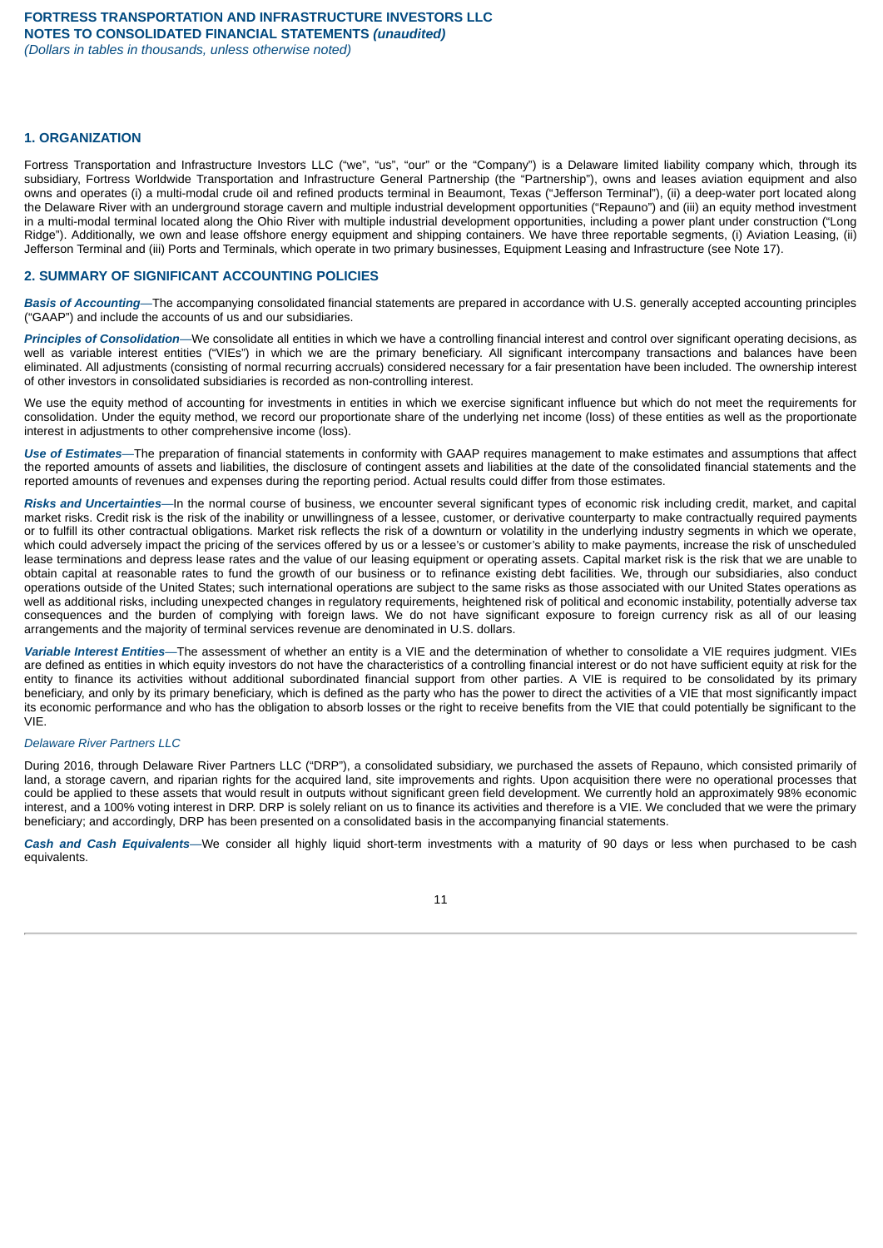### <span id="page-11-0"></span>**1. ORGANIZATION**

Fortress Transportation and Infrastructure Investors LLC ("we", "us", "our" or the "Company") is a Delaware limited liability company which, through its subsidiary, Fortress Worldwide Transportation and Infrastructure General Partnership (the "Partnership"), owns and leases aviation equipment and also owns and operates (i) a multi-modal crude oil and refined products terminal in Beaumont, Texas ("Jefferson Terminal"), (ii) a deep-water port located along the Delaware River with an underground storage cavern and multiple industrial development opportunities ("Repauno") and (iii) an equity method investment in a multi-modal terminal located along the Ohio River with multiple industrial development opportunities, including a power plant under construction ("Long Ridge"). Additionally, we own and lease offshore energy equipment and shipping containers. We have three reportable segments, (i) Aviation Leasing, (ii) Jefferson Terminal and (iii) Ports and Terminals, which operate in two primary businesses, Equipment Leasing and Infrastructure (see Note 17).

### <span id="page-11-1"></span>**2. SUMMARY OF SIGNIFICANT ACCOUNTING POLICIES**

*Basis of Accounting*—The accompanying consolidated financial statements are prepared in accordance with U.S. generally accepted accounting principles ("GAAP") and include the accounts of us and our subsidiaries.

*Principles of Consolidation*—We consolidate all entities in which we have a controlling financial interest and control over significant operating decisions, as well as variable interest entities ("VIEs") in which we are the primary beneficiary. All significant intercompany transactions and balances have been eliminated. All adjustments (consisting of normal recurring accruals) considered necessary for a fair presentation have been included. The ownership interest of other investors in consolidated subsidiaries is recorded as non-controlling interest.

We use the equity method of accounting for investments in entities in which we exercise significant influence but which do not meet the requirements for consolidation. Under the equity method, we record our proportionate share of the underlying net income (loss) of these entities as well as the proportionate interest in adjustments to other comprehensive income (loss).

*Use of Estimates*—The preparation of financial statements in conformity with GAAP requires management to make estimates and assumptions that affect the reported amounts of assets and liabilities, the disclosure of contingent assets and liabilities at the date of the consolidated financial statements and the reported amounts of revenues and expenses during the reporting period. Actual results could differ from those estimates.

*Risks and Uncertainties*—In the normal course of business, we encounter several significant types of economic risk including credit, market, and capital market risks. Credit risk is the risk of the inability or unwillingness of a lessee, customer, or derivative counterparty to make contractually required payments or to fulfill its other contractual obligations. Market risk reflects the risk of a downturn or volatility in the underlying industry segments in which we operate, which could adversely impact the pricing of the services offered by us or a lessee's or customer's ability to make payments, increase the risk of unscheduled lease terminations and depress lease rates and the value of our leasing equipment or operating assets. Capital market risk is the risk that we are unable to obtain capital at reasonable rates to fund the growth of our business or to refinance existing debt facilities. We, through our subsidiaries, also conduct operations outside of the United States; such international operations are subject to the same risks as those associated with our United States operations as well as additional risks, including unexpected changes in regulatory requirements, heightened risk of political and economic instability, potentially adverse tax consequences and the burden of complying with foreign laws. We do not have significant exposure to foreign currency risk as all of our leasing arrangements and the majority of terminal services revenue are denominated in U.S. dollars.

*Variable Interest Entities*—The assessment of whether an entity is a VIE and the determination of whether to consolidate a VIE requires judgment. VIEs are defined as entities in which equity investors do not have the characteristics of a controlling financial interest or do not have sufficient equity at risk for the entity to finance its activities without additional subordinated financial support from other parties. A VIE is required to be consolidated by its primary beneficiary, and only by its primary beneficiary, which is defined as the party who has the power to direct the activities of a VIE that most significantly impact its economic performance and who has the obligation to absorb losses or the right to receive benefits from the VIE that could potentially be significant to the VIE.

#### *Delaware River Partners LLC*

During 2016, through Delaware River Partners LLC ("DRP"), a consolidated subsidiary, we purchased the assets of Repauno, which consisted primarily of land, a storage cavern, and riparian rights for the acquired land, site improvements and rights. Upon acquisition there were no operational processes that could be applied to these assets that would result in outputs without significant green field development. We currently hold an approximately 98% economic interest, and a 100% voting interest in DRP. DRP is solely reliant on us to finance its activities and therefore is a VIE. We concluded that we were the primary beneficiary; and accordingly, DRP has been presented on a consolidated basis in the accompanying financial statements.

*Cash and Cash Equivalents*—We consider all highly liquid short-term investments with a maturity of 90 days or less when purchased to be cash equivalents.

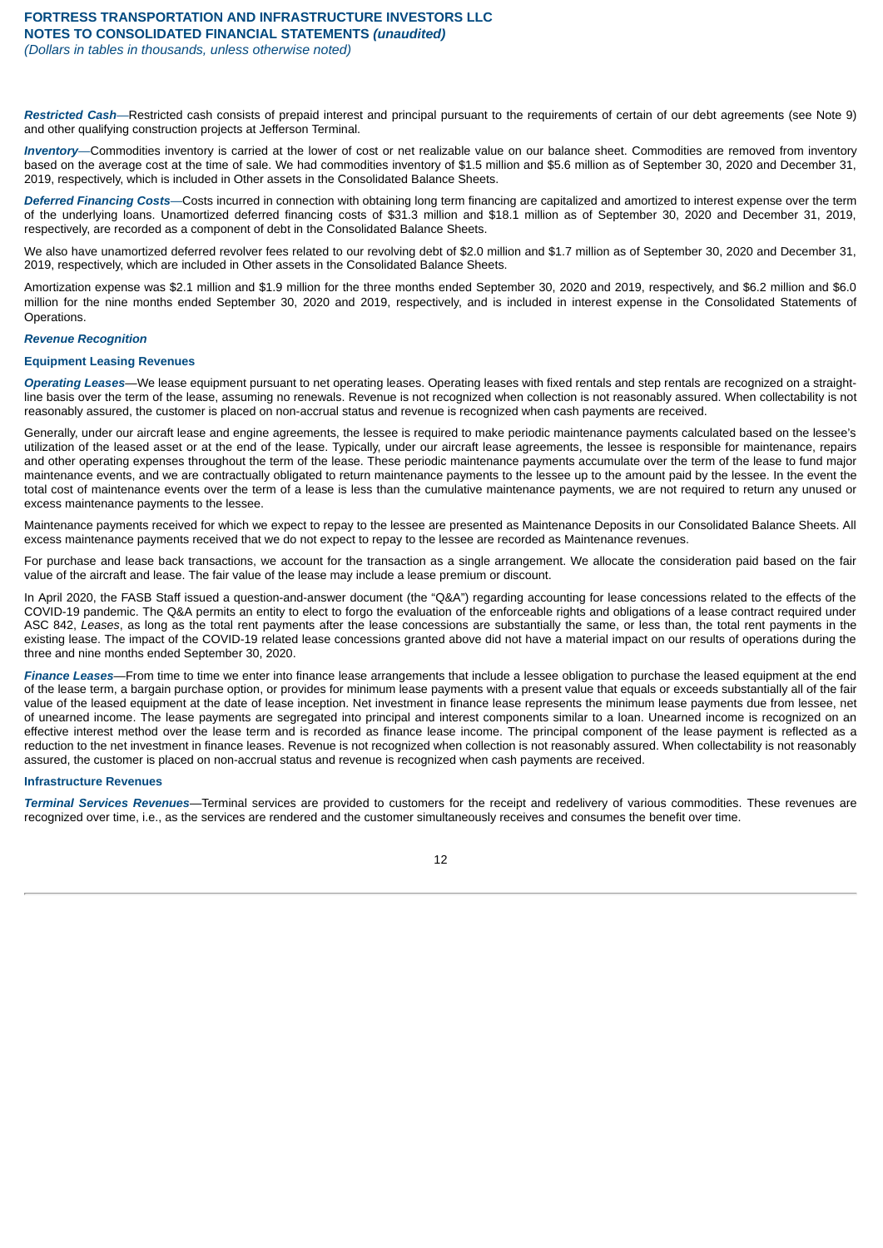*(Dollars in tables in thousands, unless otherwise noted)*

*Restricted Cash*—Restricted cash consists of prepaid interest and principal pursuant to the requirements of certain of our debt agreements (see Note 9) and other qualifying construction projects at Jefferson Terminal.

*Inventory*—Commodities inventory is carried at the lower of cost or net realizable value on our balance sheet. Commodities are removed from inventory based on the average cost at the time of sale. We had commodities inventory of \$1.5 million and \$5.6 million as of September 30, 2020 and December 31, 2019, respectively, which is included in Other assets in the Consolidated Balance Sheets.

*Deferred Financing Costs*—Costs incurred in connection with obtaining long term financing are capitalized and amortized to interest expense over the term of the underlying loans. Unamortized deferred financing costs of \$31.3 million and \$18.1 million as of September 30, 2020 and December 31, 2019, respectively, are recorded as a component of debt in the Consolidated Balance Sheets.

We also have unamortized deferred revolver fees related to our revolving debt of \$2.0 million and \$1.7 million as of September 30, 2020 and December 31, 2019, respectively, which are included in Other assets in the Consolidated Balance Sheets.

Amortization expense was \$2.1 million and \$1.9 million for the three months ended September 30, 2020 and 2019, respectively, and \$6.2 million and \$6.0 million for the nine months ended September 30, 2020 and 2019, respectively, and is included in interest expense in the Consolidated Statements of Operations.

#### *Revenue Recognition*

#### **Equipment Leasing Revenues**

*Operating Leases*—We lease equipment pursuant to net operating leases. Operating leases with fixed rentals and step rentals are recognized on a straightline basis over the term of the lease, assuming no renewals. Revenue is not recognized when collection is not reasonably assured. When collectability is not reasonably assured, the customer is placed on non-accrual status and revenue is recognized when cash payments are received.

Generally, under our aircraft lease and engine agreements, the lessee is required to make periodic maintenance payments calculated based on the lessee's utilization of the leased asset or at the end of the lease. Typically, under our aircraft lease agreements, the lessee is responsible for maintenance, repairs and other operating expenses throughout the term of the lease. These periodic maintenance payments accumulate over the term of the lease to fund major maintenance events, and we are contractually obligated to return maintenance payments to the lessee up to the amount paid by the lessee. In the event the total cost of maintenance events over the term of a lease is less than the cumulative maintenance payments, we are not required to return any unused or excess maintenance payments to the lessee.

Maintenance payments received for which we expect to repay to the lessee are presented as Maintenance Deposits in our Consolidated Balance Sheets. All excess maintenance payments received that we do not expect to repay to the lessee are recorded as Maintenance revenues.

For purchase and lease back transactions, we account for the transaction as a single arrangement. We allocate the consideration paid based on the fair value of the aircraft and lease. The fair value of the lease may include a lease premium or discount.

In April 2020, the FASB Staff issued a question-and-answer document (the "Q&A") regarding accounting for lease concessions related to the effects of the COVID-19 pandemic. The Q&A permits an entity to elect to forgo the evaluation of the enforceable rights and obligations of a lease contract required under ASC 842, *Leases*, as long as the total rent payments after the lease concessions are substantially the same, or less than, the total rent payments in the existing lease. The impact of the COVID-19 related lease concessions granted above did not have a material impact on our results of operations during the three and nine months ended September 30, 2020.

*Finance Leases*—From time to time we enter into finance lease arrangements that include a lessee obligation to purchase the leased equipment at the end of the lease term, a bargain purchase option, or provides for minimum lease payments with a present value that equals or exceeds substantially all of the fair value of the leased equipment at the date of lease inception. Net investment in finance lease represents the minimum lease payments due from lessee, net of unearned income. The lease payments are segregated into principal and interest components similar to a loan. Unearned income is recognized on an effective interest method over the lease term and is recorded as finance lease income. The principal component of the lease payment is reflected as a reduction to the net investment in finance leases. Revenue is not recognized when collection is not reasonably assured. When collectability is not reasonably assured, the customer is placed on non-accrual status and revenue is recognized when cash payments are received.

#### **Infrastructure Revenues**

*Terminal Services Revenues*—Terminal services are provided to customers for the receipt and redelivery of various commodities. These revenues are recognized over time, i.e., as the services are rendered and the customer simultaneously receives and consumes the benefit over time.

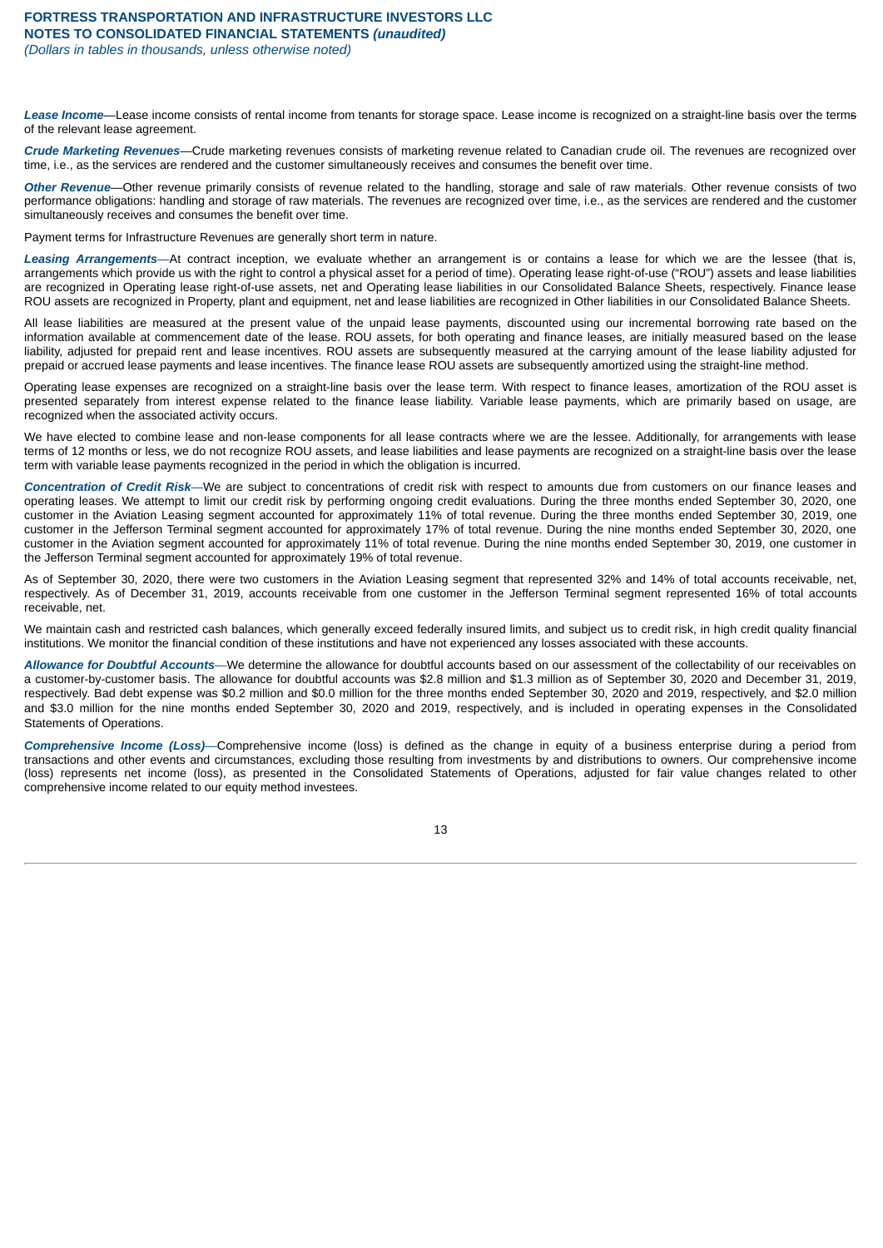*Lease Income*—Lease income consists of rental income from tenants for storage space. Lease income is recognized on a straight-line basis over the terms of the relevant lease agreement.

*Crude Marketing Revenues*—Crude marketing revenues consists of marketing revenue related to Canadian crude oil. The revenues are recognized over time, i.e., as the services are rendered and the customer simultaneously receives and consumes the benefit over time.

*Other Revenue*—Other revenue primarily consists of revenue related to the handling, storage and sale of raw materials. Other revenue consists of two performance obligations: handling and storage of raw materials. The revenues are recognized over time, i.e., as the services are rendered and the customer simultaneously receives and consumes the benefit over time.

Payment terms for Infrastructure Revenues are generally short term in nature.

*Leasing Arrangements*—At contract inception, we evaluate whether an arrangement is or contains a lease for which we are the lessee (that is, arrangements which provide us with the right to control a physical asset for a period of time). Operating lease right-of-use ("ROU") assets and lease liabilities are recognized in Operating lease right-of-use assets, net and Operating lease liabilities in our Consolidated Balance Sheets, respectively. Finance lease ROU assets are recognized in Property, plant and equipment, net and lease liabilities are recognized in Other liabilities in our Consolidated Balance Sheets.

All lease liabilities are measured at the present value of the unpaid lease payments, discounted using our incremental borrowing rate based on the information available at commencement date of the lease. ROU assets, for both operating and finance leases, are initially measured based on the lease liability, adjusted for prepaid rent and lease incentives. ROU assets are subsequently measured at the carrying amount of the lease liability adjusted for prepaid or accrued lease payments and lease incentives. The finance lease ROU assets are subsequently amortized using the straight-line method.

Operating lease expenses are recognized on a straight-line basis over the lease term. With respect to finance leases, amortization of the ROU asset is presented separately from interest expense related to the finance lease liability. Variable lease payments, which are primarily based on usage, are recognized when the associated activity occurs.

We have elected to combine lease and non-lease components for all lease contracts where we are the lessee. Additionally, for arrangements with lease terms of 12 months or less, we do not recognize ROU assets, and lease liabilities and lease payments are recognized on a straight-line basis over the lease term with variable lease payments recognized in the period in which the obligation is incurred.

*Concentration of Credit Risk*—We are subject to concentrations of credit risk with respect to amounts due from customers on our finance leases and operating leases. We attempt to limit our credit risk by performing ongoing credit evaluations. During the three months ended September 30, 2020, one customer in the Aviation Leasing segment accounted for approximately 11% of total revenue. During the three months ended September 30, 2019, one customer in the Jefferson Terminal segment accounted for approximately 17% of total revenue. During the nine months ended September 30, 2020, one customer in the Aviation segment accounted for approximately 11% of total revenue. During the nine months ended September 30, 2019, one customer in the Jefferson Terminal segment accounted for approximately 19% of total revenue.

As of September 30, 2020, there were two customers in the Aviation Leasing segment that represented 32% and 14% of total accounts receivable, net, respectively. As of December 31, 2019, accounts receivable from one customer in the Jefferson Terminal segment represented 16% of total accounts receivable, net.

We maintain cash and restricted cash balances, which generally exceed federally insured limits, and subject us to credit risk, in high credit quality financial institutions. We monitor the financial condition of these institutions and have not experienced any losses associated with these accounts.

*Allowance for Doubtful Accounts*—We determine the allowance for doubtful accounts based on our assessment of the collectability of our receivables on a customer-by-customer basis. The allowance for doubtful accounts was \$2.8 million and \$1.3 million as of September 30, 2020 and December 31, 2019, respectively. Bad debt expense was \$0.2 million and \$0.0 million for the three months ended September 30, 2020 and 2019, respectively, and \$2.0 million and \$3.0 million for the nine months ended September 30, 2020 and 2019, respectively, and is included in operating expenses in the Consolidated Statements of Operations.

*Comprehensive Income (Loss)*—Comprehensive income (loss) is defined as the change in equity of a business enterprise during a period from transactions and other events and circumstances, excluding those resulting from investments by and distributions to owners. Our comprehensive income (loss) represents net income (loss), as presented in the Consolidated Statements of Operations, adjusted for fair value changes related to other comprehensive income related to our equity method investees.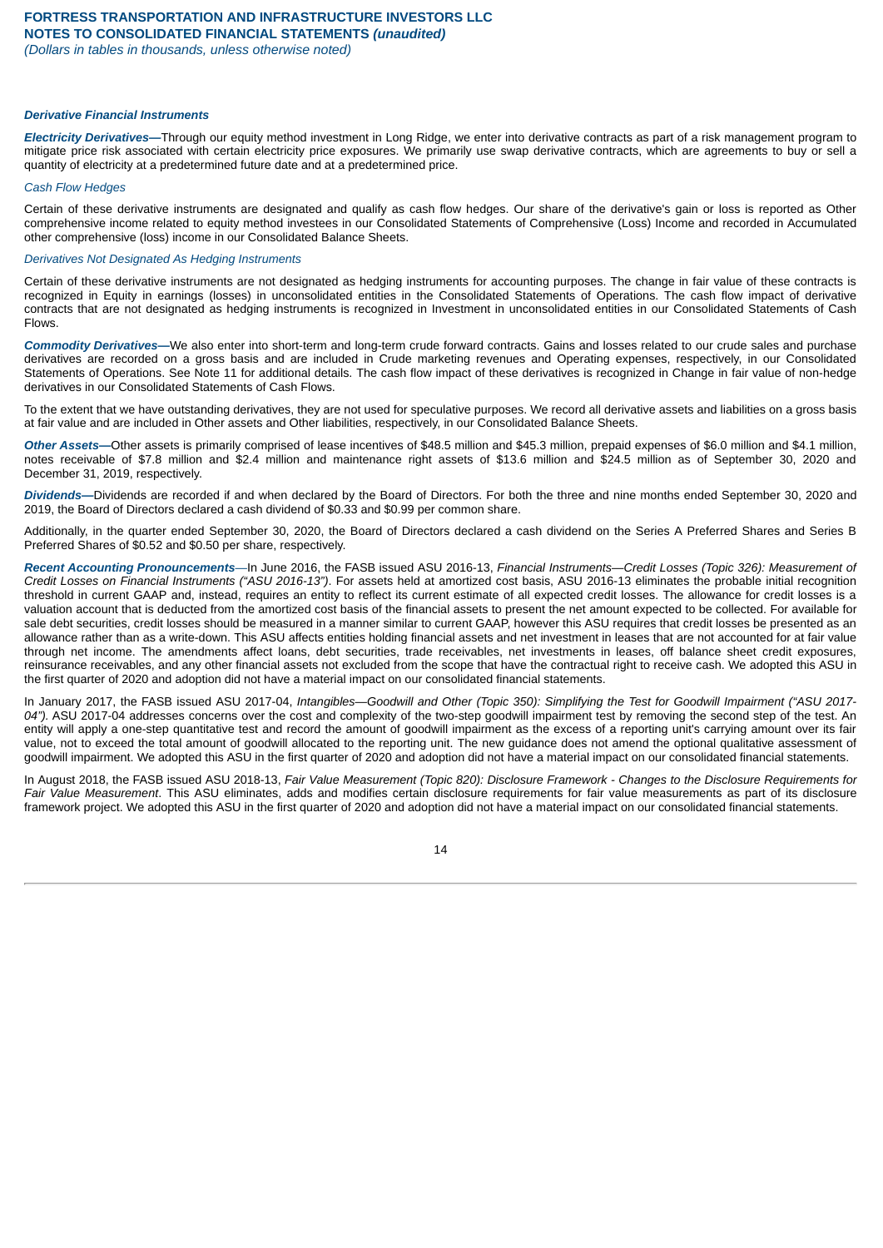#### *Derivative Financial Instruments*

*Electricity Derivatives—*Through our equity method investment in Long Ridge, we enter into derivative contracts as part of a risk management program to mitigate price risk associated with certain electricity price exposures. We primarily use swap derivative contracts, which are agreements to buy or sell a quantity of electricity at a predetermined future date and at a predetermined price.

#### *Cash Flow Hedges*

Certain of these derivative instruments are designated and qualify as cash flow hedges. Our share of the derivative's gain or loss is reported as Other comprehensive income related to equity method investees in our Consolidated Statements of Comprehensive (Loss) Income and recorded in Accumulated other comprehensive (loss) income in our Consolidated Balance Sheets.

### *Derivatives Not Designated As Hedging Instruments*

Certain of these derivative instruments are not designated as hedging instruments for accounting purposes. The change in fair value of these contracts is recognized in Equity in earnings (losses) in unconsolidated entities in the Consolidated Statements of Operations. The cash flow impact of derivative contracts that are not designated as hedging instruments is recognized in Investment in unconsolidated entities in our Consolidated Statements of Cash Flows.

*Commodity Derivatives—*We also enter into short-term and long-term crude forward contracts. Gains and losses related to our crude sales and purchase derivatives are recorded on a gross basis and are included in Crude marketing revenues and Operating expenses, respectively, in our Consolidated Statements of Operations. See Note 11 for additional details. The cash flow impact of these derivatives is recognized in Change in fair value of non-hedge derivatives in our Consolidated Statements of Cash Flows.

To the extent that we have outstanding derivatives, they are not used for speculative purposes. We record all derivative assets and liabilities on a gross basis at fair value and are included in Other assets and Other liabilities, respectively, in our Consolidated Balance Sheets.

*Other Assets—*Other assets is primarily comprised of lease incentives of \$48.5 million and \$45.3 million, prepaid expenses of \$6.0 million and \$4.1 million, notes receivable of \$7.8 million and \$2.4 million and maintenance right assets of \$13.6 million and \$24.5 million as of September 30, 2020 and December 31, 2019, respectively.

*Dividends—*Dividends are recorded if and when declared by the Board of Directors. For both the three and nine months ended September 30, 2020 and 2019, the Board of Directors declared a cash dividend of \$0.33 and \$0.99 per common share.

Additionally, in the quarter ended September 30, 2020, the Board of Directors declared a cash dividend on the Series A Preferred Shares and Series B Preferred Shares of \$0.52 and \$0.50 per share, respectively.

*Recent Accounting Pronouncements*—In June 2016, the FASB issued ASU 2016-13, *Financial Instruments—Credit Losses (Topic 326): Measurement of Credit Losses on Financial Instruments ("ASU 2016-13")*. For assets held at amortized cost basis, ASU 2016-13 eliminates the probable initial recognition threshold in current GAAP and, instead, requires an entity to reflect its current estimate of all expected credit losses. The allowance for credit losses is a valuation account that is deducted from the amortized cost basis of the financial assets to present the net amount expected to be collected. For available for sale debt securities, credit losses should be measured in a manner similar to current GAAP, however this ASU requires that credit losses be presented as an allowance rather than as a write-down. This ASU affects entities holding financial assets and net investment in leases that are not accounted for at fair value through net income. The amendments affect loans, debt securities, trade receivables, net investments in leases, off balance sheet credit exposures, reinsurance receivables, and any other financial assets not excluded from the scope that have the contractual right to receive cash. We adopted this ASU in the first quarter of 2020 and adoption did not have a material impact on our consolidated financial statements.

In January 2017, the FASB issued ASU 2017-04, *Intangibles—Goodwill and Other (Topic 350): Simplifying the Test for Goodwill Impairment ("ASU 2017-* 04"). ASU 2017-04 addresses concerns over the cost and complexity of the two-step goodwill impairment test by removing the second step of the test. An entity will apply a one-step quantitative test and record the amount of goodwill impairment as the excess of a reporting unit's carrying amount over its fair value, not to exceed the total amount of goodwill allocated to the reporting unit. The new guidance does not amend the optional qualitative assessment of goodwill impairment. We adopted this ASU in the first quarter of 2020 and adoption did not have a material impact on our consolidated financial statements.

In August 2018, the FASB issued ASU 2018-13, *Fair Value Measurement (Topic 820): Disclosure Framework - Changes to the Disclosure Requirements for Fair Value Measurement*. This ASU eliminates, adds and modifies certain disclosure requirements for fair value measurements as part of its disclosure framework project. We adopted this ASU in the first quarter of 2020 and adoption did not have a material impact on our consolidated financial statements.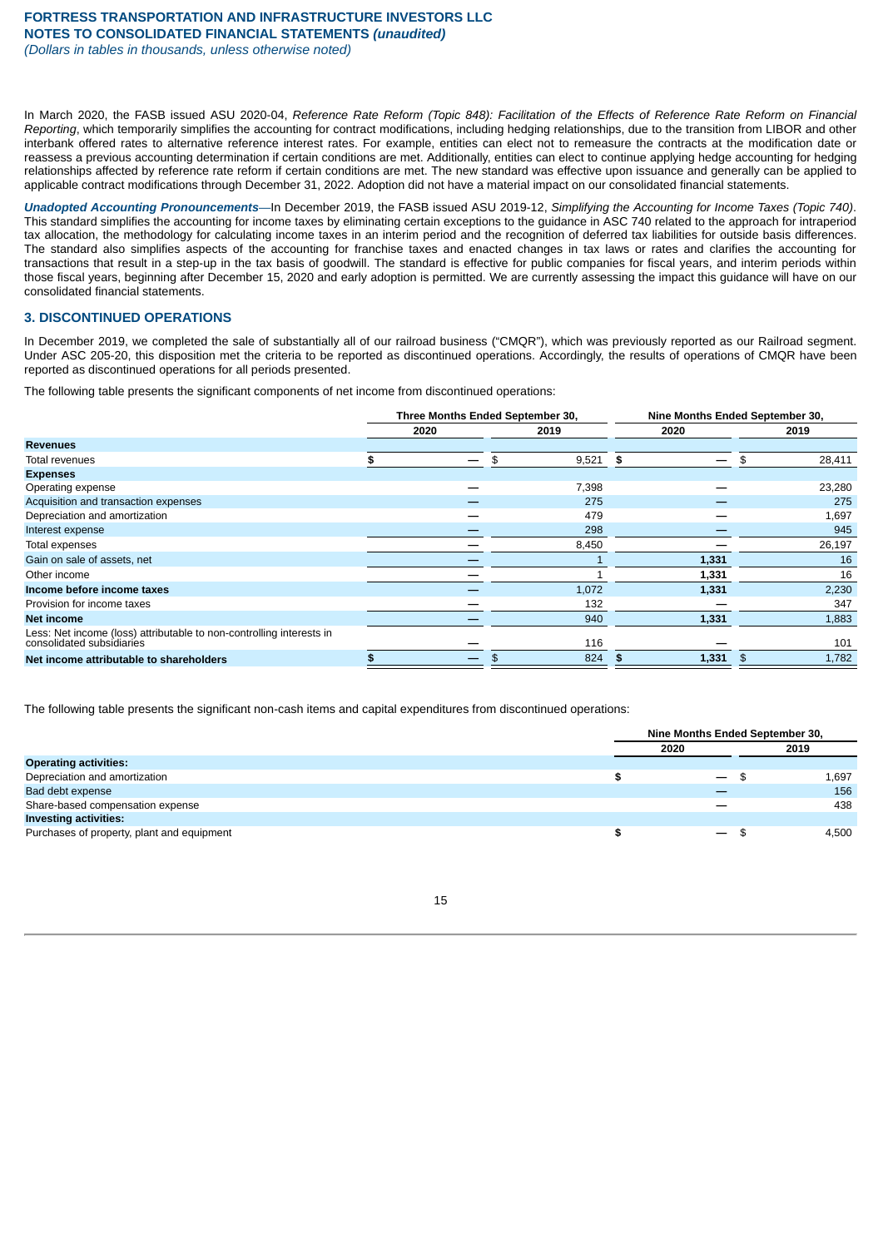In March 2020, the FASB issued ASU 2020-04, *Reference Rate Reform (Topic 848): Facilitation of the Effects of Reference Rate Reform on Financial Reporting*, which temporarily simplifies the accounting for contract modifications, including hedging relationships, due to the transition from LIBOR and other interbank offered rates to alternative reference interest rates. For example, entities can elect not to remeasure the contracts at the modification date or reassess a previous accounting determination if certain conditions are met. Additionally, entities can elect to continue applying hedge accounting for hedging relationships affected by reference rate reform if certain conditions are met. The new standard was effective upon issuance and generally can be applied to applicable contract modifications through December 31, 2022. Adoption did not have a material impact on our consolidated financial statements.

*Unadopted Accounting Pronouncements*—In December 2019, the FASB issued ASU 2019-12, *Simplifying the Accounting for Income Taxes (Topic 740)*. This standard simplifies the accounting for income taxes by eliminating certain exceptions to the guidance in ASC 740 related to the approach for intraperiod tax allocation, the methodology for calculating income taxes in an interim period and the recognition of deferred tax liabilities for outside basis differences. The standard also simplifies aspects of the accounting for franchise taxes and enacted changes in tax laws or rates and clarifies the accounting for transactions that result in a step-up in the tax basis of goodwill. The standard is effective for public companies for fiscal years, and interim periods within those fiscal years, beginning after December 15, 2020 and early adoption is permitted. We are currently assessing the impact this guidance will have on our consolidated financial statements.

### <span id="page-15-0"></span>**3. DISCONTINUED OPERATIONS**

In December 2019, we completed the sale of substantially all of our railroad business ("CMQR"), which was previously reported as our Railroad segment. Under ASC 205-20, this disposition met the criteria to be reported as discontinued operations. Accordingly, the results of operations of CMQR have been reported as discontinued operations for all periods presented.

The following table presents the significant components of net income from discontinued operations:

|                                                                                                   | Three Months Ended September 30, |    |       |               |    | Nine Months Ended September 30, |  |  |
|---------------------------------------------------------------------------------------------------|----------------------------------|----|-------|---------------|----|---------------------------------|--|--|
|                                                                                                   | 2020                             |    | 2019  | 2020          |    | 2019                            |  |  |
| <b>Revenues</b>                                                                                   |                                  |    |       |               |    |                                 |  |  |
| Total revenues                                                                                    |                                  | \$ | 9,521 | - \$          |    | 28,411                          |  |  |
| <b>Expenses</b>                                                                                   |                                  |    |       |               |    |                                 |  |  |
| Operating expense                                                                                 |                                  |    | 7,398 |               |    | 23,280                          |  |  |
| Acquisition and transaction expenses                                                              |                                  |    | 275   |               |    | 275                             |  |  |
| Depreciation and amortization                                                                     |                                  |    | 479   |               |    | 1,697                           |  |  |
| Interest expense                                                                                  |                                  |    | 298   |               |    | 945                             |  |  |
| Total expenses                                                                                    |                                  |    | 8,450 |               |    | 26,197                          |  |  |
| Gain on sale of assets, net                                                                       |                                  |    |       | 1,331         |    | 16                              |  |  |
| Other income                                                                                      |                                  |    |       | 1,331         |    | 16                              |  |  |
| Income before income taxes                                                                        |                                  |    | 1,072 | 1,331         |    | 2,230                           |  |  |
| Provision for income taxes                                                                        |                                  |    | 132   |               |    | 347                             |  |  |
| Net income                                                                                        |                                  |    | 940   | 1,331         |    | 1,883                           |  |  |
| Less: Net income (loss) attributable to non-controlling interests in<br>consolidated subsidiaries |                                  |    | 116   |               |    | 101                             |  |  |
| Net income attributable to shareholders                                                           |                                  |    | 824   | 1,331<br>- an | \$ | 1,782                           |  |  |

The following table presents the significant non-cash items and capital expenditures from discontinued operations:

<span id="page-15-1"></span>

|                                            | Nine Months Ended September 30, |               |  |  |  |
|--------------------------------------------|---------------------------------|---------------|--|--|--|
|                                            | 2020                            | 2019          |  |  |  |
| <b>Operating activities:</b>               |                                 |               |  |  |  |
| Depreciation and amortization              | $\overline{\phantom{m}}$        | 1,697         |  |  |  |
| Bad debt expense                           |                                 | 156           |  |  |  |
| Share-based compensation expense           |                                 | 438           |  |  |  |
| <b>Investing activities:</b>               |                                 |               |  |  |  |
| Purchases of property, plant and equipment | $\overline{\phantom{0}}$        | 4,500<br>- 96 |  |  |  |

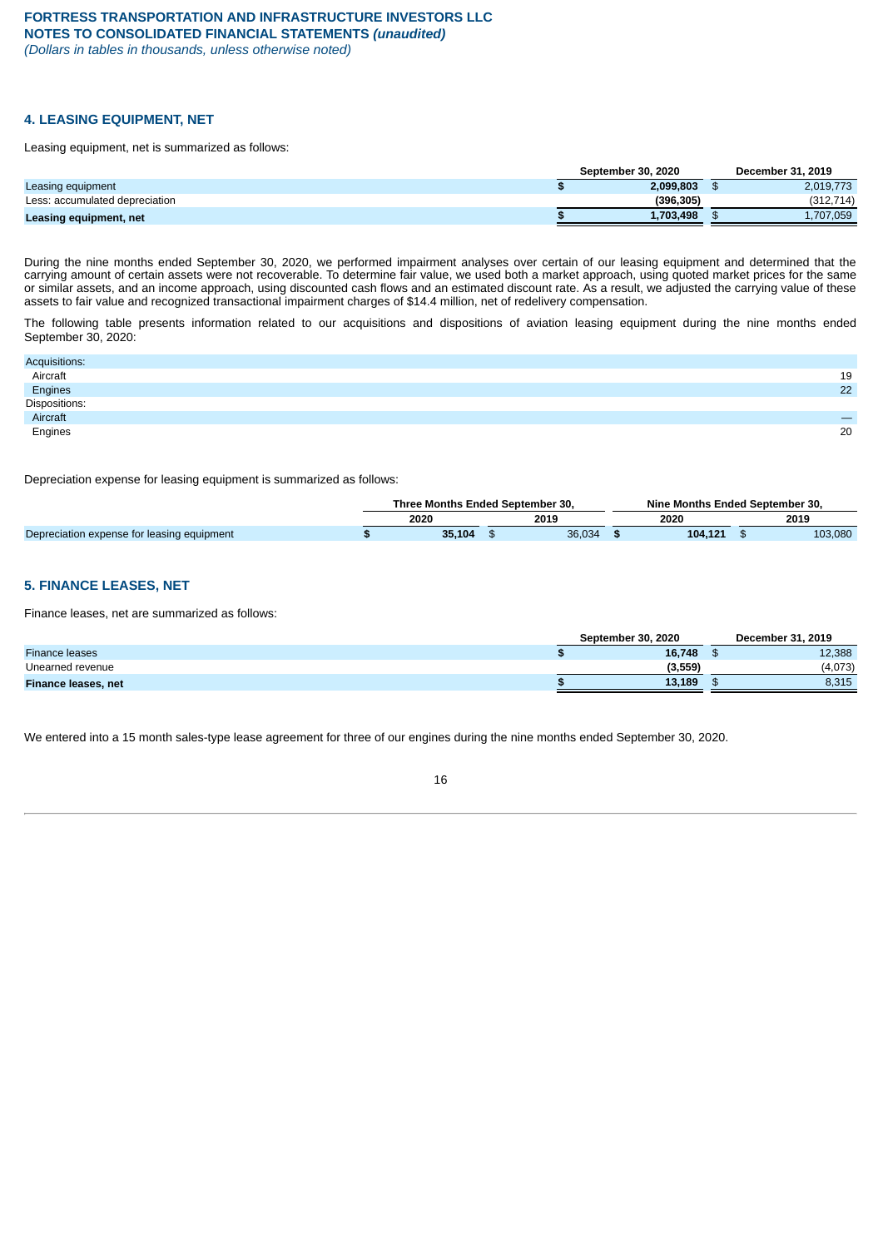### **4. LEASING EQUIPMENT, NET**

Leasing equipment, net is summarized as follows:

|                                | <b>September 30, 2020</b> | December 31, 2019 |
|--------------------------------|---------------------------|-------------------|
| Leasing equipment              | 2.099.803                 | 2.019.773         |
| Less: accumulated depreciation | (396.305)                 | (312,714)         |
| Leasing equipment, net         | 1.703.498                 | 1,707,059         |

During the nine months ended September 30, 2020, we performed impairment analyses over certain of our leasing equipment and determined that the carrying amount of certain assets were not recoverable. To determine fair value, we used both a market approach, using quoted market prices for the same or similar assets, and an income approach, using discounted cash flows and an estimated discount rate. As a result, we adjusted the carrying value of these assets to fair value and recognized transactional impairment charges of \$14.4 million, net of redelivery compensation.

The following table presents information related to our acquisitions and dispositions of aviation leasing equipment during the nine months ended September 30, 2020:

| Acquisitions:             |    |
|---------------------------|----|
| Aircraft                  | 19 |
| Engines                   | 22 |
|                           |    |
| Dispositions:<br>Aircraft |    |
| Engines                   | 20 |
|                           |    |

Depreciation expense for leasing equipment is summarized as follows:

|                                            | Three Months Ended September 30. |        |      |        | Nine Months Ended September 30. |  |         |  |
|--------------------------------------------|----------------------------------|--------|------|--------|---------------------------------|--|---------|--|
|                                            |                                  | 2020   | 2019 |        | 2020                            |  | 2019    |  |
| Depreciation expense for leasing equipment |                                  | 35.104 |      | 36.034 | 104.121                         |  | 103,080 |  |

### <span id="page-16-0"></span>**5. FINANCE LEASES, NET**

Finance leases, net are summarized as follows:

|                            | <b>September 30, 2020</b> | December 31, 2019 |
|----------------------------|---------------------------|-------------------|
| <b>Finance leases</b>      | 16,748                    | 12,388            |
| Unearned revenue           | (3.559)                   | (4.073)           |
| <b>Finance leases, net</b> | 13.189                    | 8,315             |
|                            |                           |                   |

<span id="page-16-1"></span>We entered into a 15 month sales-type lease agreement for three of our engines during the nine months ended September 30, 2020.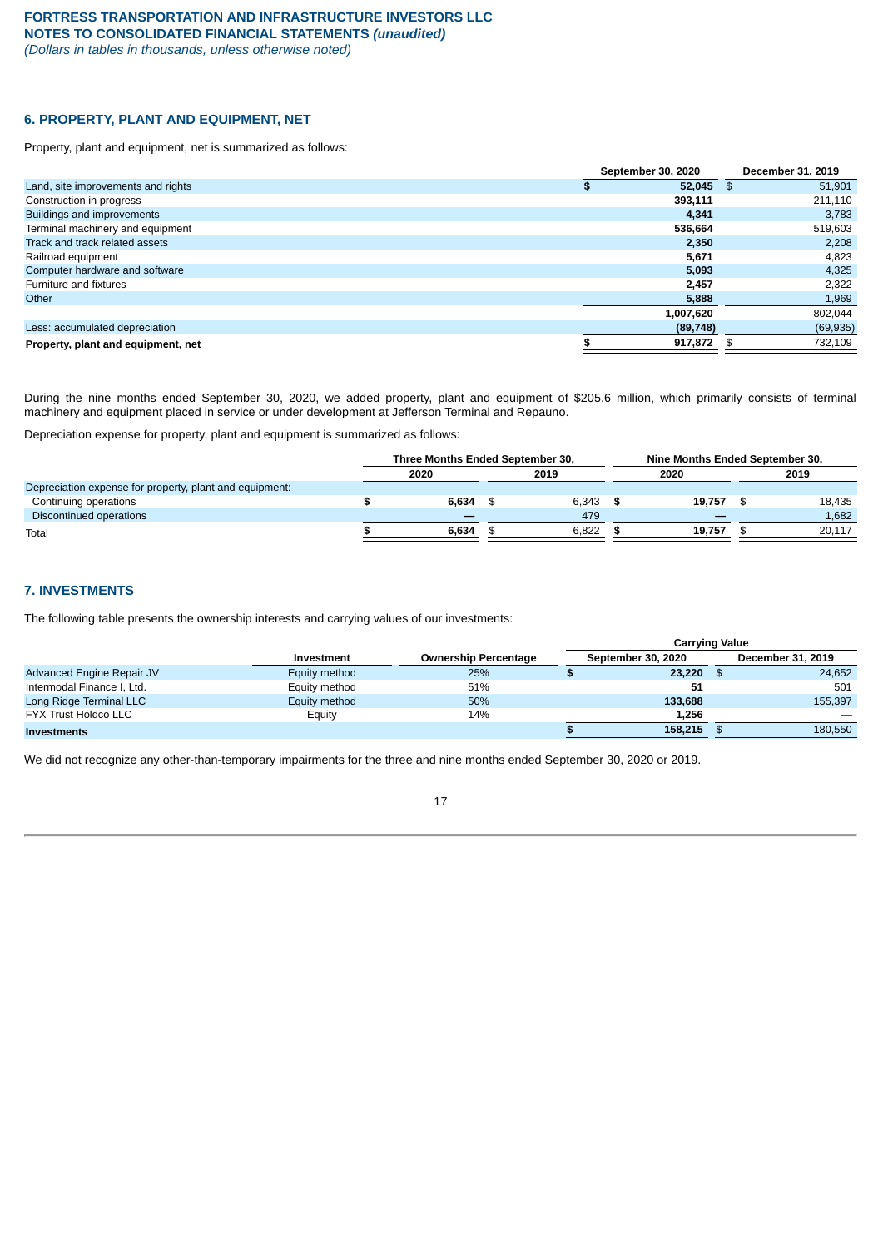### **6. PROPERTY, PLANT AND EQUIPMENT, NET**

Property, plant and equipment, net is summarized as follows:

|                                    |   | September 30, 2020 | December 31, 2019 |
|------------------------------------|---|--------------------|-------------------|
| Land, site improvements and rights | ж | 52.045             | \$<br>51,901      |
| Construction in progress           |   | 393,111            | 211,110           |
| Buildings and improvements         |   | 4.341              | 3,783             |
| Terminal machinery and equipment   |   | 536,664            | 519,603           |
| Track and track related assets     |   | 2,350              | 2,208             |
| Railroad equipment                 |   | 5,671              | 4,823             |
| Computer hardware and software     |   | 5,093              | 4,325             |
| Furniture and fixtures             |   | 2,457              | 2,322             |
| Other                              |   | 5,888              | 1,969             |
|                                    |   | 1,007,620          | 802.044           |
| Less: accumulated depreciation     |   | (89, 748)          | (69, 935)         |
| Property, plant and equipment, net |   | 917,872            | 732,109           |
|                                    |   |                    |                   |

During the nine months ended September 30, 2020, we added property, plant and equipment of \$205.6 million, which primarily consists of terminal machinery and equipment placed in service or under development at Jefferson Terminal and Repauno.

Depreciation expense for property, plant and equipment is summarized as follows:

|                                                         | Three Months Ended September 30. |       |  |       |  |        | Nine Months Ended September 30. |        |  |  |
|---------------------------------------------------------|----------------------------------|-------|--|-------|--|--------|---------------------------------|--------|--|--|
|                                                         | 2020<br>2019                     |       |  |       |  | 2020   |                                 | 2019   |  |  |
| Depreciation expense for property, plant and equipment: |                                  |       |  |       |  |        |                                 |        |  |  |
| Continuing operations                                   |                                  | 6.634 |  | 6.343 |  | 19.757 |                                 | 18,435 |  |  |
| Discontinued operations                                 |                                  |       |  | 479   |  |        |                                 | 1,682  |  |  |
| Total                                                   |                                  | 6.634 |  | 6.822 |  | 19.757 |                                 | 20.117 |  |  |

### <span id="page-17-0"></span>**7. INVESTMENTS**

The following table presents the ownership interests and carrying values of our investments:

|                                  |               |                             | <b>Carrying Value</b>     |                   |
|----------------------------------|---------------|-----------------------------|---------------------------|-------------------|
|                                  | Investment    | <b>Ownership Percentage</b> | <b>September 30, 2020</b> | December 31, 2019 |
| <b>Advanced Engine Repair JV</b> | Equity method | 25%                         | 23,220                    | 24,652            |
| Intermodal Finance I, Ltd.       | Equity method | 51%                         | 51                        | 501               |
| Long Ridge Terminal LLC          | Equity method | 50%                         | 133,688                   | 155.397           |
| <b>FYX Trust Holdco LLC</b>      | Equity        | 14%                         | 1,256                     |                   |
| <b>Investments</b>               |               |                             | 158,215                   | 180,550           |

We did not recognize any other-than-temporary impairments for the three and nine months ended September 30, 2020 or 2019.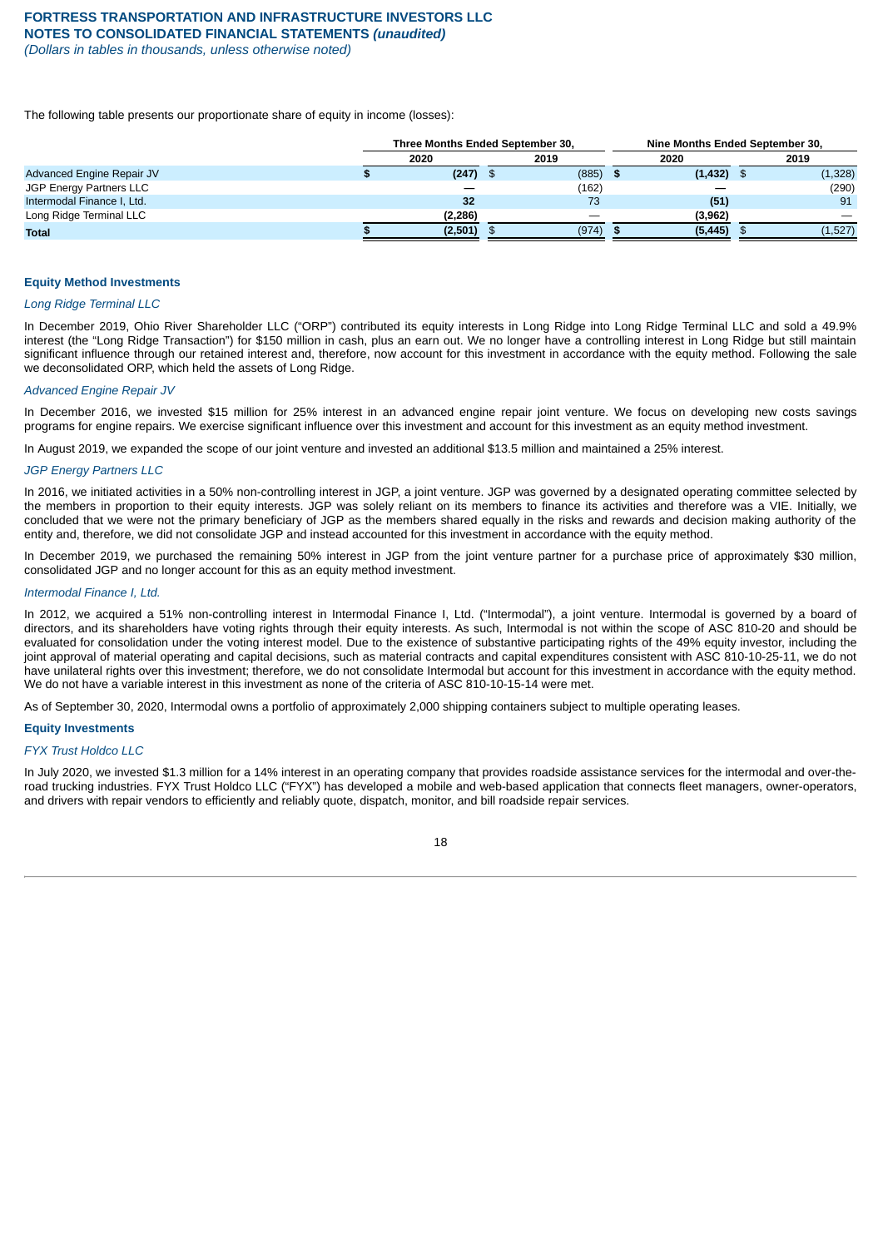The following table presents our proportionate share of equity in income (losses):

|                            |            | Three Months Ended September 30, |              | Nine Months Ended September 30, |  |
|----------------------------|------------|----------------------------------|--------------|---------------------------------|--|
|                            | 2020       | 2019                             | 2020         | 2019                            |  |
| Advanced Engine Repair JV  | $(247)$ \$ | (885)                            | $(1,432)$ \$ | (1, 328)                        |  |
| JGP Energy Partners LLC    |            | (162)                            |              | (290)                           |  |
| Intermodal Finance I, Ltd. | 32         | 73                               | (51)         | 91                              |  |
| Long Ridge Terminal LLC    | (2, 286)   |                                  | (3,962)      |                                 |  |
| <b>Total</b>               | (2,501)    | (974)                            | (5, 445)     | (1,527)                         |  |

#### **Equity Method Investments**

#### *Long Ridge Terminal LLC*

In December 2019, Ohio River Shareholder LLC ("ORP") contributed its equity interests in Long Ridge into Long Ridge Terminal LLC and sold a 49.9% interest (the "Long Ridge Transaction") for \$150 million in cash, plus an earn out. We no longer have a controlling interest in Long Ridge but still maintain significant influence through our retained interest and, therefore, now account for this investment in accordance with the equity method. Following the sale we deconsolidated ORP, which held the assets of Long Ridge.

#### *Advanced Engine Repair JV*

In December 2016, we invested \$15 million for 25% interest in an advanced engine repair joint venture. We focus on developing new costs savings programs for engine repairs. We exercise significant influence over this investment and account for this investment as an equity method investment.

In August 2019, we expanded the scope of our joint venture and invested an additional \$13.5 million and maintained a 25% interest.

#### *JGP Energy Partners LLC*

In 2016, we initiated activities in a 50% non-controlling interest in JGP, a joint venture. JGP was governed by a designated operating committee selected by the members in proportion to their equity interests. JGP was solely reliant on its members to finance its activities and therefore was a VIE. Initially, we concluded that we were not the primary beneficiary of JGP as the members shared equally in the risks and rewards and decision making authority of the entity and, therefore, we did not consolidate JGP and instead accounted for this investment in accordance with the equity method.

In December 2019, we purchased the remaining 50% interest in JGP from the joint venture partner for a purchase price of approximately \$30 million, consolidated JGP and no longer account for this as an equity method investment.

#### *Intermodal Finance I, Ltd.*

In 2012, we acquired a 51% non-controlling interest in Intermodal Finance I, Ltd. ("Intermodal"), a joint venture. Intermodal is governed by a board of directors, and its shareholders have voting rights through their equity interests. As such, Intermodal is not within the scope of ASC 810-20 and should be evaluated for consolidation under the voting interest model. Due to the existence of substantive participating rights of the 49% equity investor, including the joint approval of material operating and capital decisions, such as material contracts and capital expenditures consistent with ASC 810-10-25-11, we do not have unilateral rights over this investment; therefore, we do not consolidate Intermodal but account for this investment in accordance with the equity method. We do not have a variable interest in this investment as none of the criteria of ASC 810-10-15-14 were met.

As of September 30, 2020, Intermodal owns a portfolio of approximately 2,000 shipping containers subject to multiple operating leases.

#### **Equity Investments**

#### *FYX Trust Holdco LLC*

<span id="page-18-0"></span>In July 2020, we invested \$1.3 million for a 14% interest in an operating company that provides roadside assistance services for the intermodal and over-theroad trucking industries. FYX Trust Holdco LLC ("FYX") has developed a mobile and web-based application that connects fleet managers, owner-operators, and drivers with repair vendors to efficiently and reliably quote, dispatch, monitor, and bill roadside repair services.

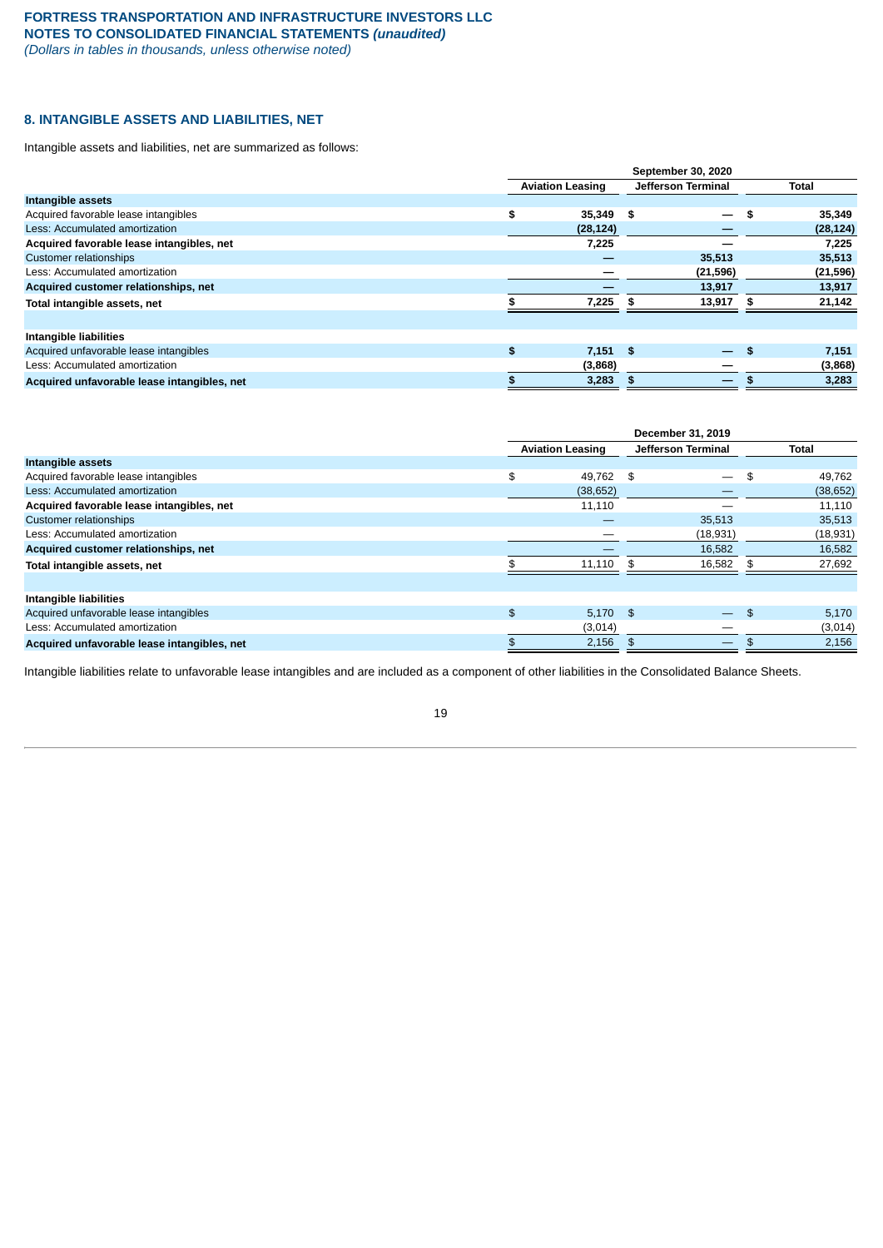### **8. INTANGIBLE ASSETS AND LIABILITIES, NET**

Intangible assets and liabilities, net are summarized as follows:

|                                             | <b>Aviation Leasing</b> |            | Jefferson Terminal             |    | Total     |
|---------------------------------------------|-------------------------|------------|--------------------------------|----|-----------|
| <b>Intangible assets</b>                    |                         |            |                                |    |           |
| Acquired favorable lease intangibles        | \$                      | 35,349     | \$<br>$\overline{\phantom{0}}$ | \$ | 35,349    |
| Less: Accumulated amortization              |                         | (28, 124)  |                                |    | (28, 124) |
| Acquired favorable lease intangibles, net   |                         | 7,225      |                                |    | 7,225     |
| <b>Customer relationships</b>               |                         |            | 35,513                         |    | 35,513    |
| Less: Accumulated amortization              |                         |            | (21, 596)                      |    | (21, 596) |
| Acquired customer relationships, net        |                         |            | 13,917                         |    | 13,917    |
| Total intangible assets, net                |                         | 7,225      | 13,917                         |    | 21,142    |
|                                             |                         |            |                                |    |           |
| Intangible liabilities                      |                         |            |                                |    |           |
| Acquired unfavorable lease intangibles      | \$.                     | $7,151$ \$ | $\overline{\phantom{a}}$       |    | 7,151     |
| Less: Accumulated amortization              |                         | (3,868)    |                                |    | (3,868)   |
| Acquired unfavorable lease intangibles, net |                         | 3,283      |                                |    | 3.283     |

|                                             | December 31, 2019 |                         |                    |                          |    |           |
|---------------------------------------------|-------------------|-------------------------|--------------------|--------------------------|----|-----------|
|                                             |                   | <b>Aviation Leasing</b> | Jefferson Terminal |                          |    | Total     |
| <b>Intangible assets</b>                    |                   |                         |                    |                          |    |           |
| Acquired favorable lease intangibles        | \$                | 49,762 \$               |                    | $\overline{\phantom{0}}$ | \$ | 49,762    |
| Less: Accumulated amortization              |                   | (38, 652)               |                    |                          |    | (38, 652) |
| Acquired favorable lease intangibles, net   |                   | 11,110                  |                    |                          |    | 11,110    |
| <b>Customer relationships</b>               |                   |                         |                    | 35,513                   |    | 35,513    |
| Less: Accumulated amortization              |                   |                         |                    | (18, 931)                |    | (18, 931) |
| Acquired customer relationships, net        |                   |                         |                    | 16,582                   |    | 16,582    |
| Total intangible assets, net                |                   | 11,110                  |                    | 16,582                   | \$ | 27,692    |
|                                             |                   |                         |                    |                          |    |           |
| Intangible liabilities                      |                   |                         |                    |                          |    |           |
| Acquired unfavorable lease intangibles      | \$                | $5,170$ \$              |                    | $\overline{\phantom{0}}$ | \$ | 5,170     |
| Less: Accumulated amortization              |                   | (3,014)                 |                    |                          |    | (3,014)   |
| Acquired unfavorable lease intangibles, net |                   | 2,156                   |                    |                          |    | 2,156     |
|                                             |                   |                         |                    |                          |    |           |

Intangible liabilities relate to unfavorable lease intangibles and are included as a component of other liabilities in the Consolidated Balance Sheets.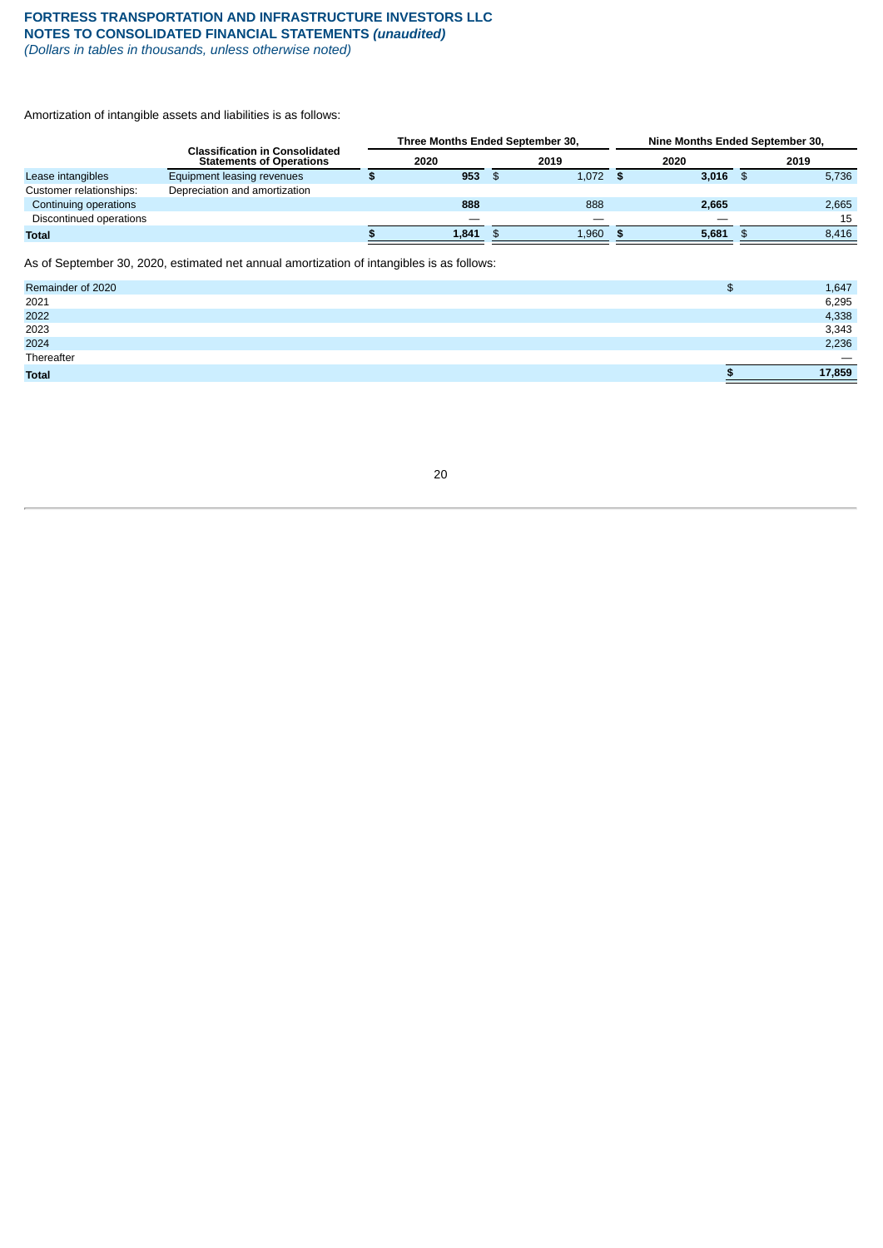# **FORTRESS TRANSPORTATION AND INFRASTRUCTURE INVESTORS LLC NOTES TO CONSOLIDATED FINANCIAL STATEMENTS** *(unaudited)*

*(Dollars in tables in thousands, unless otherwise noted)*

Amortization of intangible assets and liabilities is as follows:

|                                 |                                       |       |       | Nine Months Ended September 30,  |            |  |            |
|---------------------------------|---------------------------------------|-------|-------|----------------------------------|------------|--|------------|
| <b>Statements of Operations</b> |                                       | 2020  | 2019  |                                  | 2020       |  | 2019       |
| Equipment leasing revenues      |                                       | 953   |       |                                  |            |  | 5,736      |
| Depreciation and amortization   |                                       |       |       |                                  |            |  |            |
|                                 |                                       | 888   | 888   |                                  | 2.665      |  | 2,665      |
|                                 |                                       | _     |       |                                  |            |  | 15         |
|                                 |                                       | 1.841 | 1.960 |                                  | 5,681      |  | 8,416      |
|                                 | <b>Classification in Consolidated</b> |       |       | Three Months Ended September 30, | $1.072$ \$ |  | $3,016$ \$ |

As of September 30, 2020, estimated net annual amortization of intangibles is as follows:

<span id="page-20-0"></span>

| Remainder of 2020 | 1,647  |
|-------------------|--------|
| 2021              | 6,295  |
| 2022              | 4,338  |
| 2023              | 3,343  |
| 2024              | 2,236  |
| Thereafter        |        |
| <b>Total</b>      | 17,859 |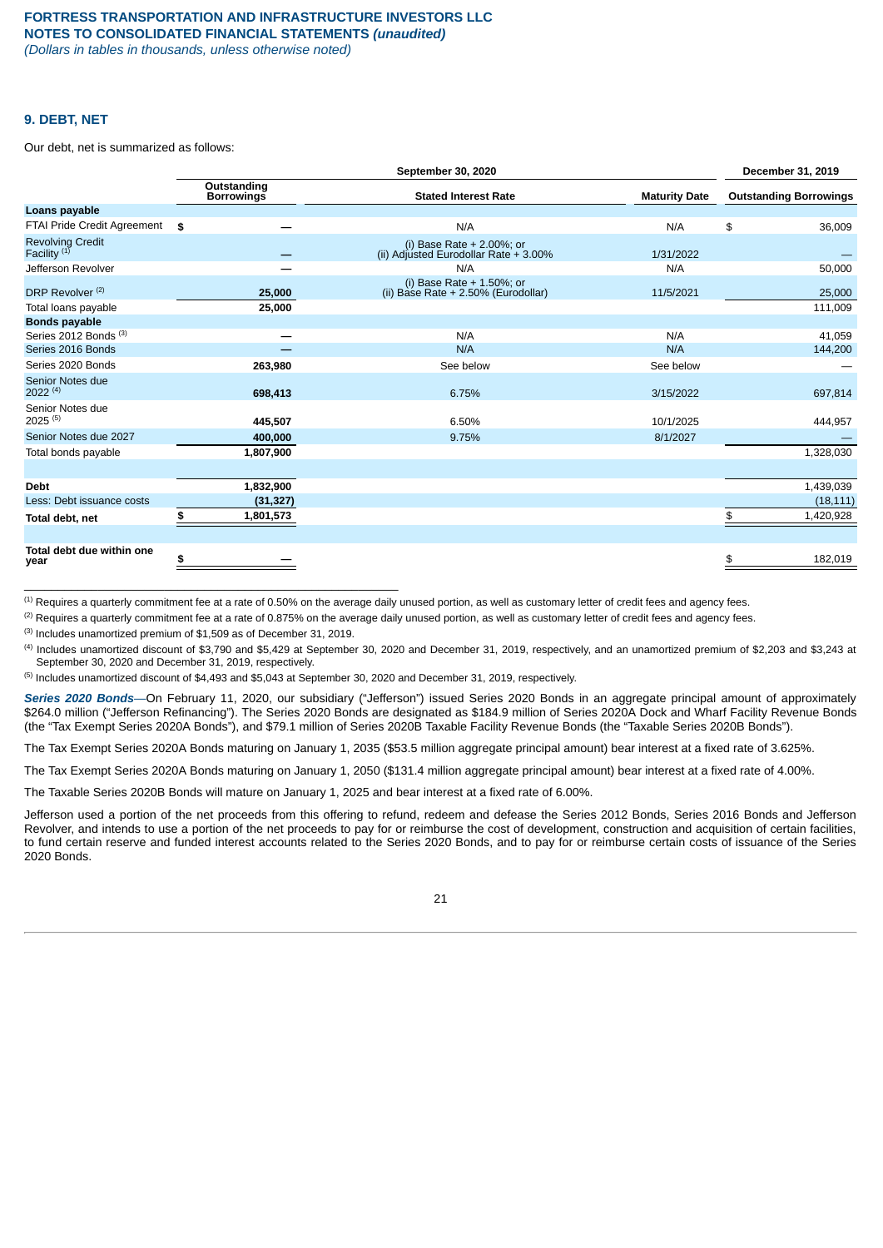### **9. DEBT, NET**

Our debt, net is summarized as follows:

|                                           |                                  | September 30, 2020                                                     |                      |     |                               |  |  |  |
|-------------------------------------------|----------------------------------|------------------------------------------------------------------------|----------------------|-----|-------------------------------|--|--|--|
|                                           | Outstanding<br><b>Borrowings</b> | <b>Stated Interest Rate</b>                                            | <b>Maturity Date</b> |     | <b>Outstanding Borrowings</b> |  |  |  |
| Loans payable                             |                                  |                                                                        |                      |     |                               |  |  |  |
| FTAI Pride Credit Agreement               | \$                               | N/A                                                                    | N/A                  | \$  | 36,009                        |  |  |  |
| <b>Revolving Credit</b><br>Facility $(1)$ |                                  | (i) Base Rate $+ 2.00\%$ ; or<br>(ii) Adjusted Eurodollar Rate + 3.00% | 1/31/2022            |     |                               |  |  |  |
| Jefferson Revolver                        |                                  | N/A                                                                    | N/A                  |     | 50,000                        |  |  |  |
| DRP Revolver <sup>(2)</sup>               | 25,000                           | (i) Base Rate $+ 1.50\%$ ; or<br>(ii) Base Rate $+ 2.50%$ (Eurodollar) | 11/5/2021            |     | 25,000                        |  |  |  |
| Total loans payable                       | 25,000                           |                                                                        |                      |     | 111,009                       |  |  |  |
| <b>Bonds payable</b>                      |                                  |                                                                        |                      |     |                               |  |  |  |
| Series 2012 Bonds (3)                     |                                  | N/A                                                                    | N/A                  |     | 41,059                        |  |  |  |
| Series 2016 Bonds                         |                                  | N/A                                                                    | N/A                  |     | 144,200                       |  |  |  |
| Series 2020 Bonds                         | 263,980                          | See below                                                              | See below            |     |                               |  |  |  |
| Senior Notes due<br>2022 (4)              | 698,413                          | 6.75%                                                                  | 3/15/2022            |     | 697,814                       |  |  |  |
| Senior Notes due<br>$2025^{(5)}$          | 445,507                          | 6.50%                                                                  | 10/1/2025            |     | 444,957                       |  |  |  |
| Senior Notes due 2027                     | 400,000                          | 9.75%                                                                  | 8/1/2027             |     |                               |  |  |  |
| Total bonds payable                       | 1,807,900                        |                                                                        |                      |     | 1,328,030                     |  |  |  |
|                                           |                                  |                                                                        |                      |     |                               |  |  |  |
| <b>Debt</b>                               | 1,832,900                        |                                                                        |                      |     | 1,439,039                     |  |  |  |
| Less: Debt issuance costs                 | (31, 327)                        |                                                                        |                      |     | (18, 111)                     |  |  |  |
| Total debt, net                           | \$<br>1,801,573                  |                                                                        |                      | \$. | 1,420,928                     |  |  |  |
|                                           |                                  |                                                                        |                      |     |                               |  |  |  |
| Total debt due within one<br>year         | \$                               |                                                                        |                      | \$  | 182,019                       |  |  |  |

 $\rm^{(1)}$  Requires a quarterly commitment fee at a rate of 0.50% on the average daily unused portion, as well as customary letter of credit fees and agency fees.

 $^{(2)}$  Requires a quarterly commitment fee at a rate of 0.875% on the average daily unused portion, as well as customary letter of credit fees and agency fees.

 $^{(3)}$  Includes unamortized premium of \$1,509 as of December 31, 2019.

\_\_\_\_\_\_\_\_\_\_\_\_\_\_\_\_\_\_\_\_\_\_\_\_\_\_\_\_\_\_\_\_\_\_\_\_\_\_\_\_\_\_\_\_\_\_\_\_\_\_\_\_\_\_\_\_

 $^{(4)}$  Includes unamortized discount of \$3,790 and \$5,429 at September 30, 2020 and December 31, 2019, respectively, and an unamortized premium of \$2,203 and \$3,243 at September 30, 2020 and December 31, 2019, respectively.

 $<sup>(5)</sup>$  Includes unamortized discount of \$4,493 and \$5,043 at September 30, 2020 and December 31, 2019, respectively.</sup>

*Series 2020 Bonds*—On February 11, 2020, our subsidiary ("Jefferson") issued Series 2020 Bonds in an aggregate principal amount of approximately \$264.0 million ("Jefferson Refinancing"). The Series 2020 Bonds are designated as \$184.9 million of Series 2020A Dock and Wharf Facility Revenue Bonds (the "Tax Exempt Series 2020A Bonds"), and \$79.1 million of Series 2020B Taxable Facility Revenue Bonds (the "Taxable Series 2020B Bonds").

The Tax Exempt Series 2020A Bonds maturing on January 1, 2035 (\$53.5 million aggregate principal amount) bear interest at a fixed rate of 3.625%.

The Tax Exempt Series 2020A Bonds maturing on January 1, 2050 (\$131.4 million aggregate principal amount) bear interest at a fixed rate of 4.00%.

The Taxable Series 2020B Bonds will mature on January 1, 2025 and bear interest at a fixed rate of 6.00%.

Jefferson used a portion of the net proceeds from this offering to refund, redeem and defease the Series 2012 Bonds, Series 2016 Bonds and Jefferson Revolver, and intends to use a portion of the net proceeds to pay for or reimburse the cost of development, construction and acquisition of certain facilities, to fund certain reserve and funded interest accounts related to the Series 2020 Bonds, and to pay for or reimburse certain costs of issuance of the Series 2020 Bonds.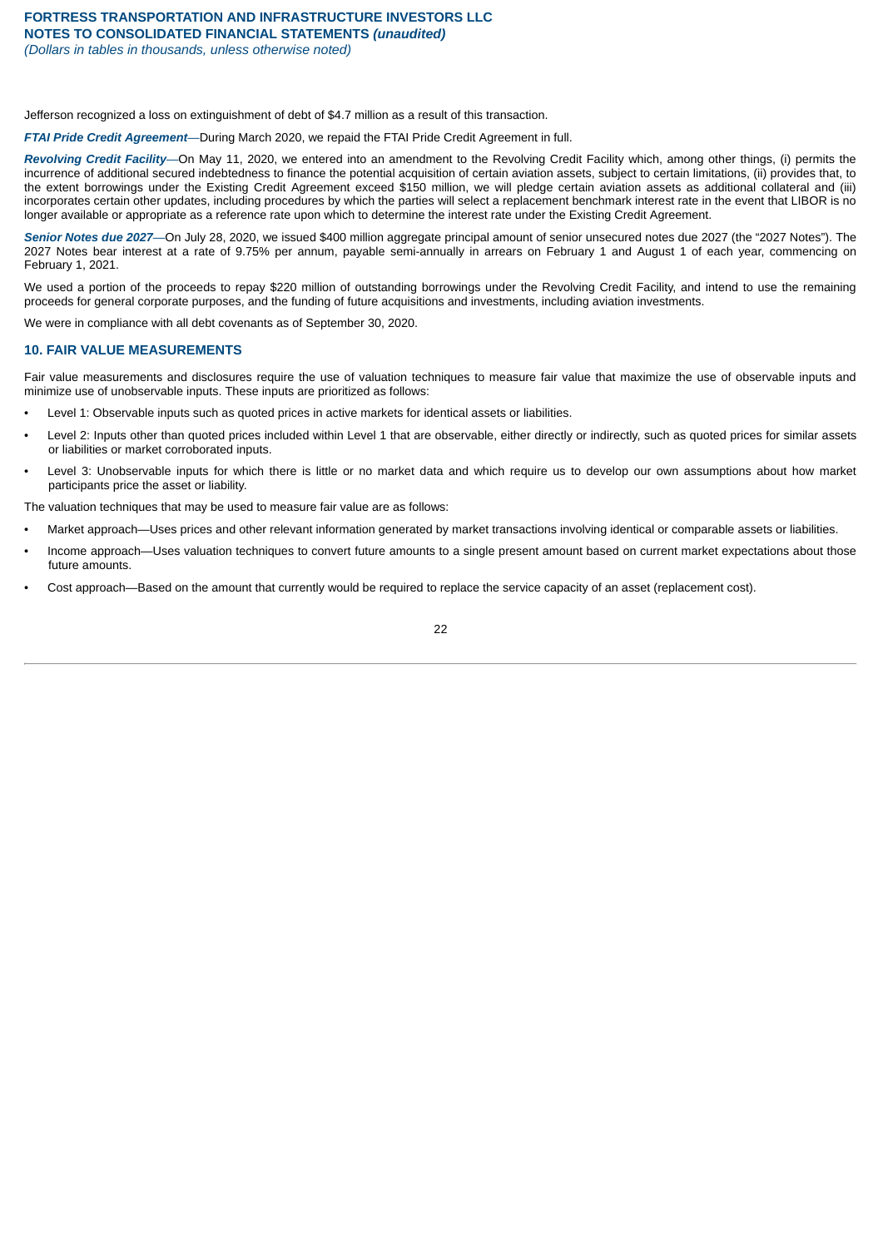Jefferson recognized a loss on extinguishment of debt of \$4.7 million as a result of this transaction.

*FTAI Pride Credit Agreement*—During March 2020, we repaid the FTAI Pride Credit Agreement in full.

*Revolving Credit Facility*—On May 11, 2020, we entered into an amendment to the Revolving Credit Facility which, among other things, (i) permits the incurrence of additional secured indebtedness to finance the potential acquisition of certain aviation assets, subject to certain limitations, (ii) provides that, to the extent borrowings under the Existing Credit Agreement exceed \$150 million, we will pledge certain aviation assets as additional collateral and (iii) incorporates certain other updates, including procedures by which the parties will select a replacement benchmark interest rate in the event that LIBOR is no longer available or appropriate as a reference rate upon which to determine the interest rate under the Existing Credit Agreement.

*Senior Notes due 2027*—On July 28, 2020, we issued \$400 million aggregate principal amount of senior unsecured notes due 2027 (the "2027 Notes"). The 2027 Notes bear interest at a rate of 9.75% per annum, payable semi-annually in arrears on February 1 and August 1 of each year, commencing on February 1, 2021.

We used a portion of the proceeds to repay \$220 million of outstanding borrowings under the Revolving Credit Facility, and intend to use the remaining proceeds for general corporate purposes, and the funding of future acquisitions and investments, including aviation investments.

<span id="page-22-0"></span>We were in compliance with all debt covenants as of September 30, 2020.

#### **10. FAIR VALUE MEASUREMENTS**

Fair value measurements and disclosures require the use of valuation techniques to measure fair value that maximize the use of observable inputs and minimize use of unobservable inputs. These inputs are prioritized as follows:

- Level 1: Observable inputs such as quoted prices in active markets for identical assets or liabilities.
- Level 2: Inputs other than quoted prices included within Level 1 that are observable, either directly or indirectly, such as quoted prices for similar assets or liabilities or market corroborated inputs.
- Level 3: Unobservable inputs for which there is little or no market data and which require us to develop our own assumptions about how market participants price the asset or liability.

The valuation techniques that may be used to measure fair value are as follows:

- Market approach—Uses prices and other relevant information generated by market transactions involving identical or comparable assets or liabilities.
- Income approach—Uses valuation techniques to convert future amounts to a single present amount based on current market expectations about those future amounts.
- Cost approach—Based on the amount that currently would be required to replace the service capacity of an asset (replacement cost).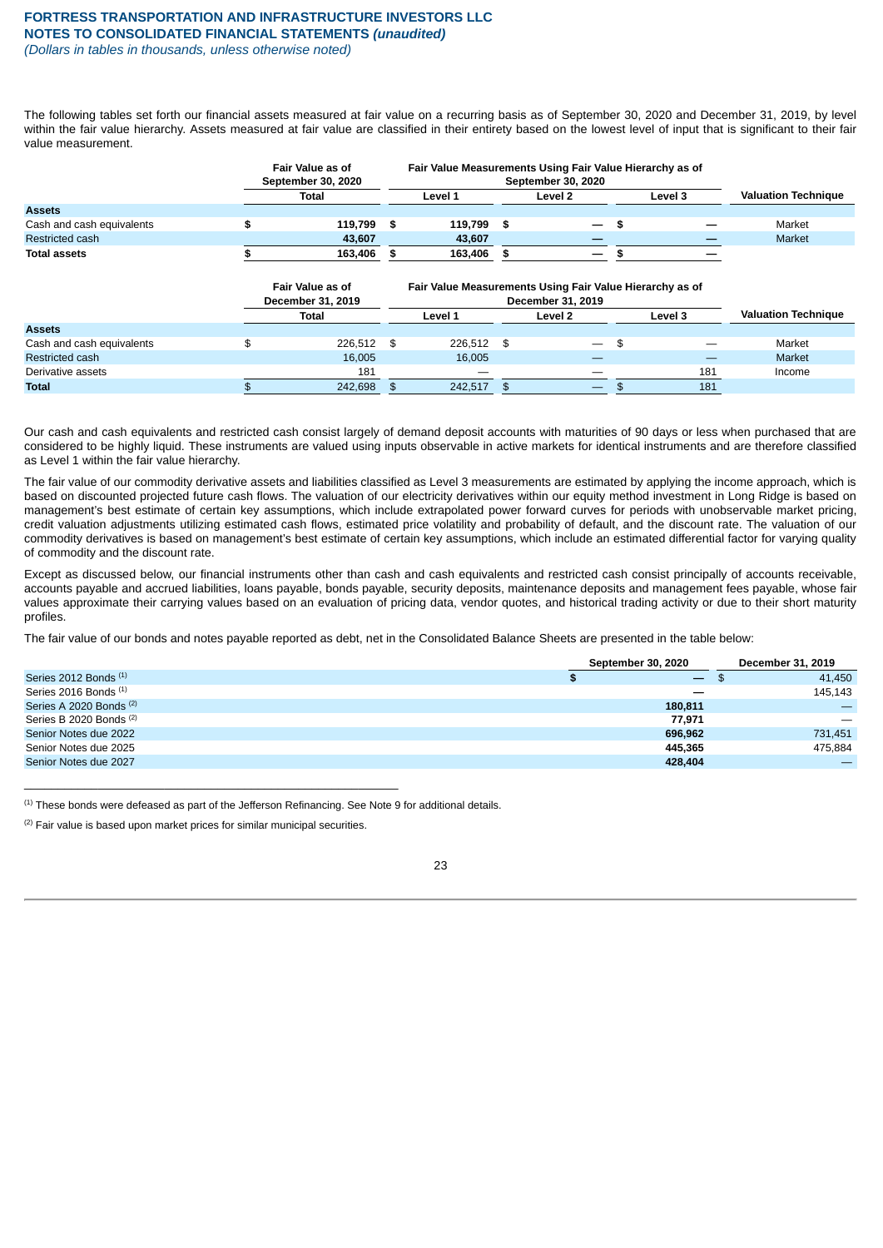#### **FORTRESS TRANSPORTATION AND INFRASTRUCTURE INVESTORS LLC NOTES TO CONSOLIDATED FINANCIAL STATEMENTS** *(unaudited) (Dollars in tables in thousands, unless otherwise noted)*

The following tables set forth our financial assets measured at fair value on a recurring basis as of September 30, 2020 and December 31, 2019, by level within the fair value hierarchy. Assets measured at fair value are classified in their entirety based on the lowest level of input that is significant to their fair value measurement.

|                           | <b>Fair Value as of</b><br>September 30, 2020 | Fair Value Measurements Using Fair Value Hierarchy as of |                                                                               |                          |                            |         |                            |
|---------------------------|-----------------------------------------------|----------------------------------------------------------|-------------------------------------------------------------------------------|--------------------------|----------------------------|---------|----------------------------|
|                           | <b>Total</b>                                  | Level 1                                                  |                                                                               | Level 2                  |                            | Level 3 | <b>Valuation Technique</b> |
| <b>Assets</b>             |                                               |                                                          |                                                                               |                          |                            |         |                            |
| Cash and cash equivalents | \$<br>119,799                                 | \$<br>119,799                                            | \$                                                                            | $\overline{\phantom{0}}$ | \$                         |         | Market                     |
| Restricted cash           | 43,607                                        | 43,607                                                   |                                                                               |                          |                            |         | Market                     |
| <b>Total assets</b>       | 163,406                                       | 163,406                                                  | \$.                                                                           |                          | S                          |         |                            |
|                           | <b>Fair Value as of</b><br>December 31, 2019  |                                                          | Fair Value Measurements Using Fair Value Hierarchy as of<br>December 31, 2019 |                          |                            |         |                            |
|                           | <b>Total</b>                                  | Level 1                                                  | Level 3<br>Level 2                                                            |                          | <b>Valuation Technique</b> |         |                            |
|                           |                                               |                                                          |                                                                               |                          |                            |         |                            |
| <b>Assets</b>             |                                               |                                                          |                                                                               |                          |                            |         |                            |
| Cash and cash equivalents | \$<br>226,512                                 | \$<br>226,512                                            | \$                                                                            | $\overline{\phantom{0}}$ | \$                         |         | Market                     |
| Restricted cash           | 16,005                                        | 16,005                                                   |                                                                               | –                        |                            |         | Market                     |
| Derivative assets         | 181                                           |                                                          |                                                                               |                          |                            | 181     | Income                     |

Our cash and cash equivalents and restricted cash consist largely of demand deposit accounts with maturities of 90 days or less when purchased that are considered to be highly liquid. These instruments are valued using inputs observable in active markets for identical instruments and are therefore classified as Level 1 within the fair value hierarchy.

The fair value of our commodity derivative assets and liabilities classified as Level 3 measurements are estimated by applying the income approach, which is based on discounted projected future cash flows. The valuation of our electricity derivatives within our equity method investment in Long Ridge is based on management's best estimate of certain key assumptions, which include extrapolated power forward curves for periods with unobservable market pricing, credit valuation adjustments utilizing estimated cash flows, estimated price volatility and probability of default, and the discount rate. The valuation of our commodity derivatives is based on management's best estimate of certain key assumptions, which include an estimated differential factor for varying quality of commodity and the discount rate.

Except as discussed below, our financial instruments other than cash and cash equivalents and restricted cash consist principally of accounts receivable, accounts payable and accrued liabilities, loans payable, bonds payable, security deposits, maintenance deposits and management fees payable, whose fair values approximate their carrying values based on an evaluation of pricing data, vendor quotes, and historical trading activity or due to their short maturity profiles.

The fair value of our bonds and notes payable reported as debt, net in the Consolidated Balance Sheets are presented in the table below:

|                                    | <b>September 30, 2020</b> |      | December 31, 2019 |
|------------------------------------|---------------------------|------|-------------------|
| Series 2012 Bonds (1)              | $\qquad \qquad -$         | - 30 | 41,450            |
| Series 2016 Bonds (1)              | $\overline{\phantom{m}}$  |      | 145.143           |
| Series A 2020 Bonds <sup>(2)</sup> | 180,811                   |      |                   |
| Series B 2020 Bonds <sup>(2)</sup> | 77.971                    |      |                   |
| Senior Notes due 2022              | 696.962                   |      | 731,451           |
| Senior Notes due 2025              | 445.365                   |      | 475,884           |
| Senior Notes due 2027              | 428,404                   |      |                   |

 $<sup>(1)</sup>$  These bonds were defeased as part of the Jefferson Refinancing. See Note 9 for additional details.</sup>

 $(2)$  Fair value is based upon market prices for similar municipal securities.

 $\mathcal{L}_\text{max}$  and the contract of the contract of the contract of the contract of the contract of the contract of the contract of the contract of the contract of the contract of the contract of the contract of the contrac

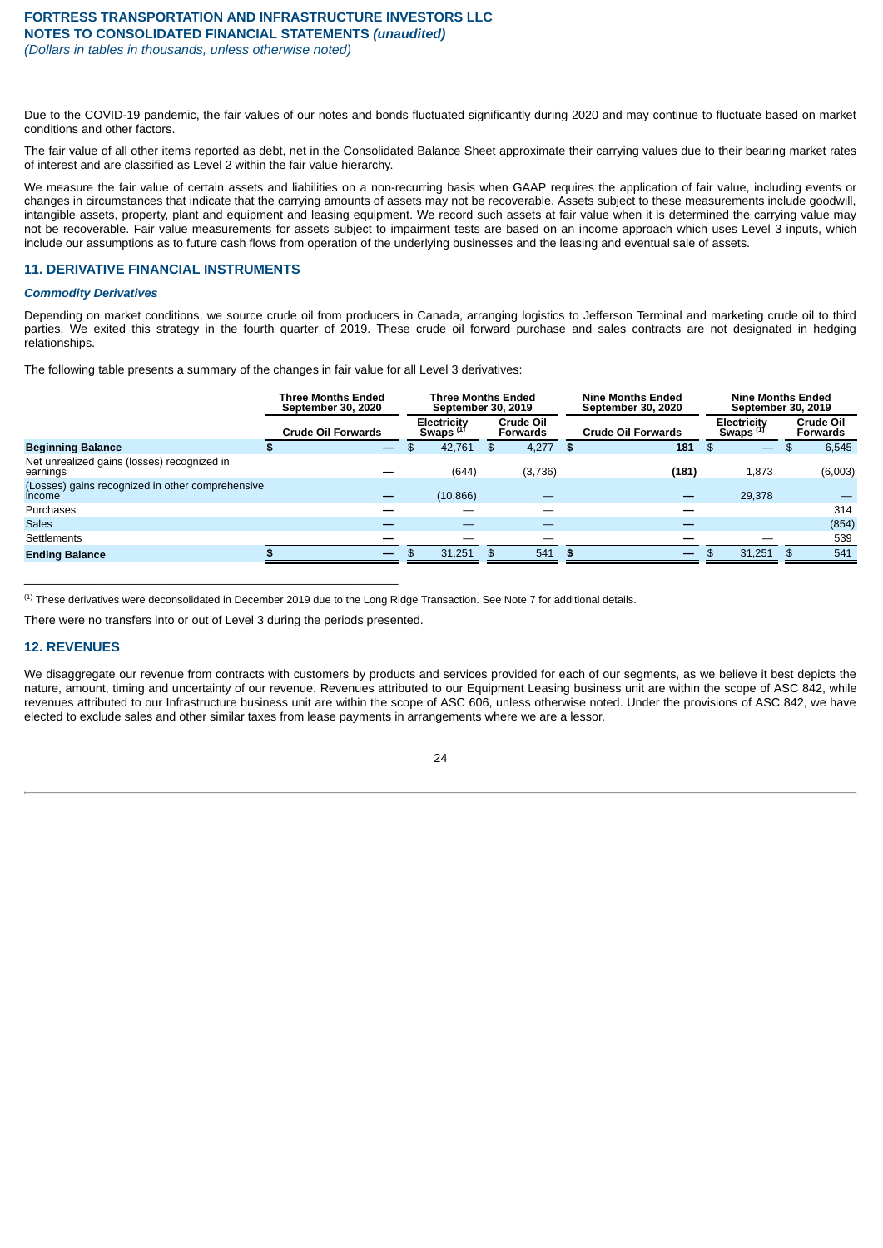Due to the COVID-19 pandemic, the fair values of our notes and bonds fluctuated significantly during 2020 and may continue to fluctuate based on market conditions and other factors.

The fair value of all other items reported as debt, net in the Consolidated Balance Sheet approximate their carrying values due to their bearing market rates of interest and are classified as Level 2 within the fair value hierarchy.

We measure the fair value of certain assets and liabilities on a non-recurring basis when GAAP requires the application of fair value, including events or changes in circumstances that indicate that the carrying amounts of assets may not be recoverable. Assets subject to these measurements include goodwill, intangible assets, property, plant and equipment and leasing equipment. We record such assets at fair value when it is determined the carrying value may not be recoverable. Fair value measurements for assets subject to impairment tests are based on an income approach which uses Level 3 inputs, which include our assumptions as to future cash flows from operation of the underlying businesses and the leasing and eventual sale of assets.

### <span id="page-24-0"></span>**11. DERIVATIVE FINANCIAL INSTRUMENTS**

#### *Commodity Derivatives*

Depending on market conditions, we source crude oil from producers in Canada, arranging logistics to Jefferson Terminal and marketing crude oil to third parties. We exited this strategy in the fourth quarter of 2019. These crude oil forward purchase and sales contracts are not designated in hedging relationships.

The following table presents a summary of the changes in fair value for all Level 3 derivatives:

|                                                            | <b>Three Months Ended</b><br>September 30, 2020 |    | <b>Three Months Ended</b><br>September 30, 2019 |     |                                     | <b>Nine Months Ended</b><br>September 30, 2020 |                          |      | <b>Nine Months Ended</b><br>September 30, 2019 |     |         |  |                                     |                                     |  |
|------------------------------------------------------------|-------------------------------------------------|----|-------------------------------------------------|-----|-------------------------------------|------------------------------------------------|--------------------------|------|------------------------------------------------|-----|---------|--|-------------------------------------|-------------------------------------|--|
|                                                            | <b>Crude Oil Forwards</b>                       |    | Electricity<br>Swaps <sup>(1)</sup>             |     | <b>Crude Oil</b><br><b>Forwards</b> |                                                |                          |      | <b>Crude Oil Forwards</b>                      |     |         |  | Electricity<br>Swaps <sup>(1)</sup> | <b>Crude Oil</b><br><b>Forwards</b> |  |
| <b>Beginning Balance</b>                                   | $\overline{\phantom{m}}$                        | \$ | 42,761                                          | \$. | 4,277                               | S                                              | 181                      | - SS |                                                | \$. | 6,545   |  |                                     |                                     |  |
| Net unrealized gains (losses) recognized in<br>earnings    |                                                 |    | (644)                                           |     | (3,736)                             |                                                | (181)                    |      | 1,873                                          |     | (6,003) |  |                                     |                                     |  |
| (Losses) gains recognized in other comprehensive<br>income |                                                 |    | (10, 866)                                       |     |                                     |                                                | –                        |      | 29.378                                         |     |         |  |                                     |                                     |  |
| Purchases                                                  |                                                 |    |                                                 |     |                                     |                                                |                          |      |                                                |     | 314     |  |                                     |                                     |  |
| <b>Sales</b>                                               |                                                 |    |                                                 |     |                                     |                                                |                          |      |                                                |     | (854)   |  |                                     |                                     |  |
| Settlements                                                |                                                 |    |                                                 |     |                                     |                                                |                          |      |                                                |     | 539     |  |                                     |                                     |  |
| <b>Ending Balance</b>                                      | $\overline{\phantom{0}}$                        |    | 31,251                                          | \$. | 541                                 |                                                | $\overline{\phantom{m}}$ |      | 31,251                                         |     | 541     |  |                                     |                                     |  |

 $^{(1)}$  These derivatives were deconsolidated in December 2019 due to the Long Ridge Transaction. See Note 7 for additional details.

There were no transfers into or out of Level 3 during the periods presented.

 $\mathcal{L}_\text{max}$  and the contract of the contract of the contract of the contract of the contract of the contract of the contract of the contract of the contract of the contract of the contract of the contract of the contrac

### <span id="page-24-1"></span>**12. REVENUES**

We disaggregate our revenue from contracts with customers by products and services provided for each of our segments, as we believe it best depicts the nature, amount, timing and uncertainty of our revenue. Revenues attributed to our Equipment Leasing business unit are within the scope of ASC 842, while revenues attributed to our Infrastructure business unit are within the scope of ASC 606, unless otherwise noted. Under the provisions of ASC 842, we have elected to exclude sales and other similar taxes from lease payments in arrangements where we are a lessor.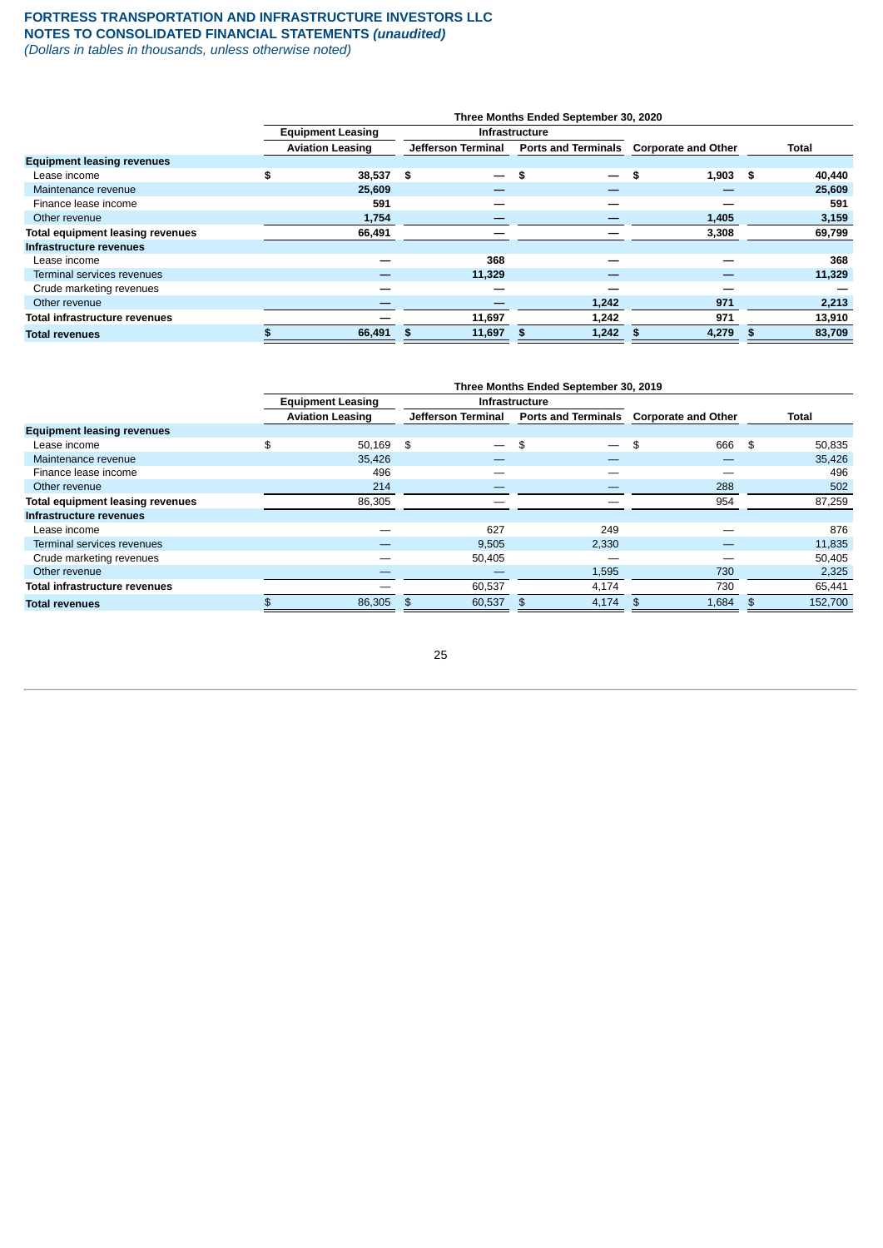# **FORTRESS TRANSPORTATION AND INFRASTRUCTURE INVESTORS LLC**

**NOTES TO CONSOLIDATED FINANCIAL STATEMENTS** *(unaudited) (Dollars in tables in thousands, unless otherwise noted)*

|                                      |                         | Three Months Ended September 30, 2020 |                       |    |                            |                            |  |              |  |  |  |
|--------------------------------------|-------------------------|---------------------------------------|-----------------------|----|----------------------------|----------------------------|--|--------------|--|--|--|
|                                      |                         | <b>Equipment Leasing</b>              | <b>Infrastructure</b> |    |                            |                            |  |              |  |  |  |
|                                      | <b>Aviation Leasing</b> |                                       | Jefferson Terminal    |    | <b>Ports and Terminals</b> | <b>Corporate and Other</b> |  | <b>Total</b> |  |  |  |
| <b>Equipment leasing revenues</b>    |                         |                                       |                       |    |                            |                            |  |              |  |  |  |
| Lease income                         | \$                      | 38,537 \$                             | $-$                   | \$ | $\overline{\phantom{0}}$   | \$<br>$1,903$ \$           |  | 40,440       |  |  |  |
| Maintenance revenue                  |                         | 25,609                                |                       |    |                            |                            |  | 25,609       |  |  |  |
| Finance lease income                 |                         | 591                                   |                       |    |                            |                            |  | 591          |  |  |  |
| Other revenue                        |                         | 1,754                                 |                       |    |                            | 1,405                      |  | 3,159        |  |  |  |
| Total equipment leasing revenues     |                         | 66,491                                |                       |    |                            | 3,308                      |  | 69,799       |  |  |  |
| Infrastructure revenues              |                         |                                       |                       |    |                            |                            |  |              |  |  |  |
| Lease income                         |                         |                                       | 368                   |    |                            |                            |  | 368          |  |  |  |
| Terminal services revenues           |                         |                                       | 11,329                |    |                            |                            |  | 11,329       |  |  |  |
| Crude marketing revenues             |                         |                                       |                       |    |                            |                            |  |              |  |  |  |
| Other revenue                        |                         |                                       |                       |    | 1,242                      | 971                        |  | 2,213        |  |  |  |
| <b>Total infrastructure revenues</b> |                         |                                       | 11,697                |    | 1,242                      | 971                        |  | 13,910       |  |  |  |
| <b>Total revenues</b>                |                         | 66,491                                | 11,697                |    | 1,242                      | 4,279                      |  | 83,709       |  |  |  |

|                                   |                         | Three Months Ended September 30, 2019 |                                  |    |                            |                            |      |         |  |  |  |
|-----------------------------------|-------------------------|---------------------------------------|----------------------------------|----|----------------------------|----------------------------|------|---------|--|--|--|
|                                   |                         | <b>Equipment Leasing</b>              | <b>Infrastructure</b>            |    |                            |                            |      |         |  |  |  |
|                                   | <b>Aviation Leasing</b> |                                       | Jefferson Terminal               |    | <b>Ports and Terminals</b> | <b>Corporate and Other</b> |      | Total   |  |  |  |
| <b>Equipment leasing revenues</b> |                         |                                       |                                  |    |                            |                            |      |         |  |  |  |
| Lease income                      | \$                      | 50,169                                | - \$<br>$\overline{\phantom{0}}$ | \$ | $\overline{\phantom{0}}$   | 666<br>\$                  | - \$ | 50,835  |  |  |  |
| Maintenance revenue               |                         | 35,426                                |                                  |    |                            |                            |      | 35,426  |  |  |  |
| Finance lease income              |                         | 496                                   |                                  |    |                            |                            |      | 496     |  |  |  |
| Other revenue                     |                         | 214                                   |                                  |    |                            | 288                        |      | 502     |  |  |  |
| Total equipment leasing revenues  |                         | 86,305                                |                                  |    |                            | 954                        |      | 87,259  |  |  |  |
| Infrastructure revenues           |                         |                                       |                                  |    |                            |                            |      |         |  |  |  |
| Lease income                      |                         |                                       | 627                              |    | 249                        |                            |      | 876     |  |  |  |
| Terminal services revenues        |                         |                                       | 9,505                            |    | 2,330                      |                            |      | 11,835  |  |  |  |
| Crude marketing revenues          |                         |                                       | 50,405                           |    |                            |                            |      | 50,405  |  |  |  |
| Other revenue                     |                         |                                       |                                  |    | 1,595                      | 730                        |      | 2,325   |  |  |  |
| Total infrastructure revenues     |                         |                                       | 60,537                           |    | 4,174                      | 730                        |      | 65,441  |  |  |  |
| <b>Total revenues</b>             |                         | 86,305                                | 60,537                           |    | 4,174                      | 1,684<br>\$                |      | 152.700 |  |  |  |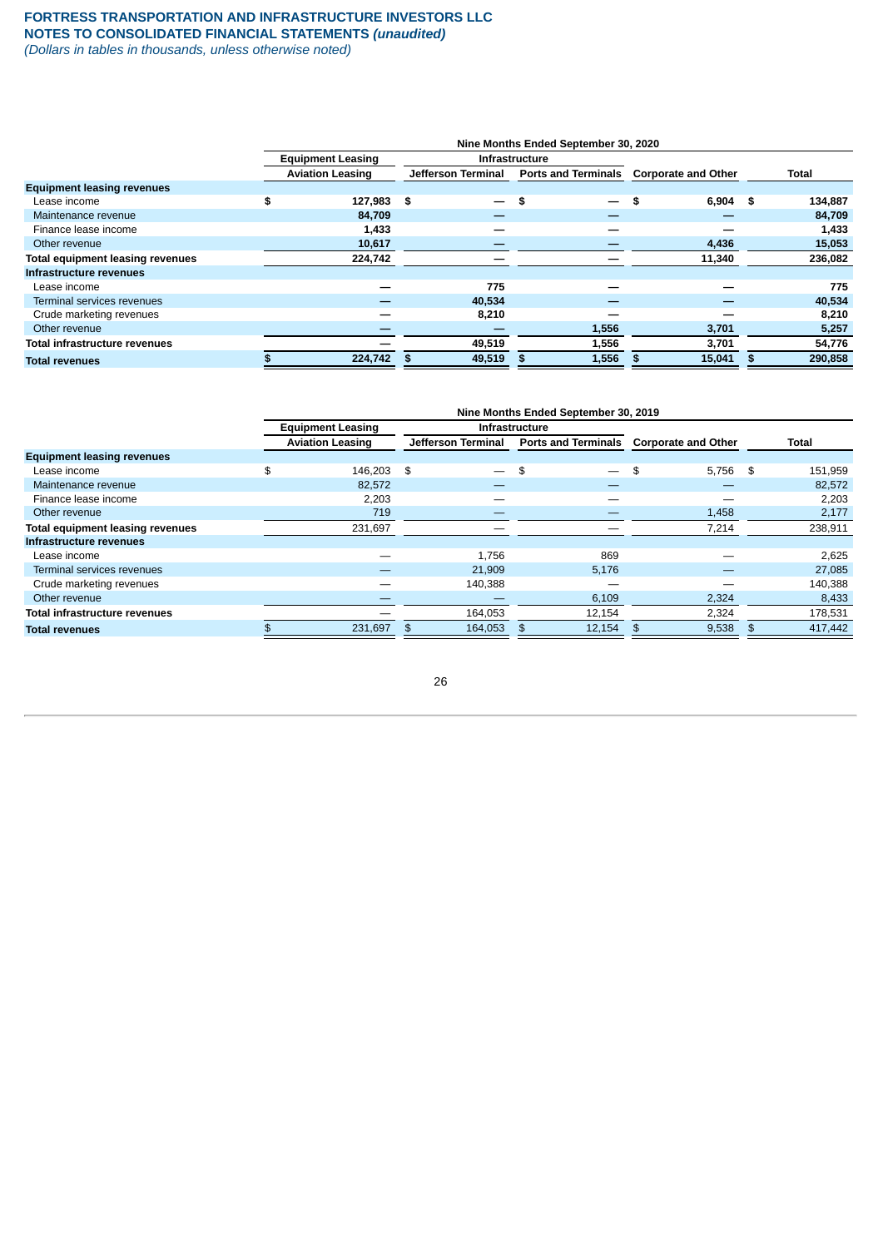# **FORTRESS TRANSPORTATION AND INFRASTRUCTURE INVESTORS LLC NOTES TO CONSOLIDATED FINANCIAL STATEMENTS** *(unaudited)*

*(Dollars in tables in thousands, unless otherwise noted)*

|                                         |                         | Nine Months Ended September 30, 2020 |                          |                                |                            |      |         |  |  |  |  |
|-----------------------------------------|-------------------------|--------------------------------------|--------------------------|--------------------------------|----------------------------|------|---------|--|--|--|--|
|                                         |                         | <b>Equipment Leasing</b>             |                          | <b>Infrastructure</b>          |                            |      |         |  |  |  |  |
|                                         | <b>Aviation Leasing</b> |                                      | Jefferson Terminal       | <b>Ports and Terminals</b>     | <b>Corporate and Other</b> |      | Total   |  |  |  |  |
| <b>Equipment leasing revenues</b>       |                         |                                      |                          |                                |                            |      |         |  |  |  |  |
| Lease income                            | \$                      | 127,983 \$                           | $\overline{\phantom{0}}$ | \$<br>$\overline{\phantom{0}}$ | \$<br>6,904                | - \$ | 134,887 |  |  |  |  |
| Maintenance revenue                     |                         | 84,709                               |                          |                                |                            |      | 84,709  |  |  |  |  |
| Finance lease income                    |                         | 1,433                                |                          |                                |                            |      | 1,433   |  |  |  |  |
| Other revenue                           |                         | 10,617                               |                          |                                | 4,436                      |      | 15,053  |  |  |  |  |
| <b>Total equipment leasing revenues</b> |                         | 224,742                              |                          |                                | 11,340                     |      | 236,082 |  |  |  |  |
| Infrastructure revenues                 |                         |                                      |                          |                                |                            |      |         |  |  |  |  |
| Lease income                            |                         |                                      | 775                      |                                |                            |      | 775     |  |  |  |  |
| Terminal services revenues              |                         |                                      | 40,534                   |                                |                            |      | 40,534  |  |  |  |  |
| Crude marketing revenues                |                         |                                      | 8,210                    |                                |                            |      | 8,210   |  |  |  |  |
| Other revenue                           |                         |                                      |                          | 1,556                          | 3,701                      |      | 5,257   |  |  |  |  |
| Total infrastructure revenues           |                         |                                      | 49,519                   | 1,556                          | 3,701                      |      | 54,776  |  |  |  |  |
| <b>Total revenues</b>                   |                         | 224,742                              | 49,519                   | 1,556                          | 15,041<br>S                | - 56 | 290,858 |  |  |  |  |

|                                         |                         | Nine Months Ended September 30, 2019 |                       |    |                            |                            |    |              |  |  |  |
|-----------------------------------------|-------------------------|--------------------------------------|-----------------------|----|----------------------------|----------------------------|----|--------------|--|--|--|
|                                         |                         | <b>Equipment Leasing</b>             | <b>Infrastructure</b> |    |                            |                            |    |              |  |  |  |
|                                         | <b>Aviation Leasing</b> |                                      | Jefferson Terminal    |    | <b>Ports and Terminals</b> | <b>Corporate and Other</b> |    | <b>Total</b> |  |  |  |
| <b>Equipment leasing revenues</b>       |                         |                                      |                       |    |                            |                            |    |              |  |  |  |
| Lease income                            | \$                      | 146.203                              | - \$                  | \$ | $\overline{\phantom{0}}$   | \$<br>5,756                | \$ | 151,959      |  |  |  |
| Maintenance revenue                     |                         | 82,572                               |                       |    |                            |                            |    | 82,572       |  |  |  |
| Finance lease income                    |                         | 2,203                                |                       |    |                            |                            |    | 2,203        |  |  |  |
| Other revenue                           |                         | 719                                  |                       |    |                            | 1,458                      |    | 2,177        |  |  |  |
| <b>Total equipment leasing revenues</b> |                         | 231,697                              |                       |    |                            | 7,214                      |    | 238,911      |  |  |  |
| Infrastructure revenues                 |                         |                                      |                       |    |                            |                            |    |              |  |  |  |
| Lease income                            |                         |                                      | 1.756                 |    | 869                        |                            |    | 2,625        |  |  |  |
| Terminal services revenues              |                         |                                      | 21,909                |    | 5,176                      |                            |    | 27.085       |  |  |  |
| Crude marketing revenues                |                         |                                      | 140,388               |    |                            |                            |    | 140,388      |  |  |  |
| Other revenue                           |                         |                                      |                       |    | 6,109                      | 2,324                      |    | 8,433        |  |  |  |
| Total infrastructure revenues           |                         |                                      | 164,053               |    | 12,154                     | 2,324                      |    | 178,531      |  |  |  |
| <b>Total revenues</b>                   |                         | 231,697                              | 164,053               |    | 12,154                     | 9,538<br>\$                |    | 417,442      |  |  |  |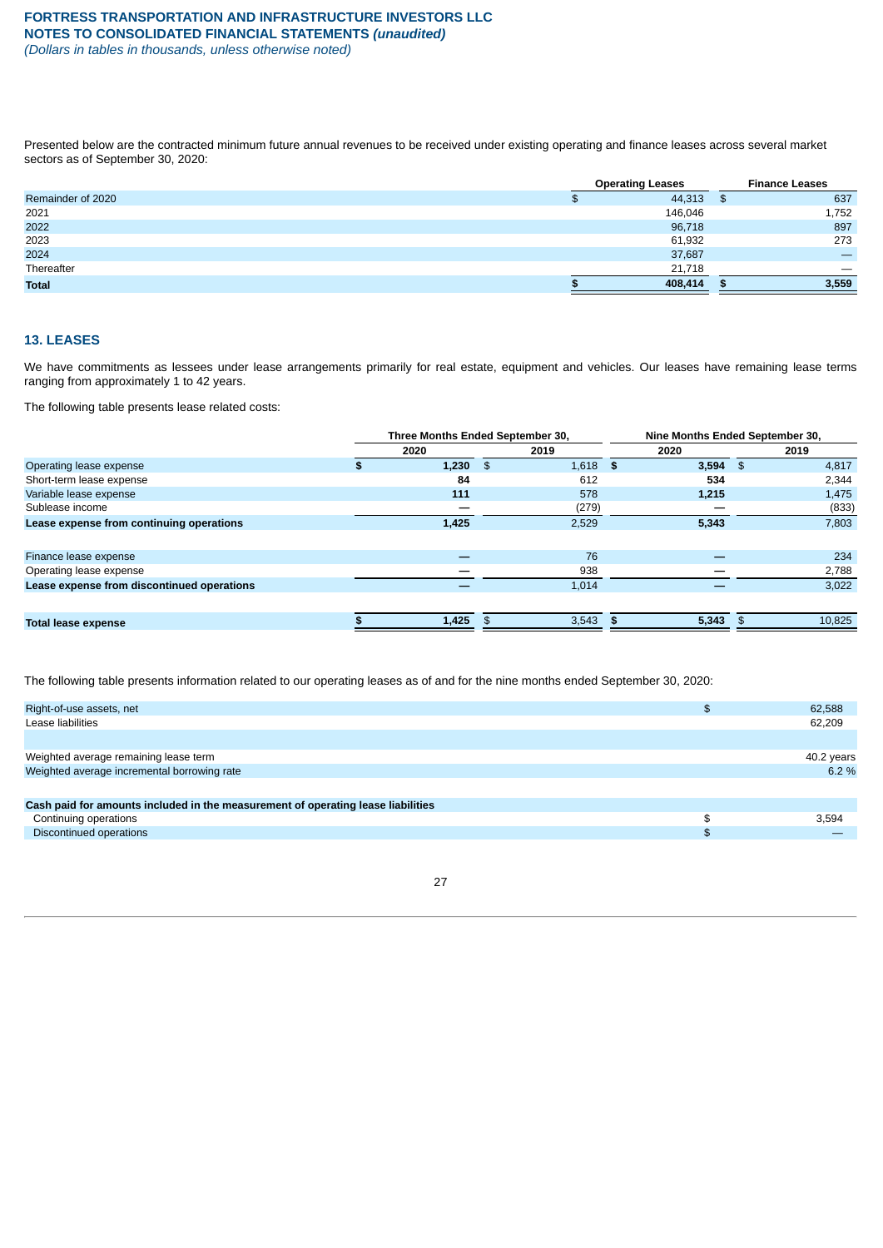Presented below are the contracted minimum future annual revenues to be received under existing operating and finance leases across several market sectors as of September 30, 2020:

|                   | <b>Operating Leases</b> |    | <b>Finance Leases</b> |
|-------------------|-------------------------|----|-----------------------|
| Remainder of 2020 | 44,313                  | 85 | 637                   |
| 2021              | 146,046                 |    | 1,752                 |
| 2022              | 96,718                  |    | 897                   |
| 2023              | 61,932                  |    | 273                   |
| 2024              | 37,687                  |    |                       |
| Thereafter        | 21,718                  |    |                       |
| <b>Total</b>      | 408.414                 |    | 3,559                 |

### <span id="page-27-0"></span>**13. LEASES**

We have commitments as lessees under lease arrangements primarily for real estate, equipment and vehicles. Our leases have remaining lease terms ranging from approximately 1 to 42 years.

The following table presents lease related costs:

|                                            |       | Three Months Ended September 30, | Nine Months Ended September 30, |        |  |  |
|--------------------------------------------|-------|----------------------------------|---------------------------------|--------|--|--|
|                                            | 2020  | 2019                             | 2020                            | 2019   |  |  |
| Operating lease expense                    | 1,230 | $1,618$ \$<br>\$                 | $3,594$ \$                      | 4,817  |  |  |
| Short-term lease expense                   | 84    | 612                              | 534                             | 2,344  |  |  |
| Variable lease expense                     | 111   | 578                              | 1,215                           | 1,475  |  |  |
| Sublease income                            |       | (279)                            |                                 | (833)  |  |  |
| Lease expense from continuing operations   | 1,425 | 2,529                            | 5,343                           | 7,803  |  |  |
|                                            |       |                                  |                                 |        |  |  |
| Finance lease expense                      |       | 76                               |                                 | 234    |  |  |
| Operating lease expense                    |       | 938                              |                                 | 2,788  |  |  |
| Lease expense from discontinued operations |       | 1,014                            |                                 | 3,022  |  |  |
|                                            |       |                                  |                                 |        |  |  |
| <b>Total lease expense</b>                 | 1,425 | $3,543$ \$<br>\$                 | $5,343$ \$                      | 10,825 |  |  |
|                                            |       |                                  |                                 |        |  |  |

The following table presents information related to our operating leases as of and for the nine months ended September 30, 2020:

| Right-of-use assets, net                                                         | 62,588     |
|----------------------------------------------------------------------------------|------------|
| Lease liabilities                                                                | 62,209     |
|                                                                                  |            |
| Weighted average remaining lease term                                            | 40.2 years |
| Weighted average incremental borrowing rate                                      | $6.2\%$    |
|                                                                                  |            |
| Cash paid for amounts included in the measurement of operating lease liabilities |            |
| Continuing operations                                                            | 3.594      |
| Discontinued operations                                                          |            |
|                                                                                  |            |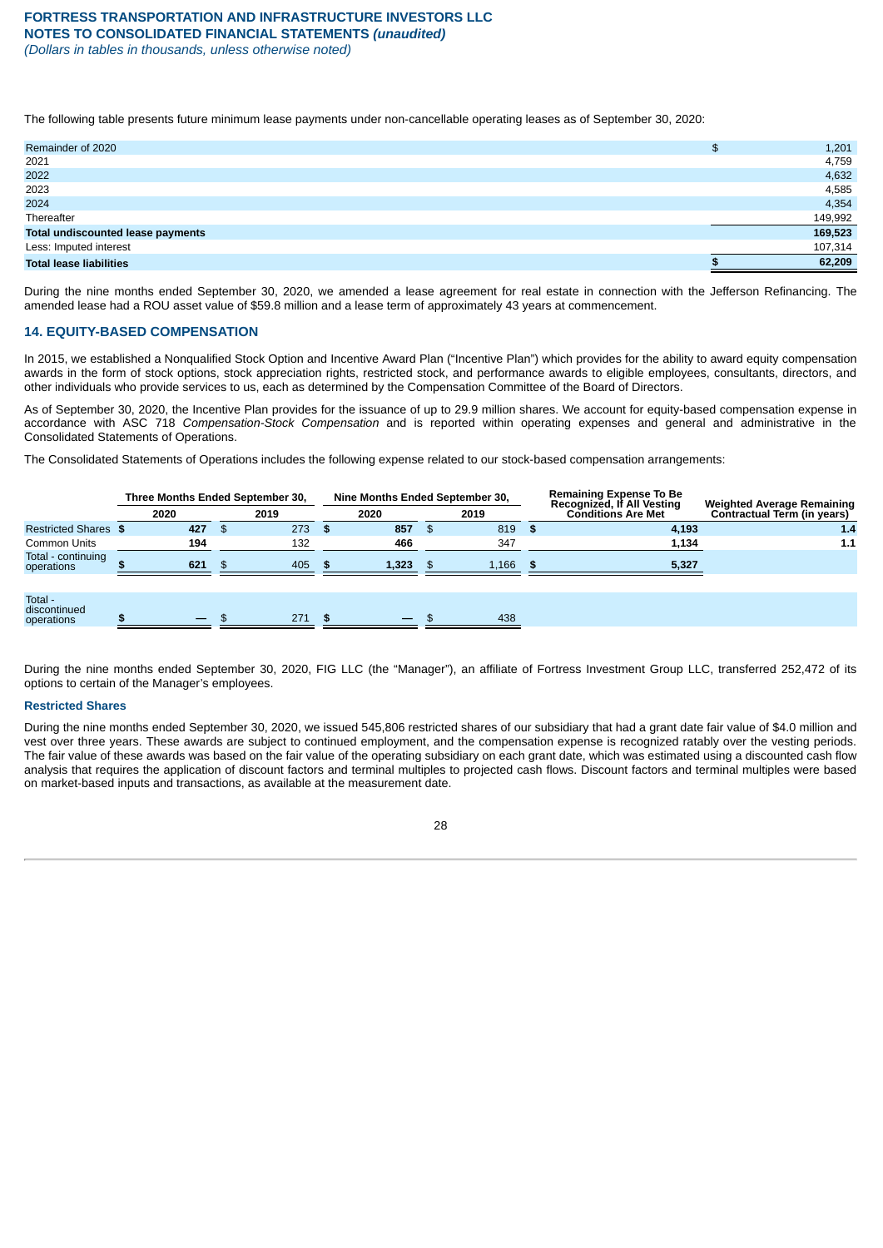The following table presents future minimum lease payments under non-cancellable operating leases as of September 30, 2020:

| <b>Total lease liabilities</b>           | 62,209      |
|------------------------------------------|-------------|
| Less: Imputed interest                   | 107,314     |
| <b>Total undiscounted lease payments</b> | 169,523     |
| Thereafter                               | 149,992     |
| 2024                                     | 4,354       |
| 2023                                     | 4,585       |
| 2022                                     | 4,632       |
| 2021                                     | 4,759       |
| Remainder of 2020                        | \$<br>1,201 |
|                                          |             |

During the nine months ended September 30, 2020, we amended a lease agreement for real estate in connection with the Jefferson Refinancing. The amended lease had a ROU asset value of \$59.8 million and a lease term of approximately 43 years at commencement.

### <span id="page-28-0"></span>**14. EQUITY-BASED COMPENSATION**

In 2015, we established a Nonqualified Stock Option and Incentive Award Plan ("Incentive Plan") which provides for the ability to award equity compensation awards in the form of stock options, stock appreciation rights, restricted stock, and performance awards to eligible employees, consultants, directors, and other individuals who provide services to us, each as determined by the Compensation Committee of the Board of Directors.

As of September 30, 2020, the Incentive Plan provides for the issuance of up to 29.9 million shares. We account for equity-based compensation expense in accordance with ASC 718 *Compensation-Stock Compensation* and is reported within operating expenses and general and administrative in the Consolidated Statements of Operations.

The Consolidated Statements of Operations includes the following expense related to our stock-based compensation arrangements:

|                                       | Three Months Ended September 30, |        |      |      |   | Nine Months Ended September 30, |      |       |      | <b>Remaining Expense To Be</b><br>Recognized, If All Vesting | <b>Weighted Average Remaining</b> |
|---------------------------------------|----------------------------------|--------|------|------|---|---------------------------------|------|-------|------|--------------------------------------------------------------|-----------------------------------|
|                                       | 2020                             |        |      | 2019 |   | 2020                            |      | 2019  |      | <b>Conditions Are Met</b>                                    | Contractual Term (in years)       |
| Restricted Shares \$                  |                                  | 427    | - \$ | 273  | S | 857                             | - 35 | 819   | - 56 | 4,193                                                        | 1.4                               |
| <b>Common Units</b>                   |                                  | 194    |      | 132  |   | 466                             |      | 347   |      | 1,134                                                        | 1.1                               |
| Total - continuing<br>operations      |                                  | 621    | \$.  | 405  |   | 1.323                           |      | 1.166 |      | 5,327                                                        |                                   |
|                                       |                                  |        |      |      |   |                                 |      |       |      |                                                              |                                   |
| Total -<br>discontinued<br>operations |                                  | $-$ \$ |      | 271  | S | $\overline{\phantom{a}}$        |      | 438   |      |                                                              |                                   |

During the nine months ended September 30, 2020, FIG LLC (the "Manager"), an affiliate of Fortress Investment Group LLC, transferred 252,472 of its options to certain of the Manager's employees.

#### **Restricted Shares**

During the nine months ended September 30, 2020, we issued 545,806 restricted shares of our subsidiary that had a grant date fair value of \$4.0 million and vest over three years. These awards are subject to continued employment, and the compensation expense is recognized ratably over the vesting periods. The fair value of these awards was based on the fair value of the operating subsidiary on each grant date, which was estimated using a discounted cash flow analysis that requires the application of discount factors and terminal multiples to projected cash flows. Discount factors and terminal multiples were based on market-based inputs and transactions, as available at the measurement date.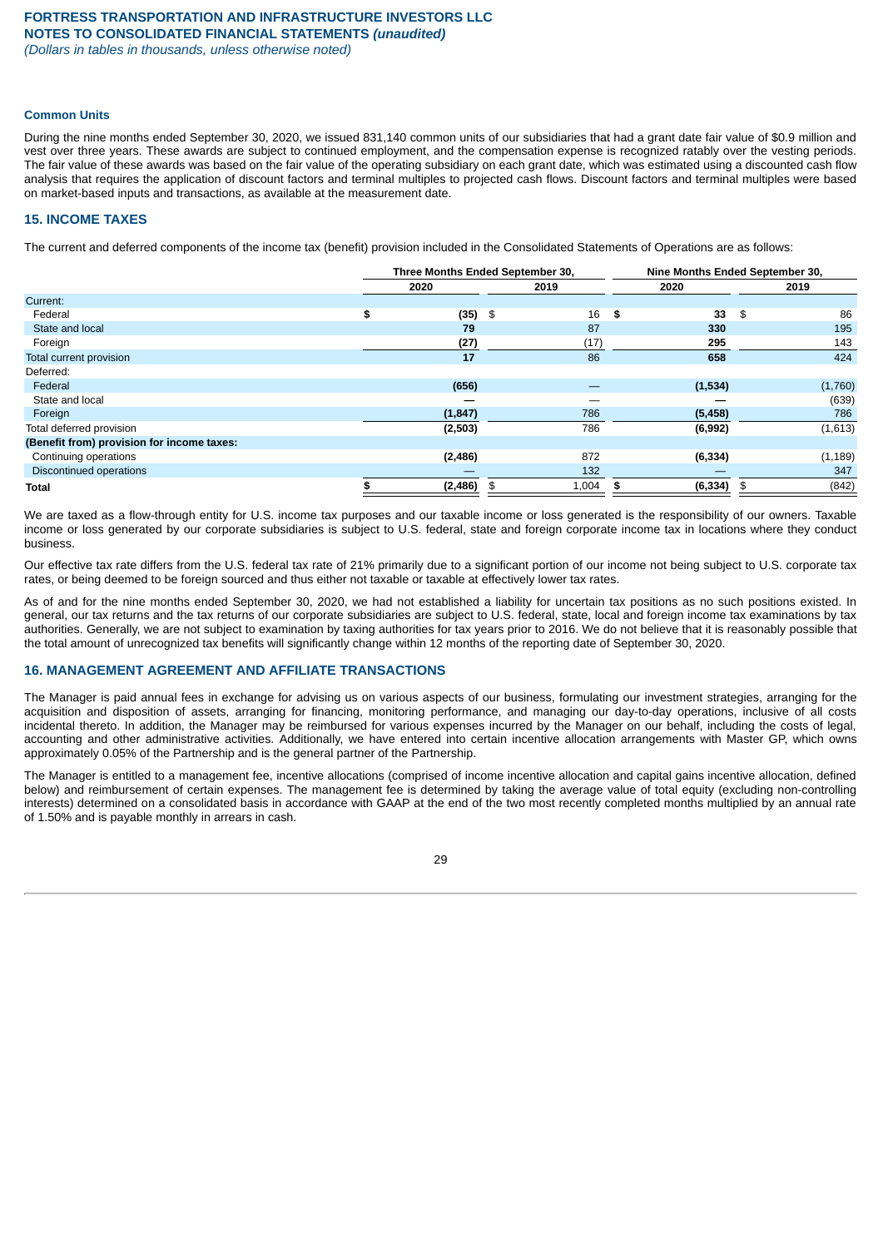#### **Common Units**

During the nine months ended September 30, 2020, we issued 831,140 common units of our subsidiaries that had a grant date fair value of \$0.9 million and vest over three years. These awards are subject to continued employment, and the compensation expense is recognized ratably over the vesting periods. The fair value of these awards was based on the fair value of the operating subsidiary on each grant date, which was estimated using a discounted cash flow analysis that requires the application of discount factors and terminal multiples to projected cash flows. Discount factors and terminal multiples were based on market-based inputs and transactions, as available at the measurement date.

#### <span id="page-29-0"></span>**15. INCOME TAXES**

The current and deferred components of the income tax (benefit) provision included in the Consolidated Statements of Operations are as follows:

|                                            |                 | Three Months Ended September 30, |               | Nine Months Ended September 30, |
|--------------------------------------------|-----------------|----------------------------------|---------------|---------------------------------|
|                                            | 2020            | 2019                             | 2020          | 2019                            |
| Current:                                   |                 |                                  |               |                                 |
| Federal                                    | \$<br>$(35)$ \$ | 16                               | \$<br>33      | 86<br>- \$                      |
| State and local                            | 79              | 87                               | 330           | 195                             |
| Foreign                                    | (27)            | (17)                             | 295           | 143                             |
| Total current provision                    | 17              | 86                               | 658           | 424                             |
| Deferred:                                  |                 |                                  |               |                                 |
| Federal                                    | (656)           | —                                | (1,534)       | (1,760)                         |
| State and local                            |                 | —                                |               | (639)                           |
| Foreign                                    | (1, 847)        | 786                              | (5, 458)      | 786                             |
| Total deferred provision                   | (2,503)         | 786                              | (6,992)       | (1,613)                         |
| (Benefit from) provision for income taxes: |                 |                                  |               |                                 |
| Continuing operations                      | (2,486)         | 872                              | (6, 334)      | (1, 189)                        |
| Discontinued operations                    |                 | 132                              |               | 347                             |
| Total                                      | (2, 486)        | 1,004<br>\$                      | (6, 334)<br>ъ | (842)<br>-\$                    |

We are taxed as a flow-through entity for U.S. income tax purposes and our taxable income or loss generated is the responsibility of our owners. Taxable income or loss generated by our corporate subsidiaries is subject to U.S. federal, state and foreign corporate income tax in locations where they conduct business.

Our effective tax rate differs from the U.S. federal tax rate of 21% primarily due to a significant portion of our income not being subject to U.S. corporate tax rates, or being deemed to be foreign sourced and thus either not taxable or taxable at effectively lower tax rates.

As of and for the nine months ended September 30, 2020, we had not established a liability for uncertain tax positions as no such positions existed. In general, our tax returns and the tax returns of our corporate subsidiaries are subject to U.S. federal, state, local and foreign income tax examinations by tax authorities. Generally, we are not subject to examination by taxing authorities for tax years prior to 2016. We do not believe that it is reasonably possible that the total amount of unrecognized tax benefits will significantly change within 12 months of the reporting date of September 30, 2020.

#### <span id="page-29-1"></span>**16. MANAGEMENT AGREEMENT AND AFFILIATE TRANSACTIONS**

The Manager is paid annual fees in exchange for advising us on various aspects of our business, formulating our investment strategies, arranging for the acquisition and disposition of assets, arranging for financing, monitoring performance, and managing our day-to-day operations, inclusive of all costs incidental thereto. In addition, the Manager may be reimbursed for various expenses incurred by the Manager on our behalf, including the costs of legal, accounting and other administrative activities. Additionally, we have entered into certain incentive allocation arrangements with Master GP, which owns approximately 0.05% of the Partnership and is the general partner of the Partnership.

The Manager is entitled to a management fee, incentive allocations (comprised of income incentive allocation and capital gains incentive allocation, defined below) and reimbursement of certain expenses. The management fee is determined by taking the average value of total equity (excluding non-controlling interests) determined on a consolidated basis in accordance with GAAP at the end of the two most recently completed months multiplied by an annual rate of 1.50% and is payable monthly in arrears in cash.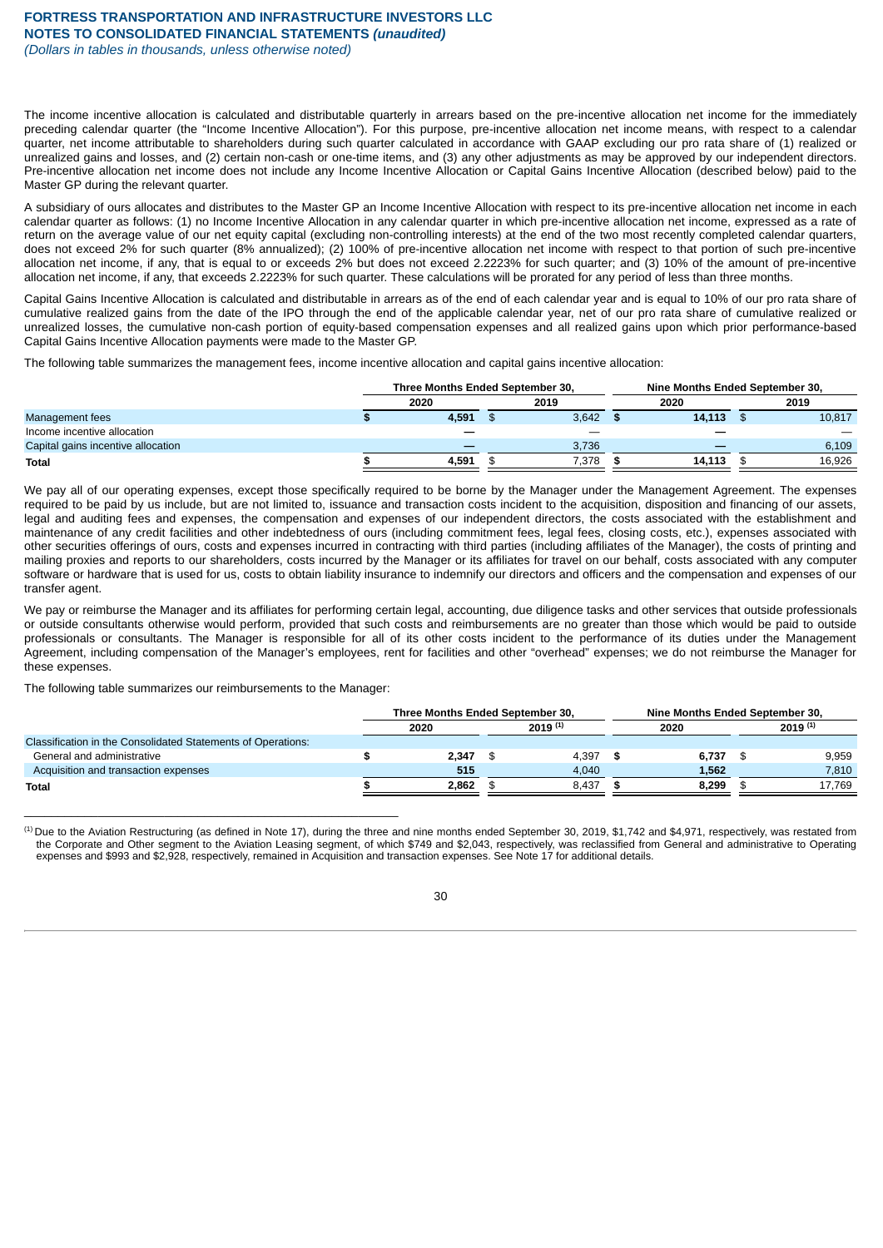The income incentive allocation is calculated and distributable quarterly in arrears based on the pre-incentive allocation net income for the immediately preceding calendar quarter (the "Income Incentive Allocation"). For this purpose, pre-incentive allocation net income means, with respect to a calendar quarter, net income attributable to shareholders during such quarter calculated in accordance with GAAP excluding our pro rata share of (1) realized or unrealized gains and losses, and (2) certain non-cash or one-time items, and (3) any other adjustments as may be approved by our independent directors. Pre-incentive allocation net income does not include any Income Incentive Allocation or Capital Gains Incentive Allocation (described below) paid to the Master GP during the relevant quarter.

A subsidiary of ours allocates and distributes to the Master GP an Income Incentive Allocation with respect to its pre-incentive allocation net income in each calendar quarter as follows: (1) no Income Incentive Allocation in any calendar quarter in which pre-incentive allocation net income, expressed as a rate of return on the average value of our net equity capital (excluding non-controlling interests) at the end of the two most recently completed calendar quarters, does not exceed 2% for such quarter (8% annualized); (2) 100% of pre-incentive allocation net income with respect to that portion of such pre-incentive allocation net income, if any, that is equal to or exceeds 2% but does not exceed 2.2223% for such quarter; and (3) 10% of the amount of pre-incentive allocation net income, if any, that exceeds 2.2223% for such quarter. These calculations will be prorated for any period of less than three months.

Capital Gains Incentive Allocation is calculated and distributable in arrears as of the end of each calendar year and is equal to 10% of our pro rata share of cumulative realized gains from the date of the IPO through the end of the applicable calendar year, net of our pro rata share of cumulative realized or unrealized losses, the cumulative non-cash portion of equity-based compensation expenses and all realized gains upon which prior performance-based Capital Gains Incentive Allocation payments were made to the Master GP.

The following table summarizes the management fees, income incentive allocation and capital gains incentive allocation:

|                                    | Three Months Ended September 30, |       | Nine Months Ended September 30. |      |        |  |  |
|------------------------------------|----------------------------------|-------|---------------------------------|------|--------|--|--|
|                                    | 2020                             | 2019  | 2020                            | 2019 |        |  |  |
| Management fees                    | 4.591                            | 3.642 | 14.113                          |      | 10,817 |  |  |
| Income incentive allocation        | __                               | _     |                                 |      | _      |  |  |
| Capital gains incentive allocation |                                  | 3.736 | _                               |      | 6.109  |  |  |
| <b>Total</b>                       | 4.591                            | 7.378 | 14.113                          |      | 16.926 |  |  |

We pay all of our operating expenses, except those specifically required to be borne by the Manager under the Management Agreement. The expenses required to be paid by us include, but are not limited to, issuance and transaction costs incident to the acquisition, disposition and financing of our assets, legal and auditing fees and expenses, the compensation and expenses of our independent directors, the costs associated with the establishment and maintenance of any credit facilities and other indebtedness of ours (including commitment fees, legal fees, closing costs, etc.), expenses associated with other securities offerings of ours, costs and expenses incurred in contracting with third parties (including affiliates of the Manager), the costs of printing and mailing proxies and reports to our shareholders, costs incurred by the Manager or its affiliates for travel on our behalf, costs associated with any computer software or hardware that is used for us, costs to obtain liability insurance to indemnify our directors and officers and the compensation and expenses of our transfer agent.

We pay or reimburse the Manager and its affiliates for performing certain legal, accounting, due diligence tasks and other services that outside professionals or outside consultants otherwise would perform, provided that such costs and reimbursements are no greater than those which would be paid to outside professionals or consultants. The Manager is responsible for all of its other costs incident to the performance of its duties under the Management Agreement, including compensation of the Manager's employees, rent for facilities and other "overhead" expenses; we do not reimburse the Manager for these expenses.

The following table summarizes our reimbursements to the Manager:

\_\_\_\_\_\_\_\_\_\_\_\_\_\_\_\_\_\_\_\_\_\_\_\_\_\_\_\_\_\_\_\_\_\_\_\_\_\_\_\_\_\_\_\_\_\_\_\_\_\_\_\_\_\_\_\_

|                                                              | Three Months Ended September 30, |  |              |  | Nine Months Ended September 30. |  |              |  |  |
|--------------------------------------------------------------|----------------------------------|--|--------------|--|---------------------------------|--|--------------|--|--|
|                                                              | 2020                             |  | $2019^{(1)}$ |  | 2020                            |  | $2019^{(1)}$ |  |  |
| Classification in the Consolidated Statements of Operations: |                                  |  |              |  |                                 |  |              |  |  |
| General and administrative                                   | 2.347                            |  | 4.397        |  | 6.737                           |  | 9.959        |  |  |
| Acquisition and transaction expenses                         | 515                              |  | 4.040        |  | 1.562                           |  | 7.810        |  |  |
| Total                                                        | 2.862                            |  | 8.437        |  | 8.299                           |  | 17.769       |  |  |

 $\text{\tiny (1)}$  Due to the Aviation Restructuring (as defined in Note 17), during the three and nine months ended September 30, 2019, \$1,742 and \$4,971, respectively, was restated from the Corporate and Other segment to the Aviation Leasing segment, of which \$749 and \$2,043, respectively, was reclassified from General and administrative to Operating expenses and \$993 and \$2,928, respectively, remained in Acquisition and transaction expenses. See Note 17 for additional details.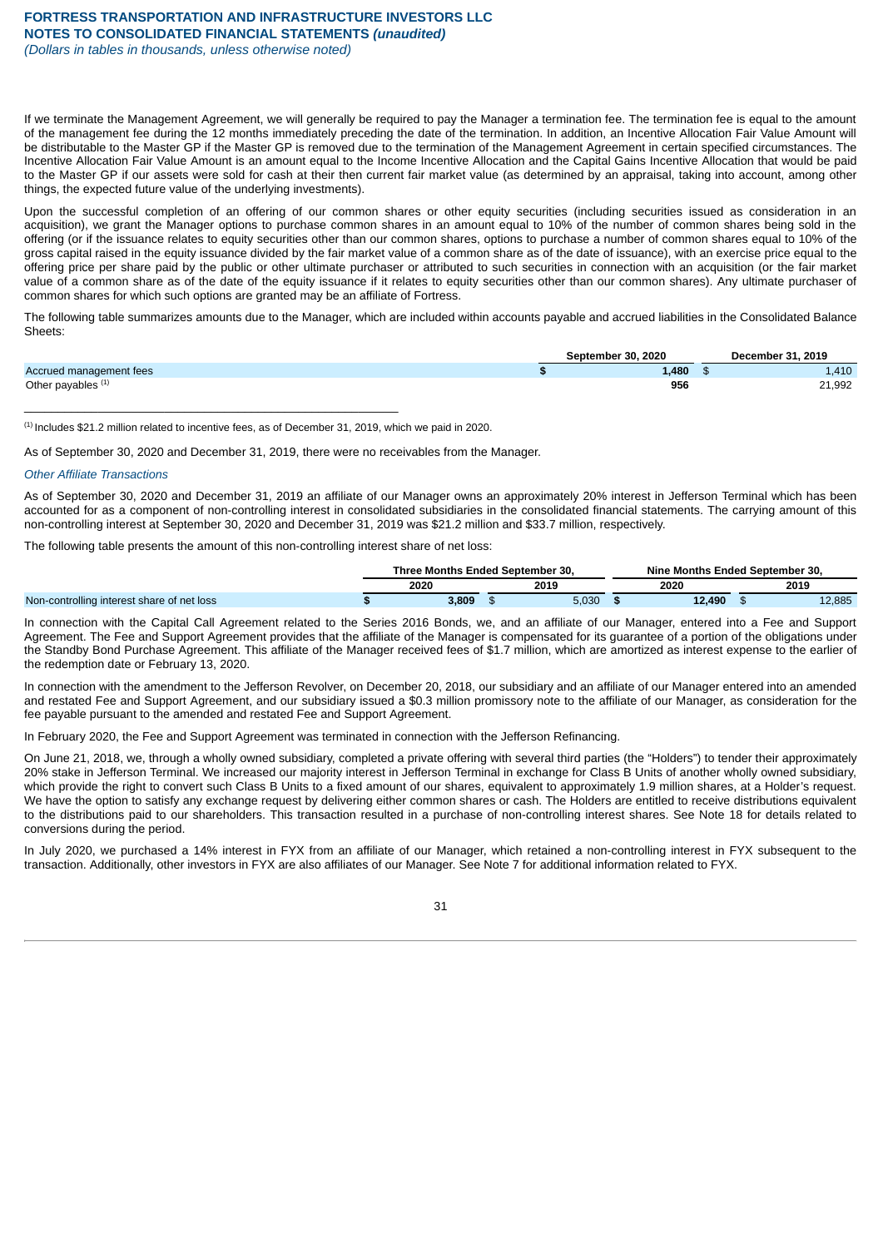If we terminate the Management Agreement, we will generally be required to pay the Manager a termination fee. The termination fee is equal to the amount of the management fee during the 12 months immediately preceding the date of the termination. In addition, an Incentive Allocation Fair Value Amount will be distributable to the Master GP if the Master GP is removed due to the termination of the Management Agreement in certain specified circumstances. The Incentive Allocation Fair Value Amount is an amount equal to the Income Incentive Allocation and the Capital Gains Incentive Allocation that would be paid to the Master GP if our assets were sold for cash at their then current fair market value (as determined by an appraisal, taking into account, among other things, the expected future value of the underlying investments).

Upon the successful completion of an offering of our common shares or other equity securities (including securities issued as consideration in an acquisition), we grant the Manager options to purchase common shares in an amount equal to 10% of the number of common shares being sold in the offering (or if the issuance relates to equity securities other than our common shares, options to purchase a number of common shares equal to 10% of the gross capital raised in the equity issuance divided by the fair market value of a common share as of the date of issuance), with an exercise price equal to the offering price per share paid by the public or other ultimate purchaser or attributed to such securities in connection with an acquisition (or the fair market value of a common share as of the date of the equity issuance if it relates to equity securities other than our common shares). Any ultimate purchaser of common shares for which such options are granted may be an affiliate of Fortress.

The following table summarizes amounts due to the Manager, which are included within accounts payable and accrued liabilities in the Consolidated Balance Sheets:

|                         | <b>September 30, 2020</b> | December 31, 2019 |
|-------------------------|---------------------------|-------------------|
| Accrued management fees | $\pm 480$                 | 4.410             |
| Other payables (1)      | 956                       | 21,992            |

 $<sup>(1)</sup>$  Includes \$21.2 million related to incentive fees, as of December 31, 2019, which we paid in 2020.</sup>

\_\_\_\_\_\_\_\_\_\_\_\_\_\_\_\_\_\_\_\_\_\_\_\_\_\_\_\_\_\_\_\_\_\_\_\_\_\_\_\_\_\_\_\_\_\_\_\_\_\_\_\_\_\_\_\_

As of September 30, 2020 and December 31, 2019, there were no receivables from the Manager.

#### *Other Affiliate Transactions*

As of September 30, 2020 and December 31, 2019 an affiliate of our Manager owns an approximately 20% interest in Jefferson Terminal which has been accounted for as a component of non-controlling interest in consolidated subsidiaries in the consolidated financial statements. The carrying amount of this non-controlling interest at September 30, 2020 and December 31, 2019 was \$21.2 million and \$33.7 million, respectively.

The following table presents the amount of this non-controlling interest share of net loss:

|                                            |      |       | Three Months Ended September 30. |       | Nine Months Ended September 30. |  |        |  |  |  |
|--------------------------------------------|------|-------|----------------------------------|-------|---------------------------------|--|--------|--|--|--|
|                                            | 2020 |       | 2019                             |       | 2020                            |  | 2019   |  |  |  |
| Non-controlling interest share of net loss |      | 3.809 |                                  | 5.030 | 12.490                          |  | 12,885 |  |  |  |

In connection with the Capital Call Agreement related to the Series 2016 Bonds, we, and an affiliate of our Manager, entered into a Fee and Support Agreement. The Fee and Support Agreement provides that the affiliate of the Manager is compensated for its guarantee of a portion of the obligations under the Standby Bond Purchase Agreement. This affiliate of the Manager received fees of \$1.7 million, which are amortized as interest expense to the earlier of the redemption date or February 13, 2020.

In connection with the amendment to the Jefferson Revolver, on December 20, 2018, our subsidiary and an affiliate of our Manager entered into an amended and restated Fee and Support Agreement, and our subsidiary issued a \$0.3 million promissory note to the affiliate of our Manager, as consideration for the fee payable pursuant to the amended and restated Fee and Support Agreement.

In February 2020, the Fee and Support Agreement was terminated in connection with the Jefferson Refinancing.

On June 21, 2018, we, through a wholly owned subsidiary, completed a private offering with several third parties (the "Holders") to tender their approximately 20% stake in Jefferson Terminal. We increased our majority interest in Jefferson Terminal in exchange for Class B Units of another wholly owned subsidiary, which provide the right to convert such Class B Units to a fixed amount of our shares, equivalent to approximately 1.9 million shares, at a Holder's request. We have the option to satisfy any exchange request by delivering either common shares or cash. The Holders are entitled to receive distributions equivalent to the distributions paid to our shareholders. This transaction resulted in a purchase of non-controlling interest shares. See Note 18 for details related to conversions during the period.

In July 2020, we purchased a 14% interest in FYX from an affiliate of our Manager, which retained a non-controlling interest in FYX subsequent to the transaction. Additionally, other investors in FYX are also affiliates of our Manager. See Note 7 for additional information related to FYX.

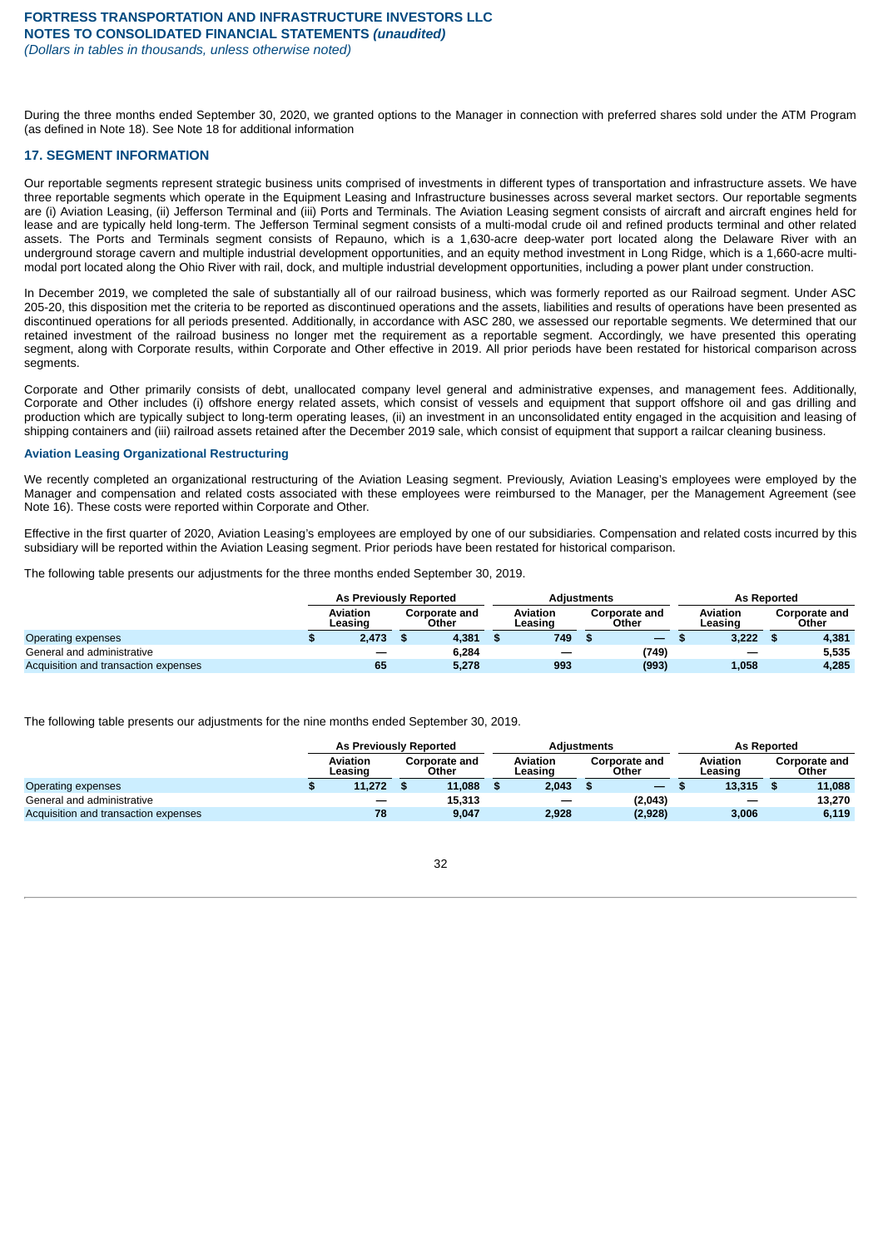During the three months ended September 30, 2020, we granted options to the Manager in connection with preferred shares sold under the ATM Program (as defined in Note 18). See Note 18 for additional information

### <span id="page-32-0"></span>**17. SEGMENT INFORMATION**

Our reportable segments represent strategic business units comprised of investments in different types of transportation and infrastructure assets. We have three reportable segments which operate in the Equipment Leasing and Infrastructure businesses across several market sectors. Our reportable segments are (i) Aviation Leasing, (ii) Jefferson Terminal and (iii) Ports and Terminals. The Aviation Leasing segment consists of aircraft and aircraft engines held for lease and are typically held long-term. The Jefferson Terminal segment consists of a multi-modal crude oil and refined products terminal and other related assets. The Ports and Terminals segment consists of Repauno, which is a 1,630-acre deep-water port located along the Delaware River with an underground storage cavern and multiple industrial development opportunities, and an equity method investment in Long Ridge, which is a 1,660-acre multimodal port located along the Ohio River with rail, dock, and multiple industrial development opportunities, including a power plant under construction.

In December 2019, we completed the sale of substantially all of our railroad business, which was formerly reported as our Railroad segment. Under ASC 205-20, this disposition met the criteria to be reported as discontinued operations and the assets, liabilities and results of operations have been presented as discontinued operations for all periods presented. Additionally, in accordance with ASC 280, we assessed our reportable segments. We determined that our retained investment of the railroad business no longer met the requirement as a reportable segment. Accordingly, we have presented this operating segment, along with Corporate results, within Corporate and Other effective in 2019. All prior periods have been restated for historical comparison across segments.

Corporate and Other primarily consists of debt, unallocated company level general and administrative expenses, and management fees. Additionally, Corporate and Other includes (i) offshore energy related assets, which consist of vessels and equipment that support offshore oil and gas drilling and production which are typically subject to long-term operating leases, (ii) an investment in an unconsolidated entity engaged in the acquisition and leasing of shipping containers and (iii) railroad assets retained after the December 2019 sale, which consist of equipment that support a railcar cleaning business.

### **Aviation Leasing Organizational Restructuring**

We recently completed an organizational restructuring of the Aviation Leasing segment. Previously, Aviation Leasing's employees were employed by the Manager and compensation and related costs associated with these employees were reimbursed to the Manager, per the Management Agreement (see Note 16). These costs were reported within Corporate and Other.

Effective in the first quarter of 2020, Aviation Leasing's employees are employed by one of our subsidiaries. Compensation and related costs incurred by this subsidiary will be reported within the Aviation Leasing segment. Prior periods have been restated for historical comparison.

The following table presents our adjustments for the three months ended September 30, 2019.

|                                      | <b>As Previously Reported</b> |                        | <b>Adiustments</b>  |     |                        | <b>As Reported</b>  |                               |  |
|--------------------------------------|-------------------------------|------------------------|---------------------|-----|------------------------|---------------------|-------------------------------|--|
|                                      | Aviation<br>Leasing           | Corporate and<br>Other | Aviation<br>Leasing |     | Corporate and<br>Other | Aviation<br>Leasing | <b>Corporate and</b><br>Other |  |
| Operating expenses                   | 2.473                         | 4.381                  | 749                 | $-$ |                        | 3,222               | 4,381                         |  |
| General and administrative           |                               | 6.284                  |                     |     | (749)                  | $\hspace{0.05cm}$   | 5,535                         |  |
| Acquisition and transaction expenses | 65                            | 5.278                  | 993                 |     | (993)                  | 1,058               | 4,285                         |  |

The following table presents our adjustments for the nine months ended September 30, 2019.

|                                      | <b>As Previously Reported</b> |                               | <b>Adiustments</b>  |                        | As Reported |                     |  |                        |  |
|--------------------------------------|-------------------------------|-------------------------------|---------------------|------------------------|-------------|---------------------|--|------------------------|--|
|                                      | Aviation<br>Leasing           | <b>Corporate and</b><br>Other | Aviation<br>Leasing | Corporate and<br>Other |             | Aviation<br>Leasing |  | Corporate and<br>Other |  |
| Operating expenses                   | 11.272                        | 11.088                        | 2.043               | $-$                    |             | 13.315              |  | 11.088                 |  |
| General and administrative           |                               | 15.313                        |                     | (2,043)                |             | —                   |  | 13,270                 |  |
| Acquisition and transaction expenses | 78                            | 9.047                         | 2,928               | (2,928)                |             | 3,006               |  | 6,119                  |  |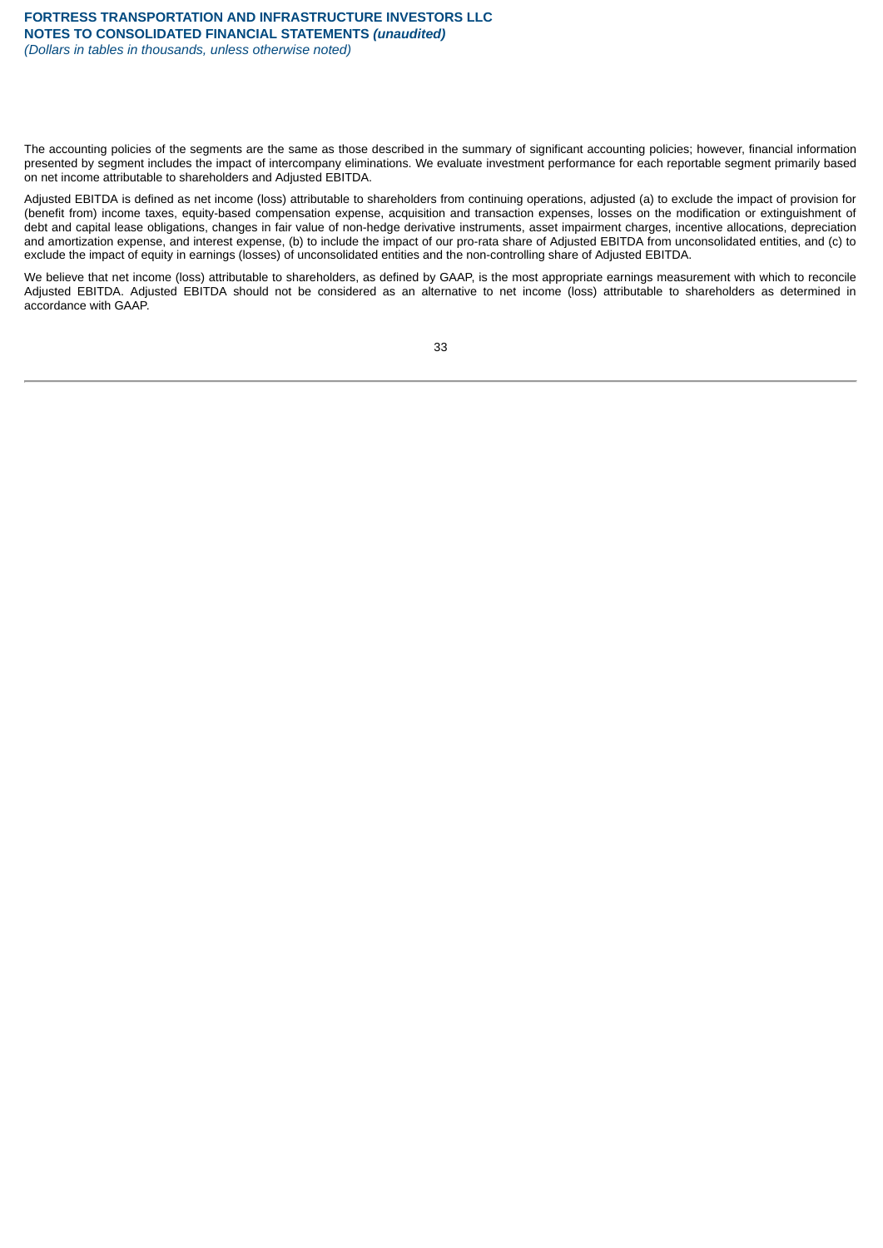The accounting policies of the segments are the same as those described in the summary of significant accounting policies; however, financial information presented by segment includes the impact of intercompany eliminations. We evaluate investment performance for each reportable segment primarily based on net income attributable to shareholders and Adjusted EBITDA.

Adjusted EBITDA is defined as net income (loss) attributable to shareholders from continuing operations, adjusted (a) to exclude the impact of provision for (benefit from) income taxes, equity-based compensation expense, acquisition and transaction expenses, losses on the modification or extinguishment of debt and capital lease obligations, changes in fair value of non-hedge derivative instruments, asset impairment charges, incentive allocations, depreciation and amortization expense, and interest expense, (b) to include the impact of our pro-rata share of Adjusted EBITDA from unconsolidated entities, and (c) to exclude the impact of equity in earnings (losses) of unconsolidated entities and the non-controlling share of Adjusted EBITDA.

We believe that net income (loss) attributable to shareholders, as defined by GAAP, is the most appropriate earnings measurement with which to reconcile Adjusted EBITDA. Adjusted EBITDA should not be considered as an alternative to net income (loss) attributable to shareholders as determined in accordance with GAAP.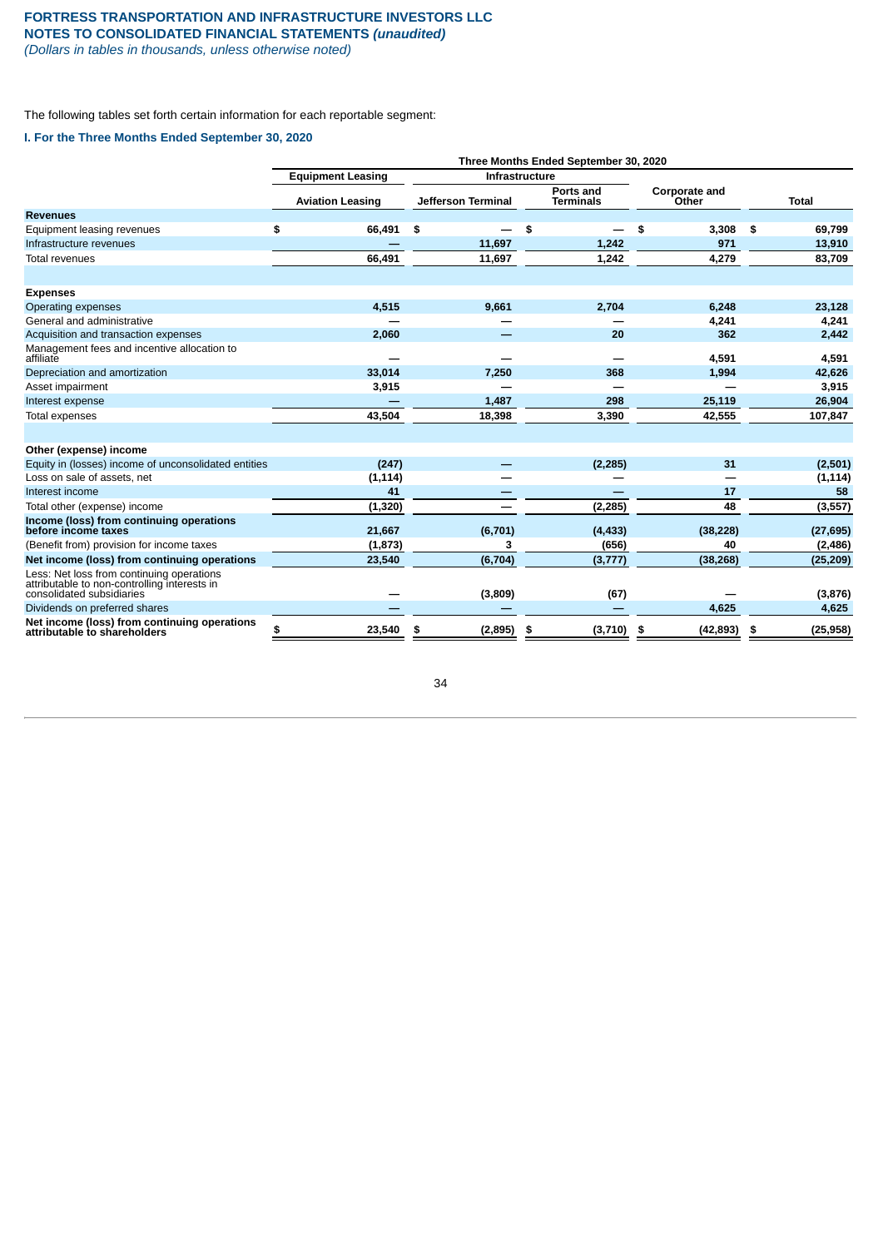*(Dollars in tables in thousands, unless otherwise noted)*

### The following tables set forth certain information for each reportable segment:

### **I. For the Three Months Ended September 30, 2020**

|                                                                                                                        | Three Months Ended September 30, 2020 |                    |                       |                      |                   |  |  |  |  |  |  |  |
|------------------------------------------------------------------------------------------------------------------------|---------------------------------------|--------------------|-----------------------|----------------------|-------------------|--|--|--|--|--|--|--|
|                                                                                                                        | <b>Equipment Leasing</b>              |                    | <b>Infrastructure</b> |                      |                   |  |  |  |  |  |  |  |
|                                                                                                                        |                                       |                    | Ports and             | <b>Corporate and</b> |                   |  |  |  |  |  |  |  |
|                                                                                                                        | <b>Aviation Leasing</b>               | Jefferson Terminal | <b>Terminals</b>      | Other                | <b>Total</b>      |  |  |  |  |  |  |  |
| <b>Revenues</b>                                                                                                        |                                       |                    |                       |                      |                   |  |  |  |  |  |  |  |
| Equipment leasing revenues                                                                                             | \$<br>66,491                          | \$<br>—            | \$<br>—               | \$<br>3,308          | - \$<br>69,799    |  |  |  |  |  |  |  |
| Infrastructure revenues                                                                                                |                                       | 11,697             | 1,242                 | 971                  | 13,910            |  |  |  |  |  |  |  |
| Total revenues                                                                                                         | 66,491                                | 11,697             | 1,242                 | 4,279                | 83,709            |  |  |  |  |  |  |  |
|                                                                                                                        |                                       |                    |                       |                      |                   |  |  |  |  |  |  |  |
| <b>Expenses</b>                                                                                                        |                                       |                    |                       |                      |                   |  |  |  |  |  |  |  |
| Operating expenses                                                                                                     | 4,515                                 | 9,661              | 2,704                 | 6,248                | 23,128            |  |  |  |  |  |  |  |
| General and administrative                                                                                             |                                       |                    |                       | 4,241                | 4,241             |  |  |  |  |  |  |  |
| Acquisition and transaction expenses                                                                                   | 2,060                                 |                    | 20                    | 362                  | 2,442             |  |  |  |  |  |  |  |
| Management fees and incentive allocation to<br>affiliate                                                               |                                       |                    |                       | 4,591                | 4,591             |  |  |  |  |  |  |  |
| Depreciation and amortization                                                                                          | 33,014                                | 7,250              | 368                   | 1,994                | 42,626            |  |  |  |  |  |  |  |
| Asset impairment                                                                                                       | 3,915                                 |                    |                       |                      | 3,915             |  |  |  |  |  |  |  |
| Interest expense                                                                                                       |                                       | 1,487              | 298                   | 25,119               | 26,904            |  |  |  |  |  |  |  |
| <b>Total expenses</b>                                                                                                  | 43,504                                | 18,398             | 3,390                 | 42,555               | 107,847           |  |  |  |  |  |  |  |
|                                                                                                                        |                                       |                    |                       |                      |                   |  |  |  |  |  |  |  |
| Other (expense) income                                                                                                 |                                       |                    |                       |                      |                   |  |  |  |  |  |  |  |
| Equity in (losses) income of unconsolidated entities                                                                   | (247)                                 |                    | (2, 285)              | 31                   | (2,501)           |  |  |  |  |  |  |  |
| Loss on sale of assets, net                                                                                            | (1, 114)                              |                    |                       |                      | (1, 114)          |  |  |  |  |  |  |  |
| Interest income                                                                                                        | 41                                    |                    |                       | 17                   | 58                |  |  |  |  |  |  |  |
| Total other (expense) income                                                                                           | (1, 320)                              |                    | (2, 285)              | 48                   | (3, 557)          |  |  |  |  |  |  |  |
| Income (loss) from continuing operations<br>before income taxes                                                        | 21,667                                | (6,701)            | (4, 433)              | (38, 228)            | (27, 695)         |  |  |  |  |  |  |  |
| (Benefit from) provision for income taxes                                                                              | (1, 873)                              | 3                  | (656)                 | 40                   | (2, 486)          |  |  |  |  |  |  |  |
| Net income (loss) from continuing operations                                                                           | 23,540                                | (6,704)            | (3, 777)              | (38, 268)            | (25, 209)         |  |  |  |  |  |  |  |
| Less: Net loss from continuing operations<br>attributable to non-controlling interests in<br>consolidated subsidiaries |                                       | (3,809)            | (67)                  |                      | (3,876)           |  |  |  |  |  |  |  |
| Dividends on preferred shares                                                                                          |                                       |                    |                       | 4,625                | 4,625             |  |  |  |  |  |  |  |
| Net income (loss) from continuing operations                                                                           |                                       |                    |                       |                      |                   |  |  |  |  |  |  |  |
| attributable to shareholders                                                                                           | \$<br>23,540                          | (2, 895)<br>\$     | (3,710)<br>\$         | (42, 893)<br>-\$     | (25, 958)<br>- \$ |  |  |  |  |  |  |  |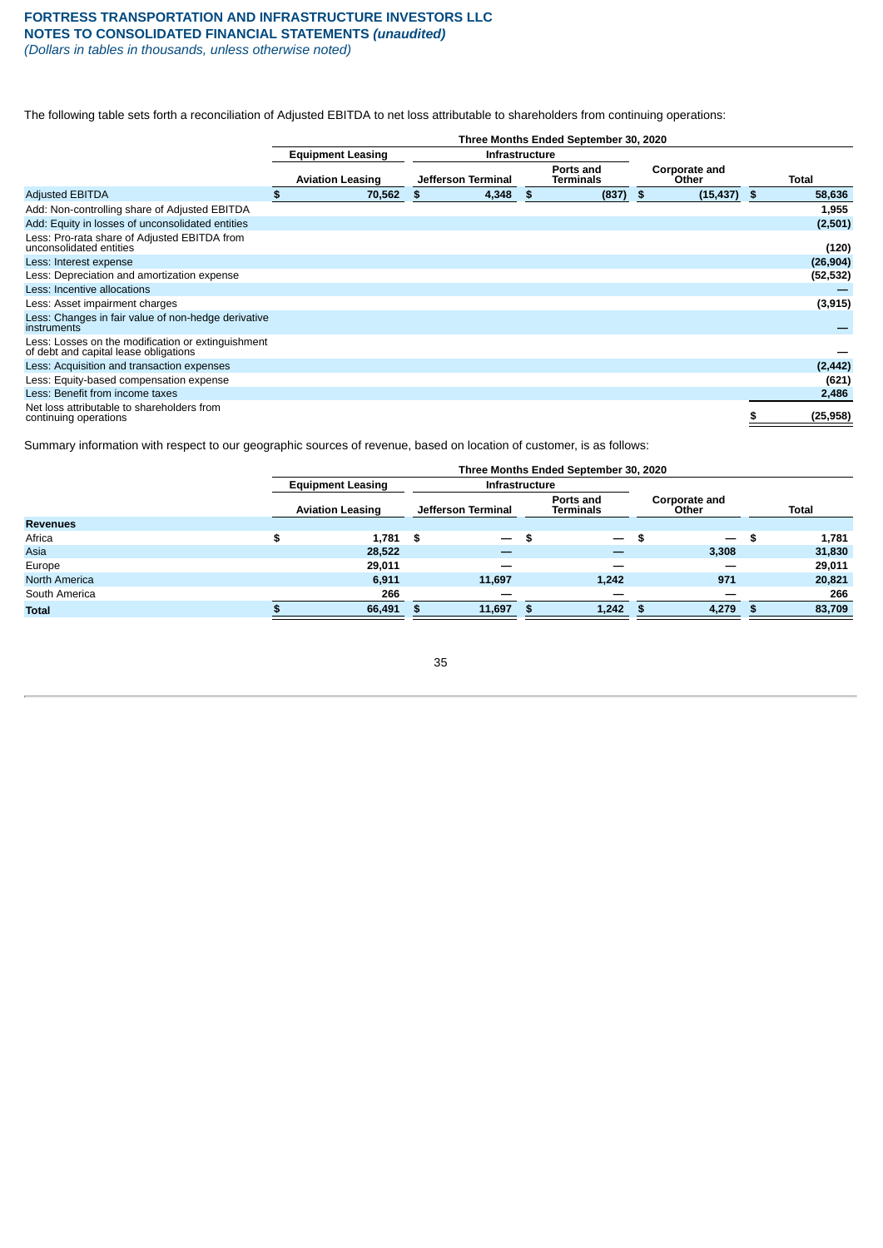The following table sets forth a reconciliation of Adjusted EBITDA to net loss attributable to shareholders from continuing operations:

|                                                                                             |   |                          |    |                       |      | Three Months Ended September 30, 2020 |      |                        |              |
|---------------------------------------------------------------------------------------------|---|--------------------------|----|-----------------------|------|---------------------------------------|------|------------------------|--------------|
|                                                                                             |   | <b>Equipment Leasing</b> |    | <b>Infrastructure</b> |      |                                       |      |                        |              |
|                                                                                             |   | <b>Aviation Leasing</b>  |    | Jefferson Terminal    |      | Ports and<br>Terminals                |      | Corporate and<br>Other | <b>Total</b> |
| <b>Adjusted EBITDA</b>                                                                      | S | 70,562                   | S. | 4,348                 | - \$ | (837)                                 | - \$ | $(15, 437)$ \$         | 58,636       |
| Add: Non-controlling share of Adjusted EBITDA                                               |   |                          |    |                       |      |                                       |      |                        | 1,955        |
| Add: Equity in losses of unconsolidated entities                                            |   |                          |    |                       |      |                                       |      |                        | (2,501)      |
| Less: Pro-rata share of Adjusted EBITDA from<br>unconsolidated entities                     |   |                          |    |                       |      |                                       |      |                        | (120)        |
| Less: Interest expense                                                                      |   |                          |    |                       |      |                                       |      |                        | (26, 904)    |
| Less: Depreciation and amortization expense                                                 |   |                          |    |                       |      |                                       |      |                        | (52, 532)    |
| Less: Incentive allocations                                                                 |   |                          |    |                       |      |                                       |      |                        |              |
| Less: Asset impairment charges                                                              |   |                          |    |                       |      |                                       |      |                        | (3, 915)     |
| Less: Changes in fair value of non-hedge derivative<br>instruments                          |   |                          |    |                       |      |                                       |      |                        |              |
| Less: Losses on the modification or extinguishment<br>of debt and capital lease obligations |   |                          |    |                       |      |                                       |      |                        |              |
| Less: Acquisition and transaction expenses                                                  |   |                          |    |                       |      |                                       |      |                        | (2, 442)     |
| Less: Equity-based compensation expense                                                     |   |                          |    |                       |      |                                       |      |                        | (621)        |
| Less: Benefit from income taxes                                                             |   |                          |    |                       |      |                                       |      |                        | 2,486        |
| Net loss attributable to shareholders from<br>continuing operations                         |   |                          |    |                       |      |                                       |      |                        | (25, 958)    |

Summary information with respect to our geographic sources of revenue, based on location of customer, is as follows:

|                      |                          |                                      | Three Months Ended September 30, 2020 |                           |              |  |  |  |  |  |  |
|----------------------|--------------------------|--------------------------------------|---------------------------------------|---------------------------|--------------|--|--|--|--|--|--|
|                      | <b>Equipment Leasing</b> | <b>Infrastructure</b>                |                                       |                           |              |  |  |  |  |  |  |
|                      | <b>Aviation Leasing</b>  | Jefferson Terminal                   | Ports and<br>Terminals                | Corporate and<br>Other    | <b>Total</b> |  |  |  |  |  |  |
| <b>Revenues</b>      |                          |                                      |                                       |                           |              |  |  |  |  |  |  |
| Africa               | ÷<br>1,781               | \$<br>$\qquad \qquad \longleftarrow$ | $\qquad \qquad \longleftarrow$        | - \$<br>$\hspace{0.05cm}$ | 1,781<br>\$  |  |  |  |  |  |  |
| Asia                 | 28,522                   | $\overline{\phantom{a}}$             |                                       | 3,308                     | 31,830       |  |  |  |  |  |  |
| Europe               | 29.011                   |                                      |                                       |                           | 29,011       |  |  |  |  |  |  |
| <b>North America</b> | 6,911                    | 11,697                               | 1,242                                 | 971                       | 20,821       |  |  |  |  |  |  |
| South America        | 266                      | –                                    |                                       |                           | 266          |  |  |  |  |  |  |
| <b>Total</b>         | 66,491                   | 11,697<br>S                          | 1,242                                 | 4,279                     | 83,709       |  |  |  |  |  |  |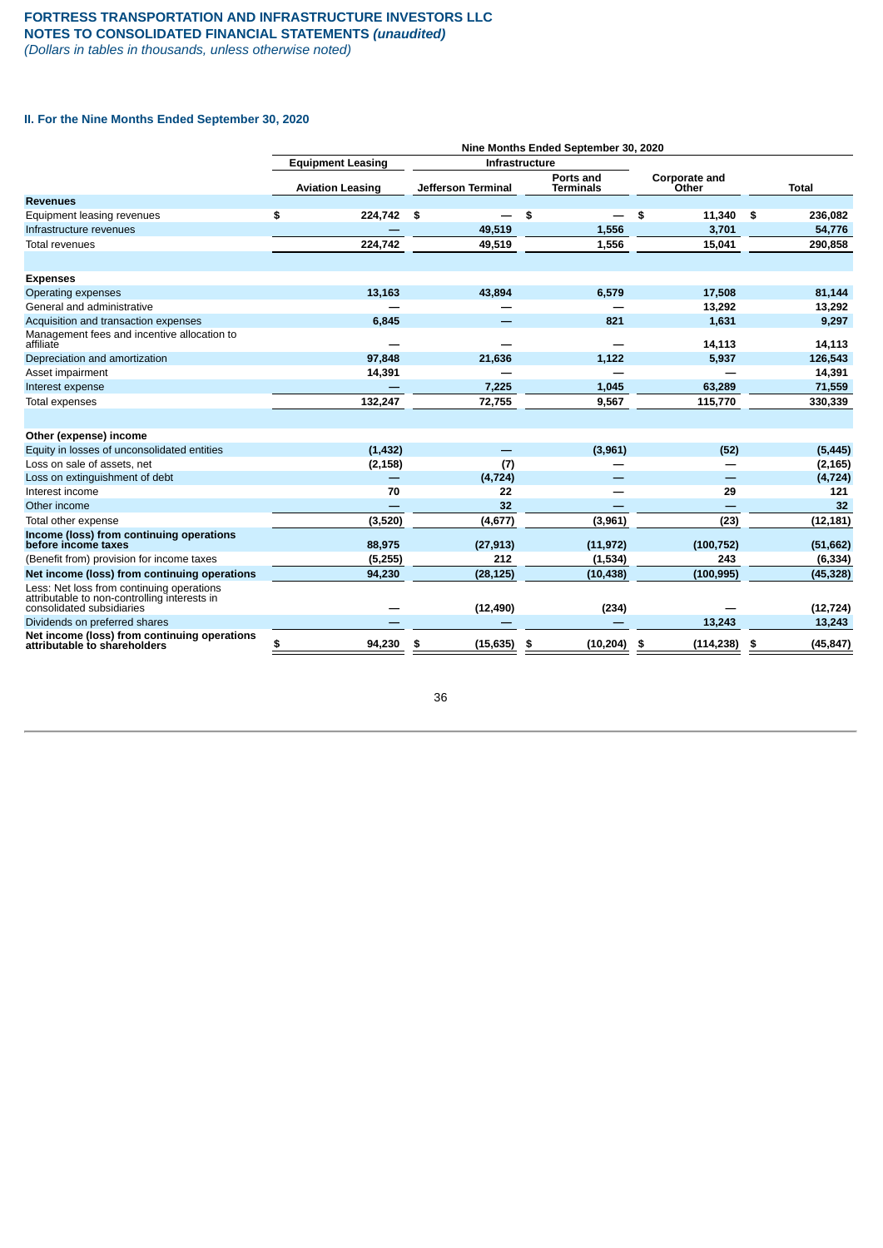# **FORTRESS TRANSPORTATION AND INFRASTRUCTURE INVESTORS LLC NOTES TO CONSOLIDATED FINANCIAL STATEMENTS** *(unaudited)*

*(Dollars in tables in thousands, unless otherwise noted)*

# **II. For the Nine Months Ended September 30, 2020**

|                                                                                                                        |                          |                           | Nine Months Ended September 30, 2020 |                        |                 |
|------------------------------------------------------------------------------------------------------------------------|--------------------------|---------------------------|--------------------------------------|------------------------|-----------------|
|                                                                                                                        | <b>Equipment Leasing</b> |                           | <b>Infrastructure</b>                |                        |                 |
|                                                                                                                        | <b>Aviation Leasing</b>  | <b>Jefferson Terminal</b> | Ports and<br><b>Terminals</b>        | Corporate and<br>Other | <b>Total</b>    |
| <b>Revenues</b>                                                                                                        |                          |                           |                                      |                        |                 |
| Equipment leasing revenues                                                                                             | \$<br>224,742            | \$                        | \$                                   | \$<br>11,340           | - \$<br>236,082 |
| Infrastructure revenues                                                                                                |                          | 49,519                    | 1,556                                | 3,701                  | 54,776          |
| <b>Total revenues</b>                                                                                                  | 224,742                  | 49,519                    | 1,556                                | 15,041                 | 290,858         |
| <b>Expenses</b>                                                                                                        |                          |                           |                                      |                        |                 |
| Operating expenses                                                                                                     | 13,163                   | 43,894                    | 6,579                                | 17,508                 | 81,144          |
| General and administrative                                                                                             |                          |                           |                                      | 13,292                 | 13,292          |
| Acquisition and transaction expenses                                                                                   | 6,845                    |                           | 821                                  | 1,631                  | 9,297           |
| Management fees and incentive allocation to<br>affiliate                                                               |                          |                           |                                      | 14,113                 | 14,113          |
| Depreciation and amortization                                                                                          | 97,848                   | 21,636                    | 1,122                                | 5,937                  | 126,543         |
| Asset impairment                                                                                                       | 14,391                   |                           |                                      |                        | 14,391          |
| Interest expense                                                                                                       |                          | 7,225                     | 1,045                                | 63,289                 | 71,559          |
| <b>Total expenses</b>                                                                                                  | 132,247                  | 72,755                    | 9,567                                | 115,770                | 330,339         |
|                                                                                                                        |                          |                           |                                      |                        |                 |
| Other (expense) income                                                                                                 |                          |                           |                                      |                        |                 |
| Equity in losses of unconsolidated entities                                                                            | (1, 432)                 |                           | (3,961)                              | (52)                   | (5, 445)        |
| Loss on sale of assets, net                                                                                            | (2, 158)                 | (7)                       |                                      |                        | (2, 165)        |
| Loss on extinguishment of debt                                                                                         |                          | (4, 724)                  |                                      |                        | (4, 724)        |
| Interest income                                                                                                        | 70                       | 22                        |                                      | 29                     | 121             |
| Other income                                                                                                           |                          | 32                        |                                      |                        | 32              |
| Total other expense                                                                                                    | (3,520)                  | (4, 677)                  | (3,961)                              | (23)                   | (12, 181)       |
| Income (loss) from continuing operations<br>before income taxes                                                        | 88,975                   | (27, 913)                 | (11, 972)                            | (100, 752)             | (51,662)        |
| (Benefit from) provision for income taxes                                                                              | (5, 255)                 | 212                       | (1,534)                              | 243                    | (6, 334)        |
| Net income (loss) from continuing operations                                                                           | 94,230                   | (28, 125)                 | (10, 438)                            | (100, 995)             | (45, 328)       |
| Less: Net loss from continuing operations<br>attributable to non-controlling interests in<br>consolidated subsidiaries |                          | (12, 490)                 | (234)                                |                        | (12, 724)       |
| Dividends on preferred shares                                                                                          |                          |                           |                                      | 13,243                 | 13,243          |
| Net income (loss) from continuing operations<br>attributable to shareholders                                           | 94,230<br>\$             | (15, 635)<br>\$           | (10, 204)<br>\$                      | (114, 238)<br>\$       | (45, 847)<br>\$ |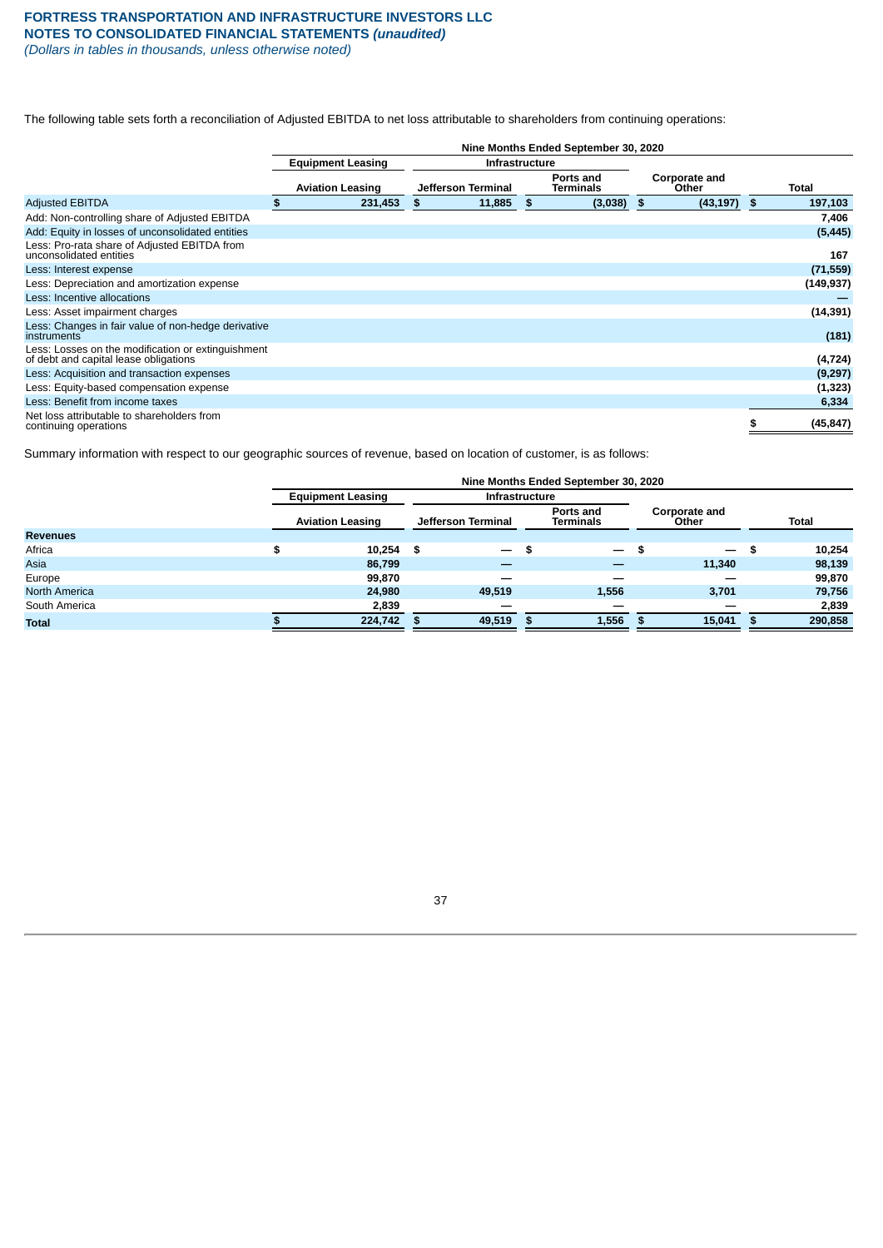The following table sets forth a reconciliation of Adjusted EBITDA to net loss attributable to shareholders from continuing operations:

|                                                                                             | Nine Months Ended September 30, 2020 |                          |    |                       |      |                        |      |                        |  |            |
|---------------------------------------------------------------------------------------------|--------------------------------------|--------------------------|----|-----------------------|------|------------------------|------|------------------------|--|------------|
|                                                                                             |                                      | <b>Equipment Leasing</b> |    | <b>Infrastructure</b> |      |                        |      |                        |  |            |
|                                                                                             |                                      | <b>Aviation Leasing</b>  |    | Jefferson Terminal    |      | Ports and<br>Terminals |      | Corporate and<br>Other |  | Total      |
| <b>Adjusted EBITDA</b>                                                                      | S.                                   | 231,453                  | \$ | 11,885                | - \$ | (3,038)                | - \$ | $(43, 197)$ \$         |  | 197,103    |
| Add: Non-controlling share of Adjusted EBITDA                                               |                                      |                          |    |                       |      |                        |      |                        |  | 7,406      |
| Add: Equity in losses of unconsolidated entities                                            |                                      |                          |    |                       |      |                        |      |                        |  | (5, 445)   |
| Less: Pro-rata share of Adjusted EBITDA from<br>unconsolidated entities                     |                                      |                          |    |                       |      |                        |      |                        |  | 167        |
| Less: Interest expense                                                                      |                                      |                          |    |                       |      |                        |      |                        |  | (71, 559)  |
| Less: Depreciation and amortization expense                                                 |                                      |                          |    |                       |      |                        |      |                        |  | (149, 937) |
| Less: Incentive allocations                                                                 |                                      |                          |    |                       |      |                        |      |                        |  |            |
| Less: Asset impairment charges                                                              |                                      |                          |    |                       |      |                        |      |                        |  | (14, 391)  |
| Less: Changes in fair value of non-hedge derivative<br>instruments                          |                                      |                          |    |                       |      |                        |      |                        |  | (181)      |
| Less: Losses on the modification or extinguishment<br>of debt and capital lease obligations |                                      |                          |    |                       |      |                        |      |                        |  | (4, 724)   |
| Less: Acquisition and transaction expenses                                                  |                                      |                          |    |                       |      |                        |      |                        |  | (9,297)    |
| Less: Equity-based compensation expense                                                     |                                      |                          |    |                       |      |                        |      |                        |  | (1, 323)   |
| Less: Benefit from income taxes                                                             |                                      |                          |    |                       |      |                        |      |                        |  | 6,334      |
| Net loss attributable to shareholders from<br>continuing operations                         |                                      |                          |    |                       |      |                        |      |                        |  | (45, 847)  |

Summary information with respect to our geographic sources of revenue, based on location of customer, is as follows:

|                      | Nine Months Ended September 30, 2020 |                                  |                                |                                  |                |  |  |  |  |  |
|----------------------|--------------------------------------|----------------------------------|--------------------------------|----------------------------------|----------------|--|--|--|--|--|
|                      | <b>Equipment Leasing</b>             |                                  | <b>Infrastructure</b>          |                                  |                |  |  |  |  |  |
|                      | <b>Aviation Leasing</b>              | Jefferson Terminal               | Ports and<br>Terminals         | Corporate and<br>Other           | <b>Total</b>   |  |  |  |  |  |
| <b>Revenues</b>      |                                      |                                  |                                |                                  |                |  |  |  |  |  |
| Africa               | 10.254<br>c.                         | - \$<br>$\overline{\phantom{a}}$ | \$<br>$\overline{\phantom{m}}$ | - \$<br>$\overline{\phantom{0}}$ | 10,254<br>- \$ |  |  |  |  |  |
| Asia                 | 86,799                               | _                                |                                | 11,340                           | 98,139         |  |  |  |  |  |
| Europe               | 99.870                               | —                                |                                |                                  | 99,870         |  |  |  |  |  |
| <b>North America</b> | 24.980                               | 49.519                           | 1,556                          | 3,701                            | 79,756         |  |  |  |  |  |
| South America        | 2,839                                |                                  |                                |                                  | 2,839          |  |  |  |  |  |
| <b>Total</b>         | 224,742                              | 49,519<br>S                      | 1,556<br>- \$                  | 15,041<br>- \$                   | 290,858        |  |  |  |  |  |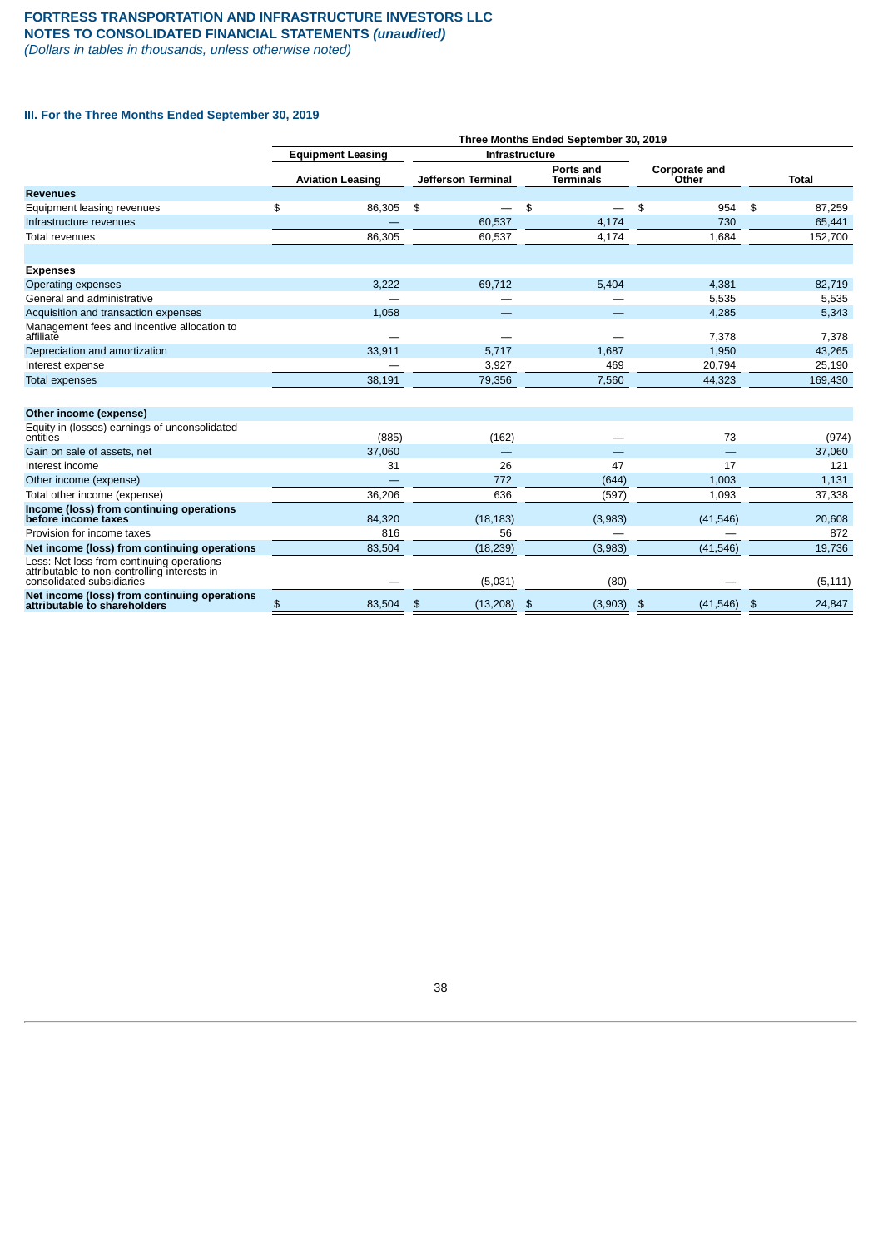# **FORTRESS TRANSPORTATION AND INFRASTRUCTURE INVESTORS LLC NOTES TO CONSOLIDATED FINANCIAL STATEMENTS** *(unaudited)*

*(Dollars in tables in thousands, unless otherwise noted)*

# **III. For the Three Months Ended September 30, 2019**

|                                                                                                                        |                          |                           | Three Months Ended September 30, 2019 |                               |                |
|------------------------------------------------------------------------------------------------------------------------|--------------------------|---------------------------|---------------------------------------|-------------------------------|----------------|
|                                                                                                                        | <b>Equipment Leasing</b> |                           | <b>Infrastructure</b>                 |                               |                |
|                                                                                                                        | <b>Aviation Leasing</b>  | <b>Jefferson Terminal</b> | Ports and<br><b>Terminals</b>         | <b>Corporate and</b><br>Other | <b>Total</b>   |
| <b>Revenues</b>                                                                                                        |                          |                           |                                       |                               |                |
| Equipment leasing revenues                                                                                             | \$<br>86,305             | \$                        | \$<br>—                               | 954<br>\$                     | 87,259<br>\$   |
| Infrastructure revenues                                                                                                |                          | 60,537                    | 4,174                                 | 730                           | 65,441         |
| Total revenues                                                                                                         | 86,305                   | 60,537                    | 4,174                                 | 1,684                         | 152,700        |
| <b>Expenses</b>                                                                                                        |                          |                           |                                       |                               |                |
| Operating expenses                                                                                                     | 3,222                    | 69,712                    | 5,404                                 | 4,381                         | 82,719         |
| General and administrative                                                                                             |                          |                           |                                       | 5,535                         | 5,535          |
| Acquisition and transaction expenses                                                                                   | 1,058                    |                           |                                       | 4,285                         | 5,343          |
| Management fees and incentive allocation to<br>affiliate                                                               |                          |                           |                                       | 7,378                         | 7,378          |
| Depreciation and amortization                                                                                          | 33,911                   | 5,717                     | 1,687                                 | 1,950                         | 43,265         |
| Interest expense                                                                                                       |                          | 3,927                     | 469                                   | 20,794                        | 25,190         |
| <b>Total expenses</b>                                                                                                  | 38,191                   | 79,356                    | 7,560                                 | 44,323                        | 169,430        |
| Other income (expense)                                                                                                 |                          |                           |                                       |                               |                |
| Equity in (losses) earnings of unconsolidated<br>entities                                                              | (885)                    | (162)                     |                                       | 73                            | (974)          |
| Gain on sale of assets, net                                                                                            | 37,060                   |                           |                                       |                               | 37,060         |
| Interest income                                                                                                        | 31                       | 26                        | 47                                    | 17                            | 121            |
| Other income (expense)                                                                                                 |                          | 772                       | (644)                                 | 1,003                         | 1,131          |
| Total other income (expense)                                                                                           | 36.206                   | 636                       | (597)                                 | 1,093                         | 37,338         |
| Income (loss) from continuing operations<br>before income taxes                                                        | 84,320                   | (18, 183)                 | (3,983)                               | (41, 546)                     | 20,608         |
| Provision for income taxes                                                                                             | 816                      | 56                        |                                       |                               | 872            |
| Net income (loss) from continuing operations                                                                           | 83,504                   | (18, 239)                 | (3,983)                               | (41, 546)                     | 19,736         |
| Less: Net loss from continuing operations<br>attributable to non-controlling interests in<br>consolidated subsidiaries |                          | (5,031)                   | (80)                                  |                               | (5, 111)       |
| Net income (loss) from continuing operations<br>attributable to shareholders                                           | 83,504<br>\$             | (13,208)<br>\$            | (3,903)<br>$\frac{1}{2}$              | (41, 546)<br>$\frac{3}{2}$    | 24,847<br>- \$ |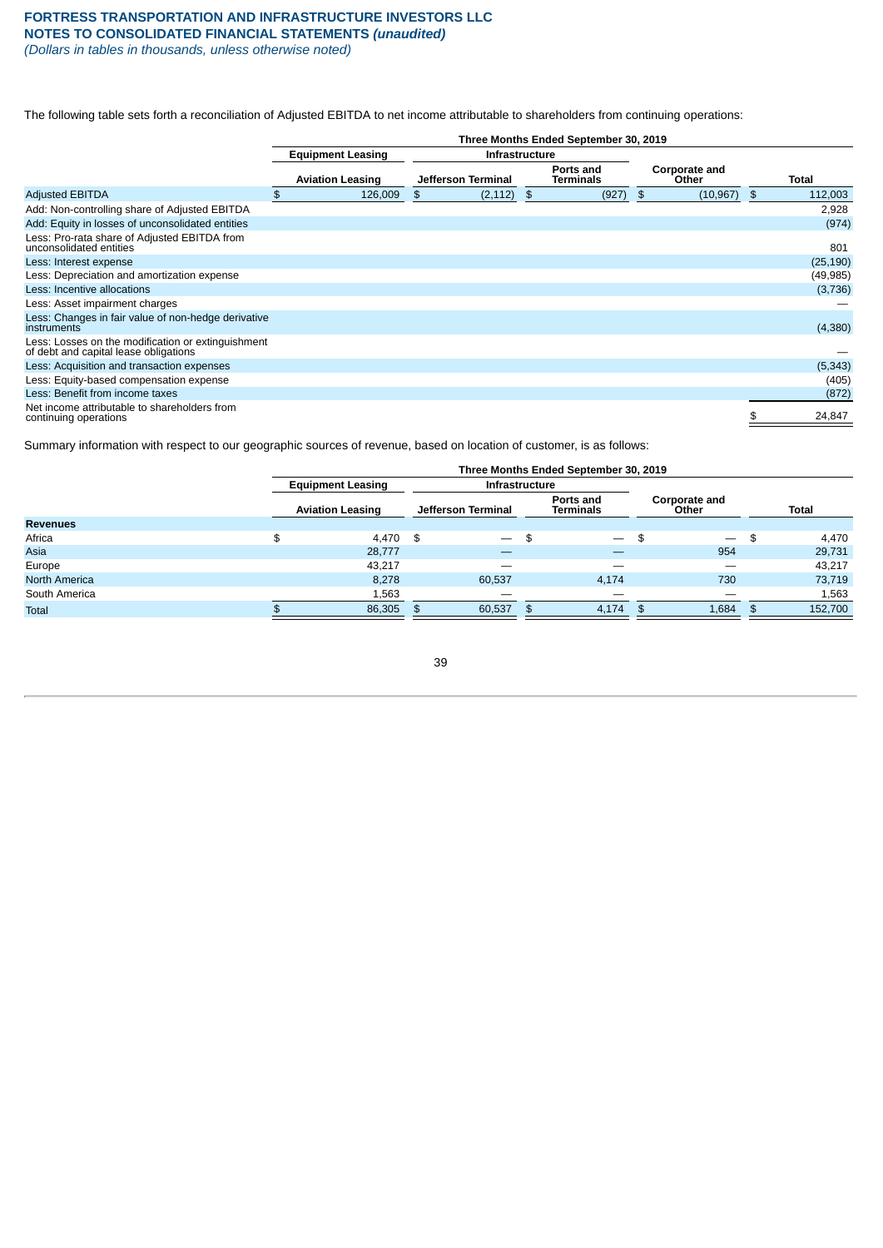The following table sets forth a reconciliation of Adjusted EBITDA to net income attributable to shareholders from continuing operations:

|                                                                                             | Three Months Ended September 30, 2019 |                          |    |                       |    |                        |    |                        |               |              |
|---------------------------------------------------------------------------------------------|---------------------------------------|--------------------------|----|-----------------------|----|------------------------|----|------------------------|---------------|--------------|
|                                                                                             |                                       | <b>Equipment Leasing</b> |    | <b>Infrastructure</b> |    |                        |    |                        |               |              |
|                                                                                             |                                       | <b>Aviation Leasing</b>  |    | Jefferson Terminal    |    | Ports and<br>Terminals |    | Corporate and<br>Other |               | <b>Total</b> |
| <b>Adjusted EBITDA</b>                                                                      | \$                                    | 126,009                  | \$ | (2, 112)              | \$ | (927)                  | \$ | (10, 967)              | $\mathfrak s$ | 112,003      |
| Add: Non-controlling share of Adjusted EBITDA                                               |                                       |                          |    |                       |    |                        |    |                        |               | 2,928        |
| Add: Equity in losses of unconsolidated entities                                            |                                       |                          |    |                       |    |                        |    |                        |               | (974)        |
| Less: Pro-rata share of Adjusted EBITDA from<br>unconsolidated entities                     |                                       |                          |    |                       |    |                        |    |                        |               | 801          |
| Less: Interest expense                                                                      |                                       |                          |    |                       |    |                        |    |                        |               | (25, 190)    |
| Less: Depreciation and amortization expense                                                 |                                       |                          |    |                       |    |                        |    |                        |               | (49, 985)    |
| Less: Incentive allocations                                                                 |                                       |                          |    |                       |    |                        |    |                        |               | (3,736)      |
| Less: Asset impairment charges                                                              |                                       |                          |    |                       |    |                        |    |                        |               |              |
| Less: Changes in fair value of non-hedge derivative<br><i>instruments</i>                   |                                       |                          |    |                       |    |                        |    |                        |               | (4,380)      |
| Less: Losses on the modification or extinguishment<br>of debt and capital lease obligations |                                       |                          |    |                       |    |                        |    |                        |               |              |
| Less: Acquisition and transaction expenses                                                  |                                       |                          |    |                       |    |                        |    |                        |               | (5, 343)     |
| Less: Equity-based compensation expense                                                     |                                       |                          |    |                       |    |                        |    |                        |               | (405)        |
| Less: Benefit from income taxes                                                             |                                       |                          |    |                       |    |                        |    |                        |               | (872)        |
| Net income attributable to shareholders from<br>continuing operations                       |                                       |                          |    |                       |    |                        |    |                        |               | 24,847       |

Summary information with respect to our geographic sources of revenue, based on location of customer, is as follows:

|                      |                          | Three Months Ended September 30, 2019 |                                |                        |                 |  |  |  |  |  |  |
|----------------------|--------------------------|---------------------------------------|--------------------------------|------------------------|-----------------|--|--|--|--|--|--|
|                      | <b>Equipment Leasing</b> |                                       | <b>Infrastructure</b>          |                        |                 |  |  |  |  |  |  |
|                      | <b>Aviation Leasing</b>  | Jefferson Terminal                    | Ports and<br><b>Terminals</b>  | Corporate and<br>Other | <b>Total</b>    |  |  |  |  |  |  |
| <b>Revenues</b>      |                          |                                       |                                |                        |                 |  |  |  |  |  |  |
| Africa               | \$<br>4.470              | \$<br>$\overline{\phantom{0}}$        | \$<br>$\overline{\phantom{0}}$ | \$                     | 4,470<br>-\$    |  |  |  |  |  |  |
| Asia                 | 28,777                   |                                       |                                | 954                    | 29,731          |  |  |  |  |  |  |
| Europe               | 43.217                   |                                       |                                |                        | 43,217          |  |  |  |  |  |  |
| <b>North America</b> | 8,278                    | 60,537                                | 4,174                          | 730                    | 73,719          |  |  |  |  |  |  |
| South America        | 1,563                    | _                                     | _                              |                        | 1,563           |  |  |  |  |  |  |
| Total                | 86,305                   | 60,537<br>\$.                         | 4,174<br>\$.                   | 1,684<br>- \$          | 152,700<br>- SS |  |  |  |  |  |  |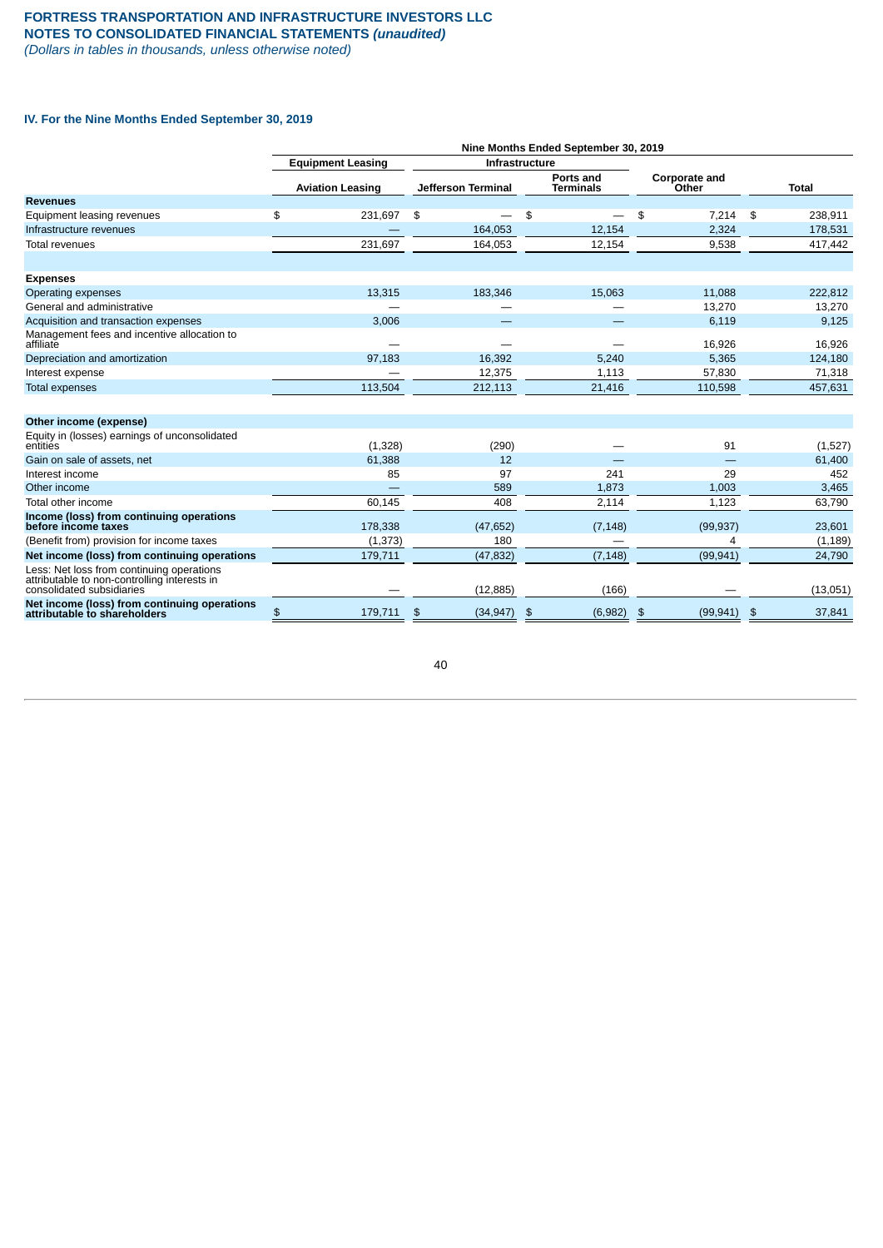# **FORTRESS TRANSPORTATION AND INFRASTRUCTURE INVESTORS LLC NOTES TO CONSOLIDATED FINANCIAL STATEMENTS** *(unaudited)*

*(Dollars in tables in thousands, unless otherwise noted)*

# **IV. For the Nine Months Ended September 30, 2019**

|                                                                                                                        | Nine Months Ended September 30, 2019 |                           |                               |                            |                         |  |  |  |  |
|------------------------------------------------------------------------------------------------------------------------|--------------------------------------|---------------------------|-------------------------------|----------------------------|-------------------------|--|--|--|--|
|                                                                                                                        | <b>Equipment Leasing</b>             |                           | <b>Infrastructure</b>         |                            |                         |  |  |  |  |
|                                                                                                                        | <b>Aviation Leasing</b>              | <b>Jefferson Terminal</b> | Ports and<br><b>Terminals</b> | Corporate and<br>Other     | <b>Total</b>            |  |  |  |  |
| <b>Revenues</b>                                                                                                        |                                      |                           |                               |                            |                         |  |  |  |  |
| Equipment leasing revenues                                                                                             | \$<br>231,697                        | \$                        | \$                            | 7,214<br>\$                | 238,911<br>\$           |  |  |  |  |
| Infrastructure revenues                                                                                                |                                      | 164,053                   | 12,154                        | 2,324                      | 178,531                 |  |  |  |  |
| Total revenues                                                                                                         | 231,697                              | 164,053                   | 12,154                        | 9,538                      | 417,442                 |  |  |  |  |
| <b>Expenses</b>                                                                                                        |                                      |                           |                               |                            |                         |  |  |  |  |
| Operating expenses                                                                                                     | 13,315                               | 183,346                   | 15,063                        | 11,088                     | 222,812                 |  |  |  |  |
| General and administrative                                                                                             |                                      |                           |                               | 13,270                     | 13,270                  |  |  |  |  |
| Acquisition and transaction expenses                                                                                   | 3,006                                |                           |                               | 6,119                      | 9,125                   |  |  |  |  |
| Management fees and incentive allocation to<br>affiliate                                                               |                                      |                           |                               | 16,926                     | 16,926                  |  |  |  |  |
| Depreciation and amortization                                                                                          | 97,183                               | 16,392                    | 5,240                         | 5,365                      | 124,180                 |  |  |  |  |
| Interest expense                                                                                                       |                                      | 12.375                    | 1,113                         | 57,830                     | 71,318                  |  |  |  |  |
| <b>Total expenses</b>                                                                                                  | 113,504                              | 212,113                   | 21,416                        | 110,598                    | 457,631                 |  |  |  |  |
| Other income (expense)                                                                                                 |                                      |                           |                               |                            |                         |  |  |  |  |
| Equity in (losses) earnings of unconsolidated<br>entities                                                              | (1, 328)                             | (290)                     |                               | 91                         | (1,527)                 |  |  |  |  |
| Gain on sale of assets, net                                                                                            | 61,388                               | 12                        |                               |                            | 61,400                  |  |  |  |  |
| Interest income                                                                                                        | 85                                   | 97                        | 241                           | 29                         | 452                     |  |  |  |  |
| Other income                                                                                                           |                                      | 589                       | 1,873                         | 1,003                      | 3,465                   |  |  |  |  |
| Total other income                                                                                                     | 60,145                               | 408                       | 2,114                         | 1,123                      | 63,790                  |  |  |  |  |
| Income (loss) from continuing operations<br>before income taxes                                                        | 178,338                              | (47, 652)                 | (7, 148)                      | (99, 937)                  | 23,601                  |  |  |  |  |
| (Benefit from) provision for income taxes                                                                              | (1, 373)                             | 180                       |                               | 4                          | (1, 189)                |  |  |  |  |
| Net income (loss) from continuing operations                                                                           | 179,711                              | (47, 832)                 | (7, 148)                      | (99, 941)                  | 24,790                  |  |  |  |  |
| Less: Net loss from continuing operations<br>attributable to non-controlling interests in<br>consolidated subsidiaries |                                      | (12, 885)                 | (166)                         |                            | (13,051)                |  |  |  |  |
| Net income (loss) from continuing operations<br>attributable to shareholders                                           | \$<br>179,711                        | (34, 947)<br>\$           | (6,982)<br>\$                 | (99, 941)<br>$\frac{1}{2}$ | 37,841<br>$\frac{1}{2}$ |  |  |  |  |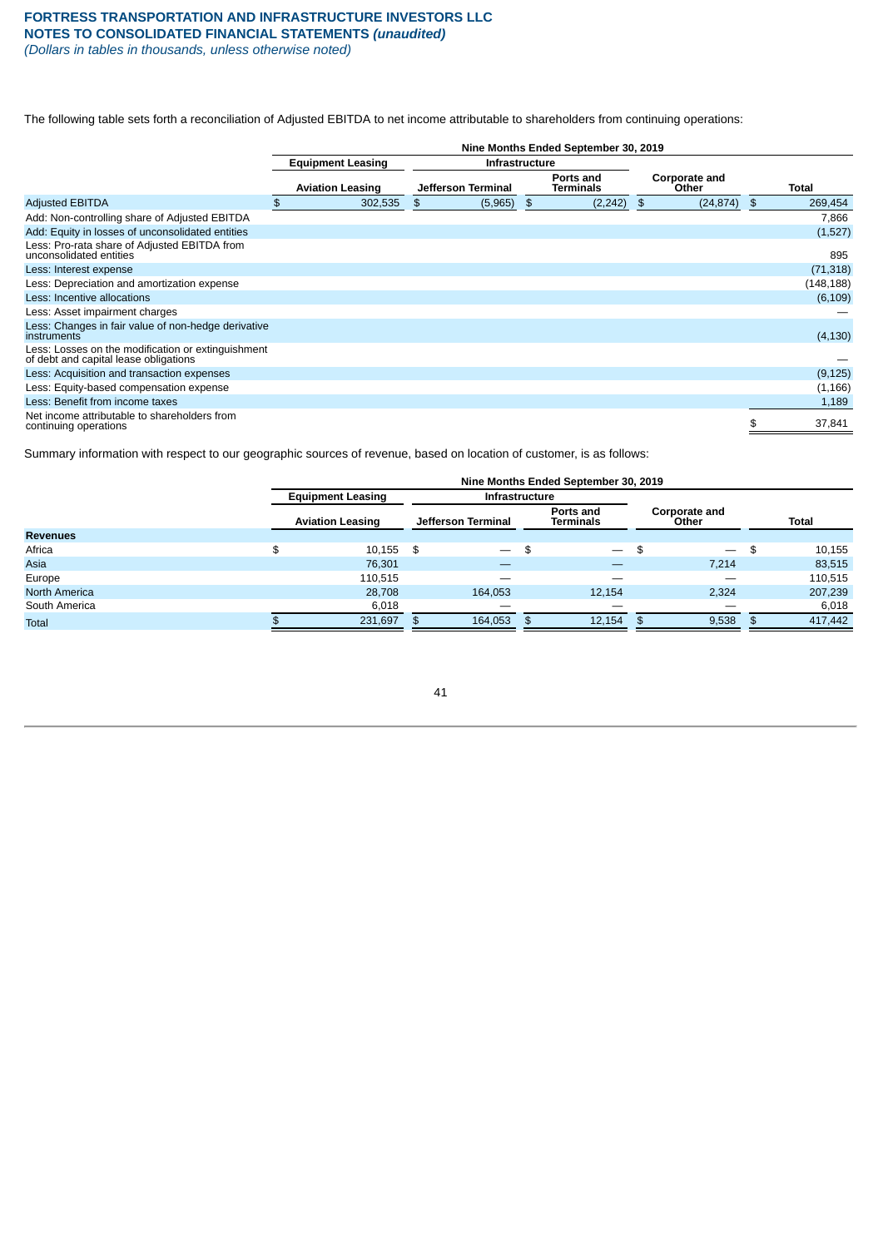The following table sets forth a reconciliation of Adjusted EBITDA to net income attributable to shareholders from continuing operations:

|                                                                                             | Nine Months Ended September 30, 2019 |                    |                        |                        |  |            |  |  |
|---------------------------------------------------------------------------------------------|--------------------------------------|--------------------|------------------------|------------------------|--|------------|--|--|
|                                                                                             | <b>Equipment Leasing</b>             |                    | <b>Infrastructure</b>  |                        |  |            |  |  |
|                                                                                             | <b>Aviation Leasing</b>              | Jefferson Terminal | Ports and<br>Terminals | Corporate and<br>Other |  | Total      |  |  |
| <b>Adjusted EBITDA</b>                                                                      | 302,535<br>\$                        | (5,965)<br>\$      | (2, 242)<br>- \$       | $(24, 874)$ \$<br>- \$ |  | 269,454    |  |  |
| Add: Non-controlling share of Adjusted EBITDA                                               |                                      |                    |                        |                        |  | 7,866      |  |  |
| Add: Equity in losses of unconsolidated entities                                            |                                      |                    |                        |                        |  | (1,527)    |  |  |
| Less: Pro-rata share of Adjusted EBITDA from<br>unconsolidated entities                     |                                      |                    |                        |                        |  | 895        |  |  |
| Less: Interest expense                                                                      |                                      |                    |                        |                        |  | (71, 318)  |  |  |
| Less: Depreciation and amortization expense                                                 |                                      |                    |                        |                        |  | (148, 188) |  |  |
| Less: Incentive allocations                                                                 |                                      |                    |                        |                        |  | (6, 109)   |  |  |
| Less: Asset impairment charges                                                              |                                      |                    |                        |                        |  |            |  |  |
| Less: Changes in fair value of non-hedge derivative<br>instruments                          |                                      |                    |                        |                        |  | (4, 130)   |  |  |
| Less: Losses on the modification or extinguishment<br>of debt and capital lease obligations |                                      |                    |                        |                        |  |            |  |  |
| Less: Acquisition and transaction expenses                                                  |                                      |                    |                        |                        |  | (9, 125)   |  |  |
| Less: Equity-based compensation expense                                                     |                                      |                    |                        |                        |  | (1, 166)   |  |  |
| Less: Benefit from income taxes                                                             |                                      |                    |                        |                        |  | 1,189      |  |  |
| Net income attributable to shareholders from<br>continuing operations                       |                                      |                    |                        |                        |  | 37,841     |  |  |

Summary information with respect to our geographic sources of revenue, based on location of customer, is as follows:

|                      | Nine Months Ended September 30, 2019 |                       |                                |                                       |                 |  |  |  |  |  |
|----------------------|--------------------------------------|-----------------------|--------------------------------|---------------------------------------|-----------------|--|--|--|--|--|
|                      | <b>Equipment Leasing</b>             | <b>Infrastructure</b> |                                |                                       |                 |  |  |  |  |  |
|                      | <b>Aviation Leasing</b>              | Jefferson Terminal    | Ports and<br>Terminals         | Corporate and<br>Other                | <b>Total</b>    |  |  |  |  |  |
| <b>Revenues</b>      |                                      |                       |                                |                                       |                 |  |  |  |  |  |
| Africa               | \$<br>10,155                         | -\$<br>$=$            | \$<br>$\overline{\phantom{m}}$ | \$<br>$\hspace{0.1mm}-\hspace{0.1mm}$ | -\$<br>10,155   |  |  |  |  |  |
| Asia                 | 76,301                               |                       |                                | 7,214                                 | 83,515          |  |  |  |  |  |
| Europe               | 110,515                              | –                     |                                |                                       | 110,515         |  |  |  |  |  |
| <b>North America</b> | 28,708                               | 164,053               | 12,154                         | 2,324                                 | 207,239         |  |  |  |  |  |
| South America        | 6,018                                |                       | _                              |                                       | 6,018           |  |  |  |  |  |
| <b>Total</b>         | 231,697                              | 164,053<br>\$         | 12,154<br>\$                   | 9,538<br>\$                           | 417,442<br>- \$ |  |  |  |  |  |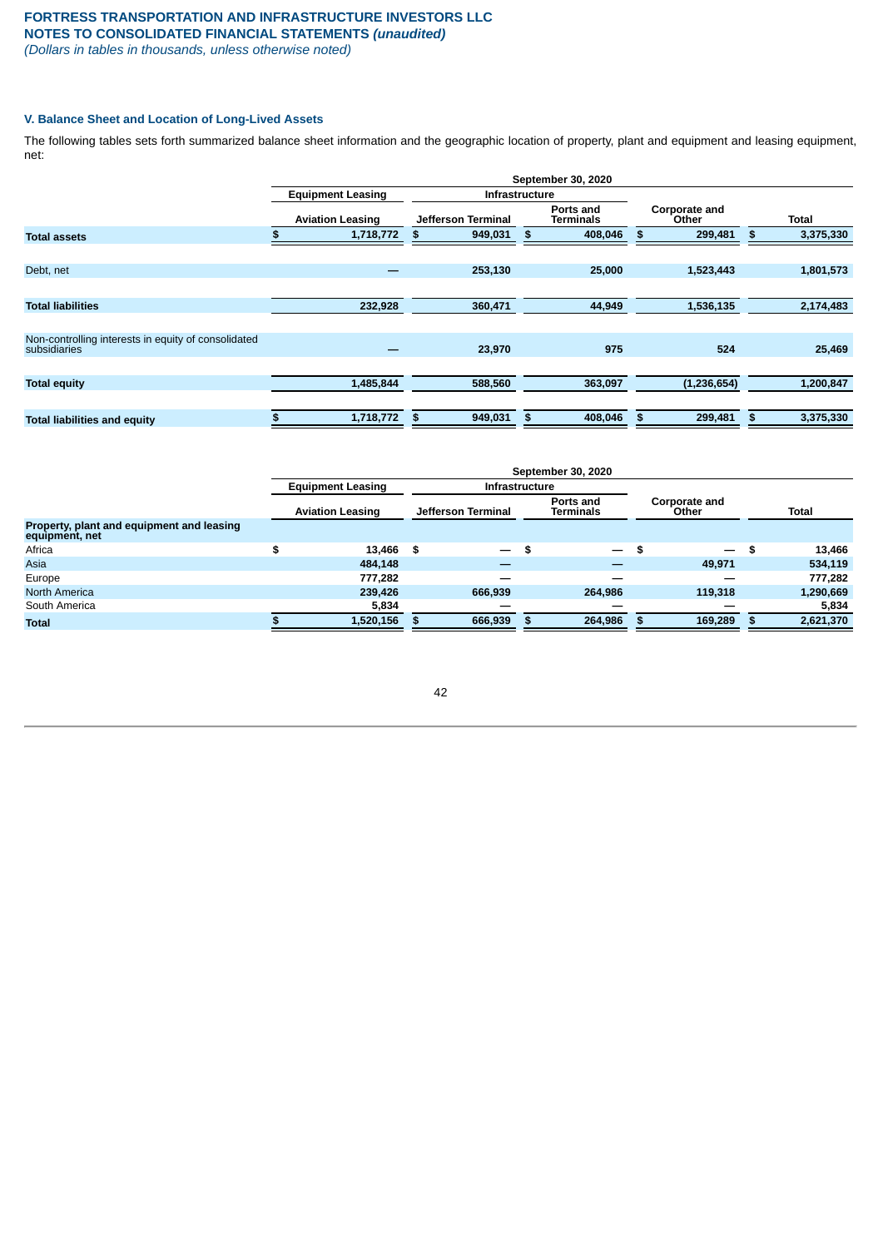*(Dollars in tables in thousands, unless otherwise noted)*

# **V. Balance Sheet and Location of Long-Lived Assets**

The following tables sets forth summarized balance sheet information and the geographic location of property, plant and equipment and leasing equipment, net:

|                                                                     | September 30, 2020       |                           |    |                        |    |                        |    |           |  |
|---------------------------------------------------------------------|--------------------------|---------------------------|----|------------------------|----|------------------------|----|-----------|--|
|                                                                     | <b>Equipment Leasing</b> | <b>Infrastructure</b>     |    |                        |    |                        |    |           |  |
|                                                                     | <b>Aviation Leasing</b>  | <b>Jefferson Terminal</b> |    | Ports and<br>Terminals |    | Corporate and<br>Other |    | Total     |  |
| <b>Total assets</b>                                                 | 1,718,772                | 949,031<br>\$             | \$ | 408,046                | \$ | 299,481                |    | 3,375,330 |  |
|                                                                     |                          |                           |    |                        |    |                        |    |           |  |
| Debt, net                                                           |                          | 253,130                   |    | 25,000                 |    | 1,523,443              |    | 1,801,573 |  |
|                                                                     |                          |                           |    |                        |    |                        |    |           |  |
| <b>Total liabilities</b>                                            | 232,928                  | 360,471                   |    | 44,949                 |    | 1,536,135              |    | 2,174,483 |  |
|                                                                     |                          |                           |    |                        |    |                        |    |           |  |
| Non-controlling interests in equity of consolidated<br>subsidiaries |                          | 23,970                    |    | 975                    |    | 524                    |    | 25,469    |  |
|                                                                     |                          |                           |    |                        |    |                        |    |           |  |
| <b>Total equity</b>                                                 | 1,485,844                | 588,560                   |    | 363,097                |    | (1, 236, 654)          |    | 1,200,847 |  |
|                                                                     |                          |                           |    |                        |    |                        |    |           |  |
| <b>Total liabilities and equity</b>                                 | 1,718,772                | 949,031<br>\$             | S. | 408,046                | \$ | 299,481                | \$ | 3,375,330 |  |

|                                                             | September 30, 2020 |                          |   |                       |    |                               |      |                          |     |              |
|-------------------------------------------------------------|--------------------|--------------------------|---|-----------------------|----|-------------------------------|------|--------------------------|-----|--------------|
|                                                             |                    | <b>Equipment Leasing</b> |   | <b>Infrastructure</b> |    |                               |      |                          |     |              |
|                                                             |                    | <b>Aviation Leasing</b>  |   | Jefferson Terminal    |    | <b>Ports and</b><br>Terminals |      | Corporate and<br>Other   |     | <b>Total</b> |
| Property, plant and equipment and leasing<br>equipment, net |                    |                          |   |                       |    |                               |      |                          |     |              |
| Africa                                                      | \$                 | 13,466                   | 5 |                       | \$ | $\overline{\phantom{0}}$      | \$   | $\overline{\phantom{0}}$ | \$  | 13,466       |
| Asia                                                        |                    | 484,148                  |   |                       |    | -                             |      | 49,971                   |     | 534,119      |
| Europe                                                      |                    | 777.282                  |   |                       |    |                               |      |                          |     | 777,282      |
| <b>North America</b>                                        |                    | 239,426                  |   | 666,939               |    | 264,986                       |      | 119,318                  |     | 1,290,669    |
| South America                                               |                    | 5.834                    |   |                       |    |                               |      |                          |     | 5,834        |
| <b>Total</b>                                                |                    | 1,520,156                |   | 666,939               | S  | 264,986                       | - 56 | 169,289                  | - 5 | 2,621,370    |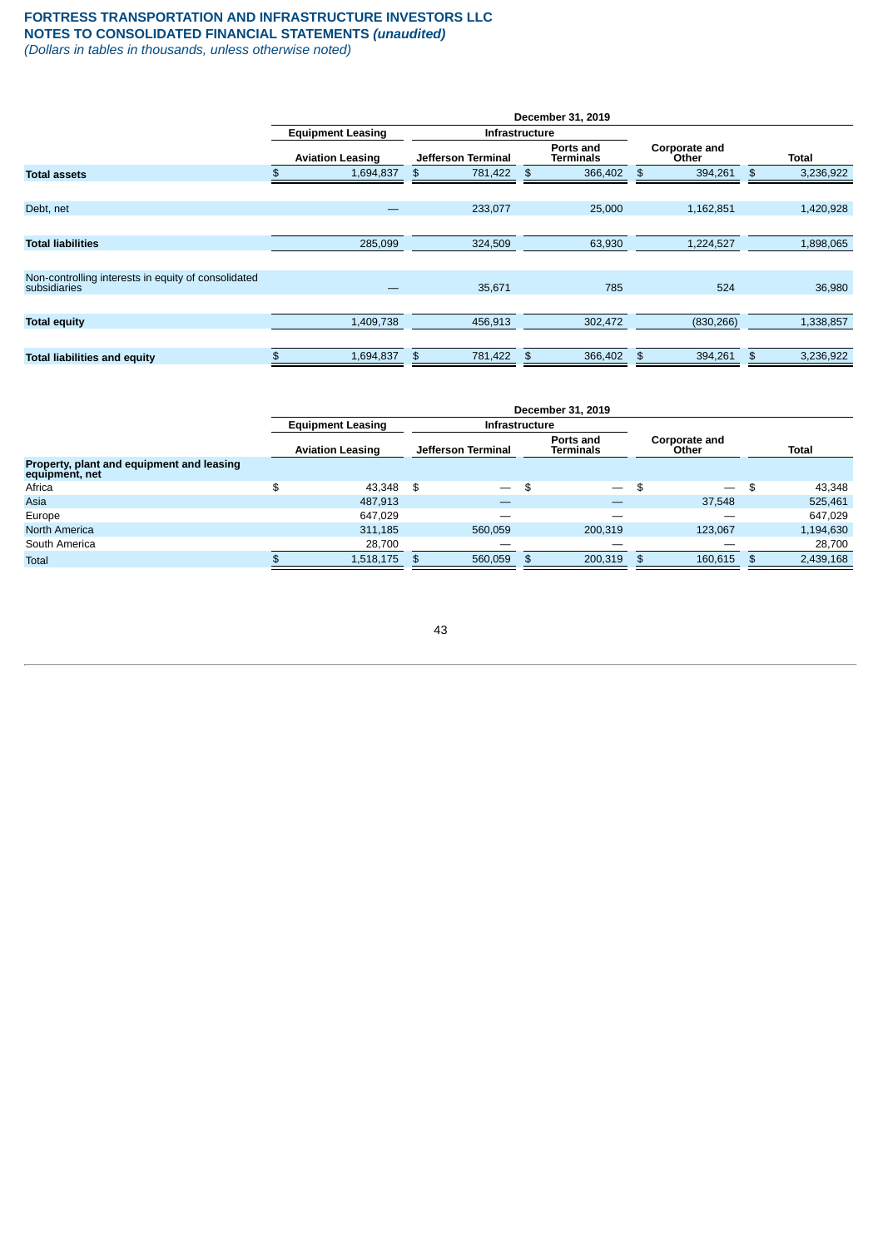# **FORTRESS TRANSPORTATION AND INFRASTRUCTURE INVESTORS LLC NOTES TO CONSOLIDATED FINANCIAL STATEMENTS** *(unaudited)*

*(Dollars in tables in thousands, unless otherwise noted)*

|                                                                     | December 31, 2019        |    |                           |    |                        |    |                        |    |           |
|---------------------------------------------------------------------|--------------------------|----|---------------------------|----|------------------------|----|------------------------|----|-----------|
|                                                                     | <b>Equipment Leasing</b> |    | <b>Infrastructure</b>     |    |                        |    |                        |    |           |
|                                                                     | <b>Aviation Leasing</b>  |    | <b>Jefferson Terminal</b> |    | Ports and<br>Terminals |    | Corporate and<br>Other |    | Total     |
| <b>Total assets</b>                                                 | \$<br>1,694,837          | \$ | 781,422                   | \$ | 366,402                | \$ | 394,261                | \$ | 3,236,922 |
|                                                                     |                          |    |                           |    |                        |    |                        |    |           |
| Debt, net                                                           | —                        |    | 233,077                   |    | 25,000                 |    | 1,162,851              |    | 1,420,928 |
|                                                                     |                          |    |                           |    |                        |    |                        |    |           |
| <b>Total liabilities</b>                                            | 285,099                  |    | 324,509                   |    | 63,930                 |    | 1,224,527              |    | 1,898,065 |
|                                                                     |                          |    |                           |    |                        |    |                        |    |           |
| Non-controlling interests in equity of consolidated<br>subsidiaries | —                        |    | 35,671                    |    | 785                    |    | 524                    |    | 36,980    |
|                                                                     |                          |    |                           |    |                        |    |                        |    |           |
| <b>Total equity</b>                                                 | 1,409,738                |    | 456,913                   |    | 302,472                |    | (830, 266)             |    | 1,338,857 |
|                                                                     |                          |    |                           |    |                        |    |                        |    |           |
| <b>Total liabilities and equity</b>                                 | 1,694,837                | \$ | 781,422                   | \$ | 366,402                | \$ | 394,261                | \$ | 3,236,922 |

|                                                             | December 31, 2019 |                          |     |                          |    |                               |    |                        |    |           |  |  |  |
|-------------------------------------------------------------|-------------------|--------------------------|-----|--------------------------|----|-------------------------------|----|------------------------|----|-----------|--|--|--|
|                                                             |                   | <b>Equipment Leasing</b> |     | <b>Infrastructure</b>    |    |                               |    |                        |    |           |  |  |  |
|                                                             |                   | <b>Aviation Leasing</b>  |     | Jefferson Terminal       |    | <b>Ports and</b><br>Terminals |    | Corporate and<br>Other |    | Total     |  |  |  |
| Property, plant and equipment and leasing<br>equipment, net |                   |                          |     |                          |    |                               |    |                        |    |           |  |  |  |
| Africa                                                      | \$                | 43.348                   | \$  | $\overline{\phantom{0}}$ | \$ | $\overline{\phantom{m}}$      | \$ |                        | \$ | 43,348    |  |  |  |
| Asia                                                        |                   | 487,913                  |     |                          |    | –                             |    | 37.548                 |    | 525,461   |  |  |  |
| Europe                                                      |                   | 647,029                  |     | _                        |    | —                             |    |                        |    | 647.029   |  |  |  |
| <b>North America</b>                                        |                   | 311.185                  |     | 560,059                  |    | 200.319                       |    | 123,067                |    | 1,194,630 |  |  |  |
| South America                                               |                   | 28.700                   |     |                          |    |                               |    |                        |    | 28,700    |  |  |  |
| <b>Total</b>                                                |                   | 1,518,175                | \$. | 560,059                  | \$ | 200,319                       | \$ | 160,615                |    | 2,439,168 |  |  |  |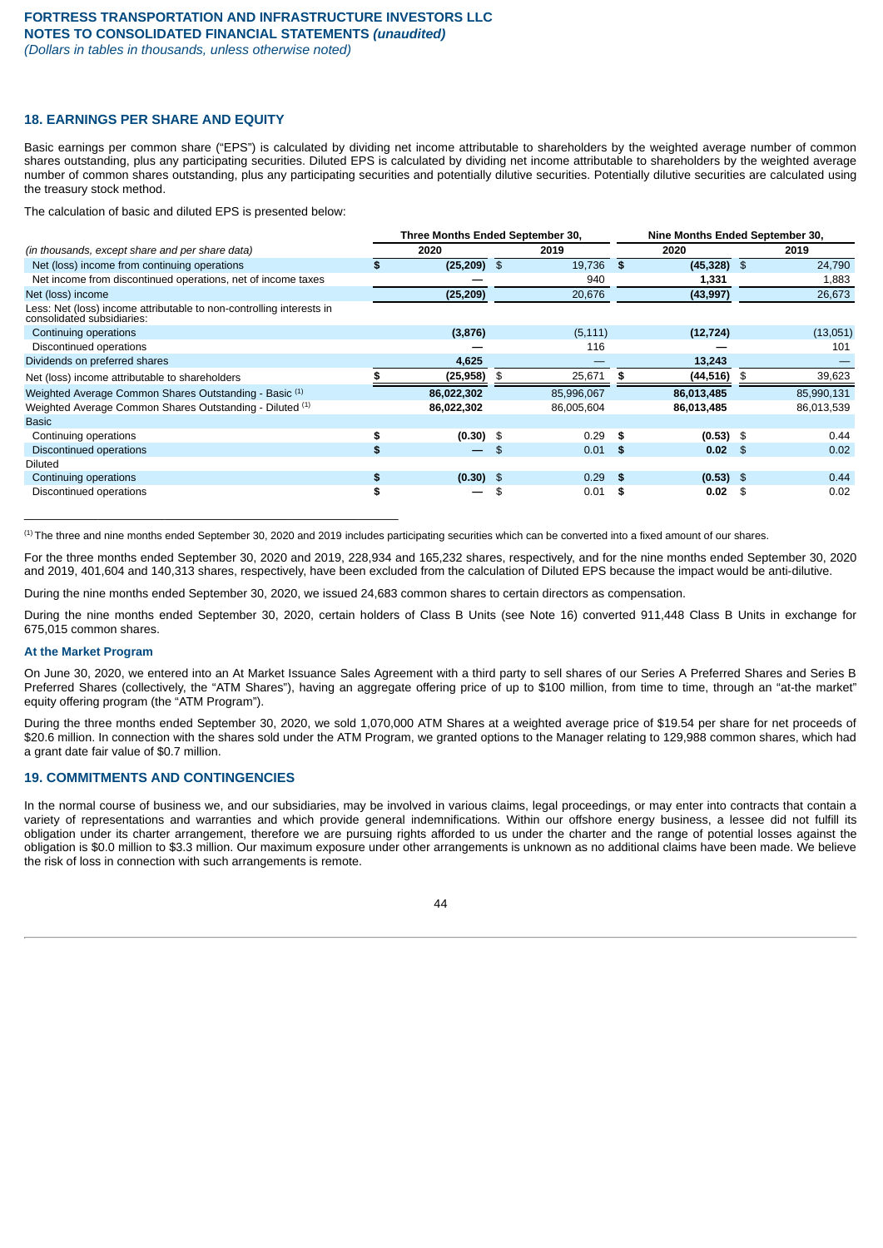# **18. EARNINGS PER SHARE AND EQUITY**

Basic earnings per common share ("EPS") is calculated by dividing net income attributable to shareholders by the weighted average number of common shares outstanding, plus any participating securities. Diluted EPS is calculated by dividing net income attributable to shareholders by the weighted average number of common shares outstanding, plus any participating securities and potentially dilutive securities. Potentially dilutive securities are calculated using the treasury stock method.

The calculation of basic and diluted EPS is presented below:

 $\mathcal{L}_\text{max}$  and the contract of the contract of the contract of the contract of the contract of the contract of the contract of the contract of the contract of the contract of the contract of the contract of the contrac

|                                                                                                    | Three Months Ended September 30, |      |            |      |               | Nine Months Ended September 30, |            |  |
|----------------------------------------------------------------------------------------------------|----------------------------------|------|------------|------|---------------|---------------------------------|------------|--|
| (in thousands, except share and per share data)                                                    | 2020                             |      | 2019       |      | 2020          |                                 | 2019       |  |
| Net (loss) income from continuing operations                                                       | $(25, 209)$ \$                   |      | 19,736     | - \$ | $(45,328)$ \$ |                                 | 24,790     |  |
| Net income from discontinued operations, net of income taxes                                       |                                  |      | 940        |      | 1,331         |                                 | 1,883      |  |
| Net (loss) income                                                                                  | (25, 209)                        |      | 20,676     |      | (43, 997)     |                                 | 26,673     |  |
| Less: Net (loss) income attributable to non-controlling interests in<br>consolidated subsidiaries: |                                  |      |            |      |               |                                 |            |  |
| Continuing operations                                                                              | (3, 876)                         |      | (5, 111)   |      | (12, 724)     |                                 | (13,051)   |  |
| Discontinued operations                                                                            |                                  |      | 116        |      |               |                                 | 101        |  |
| Dividends on preferred shares                                                                      | 4,625                            |      |            |      | 13,243        |                                 |            |  |
| Net (loss) income attributable to shareholders                                                     | (25, 958)                        | - \$ | 25,671     |      | (44, 516)     | - 36                            | 39,623     |  |
| Weighted Average Common Shares Outstanding - Basic <sup>(1)</sup>                                  | 86,022,302                       |      | 85,996,067 |      | 86,013,485    |                                 | 85,990,131 |  |
| Weighted Average Common Shares Outstanding - Diluted (1)                                           | 86,022,302                       |      | 86,005,604 |      | 86,013,485    |                                 | 86,013,539 |  |
| <b>Basic</b>                                                                                       |                                  |      |            |      |               |                                 |            |  |
| Continuing operations                                                                              | $(0.30)$ \$                      |      | 0.29       | - \$ | $(0.53)$ \$   |                                 | 0.44       |  |
| Discontinued operations                                                                            | $\overline{\phantom{0}}$         | \$   | 0.01       | - \$ | 0.02          | - \$                            | 0.02       |  |
| Diluted                                                                                            |                                  |      |            |      |               |                                 |            |  |
| Continuing operations                                                                              | \$<br>$(0.30)$ \$                |      | 0.29       | - \$ | $(0.53)$ \$   |                                 | 0.44       |  |
| Discontinued operations                                                                            | \$                               | \$   | 0.01       | - 56 | 0.02          | - 36                            | 0.02       |  |

 $\hbox{^{(1)}}$  The three and nine months ended September 30, 2020 and 2019 includes participating securities which can be converted into a fixed amount of our shares.

For the three months ended September 30, 2020 and 2019, 228,934 and 165,232 shares, respectively, and for the nine months ended September 30, 2020 and 2019, 401,604 and 140,313 shares, respectively, have been excluded from the calculation of Diluted EPS because the impact would be anti-dilutive.

During the nine months ended September 30, 2020, we issued 24,683 common shares to certain directors as compensation.

During the nine months ended September 30, 2020, certain holders of Class B Units (see Note 16) converted 911,448 Class B Units in exchange for 675,015 common shares.

### **At the Market Program**

On June 30, 2020, we entered into an At Market Issuance Sales Agreement with a third party to sell shares of our Series A Preferred Shares and Series B Preferred Shares (collectively, the "ATM Shares"), having an aggregate offering price of up to \$100 million, from time to time, through an "at-the market" equity offering program (the "ATM Program").

During the three months ended September 30, 2020, we sold 1,070,000 ATM Shares at a weighted average price of \$19.54 per share for net proceeds of \$20.6 million. In connection with the shares sold under the ATM Program, we granted options to the Manager relating to 129,988 common shares, which had a grant date fair value of \$0.7 million.

# **19. COMMITMENTS AND CONTINGENCIES**

In the normal course of business we, and our subsidiaries, may be involved in various claims, legal proceedings, or may enter into contracts that contain a variety of representations and warranties and which provide general indemnifications. Within our offshore energy business, a lessee did not fulfill its obligation under its charter arrangement, therefore we are pursuing rights afforded to us under the charter and the range of potential losses against the obligation is \$0.0 million to \$3.3 million. Our maximum exposure under other arrangements is unknown as no additional claims have been made. We believe the risk of loss in connection with such arrangements is remote.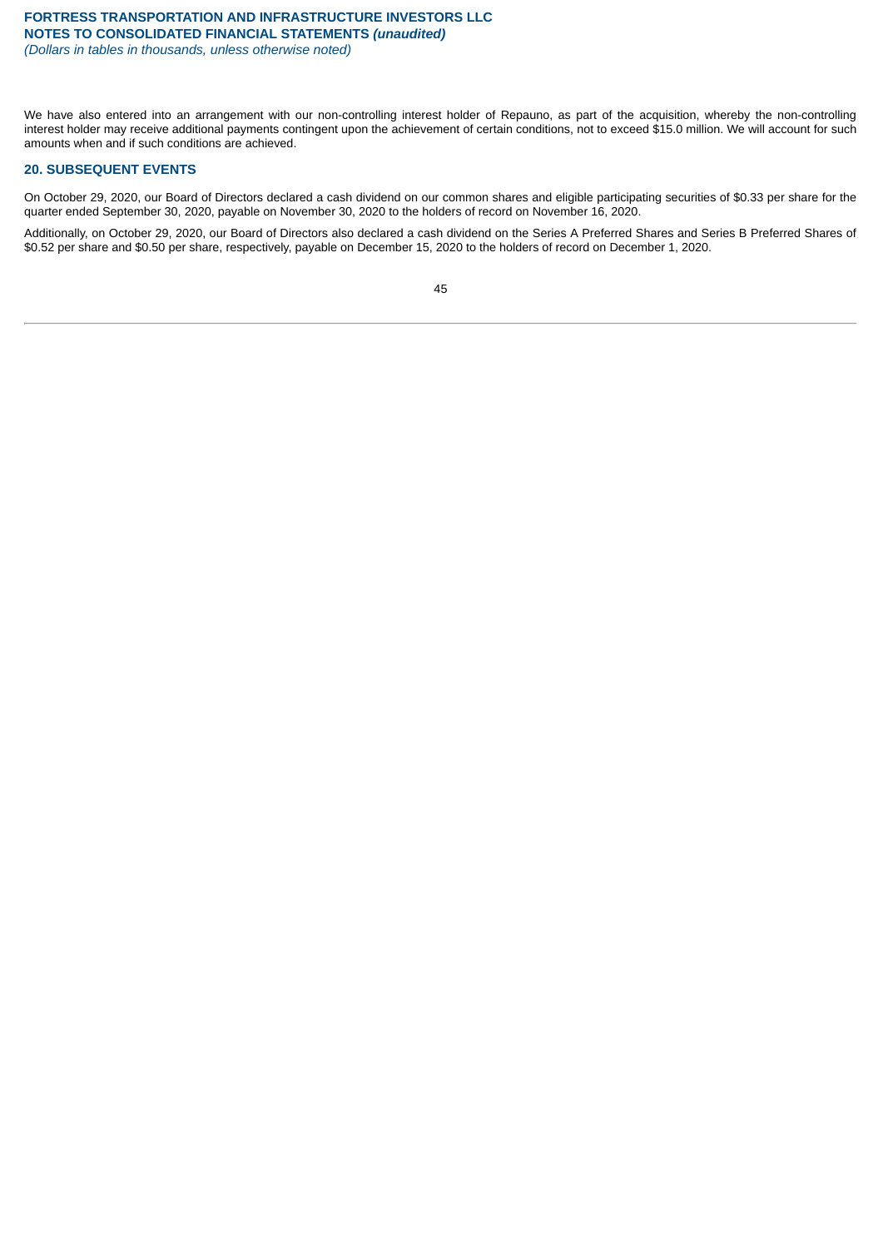We have also entered into an arrangement with our non-controlling interest holder of Repauno, as part of the acquisition, whereby the non-controlling interest holder may receive additional payments contingent upon the achievement of certain conditions, not to exceed \$15.0 million. We will account for such amounts when and if such conditions are achieved.

# **20. SUBSEQUENT EVENTS**

On October 29, 2020, our Board of Directors declared a cash dividend on our common shares and eligible participating securities of \$0.33 per share for the quarter ended September 30, 2020, payable on November 30, 2020 to the holders of record on November 16, 2020.

Additionally, on October 29, 2020, our Board of Directors also declared a cash dividend on the Series A Preferred Shares and Series B Preferred Shares of \$0.52 per share and \$0.50 per share, respectively, payable on December 15, 2020 to the holders of record on December 1, 2020.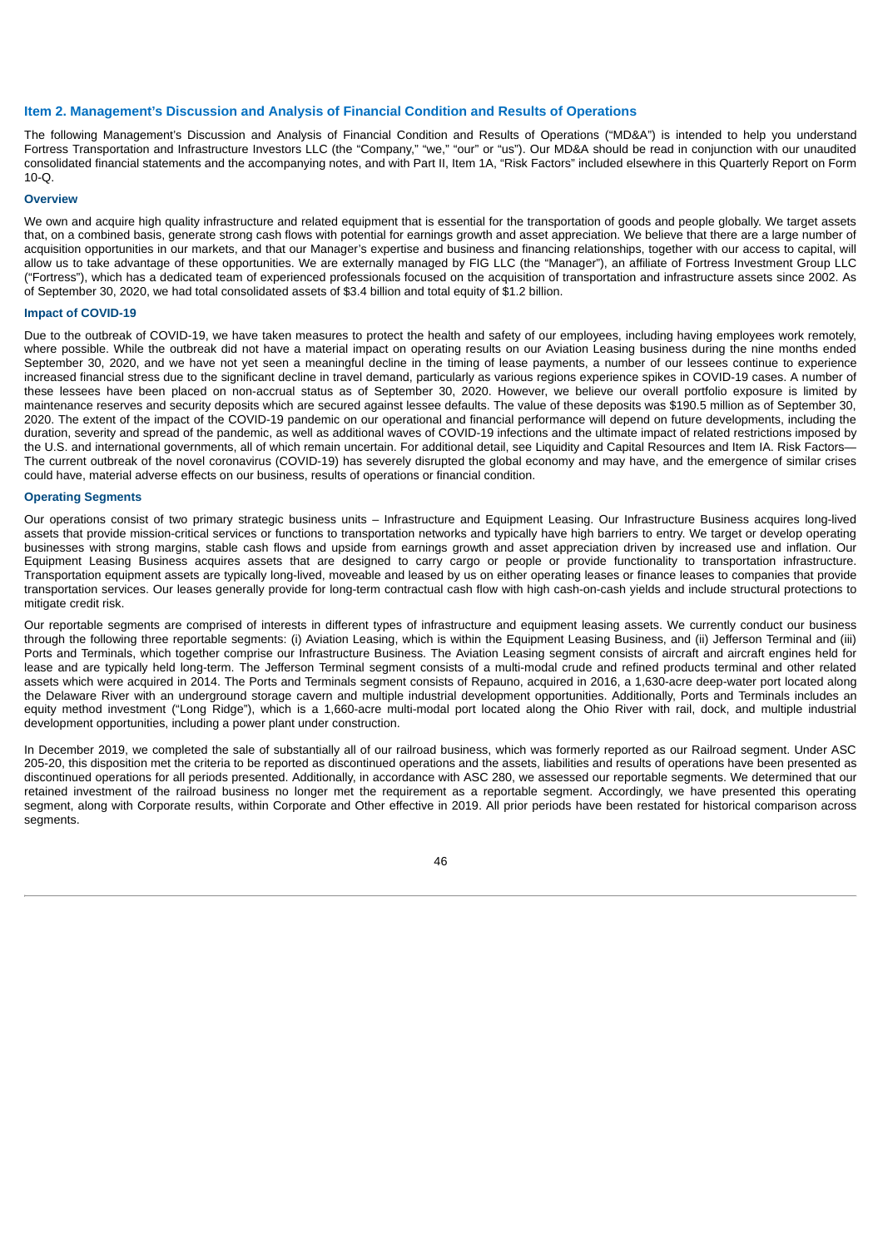# **Item 2. Management's Discussion and Analysis of Financial Condition and Results of Operations**

The following Management's Discussion and Analysis of Financial Condition and Results of Operations ("MD&A") is intended to help you understand Fortress Transportation and Infrastructure Investors LLC (the "Company," "we," "our" or "us"). Our MD&A should be read in conjunction with our unaudited consolidated financial statements and the accompanying notes, and with Part II, Item 1A, "Risk Factors" included elsewhere in this Quarterly Report on Form  $10-<sub>0</sub>$ .

### **Overview**

We own and acquire high quality infrastructure and related equipment that is essential for the transportation of goods and people globally. We target assets that, on a combined basis, generate strong cash flows with potential for earnings growth and asset appreciation. We believe that there are a large number of acquisition opportunities in our markets, and that our Manager's expertise and business and financing relationships, together with our access to capital, will allow us to take advantage of these opportunities. We are externally managed by FIG LLC (the "Manager"), an affiliate of Fortress Investment Group LLC ("Fortress"), which has a dedicated team of experienced professionals focused on the acquisition of transportation and infrastructure assets since 2002. As of September 30, 2020, we had total consolidated assets of \$3.4 billion and total equity of \$1.2 billion.

# **Impact of COVID-19**

Due to the outbreak of COVID-19, we have taken measures to protect the health and safety of our employees, including having employees work remotely, where possible. While the outbreak did not have a material impact on operating results on our Aviation Leasing business during the nine months ended September 30, 2020, and we have not vet seen a meaningful decline in the timing of lease payments, a number of our lessees continue to experience increased financial stress due to the significant decline in travel demand, particularly as various regions experience spikes in COVID-19 cases. A number of these lessees have been placed on non-accrual status as of September 30, 2020. However, we believe our overall portfolio exposure is limited by maintenance reserves and security deposits which are secured against lessee defaults. The value of these deposits was \$190.5 million as of September 30, 2020. The extent of the impact of the COVID-19 pandemic on our operational and financial performance will depend on future developments, including the duration, severity and spread of the pandemic, as well as additional waves of COVID-19 infections and the ultimate impact of related restrictions imposed by the U.S. and international governments, all of which remain uncertain. For additional detail, see Liquidity and Capital Resources and Item IA. Risk Factors— The current outbreak of the novel coronavirus (COVID-19) has severely disrupted the global economy and may have, and the emergence of similar crises could have, material adverse effects on our business, results of operations or financial condition.

## **Operating Segments**

Our operations consist of two primary strategic business units – Infrastructure and Equipment Leasing. Our Infrastructure Business acquires long-lived assets that provide mission-critical services or functions to transportation networks and typically have high barriers to entry. We target or develop operating businesses with strong margins, stable cash flows and upside from earnings growth and asset appreciation driven by increased use and inflation. Our Equipment Leasing Business acquires assets that are designed to carry cargo or people or provide functionality to transportation infrastructure. Transportation equipment assets are typically long-lived, moveable and leased by us on either operating leases or finance leases to companies that provide transportation services. Our leases generally provide for long-term contractual cash flow with high cash-on-cash yields and include structural protections to mitigate credit risk.

Our reportable segments are comprised of interests in different types of infrastructure and equipment leasing assets. We currently conduct our business through the following three reportable segments: (i) Aviation Leasing, which is within the Equipment Leasing Business, and (ii) Jefferson Terminal and (iii) Ports and Terminals, which together comprise our Infrastructure Business. The Aviation Leasing segment consists of aircraft and aircraft engines held for lease and are typically held long-term. The Jefferson Terminal segment consists of a multi-modal crude and refined products terminal and other related assets which were acquired in 2014. The Ports and Terminals segment consists of Repauno, acquired in 2016, a 1,630-acre deep-water port located along the Delaware River with an underground storage cavern and multiple industrial development opportunities. Additionally, Ports and Terminals includes an equity method investment ("Long Ridge"), which is a 1,660-acre multi-modal port located along the Ohio River with rail, dock, and multiple industrial development opportunities, including a power plant under construction.

In December 2019, we completed the sale of substantially all of our railroad business, which was formerly reported as our Railroad segment. Under ASC 205-20, this disposition met the criteria to be reported as discontinued operations and the assets, liabilities and results of operations have been presented as discontinued operations for all periods presented. Additionally, in accordance with ASC 280, we assessed our reportable segments. We determined that our retained investment of the railroad business no longer met the requirement as a reportable segment. Accordingly, we have presented this operating segment, along with Corporate results, within Corporate and Other effective in 2019. All prior periods have been restated for historical comparison across segments.

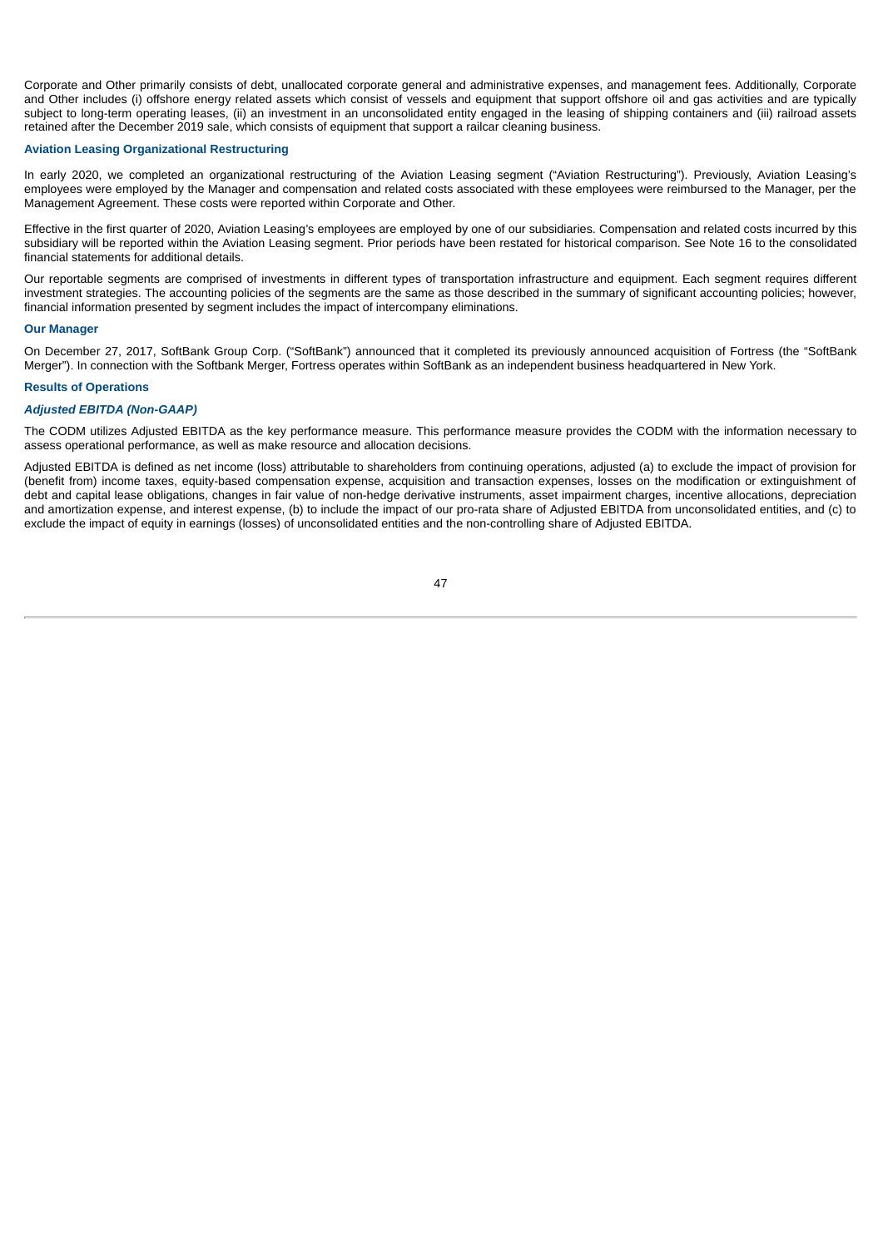Corporate and Other primarily consists of debt, unallocated corporate general and administrative expenses, and management fees. Additionally, Corporate and Other includes (i) offshore energy related assets which consist of vessels and equipment that support offshore oil and gas activities and are typically subject to long-term operating leases, (ii) an investment in an unconsolidated entity engaged in the leasing of shipping containers and (iii) railroad assets retained after the December 2019 sale, which consists of equipment that support a railcar cleaning business.

### **Aviation Leasing Organizational Restructuring**

In early 2020, we completed an organizational restructuring of the Aviation Leasing segment ("Aviation Restructuring"). Previously, Aviation Leasing's employees were employed by the Manager and compensation and related costs associated with these employees were reimbursed to the Manager, per the Management Agreement. These costs were reported within Corporate and Other.

Effective in the first quarter of 2020, Aviation Leasing's employees are employed by one of our subsidiaries. Compensation and related costs incurred by this subsidiary will be reported within the Aviation Leasing segment. Prior periods have been restated for historical comparison. See Note 16 to the consolidated financial statements for additional details.

Our reportable segments are comprised of investments in different types of transportation infrastructure and equipment. Each segment requires different investment strategies. The accounting policies of the segments are the same as those described in the summary of significant accounting policies; however, financial information presented by segment includes the impact of intercompany eliminations.

### **Our Manager**

On December 27, 2017, SoftBank Group Corp. ("SoftBank") announced that it completed its previously announced acquisition of Fortress (the "SoftBank Merger"). In connection with the Softbank Merger, Fortress operates within SoftBank as an independent business headquartered in New York.

# **Results of Operations**

### *Adjusted EBITDA (Non-GAAP)*

The CODM utilizes Adjusted EBITDA as the key performance measure. This performance measure provides the CODM with the information necessary to assess operational performance, as well as make resource and allocation decisions.

Adjusted EBITDA is defined as net income (loss) attributable to shareholders from continuing operations, adjusted (a) to exclude the impact of provision for (benefit from) income taxes, equity-based compensation expense, acquisition and transaction expenses, losses on the modification or extinguishment of debt and capital lease obligations, changes in fair value of non-hedge derivative instruments, asset impairment charges, incentive allocations, depreciation and amortization expense, and interest expense, (b) to include the impact of our pro-rata share of Adjusted EBITDA from unconsolidated entities, and (c) to exclude the impact of equity in earnings (losses) of unconsolidated entities and the non-controlling share of Adjusted EBITDA.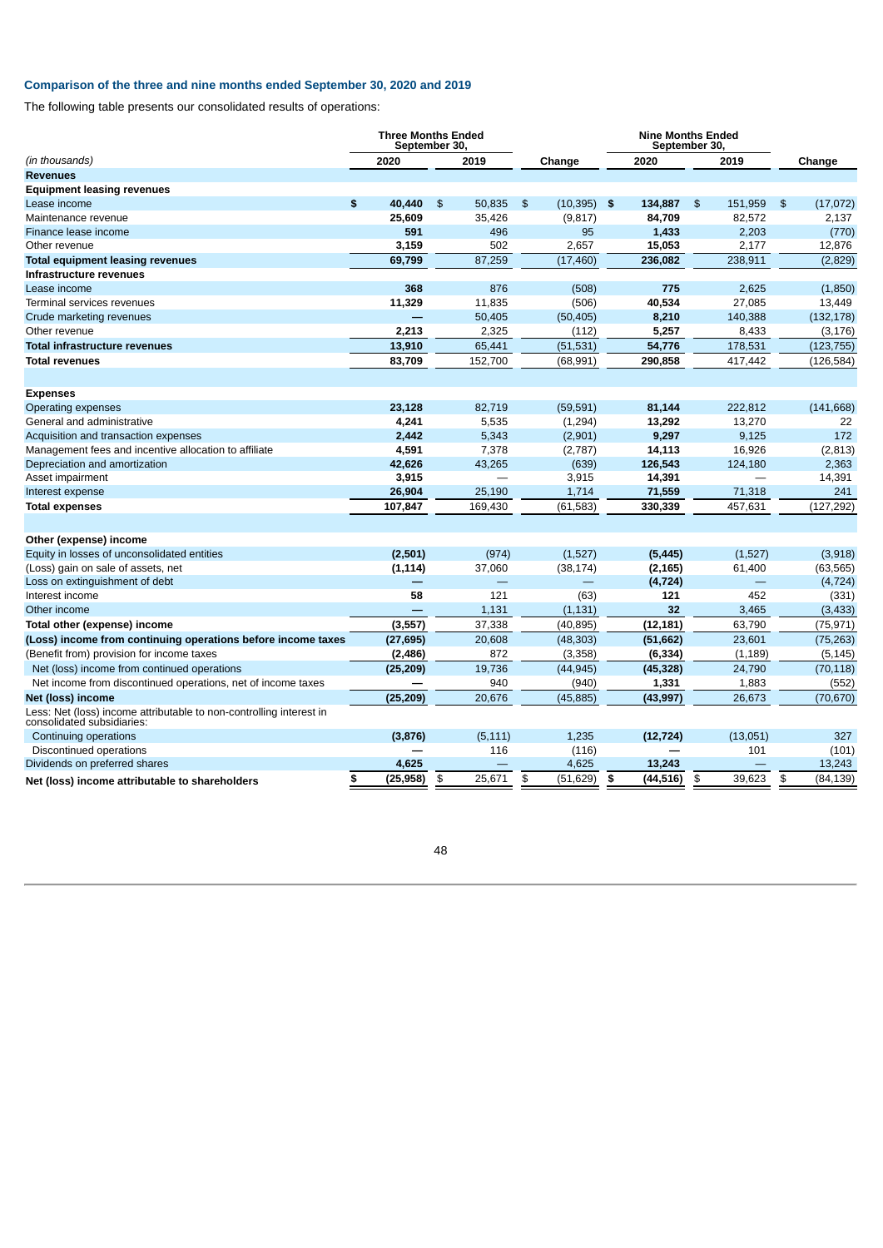# **Comparison of the three and nine months ended September 30, 2020 and 2019**

The following table presents our consolidated results of operations:

|                                                                                                   | <b>Three Months Ended</b><br>September 30. |               |          |                |           |      | <b>Nine Months Ended</b><br>September 30 |                |          |               |            |
|---------------------------------------------------------------------------------------------------|--------------------------------------------|---------------|----------|----------------|-----------|------|------------------------------------------|----------------|----------|---------------|------------|
| (in thousands)                                                                                    | 2020                                       |               | 2019     |                | Change    |      | 2020                                     |                | 2019     | $\frac{1}{2}$ | Change     |
| <b>Revenues</b>                                                                                   |                                            |               |          |                |           |      |                                          |                |          |               |            |
| <b>Equipment leasing revenues</b>                                                                 |                                            |               |          |                |           |      |                                          |                |          |               |            |
| Lease income                                                                                      | \$<br>40,440                               | $\frac{1}{2}$ | 50,835   | $\mathfrak{S}$ | (10, 395) | - \$ | 134,887                                  | $\mathfrak{S}$ | 151,959  |               | (17,072)   |
| Maintenance revenue                                                                               | 25,609                                     |               | 35,426   |                | (9, 817)  |      | 84,709                                   |                | 82,572   |               | 2,137      |
| Finance lease income                                                                              | 591                                        |               | 496      |                | 95        |      | 1,433                                    |                | 2,203    |               | (770)      |
| Other revenue                                                                                     | 3,159                                      |               | 502      |                | 2,657     |      | 15,053                                   |                | 2,177    |               | 12,876     |
| <b>Total equipment leasing revenues</b>                                                           | 69,799                                     |               | 87,259   |                | (17, 460) |      | 236,082                                  |                | 238,911  |               | (2,829)    |
| Infrastructure revenues                                                                           |                                            |               |          |                |           |      |                                          |                |          |               |            |
| Lease income                                                                                      | 368                                        |               | 876      |                | (508)     |      | 775                                      |                | 2.625    |               | (1,850)    |
| Terminal services revenues                                                                        | 11,329                                     |               | 11,835   |                | (506)     |      | 40,534                                   |                | 27.085   |               | 13,449     |
| Crude marketing revenues                                                                          |                                            |               | 50,405   |                | (50, 405) |      | 8,210                                    |                | 140,388  |               | (132, 178) |
| Other revenue                                                                                     | 2,213                                      |               | 2,325    |                | (112)     |      | 5,257                                    |                | 8,433    |               | (3, 176)   |
| <b>Total infrastructure revenues</b>                                                              | 13,910                                     |               | 65,441   |                | (51, 531) |      | 54,776                                   |                | 178,531  |               | (123, 755) |
| <b>Total revenues</b>                                                                             | 83,709                                     |               | 152,700  |                | (68, 991) |      | 290,858                                  |                | 417,442  |               | (126, 584) |
|                                                                                                   |                                            |               |          |                |           |      |                                          |                |          |               |            |
| <b>Expenses</b>                                                                                   |                                            |               |          |                |           |      |                                          |                |          |               |            |
| Operating expenses                                                                                | 23,128                                     |               | 82,719   |                | (59, 591) |      | 81,144                                   |                | 222,812  |               | (141, 668) |
| General and administrative                                                                        | 4,241                                      |               | 5,535    |                | (1, 294)  |      | 13,292                                   |                | 13,270   |               | 22         |
| Acquisition and transaction expenses                                                              | 2,442                                      |               | 5,343    |                | (2,901)   |      | 9,297                                    |                | 9,125    |               | 172        |
| Management fees and incentive allocation to affiliate                                             | 4,591                                      |               | 7,378    |                | (2,787)   |      | 14,113                                   |                | 16,926   |               | (2, 813)   |
| Depreciation and amortization                                                                     | 42,626                                     |               | 43,265   |                | (639)     |      | 126,543                                  |                | 124,180  |               | 2,363      |
| Asset impairment                                                                                  | 3,915                                      |               |          |                | 3,915     |      | 14,391                                   |                |          |               | 14,391     |
| Interest expense                                                                                  | 26,904                                     |               | 25,190   |                | 1,714     |      | 71,559                                   |                | 71,318   |               | 241        |
| <b>Total expenses</b>                                                                             | 107,847                                    |               | 169.430  |                | (61, 583) |      | 330,339                                  |                | 457,631  |               | (127, 292) |
|                                                                                                   |                                            |               |          |                |           |      |                                          |                |          |               |            |
| Other (expense) income                                                                            |                                            |               |          |                |           |      |                                          |                |          |               |            |
| Equity in losses of unconsolidated entities                                                       | (2,501)                                    |               | (974)    |                | (1,527)   |      | (5, 445)                                 |                | (1,527)  |               | (3,918)    |
| (Loss) gain on sale of assets, net                                                                | (1, 114)                                   |               | 37,060   |                | (38, 174) |      | (2, 165)                                 |                | 61,400   |               | (63, 565)  |
| Loss on extinguishment of debt                                                                    |                                            |               |          |                |           |      | (4, 724)                                 |                |          |               | (4, 724)   |
| Interest income                                                                                   | 58                                         |               | 121      |                | (63)      |      | 121                                      |                | 452      |               | (331)      |
| Other income                                                                                      |                                            |               | 1,131    |                | (1,131)   |      | 32                                       |                | 3,465    |               | (3, 433)   |
| Total other (expense) income                                                                      | (3, 557)                                   |               | 37,338   |                | (40, 895) |      | (12, 181)                                |                | 63,790   |               | (75, 971)  |
| (Loss) income from continuing operations before income taxes                                      | (27, 695)                                  |               | 20,608   |                | (48, 303) |      | (51, 662)                                |                | 23,601   |               | (75, 263)  |
| (Benefit from) provision for income taxes                                                         | (2, 486)                                   |               | 872      |                | (3, 358)  |      | (6, 334)                                 |                | (1, 189) |               | (5, 145)   |
| Net (loss) income from continued operations                                                       | (25, 209)                                  |               | 19,736   |                | (44, 945) |      | (45, 328)                                |                | 24,790   |               | (70, 118)  |
| Net income from discontinued operations, net of income taxes                                      |                                            |               | 940      |                | (940)     |      | 1,331                                    |                | 1,883    |               | (552)      |
| Net (loss) income                                                                                 | (25, 209)                                  |               | 20,676   |                | (45, 885) |      | (43, 997)                                |                | 26,673   |               | (70, 670)  |
| Less: Net (loss) income attributable to non-controlling interest in<br>consolidated súbsidiaries: |                                            |               |          |                |           |      |                                          |                |          |               |            |
| Continuing operations                                                                             | (3,876)                                    |               | (5, 111) |                | 1,235     |      | (12, 724)                                |                | (13,051) |               | 327        |
| Discontinued operations                                                                           |                                            |               | 116      |                | (116)     |      |                                          |                | 101      |               | (101)      |
| Dividends on preferred shares                                                                     | 4,625                                      |               |          |                | 4,625     |      | 13,243                                   |                |          |               | 13,243     |
| Net (loss) income attributable to shareholders                                                    | \$<br>(25, 958)                            | \$            | 25,671   | \$             | (51, 629) | \$   | (44,516)                                 | \$             | 39,623   | \$            | (84, 139)  |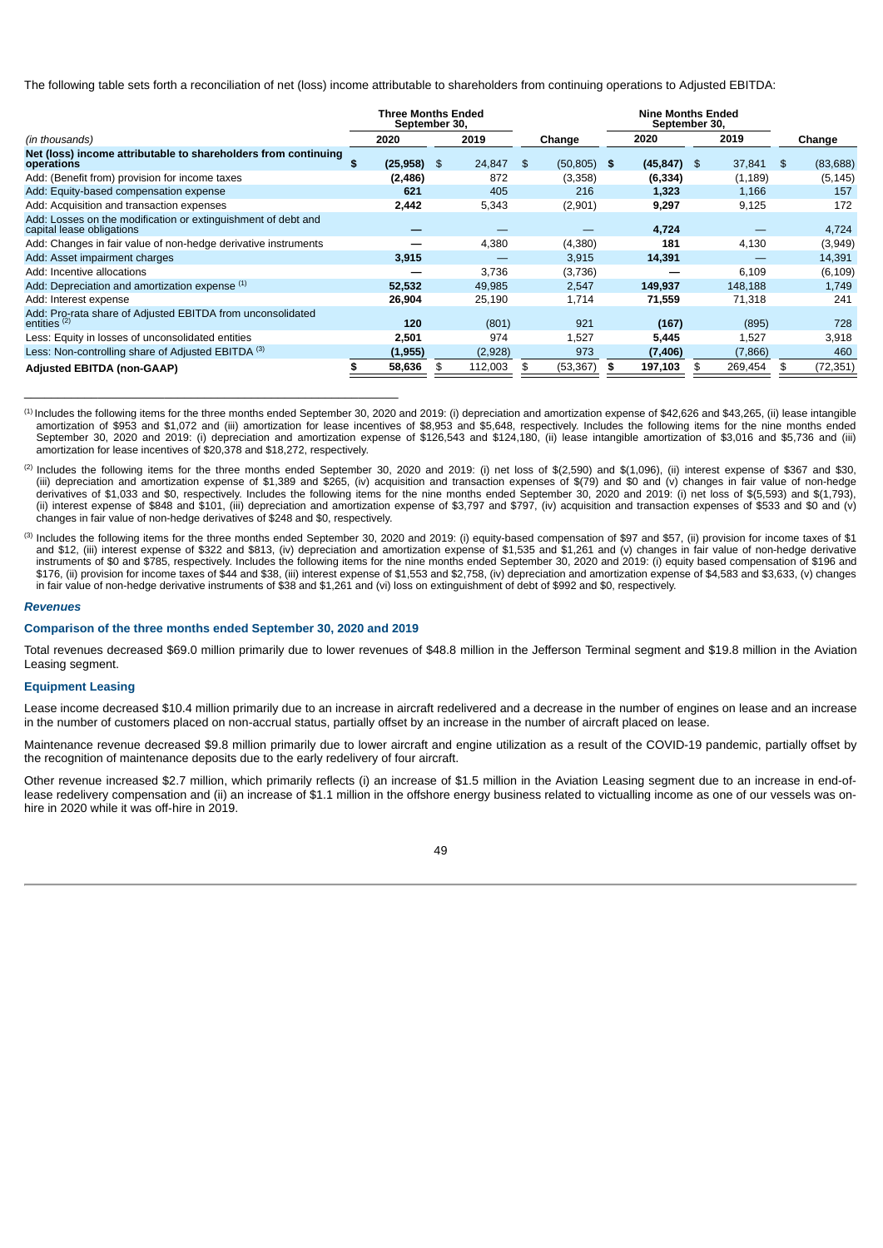The following table sets forth a reconciliation of net (loss) income attributable to shareholders from continuing operations to Adjusted EBITDA:

|                                                                                            | <b>Three Months Ended</b><br>September 30, |              | <b>Nine Months Ended</b><br>September 30, |  |                |  |          |                 |
|--------------------------------------------------------------------------------------------|--------------------------------------------|--------------|-------------------------------------------|--|----------------|--|----------|-----------------|
| (in thousands)                                                                             | 2020                                       | 2019         | Change                                    |  | 2020           |  | 2019     | Change          |
| Net (loss) income attributable to shareholders from continuing<br>operations               | (25,958)                                   | \$<br>24,847 | \$<br>$(50,805)$ \$                       |  | $(45, 847)$ \$ |  | 37,841   | \$<br>(83, 688) |
| Add: (Benefit from) provision for income taxes                                             | (2,486)                                    | 872          | (3,358)                                   |  | (6, 334)       |  | (1, 189) | (5, 145)        |
| Add: Equity-based compensation expense                                                     | 621                                        | 405          | 216                                       |  | 1,323          |  | 1,166    | 157             |
| Add: Acquisition and transaction expenses                                                  | 2,442                                      | 5,343        | (2,901)                                   |  | 9,297          |  | 9,125    | 172             |
| Add: Losses on the modification or extinguishment of debt and<br>capital lease obligations |                                            |              |                                           |  | 4,724          |  |          | 4,724           |
| Add: Changes in fair value of non-hedge derivative instruments                             |                                            | 4,380        | (4,380)                                   |  | 181            |  | 4,130    | (3,949)         |
| Add: Asset impairment charges                                                              | 3,915                                      |              | 3,915                                     |  | 14,391         |  |          | 14,391          |
| Add: Incentive allocations                                                                 |                                            | 3,736        | (3,736)                                   |  |                |  | 6,109    | (6, 109)        |
| Add: Depreciation and amortization expense (1)                                             | 52,532                                     | 49,985       | 2,547                                     |  | 149,937        |  | 148,188  | 1,749           |
| Add: Interest expense                                                                      | 26,904                                     | 25,190       | 1,714                                     |  | 71,559         |  | 71,318   | 241             |
| Add: Pro-rata share of Adjusted EBITDA from unconsolidated<br>entities $(2)$               | 120                                        | (801)        | 921                                       |  | (167)          |  | (895)    | 728             |
| Less: Equity in losses of unconsolidated entities                                          | 2,501                                      | 974          | 1,527                                     |  | 5,445          |  | 1,527    | 3,918           |
| Less: Non-controlling share of Adjusted EBITDA (3)                                         | (1, 955)                                   | (2,928)      | 973                                       |  | (7, 406)       |  | (7,866)  | 460             |
| <b>Adjusted EBITDA (non-GAAP)</b>                                                          | 58,636                                     | 112,003      | (53, 367)                                 |  | 197,103        |  | 269,454  | (72, 351)       |

 $^{(1)}$  Includes the following items for the three months ended September 30, 2020 and 2019: (i) depreciation and amortization expense of \$42,626 and \$43,265, (ii) lease intangible amortization of \$953 and \$1,072 and (iii) amortization for lease incentives of \$8,953 and \$5,648, respectively. Includes the following items for the nine months ended September 30, 2020 and 2019: (i) depreciation and amortization expense of \$126,543 and \$124,180, (ii) lease intangible amortization of \$3,016 and \$5,736 and (iii) amortization for lease incentives of \$20,378 and \$18,272, respectively.

(2) Includes the following items for the three months ended September 30, 2020 and 2019: (i) net loss of \$(2,590) and \$(1,096), (ii) interest expense of \$367 and \$30, (iii) depreciation and amortization expense of \$1,389 and \$265, (iv) acquisition and transaction expenses of \$(79) and \$0 and (v) changes in fair value of non-hedge derivatives of \$1,033 and \$0, respectively. Includes the following items for the nine months ended September 30, 2020 and 2019: (i) net loss of \$(5,593) and \$(1,793), (ii) interest expense of \$848 and \$101, (iii) depreciation and amortization expense of \$3,797 and \$797, (iv) acquisition and transaction expenses of \$533 and \$0 and (v) changes in fair value of non-hedge derivatives of \$248 and \$0, respectively.

(3) Includes the following items for the three months ended September 30, 2020 and 2019: (i) equity-based compensation of \$97 and \$57, (ii) provision for income taxes of \$1 and \$12, (iii) interest expense of \$322 and \$813, (iv) depreciation and amortization expense of \$1,535 and \$1,261 and (v) changes in fair value of non-hedge derivative instruments of \$0 and \$785, respectively. Includes the following items for the nine months ended September 30, 2020 and 2019: (i) equity based compensation of \$196 and \$176, (ii) provision for income taxes of \$44 and \$38, (iii) interest expense of \$1,553 and \$2,758, (iv) depreciation and amortization expense of \$4,583 and \$3,633, (v) changes in fair value of non-hedge derivative instruments of \$38 and \$1,261 and (vi) loss on extinguishment of debt of \$992 and \$0, respectively.

### *Revenues*

# **Comparison of the three months ended September 30, 2020 and 2019**

 $\mathcal{L}_\text{max}$  and the contract of the contract of the contract of the contract of the contract of the contract of the contract of the contract of the contract of the contract of the contract of the contract of the contrac

Total revenues decreased \$69.0 million primarily due to lower revenues of \$48.8 million in the Jefferson Terminal segment and \$19.8 million in the Aviation Leasing segment.

### **Equipment Leasing**

Lease income decreased \$10.4 million primarily due to an increase in aircraft redelivered and a decrease in the number of engines on lease and an increase in the number of customers placed on non-accrual status, partially offset by an increase in the number of aircraft placed on lease.

Maintenance revenue decreased \$9.8 million primarily due to lower aircraft and engine utilization as a result of the COVID-19 pandemic, partially offset by the recognition of maintenance deposits due to the early redelivery of four aircraft.

Other revenue increased \$2.7 million, which primarily reflects (i) an increase of \$1.5 million in the Aviation Leasing segment due to an increase in end-oflease redelivery compensation and (ii) an increase of \$1.1 million in the offshore energy business related to victualling income as one of our vessels was onhire in 2020 while it was off-hire in 2019.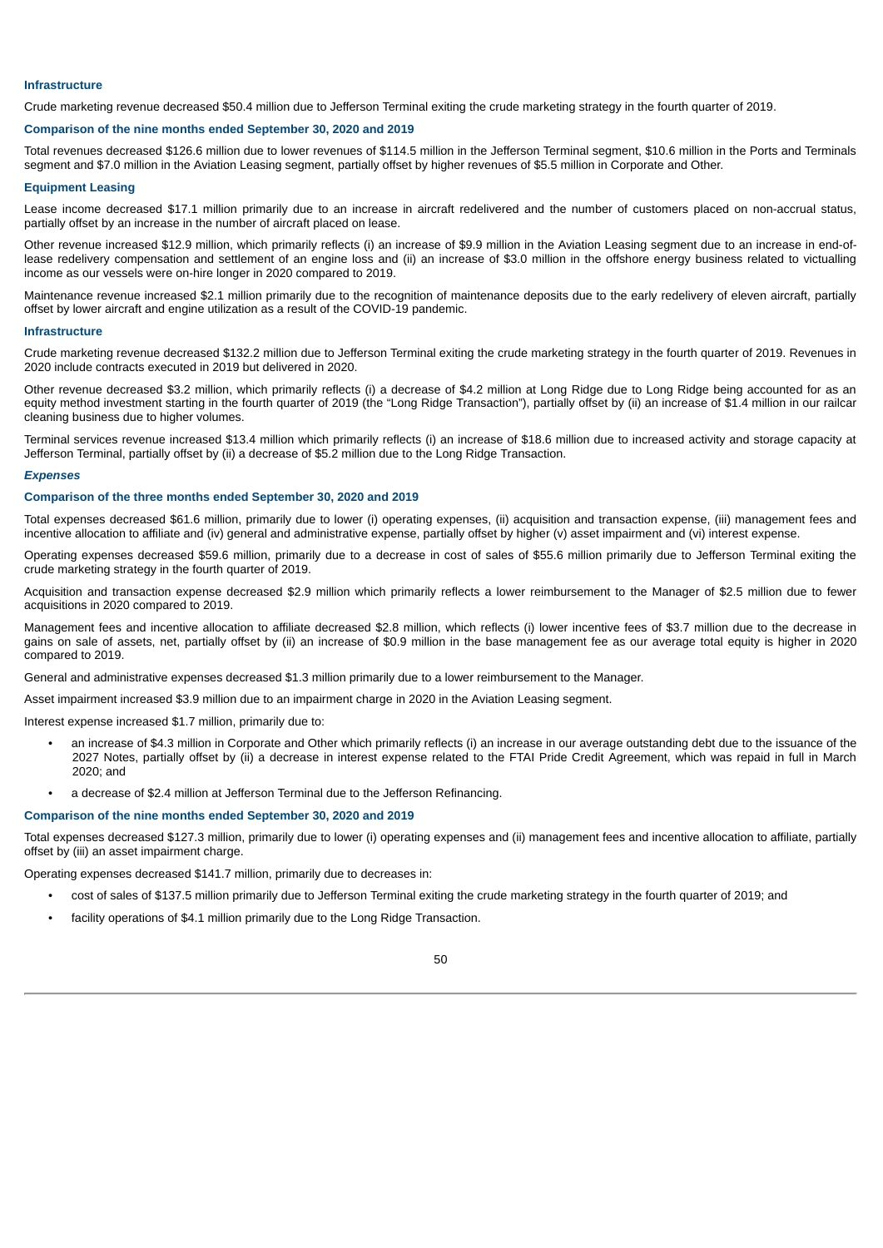### **Infrastructure**

Crude marketing revenue decreased \$50.4 million due to Jefferson Terminal exiting the crude marketing strategy in the fourth quarter of 2019.

# **Comparison of the nine months ended September 30, 2020 and 2019**

Total revenues decreased \$126.6 million due to lower revenues of \$114.5 million in the Jefferson Terminal segment, \$10.6 million in the Ports and Terminals segment and \$7.0 million in the Aviation Leasing segment, partially offset by higher revenues of \$5.5 million in Corporate and Other.

### **Equipment Leasing**

Lease income decreased \$17.1 million primarily due to an increase in aircraft redelivered and the number of customers placed on non-accrual status, partially offset by an increase in the number of aircraft placed on lease.

Other revenue increased \$12.9 million, which primarily reflects (i) an increase of \$9.9 million in the Aviation Leasing segment due to an increase in end-oflease redelivery compensation and settlement of an engine loss and (ii) an increase of \$3.0 million in the offshore energy business related to victualling income as our vessels were on-hire longer in 2020 compared to 2019.

Maintenance revenue increased \$2.1 million primarily due to the recognition of maintenance deposits due to the early redelivery of eleven aircraft, partially offset by lower aircraft and engine utilization as a result of the COVID-19 pandemic.

### **Infrastructure**

Crude marketing revenue decreased \$132.2 million due to Jefferson Terminal exiting the crude marketing strategy in the fourth quarter of 2019. Revenues in 2020 include contracts executed in 2019 but delivered in 2020.

Other revenue decreased \$3.2 million, which primarily reflects (i) a decrease of \$4.2 million at Long Ridge due to Long Ridge being accounted for as an equity method investment starting in the fourth quarter of 2019 (the "Long Ridge Transaction"), partially offset by (ii) an increase of \$1.4 million in our railcar cleaning business due to higher volumes.

Terminal services revenue increased \$13.4 million which primarily reflects (i) an increase of \$18.6 million due to increased activity and storage capacity at Jefferson Terminal, partially offset by (ii) a decrease of \$5.2 million due to the Long Ridge Transaction.

### *Expenses*

# **Comparison of the three months ended September 30, 2020 and 2019**

Total expenses decreased \$61.6 million, primarily due to lower (i) operating expenses, (ii) acquisition and transaction expense, (iii) management fees and incentive allocation to affiliate and (iv) general and administrative expense, partially offset by higher (v) asset impairment and (vi) interest expense.

Operating expenses decreased \$59.6 million, primarily due to a decrease in cost of sales of \$55.6 million primarily due to Jefferson Terminal exiting the crude marketing strategy in the fourth quarter of 2019.

Acquisition and transaction expense decreased \$2.9 million which primarily reflects a lower reimbursement to the Manager of \$2.5 million due to fewer acquisitions in 2020 compared to 2019.

Management fees and incentive allocation to affiliate decreased \$2.8 million, which reflects (i) lower incentive fees of \$3.7 million due to the decrease in gains on sale of assets, net, partially offset by (ii) an increase of \$0.9 million in the base management fee as our average total equity is higher in 2020 compared to 2019.

General and administrative expenses decreased \$1.3 million primarily due to a lower reimbursement to the Manager.

Asset impairment increased \$3.9 million due to an impairment charge in 2020 in the Aviation Leasing segment.

Interest expense increased \$1.7 million, primarily due to:

- an increase of \$4.3 million in Corporate and Other which primarily reflects (i) an increase in our average outstanding debt due to the issuance of the 2027 Notes, partially offset by (ii) a decrease in interest expense related to the FTAI Pride Credit Agreement, which was repaid in full in March 2020; and
- a decrease of \$2.4 million at Jefferson Terminal due to the Jefferson Refinancing.

### **Comparison of the nine months ended September 30, 2020 and 2019**

Total expenses decreased \$127.3 million, primarily due to lower (i) operating expenses and (ii) management fees and incentive allocation to affiliate, partially offset by (iii) an asset impairment charge.

Operating expenses decreased \$141.7 million, primarily due to decreases in:

- cost of sales of \$137.5 million primarily due to Jefferson Terminal exiting the crude marketing strategy in the fourth quarter of 2019; and
- facility operations of \$4.1 million primarily due to the Long Ridge Transaction.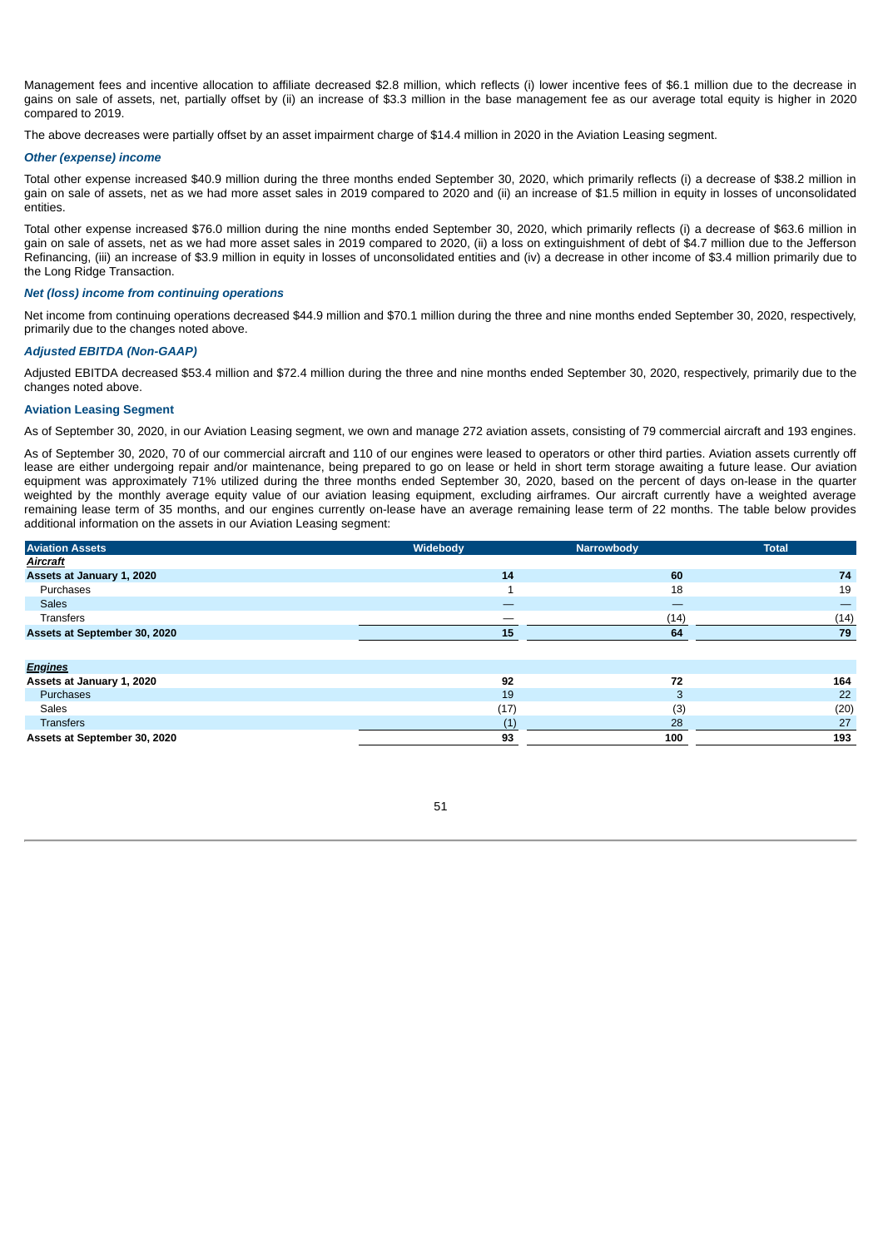Management fees and incentive allocation to affiliate decreased \$2.8 million, which reflects (i) lower incentive fees of \$6.1 million due to the decrease in gains on sale of assets, net, partially offset by (ii) an increase of \$3.3 million in the base management fee as our average total equity is higher in 2020 compared to 2019.

The above decreases were partially offset by an asset impairment charge of \$14.4 million in 2020 in the Aviation Leasing segment.

#### *Other (expense) income*

Total other expense increased \$40.9 million during the three months ended September 30, 2020, which primarily reflects (i) a decrease of \$38.2 million in gain on sale of assets, net as we had more asset sales in 2019 compared to 2020 and (ii) an increase of \$1.5 million in equity in losses of unconsolidated entities.

Total other expense increased \$76.0 million during the nine months ended September 30, 2020, which primarily reflects (i) a decrease of \$63.6 million in gain on sale of assets, net as we had more asset sales in 2019 compared to 2020, (ii) a loss on extinguishment of debt of \$4.7 million due to the Jefferson Refinancing, (iii) an increase of \$3.9 million in equity in losses of unconsolidated entities and (iv) a decrease in other income of \$3.4 million primarily due to the Long Ridge Transaction.

# *Net (loss) income from continuing operations*

Net income from continuing operations decreased \$44.9 million and \$70.1 million during the three and nine months ended September 30, 2020, respectively, primarily due to the changes noted above.

### *Adjusted EBITDA (Non-GAAP)*

Adjusted EBITDA decreased \$53.4 million and \$72.4 million during the three and nine months ended September 30, 2020, respectively, primarily due to the changes noted above.

### **Aviation Leasing Segment**

As of September 30, 2020, in our Aviation Leasing segment, we own and manage 272 aviation assets, consisting of 79 commercial aircraft and 193 engines.

As of September 30, 2020, 70 of our commercial aircraft and 110 of our engines were leased to operators or other third parties. Aviation assets currently off lease are either undergoing repair and/or maintenance, being prepared to go on lease or held in short term storage awaiting a future lease. Our aviation equipment was approximately 71% utilized during the three months ended September 30, 2020, based on the percent of days on-lease in the quarter weighted by the monthly average equity value of our aviation leasing equipment, excluding airframes. Our aircraft currently have a weighted average remaining lease term of 35 months, and our engines currently on-lease have an average remaining lease term of 22 months. The table below provides additional information on the assets in our Aviation Leasing segment:

| <b>Aviation Assets</b>       | Widebody | Narrowbody | <b>Total</b> |
|------------------------------|----------|------------|--------------|
| Aircraft                     |          |            |              |
| Assets at January 1, 2020    | 14       | 60         | 74           |
| Purchases                    |          | 18         | 19           |
| Sales                        | —        |            |              |
| <b>Transfers</b>             |          | (14)       | (14)         |
| Assets at September 30, 2020 | 15       | 64         | 79           |
|                              |          |            |              |
| <b>Engines</b>               |          |            |              |
| Assets at January 1, 2020    | 92       | 72         | 164          |
| Purchases                    | 19       | 3          | 22           |
| Sales                        | (17)     | (3)        | (20)         |
| <b>Transfers</b>             | (1)      | 28         | 27           |
| Assets at September 30, 2020 | 93       | 100        | 193          |

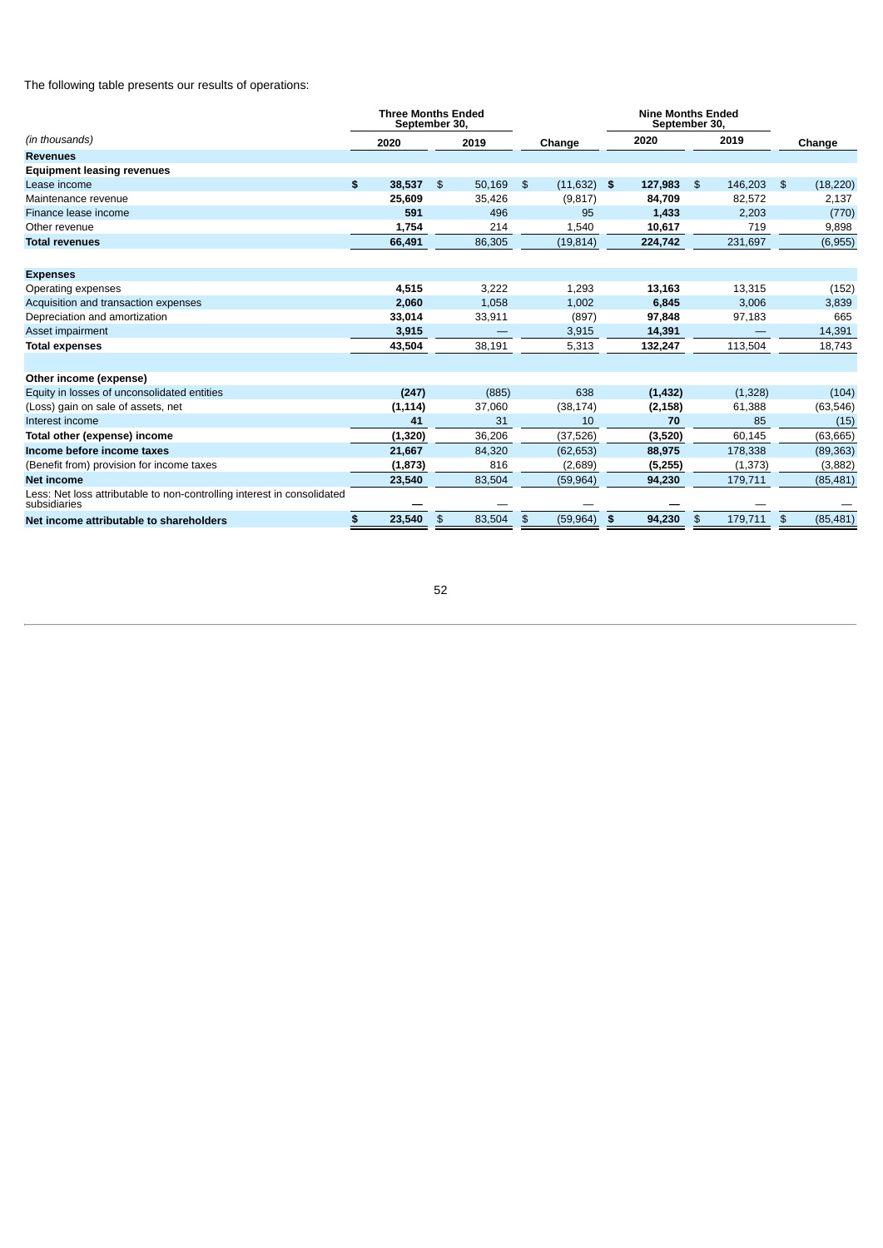The following table presents our results of operations:

| 2020<br>2019<br>2020<br>2019<br>Change<br>Change<br>\$<br>38,537<br>50,169<br>$(11,632)$ \$<br>127,983<br>146,203<br>\$<br>\$<br>\$<br>\$<br>Lease income<br>25,609<br>35,426<br>(9, 817)<br>84,709<br>82,572<br>Maintenance revenue<br>2,137<br>496<br>95<br>2,203<br>591<br>1,433<br>1,754<br>214<br>1,540<br>9,898<br>10,617<br>719<br>66,491<br>86,305<br>(19, 814)<br>231,697<br>224,742<br>4,515<br>3,222<br>1,293<br>13,163<br>13,315<br>2,060<br>1.058<br>1,002<br>6,845<br>3,006<br>3,839<br>Depreciation and amortization<br>33,014<br>(897)<br>97,848<br>665<br>33,911<br>97,183<br>Asset impairment<br>3,915<br>3,915<br>14,391<br>14,391<br>43,504<br>38,191<br>5,313<br>113,504<br>18,743<br>132,247<br>638<br>(247)<br>(885)<br>(1, 432)<br>(1, 328)<br>(Loss) gain on sale of assets, net<br>37,060<br>(1, 114)<br>(38, 174)<br>(2, 158)<br>61,388<br>31<br>41<br>10<br>70<br>85<br>36,206<br>60,145<br>(1, 320)<br>(37, 526)<br>(3,520)<br>84,320<br>(62, 653)<br>88,975<br>178,338<br>21,667<br>816<br>(1, 873)<br>(2,689)<br>(5,255)<br>(1, 373)<br>23,540<br>83,504<br>(59, 964)<br>94,230<br>179,711<br>Less: Net loss attributable to non-controlling interest in consolidated<br>83,504<br>(59, 964)<br>94,230<br>179,711<br>23,540<br>\$<br>\$<br>\$<br>(85, 481)<br>\$<br>\$<br>S |                | <b>Three Months Ended</b><br>September 30, |  | <b>Nine Months Ended</b><br>September 30, |  |           |
|------------------------------------------------------------------------------------------------------------------------------------------------------------------------------------------------------------------------------------------------------------------------------------------------------------------------------------------------------------------------------------------------------------------------------------------------------------------------------------------------------------------------------------------------------------------------------------------------------------------------------------------------------------------------------------------------------------------------------------------------------------------------------------------------------------------------------------------------------------------------------------------------------------------------------------------------------------------------------------------------------------------------------------------------------------------------------------------------------------------------------------------------------------------------------------------------------------------------------------------------------------------------------------------------------------|----------------|--------------------------------------------|--|-------------------------------------------|--|-----------|
| <b>Revenues</b><br><b>Equipment leasing revenues</b><br>Finance lease income<br>Other revenue<br><b>Total revenues</b><br><b>Expenses</b><br>Operating expenses<br>Acquisition and transaction expenses<br><b>Total expenses</b><br>Other income (expense)<br>Equity in losses of unconsolidated entities<br>Interest income<br>Total other (expense) income<br>Income before income taxes<br>(Benefit from) provision for income taxes<br><b>Net income</b><br>subsidiaries<br>Net income attributable to shareholders                                                                                                                                                                                                                                                                                                                                                                                                                                                                                                                                                                                                                                                                                                                                                                                    | (in thousands) |                                            |  |                                           |  |           |
|                                                                                                                                                                                                                                                                                                                                                                                                                                                                                                                                                                                                                                                                                                                                                                                                                                                                                                                                                                                                                                                                                                                                                                                                                                                                                                            |                |                                            |  |                                           |  |           |
|                                                                                                                                                                                                                                                                                                                                                                                                                                                                                                                                                                                                                                                                                                                                                                                                                                                                                                                                                                                                                                                                                                                                                                                                                                                                                                            |                |                                            |  |                                           |  |           |
|                                                                                                                                                                                                                                                                                                                                                                                                                                                                                                                                                                                                                                                                                                                                                                                                                                                                                                                                                                                                                                                                                                                                                                                                                                                                                                            |                |                                            |  |                                           |  | (18, 220) |
|                                                                                                                                                                                                                                                                                                                                                                                                                                                                                                                                                                                                                                                                                                                                                                                                                                                                                                                                                                                                                                                                                                                                                                                                                                                                                                            |                |                                            |  |                                           |  |           |
|                                                                                                                                                                                                                                                                                                                                                                                                                                                                                                                                                                                                                                                                                                                                                                                                                                                                                                                                                                                                                                                                                                                                                                                                                                                                                                            |                |                                            |  |                                           |  | (770)     |
|                                                                                                                                                                                                                                                                                                                                                                                                                                                                                                                                                                                                                                                                                                                                                                                                                                                                                                                                                                                                                                                                                                                                                                                                                                                                                                            |                |                                            |  |                                           |  |           |
|                                                                                                                                                                                                                                                                                                                                                                                                                                                                                                                                                                                                                                                                                                                                                                                                                                                                                                                                                                                                                                                                                                                                                                                                                                                                                                            |                |                                            |  |                                           |  | (6, 955)  |
|                                                                                                                                                                                                                                                                                                                                                                                                                                                                                                                                                                                                                                                                                                                                                                                                                                                                                                                                                                                                                                                                                                                                                                                                                                                                                                            |                |                                            |  |                                           |  |           |
|                                                                                                                                                                                                                                                                                                                                                                                                                                                                                                                                                                                                                                                                                                                                                                                                                                                                                                                                                                                                                                                                                                                                                                                                                                                                                                            |                |                                            |  |                                           |  |           |
|                                                                                                                                                                                                                                                                                                                                                                                                                                                                                                                                                                                                                                                                                                                                                                                                                                                                                                                                                                                                                                                                                                                                                                                                                                                                                                            |                |                                            |  |                                           |  | (152)     |
|                                                                                                                                                                                                                                                                                                                                                                                                                                                                                                                                                                                                                                                                                                                                                                                                                                                                                                                                                                                                                                                                                                                                                                                                                                                                                                            |                |                                            |  |                                           |  |           |
|                                                                                                                                                                                                                                                                                                                                                                                                                                                                                                                                                                                                                                                                                                                                                                                                                                                                                                                                                                                                                                                                                                                                                                                                                                                                                                            |                |                                            |  |                                           |  |           |
|                                                                                                                                                                                                                                                                                                                                                                                                                                                                                                                                                                                                                                                                                                                                                                                                                                                                                                                                                                                                                                                                                                                                                                                                                                                                                                            |                |                                            |  |                                           |  |           |
|                                                                                                                                                                                                                                                                                                                                                                                                                                                                                                                                                                                                                                                                                                                                                                                                                                                                                                                                                                                                                                                                                                                                                                                                                                                                                                            |                |                                            |  |                                           |  |           |
|                                                                                                                                                                                                                                                                                                                                                                                                                                                                                                                                                                                                                                                                                                                                                                                                                                                                                                                                                                                                                                                                                                                                                                                                                                                                                                            |                |                                            |  |                                           |  |           |
|                                                                                                                                                                                                                                                                                                                                                                                                                                                                                                                                                                                                                                                                                                                                                                                                                                                                                                                                                                                                                                                                                                                                                                                                                                                                                                            |                |                                            |  |                                           |  |           |
|                                                                                                                                                                                                                                                                                                                                                                                                                                                                                                                                                                                                                                                                                                                                                                                                                                                                                                                                                                                                                                                                                                                                                                                                                                                                                                            |                |                                            |  |                                           |  | (104)     |
|                                                                                                                                                                                                                                                                                                                                                                                                                                                                                                                                                                                                                                                                                                                                                                                                                                                                                                                                                                                                                                                                                                                                                                                                                                                                                                            |                |                                            |  |                                           |  | (63, 546) |
|                                                                                                                                                                                                                                                                                                                                                                                                                                                                                                                                                                                                                                                                                                                                                                                                                                                                                                                                                                                                                                                                                                                                                                                                                                                                                                            |                |                                            |  |                                           |  | (15)      |
|                                                                                                                                                                                                                                                                                                                                                                                                                                                                                                                                                                                                                                                                                                                                                                                                                                                                                                                                                                                                                                                                                                                                                                                                                                                                                                            |                |                                            |  |                                           |  | (63, 665) |
|                                                                                                                                                                                                                                                                                                                                                                                                                                                                                                                                                                                                                                                                                                                                                                                                                                                                                                                                                                                                                                                                                                                                                                                                                                                                                                            |                |                                            |  |                                           |  | (89, 363) |
|                                                                                                                                                                                                                                                                                                                                                                                                                                                                                                                                                                                                                                                                                                                                                                                                                                                                                                                                                                                                                                                                                                                                                                                                                                                                                                            |                |                                            |  |                                           |  | (3,882)   |
|                                                                                                                                                                                                                                                                                                                                                                                                                                                                                                                                                                                                                                                                                                                                                                                                                                                                                                                                                                                                                                                                                                                                                                                                                                                                                                            |                |                                            |  |                                           |  | (85, 481) |
|                                                                                                                                                                                                                                                                                                                                                                                                                                                                                                                                                                                                                                                                                                                                                                                                                                                                                                                                                                                                                                                                                                                                                                                                                                                                                                            |                |                                            |  |                                           |  |           |
|                                                                                                                                                                                                                                                                                                                                                                                                                                                                                                                                                                                                                                                                                                                                                                                                                                                                                                                                                                                                                                                                                                                                                                                                                                                                                                            |                |                                            |  |                                           |  |           |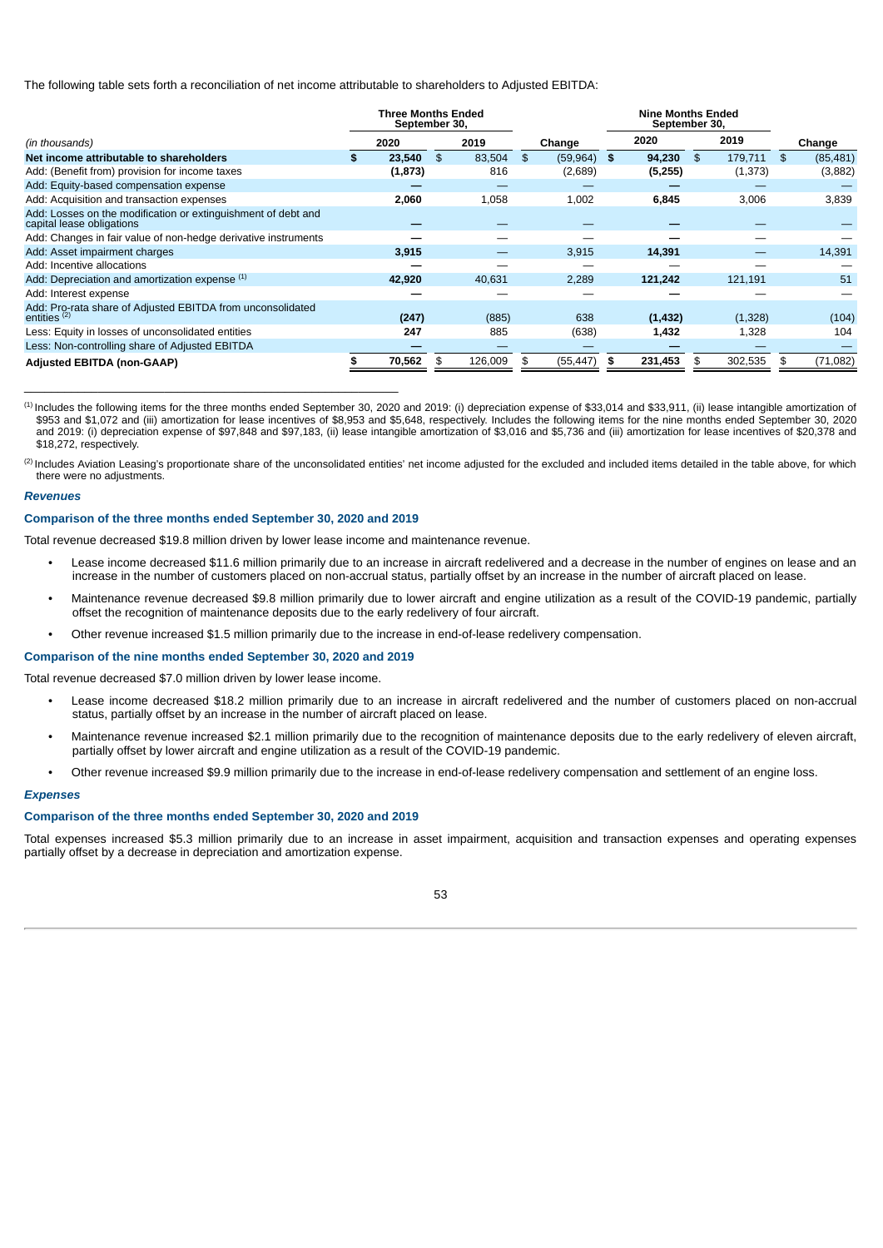The following table sets forth a reconciliation of net income attributable to shareholders to Adjusted EBITDA:

|                                                                                            | <b>Three Months Ended</b><br>September 30, |              | <b>Nine Months Ended</b><br>September 30, |      |          |    |          |     |           |
|--------------------------------------------------------------------------------------------|--------------------------------------------|--------------|-------------------------------------------|------|----------|----|----------|-----|-----------|
| (in thousands)                                                                             | 2020                                       | 2019         | Change                                    |      | 2020     |    | 2019     |     | Change    |
| Net income attributable to shareholders                                                    | 23,540                                     | \$<br>83,504 | \$<br>(59, 964)                           | - \$ | 94,230   | \$ | 179,711  | \$  | (85, 481) |
| Add: (Benefit from) provision for income taxes                                             | (1, 873)                                   | 816          | (2,689)                                   |      | (5,255)  |    | (1, 373) |     | (3,882)   |
| Add: Equity-based compensation expense                                                     |                                            |              |                                           |      |          |    |          |     |           |
| Add: Acquisition and transaction expenses                                                  | 2.060                                      | 1,058        | 1,002                                     |      | 6,845    |    | 3,006    |     | 3,839     |
| Add: Losses on the modification or extinguishment of debt and<br>capital lease obligations |                                            |              |                                           |      |          |    |          |     |           |
| Add: Changes in fair value of non-hedge derivative instruments                             |                                            |              |                                           |      |          |    |          |     |           |
| Add: Asset impairment charges                                                              | 3,915                                      |              | 3,915                                     |      | 14,391   |    |          |     | 14,391    |
| Add: Incentive allocations                                                                 |                                            |              |                                           |      |          |    |          |     |           |
| Add: Depreciation and amortization expense (1)                                             | 42,920                                     | 40,631       | 2,289                                     |      | 121,242  |    | 121,191  |     | 51        |
| Add: Interest expense                                                                      |                                            |              |                                           |      |          |    |          |     |           |
| Add: Pro-rata share of Adjusted EBITDA from unconsolidated<br>entities <sup>(2)</sup>      | (247)                                      | (885)        | 638                                       |      | (1, 432) |    | (1, 328) |     | (104)     |
| Less: Equity in losses of unconsolidated entities                                          | 247                                        | 885          | (638)                                     |      | 1,432    |    | 1,328    |     | 104       |
| Less: Non-controlling share of Adjusted EBITDA                                             |                                            |              |                                           |      |          |    |          |     |           |
| <b>Adjusted EBITDA (non-GAAP)</b>                                                          | 70,562                                     | 126,009      | (55, 447)                                 |      | 231,453  |    | 302,535  | SS. | (71, 082) |

 $^{(1)}$  Includes the following items for the three months ended September 30, 2020 and 2019: (i) depreciation expense of \$33,014 and \$33,911, (ii) lease intangible amortization of \$953 and \$1,072 and (iii) amortization for lease incentives of \$8,953 and \$5,648, respectively. Includes the following items for the nine months ended September 30, 2020 and 2019: (i) depreciation expense of \$97,848 and \$97,183, (ii) lease intangible amortization of \$3,016 and \$5,736 and (iii) amortization for lease incentives of \$20,378 and \$18,272, respectively.

 $^{(2)}$  Includes Aviation Leasing's proportionate share of the unconsolidated entities' net income adjusted for the excluded and included items detailed in the table above, for which there were no adjustments.

### *Revenues*

### **Comparison of the three months ended September 30, 2020 and 2019**

\_\_\_\_\_\_\_\_\_\_\_\_\_\_\_\_\_\_\_\_\_\_\_\_\_\_\_\_\_\_\_\_\_\_\_\_\_\_\_\_\_\_\_\_\_\_\_\_\_\_\_\_\_\_\_\_

Total revenue decreased \$19.8 million driven by lower lease income and maintenance revenue.

- Lease income decreased \$11.6 million primarily due to an increase in aircraft redelivered and a decrease in the number of engines on lease and an increase in the number of customers placed on non-accrual status, partially offset by an increase in the number of aircraft placed on lease.
- Maintenance revenue decreased \$9.8 million primarily due to lower aircraft and engine utilization as a result of the COVID-19 pandemic, partially offset the recognition of maintenance deposits due to the early redelivery of four aircraft.
- Other revenue increased \$1.5 million primarily due to the increase in end-of-lease redelivery compensation.

## **Comparison of the nine months ended September 30, 2020 and 2019**

Total revenue decreased \$7.0 million driven by lower lease income.

- Lease income decreased \$18.2 million primarily due to an increase in aircraft redelivered and the number of customers placed on non-accrual status, partially offset by an increase in the number of aircraft placed on lease.
- Maintenance revenue increased \$2.1 million primarily due to the recognition of maintenance deposits due to the early redelivery of eleven aircraft, partially offset by lower aircraft and engine utilization as a result of the COVID-19 pandemic.
- Other revenue increased \$9.9 million primarily due to the increase in end-of-lease redelivery compensation and settlement of an engine loss.

### *Expenses*

### **Comparison of the three months ended September 30, 2020 and 2019**

Total expenses increased \$5.3 million primarily due to an increase in asset impairment, acquisition and transaction expenses and operating expenses partially offset by a decrease in depreciation and amortization expense.

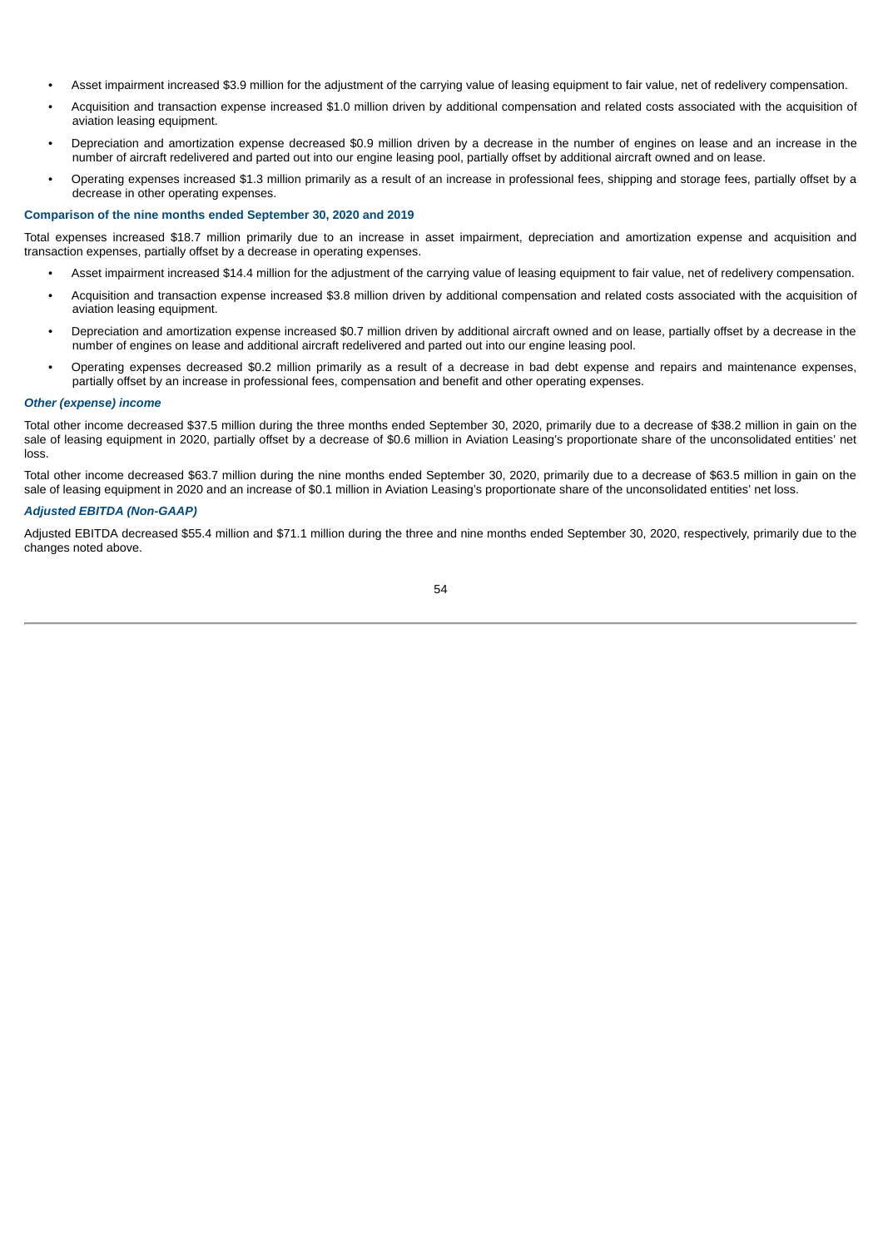- Asset impairment increased \$3.9 million for the adjustment of the carrying value of leasing equipment to fair value, net of redelivery compensation.
- Acquisition and transaction expense increased \$1.0 million driven by additional compensation and related costs associated with the acquisition of aviation leasing equipment.
- Depreciation and amortization expense decreased \$0.9 million driven by a decrease in the number of engines on lease and an increase in the number of aircraft redelivered and parted out into our engine leasing pool, partially offset by additional aircraft owned and on lease.
- Operating expenses increased \$1.3 million primarily as a result of an increase in professional fees, shipping and storage fees, partially offset by a decrease in other operating expenses.

### **Comparison of the nine months ended September 30, 2020 and 2019**

Total expenses increased \$18.7 million primarily due to an increase in asset impairment, depreciation and amortization expense and acquisition and transaction expenses, partially offset by a decrease in operating expenses.

- Asset impairment increased \$14.4 million for the adjustment of the carrying value of leasing equipment to fair value, net of redelivery compensation.
- Acquisition and transaction expense increased \$3.8 million driven by additional compensation and related costs associated with the acquisition of aviation leasing equipment.
- Depreciation and amortization expense increased \$0.7 million driven by additional aircraft owned and on lease, partially offset by a decrease in the number of engines on lease and additional aircraft redelivered and parted out into our engine leasing pool.
- Operating expenses decreased \$0.2 million primarily as a result of a decrease in bad debt expense and repairs and maintenance expenses, partially offset by an increase in professional fees, compensation and benefit and other operating expenses.

### *Other (expense) income*

Total other income decreased \$37.5 million during the three months ended September 30, 2020, primarily due to a decrease of \$38.2 million in gain on the sale of leasing equipment in 2020, partially offset by a decrease of \$0.6 million in Aviation Leasing's proportionate share of the unconsolidated entities' net loss.

Total other income decreased \$63.7 million during the nine months ended September 30, 2020, primarily due to a decrease of \$63.5 million in gain on the sale of leasing equipment in 2020 and an increase of \$0.1 million in Aviation Leasing's proportionate share of the unconsolidated entities' net loss.

# *Adjusted EBITDA (Non-GAAP)*

Adjusted EBITDA decreased \$55.4 million and \$71.1 million during the three and nine months ended September 30, 2020, respectively, primarily due to the changes noted above.

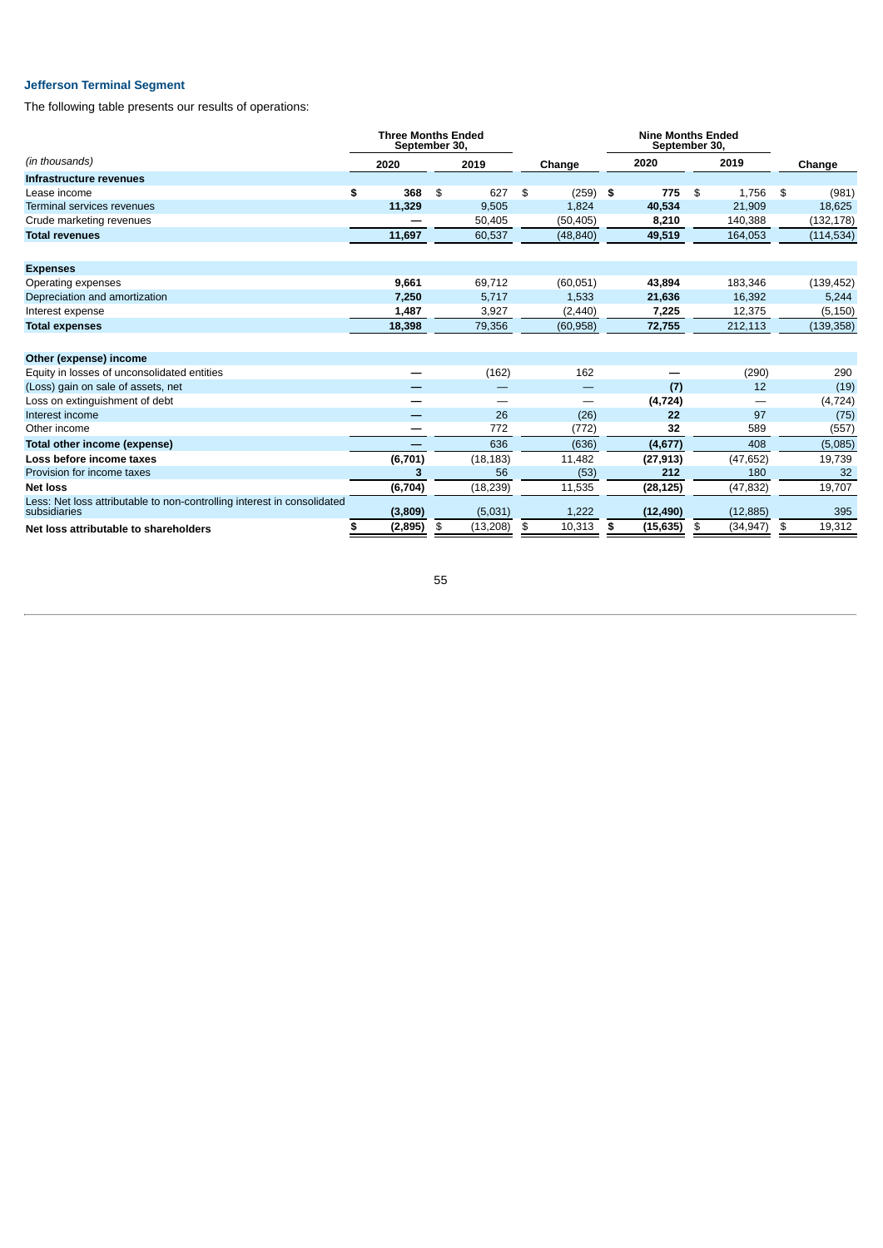# **Jefferson Terminal Segment**

The following table presents our results of operations:

|                                                                                         | <b>Three Months Ended</b><br>September 30, |                 |                  |      | <b>Nine Months Ended</b><br>September 30, |                 |              |
|-----------------------------------------------------------------------------------------|--------------------------------------------|-----------------|------------------|------|-------------------------------------------|-----------------|--------------|
| (in thousands)                                                                          | 2020                                       | 2019            | Change           |      | 2020                                      | 2019            | Change       |
| Infrastructure revenues                                                                 |                                            |                 |                  |      |                                           |                 |              |
| Lease income                                                                            | \$<br>368                                  | \$<br>627       | \$<br>$(259)$ \$ |      | 775                                       | \$<br>1,756     | \$<br>(981)  |
| Terminal services revenues                                                              | 11,329                                     | 9,505           | 1,824            |      | 40,534                                    | 21,909          | 18,625       |
| Crude marketing revenues                                                                |                                            | 50,405          | (50, 405)        |      | 8,210                                     | 140,388         | (132, 178)   |
| <b>Total revenues</b>                                                                   | 11,697                                     | 60,537          | (48, 840)        |      | 49,519                                    | 164,053         | (114, 534)   |
| <b>Expenses</b>                                                                         |                                            |                 |                  |      |                                           |                 |              |
| Operating expenses                                                                      | 9,661                                      | 69,712          | (60, 051)        |      | 43,894                                    | 183,346         | (139, 452)   |
| Depreciation and amortization                                                           | 7,250                                      | 5,717           | 1,533            |      | 21,636                                    | 16,392          | 5,244        |
| Interest expense                                                                        | 1,487                                      | 3,927           | (2,440)          |      | 7,225                                     | 12,375          | (5, 150)     |
| <b>Total expenses</b>                                                                   | 18,398                                     | 79,356          | (60, 958)        |      | 72,755                                    | 212,113         | (139, 358)   |
|                                                                                         |                                            |                 |                  |      |                                           |                 |              |
| Other (expense) income                                                                  |                                            |                 |                  |      |                                           |                 |              |
| Equity in losses of unconsolidated entities                                             |                                            | (162)           | 162              |      |                                           | (290)           | 290          |
| (Loss) gain on sale of assets, net                                                      |                                            |                 |                  |      | (7)                                       | 12              | (19)         |
| Loss on extinguishment of debt                                                          |                                            |                 |                  |      | (4, 724)                                  |                 | (4, 724)     |
| Interest income                                                                         |                                            | 26              | (26)             |      | 22                                        | 97              | (75)         |
| Other income                                                                            |                                            | 772             | (772)            |      | 32                                        | 589             | (557)        |
| Total other income (expense)                                                            |                                            | 636             | (636)            |      | (4,677)                                   | 408             | (5,085)      |
| <b>Loss before income taxes</b>                                                         | (6,701)                                    | (18, 183)       | 11,482           |      | (27, 913)                                 | (47, 652)       | 19,739       |
| Provision for income taxes                                                              | 3                                          | 56              | (53)             |      | 212                                       | 180             | 32           |
| <b>Net loss</b>                                                                         | (6,704)                                    | (18, 239)       | 11,535           |      | (28, 125)                                 | (47, 832)       | 19,707       |
| Less: Net loss attributable to non-controlling interest in consolidated<br>subsidiaries | (3,809)                                    | (5,031)         | 1,222            |      | (12, 490)                                 | (12, 885)       | 395          |
| Net loss attributable to shareholders                                                   | (2,895)                                    | \$<br>(13, 208) | \$<br>10,313     | - 56 | (15,635)                                  | \$<br>(34, 947) | \$<br>19,312 |
|                                                                                         |                                            |                 |                  |      |                                           |                 |              |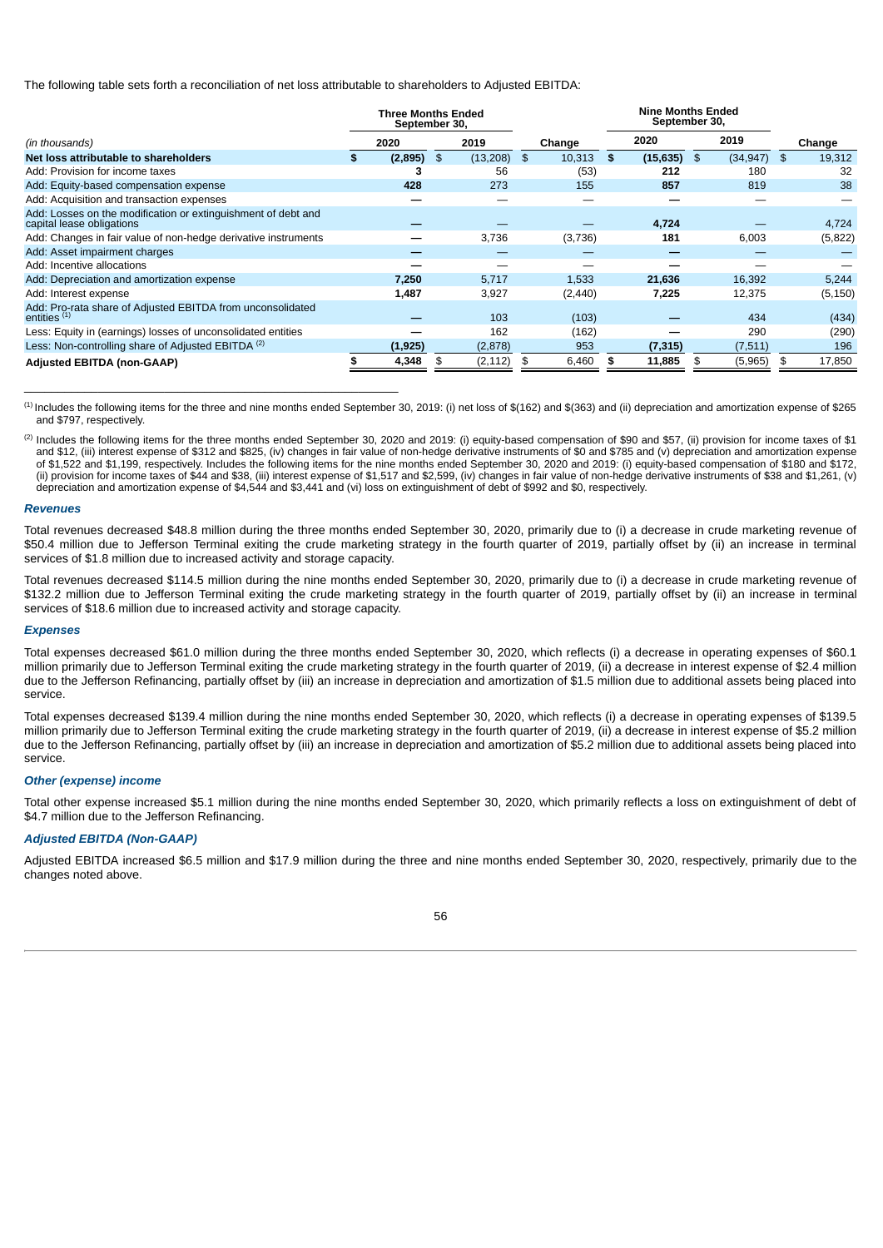The following table sets forth a reconciliation of net loss attributable to shareholders to Adjusted EBITDA:

\_\_\_\_\_\_\_\_\_\_\_\_\_\_\_\_\_\_\_\_\_\_\_\_\_\_\_\_\_\_\_\_\_\_\_\_\_\_\_\_\_\_\_\_\_\_\_\_\_\_\_\_\_\_\_\_

|                                                                                            | September 30, | <b>Three Months Ended</b> |          |              | <b>Nine Months Ended</b><br>September 30, |                |  |           |              |
|--------------------------------------------------------------------------------------------|---------------|---------------------------|----------|--------------|-------------------------------------------|----------------|--|-----------|--------------|
| (in thousands)                                                                             | 2020          | 2019                      |          | Change       |                                           | 2020           |  | 2019      | Change       |
| Net loss attributable to shareholders                                                      | (2, 895)      | \$                        | (13,208) | \$<br>10,313 | S.                                        | $(15, 635)$ \$ |  | (34, 947) | \$<br>19,312 |
| Add: Provision for income taxes                                                            |               |                           | 56       | (53)         |                                           | 212            |  | 180       | 32           |
| Add: Equity-based compensation expense                                                     | 428           |                           | 273      | 155          |                                           | 857            |  | 819       | 38           |
| Add: Acquisition and transaction expenses                                                  |               |                           |          |              |                                           |                |  |           |              |
| Add: Losses on the modification or extinguishment of debt and<br>capital lease obligations |               |                           |          |              |                                           | 4,724          |  |           | 4,724        |
| Add: Changes in fair value of non-hedge derivative instruments                             |               |                           | 3,736    | (3,736)      |                                           | 181            |  | 6,003     | (5,822)      |
| Add: Asset impairment charges                                                              |               |                           |          |              |                                           |                |  |           |              |
| Add: Incentive allocations                                                                 |               |                           |          |              |                                           |                |  |           |              |
| Add: Depreciation and amortization expense                                                 | 7,250         |                           | 5,717    | 1,533        |                                           | 21,636         |  | 16,392    | 5,244        |
| Add: Interest expense                                                                      | 1,487         |                           | 3,927    | (2,440)      |                                           | 7,225          |  | 12,375    | (5, 150)     |
| Add: Pro-rata share of Adjusted EBITDA from unconsolidated<br>entities <sup>(1)</sup>      |               |                           | 103      | (103)        |                                           |                |  | 434       | (434)        |
| Less: Equity in (earnings) losses of unconsolidated entities                               |               |                           | 162      | (162)        |                                           |                |  | 290       | (290)        |
| Less: Non-controlling share of Adjusted EBITDA <sup>(2)</sup>                              | (1, 925)      |                           | (2,878)  | 953          |                                           | (7, 315)       |  | (7,511)   | 196          |
| <b>Adjusted EBITDA (non-GAAP)</b>                                                          | 4,348         |                           | (2, 112) | 6,460        |                                           | 11,885         |  | (5,965)   | 17,850       |

 $^{(1)}$  Includes the following items for the three and nine months ended September 30, 2019: (i) net loss of \$(162) and \$(363) and (ii) depreciation and amortization expense of \$265 and \$797, respectively.

(2) Includes the following items for the three months ended September 30, 2020 and 2019: (i) equity-based compensation of \$90 and \$57, (ii) provision for income taxes of \$1 and \$12, (iii) interest expense of \$312 and \$825, (iv) changes in fair value of non-hedge derivative instruments of \$0 and \$785 and (v) depreciation and amortization expense of \$1,522 and \$1,199, respectively. Includes the following items for the nine months ended September 30, 2020 and 2019: (i) equity-based compensation of \$180 and \$172, (ii) provision for income taxes of \$44 and \$38, (iii) interest expense of \$1,517 and \$2,599, (iv) changes in fair value of non-hedge derivative instruments of \$38 and \$1,261, (v) depreciation and amortization expense of \$4,544 and \$3,441 and (vi) loss on extinguishment of debt of \$992 and \$0, respectively.

#### *Revenues*

Total revenues decreased \$48.8 million during the three months ended September 30, 2020, primarily due to (i) a decrease in crude marketing revenue of \$50.4 million due to Jefferson Terminal exiting the crude marketing strategy in the fourth quarter of 2019, partially offset by (ii) an increase in terminal services of \$1.8 million due to increased activity and storage capacity.

Total revenues decreased \$114.5 million during the nine months ended September 30, 2020, primarily due to (i) a decrease in crude marketing revenue of \$132.2 million due to Jefferson Terminal exiting the crude marketing strategy in the fourth quarter of 2019, partially offset by (ii) an increase in terminal services of \$18.6 million due to increased activity and storage capacity.

### *Expenses*

Total expenses decreased \$61.0 million during the three months ended September 30, 2020, which reflects (i) a decrease in operating expenses of \$60.1 million primarily due to Jefferson Terminal exiting the crude marketing strategy in the fourth quarter of 2019, (ii) a decrease in interest expense of \$2.4 million due to the Jefferson Refinancing, partially offset by (iii) an increase in depreciation and amortization of \$1.5 million due to additional assets being placed into service.

Total expenses decreased \$139.4 million during the nine months ended September 30, 2020, which reflects (i) a decrease in operating expenses of \$139.5 million primarily due to Jefferson Terminal exiting the crude marketing strategy in the fourth quarter of 2019, (ii) a decrease in interest expense of \$5.2 million due to the Jefferson Refinancing, partially offset by (iii) an increase in depreciation and amortization of \$5.2 million due to additional assets being placed into service.

### *Other (expense) income*

Total other expense increased \$5.1 million during the nine months ended September 30, 2020, which primarily reflects a loss on extinguishment of debt of \$4.7 million due to the Jefferson Refinancing.

# *Adjusted EBITDA (Non-GAAP)*

Adjusted EBITDA increased \$6.5 million and \$17.9 million during the three and nine months ended September 30, 2020, respectively, primarily due to the changes noted above.

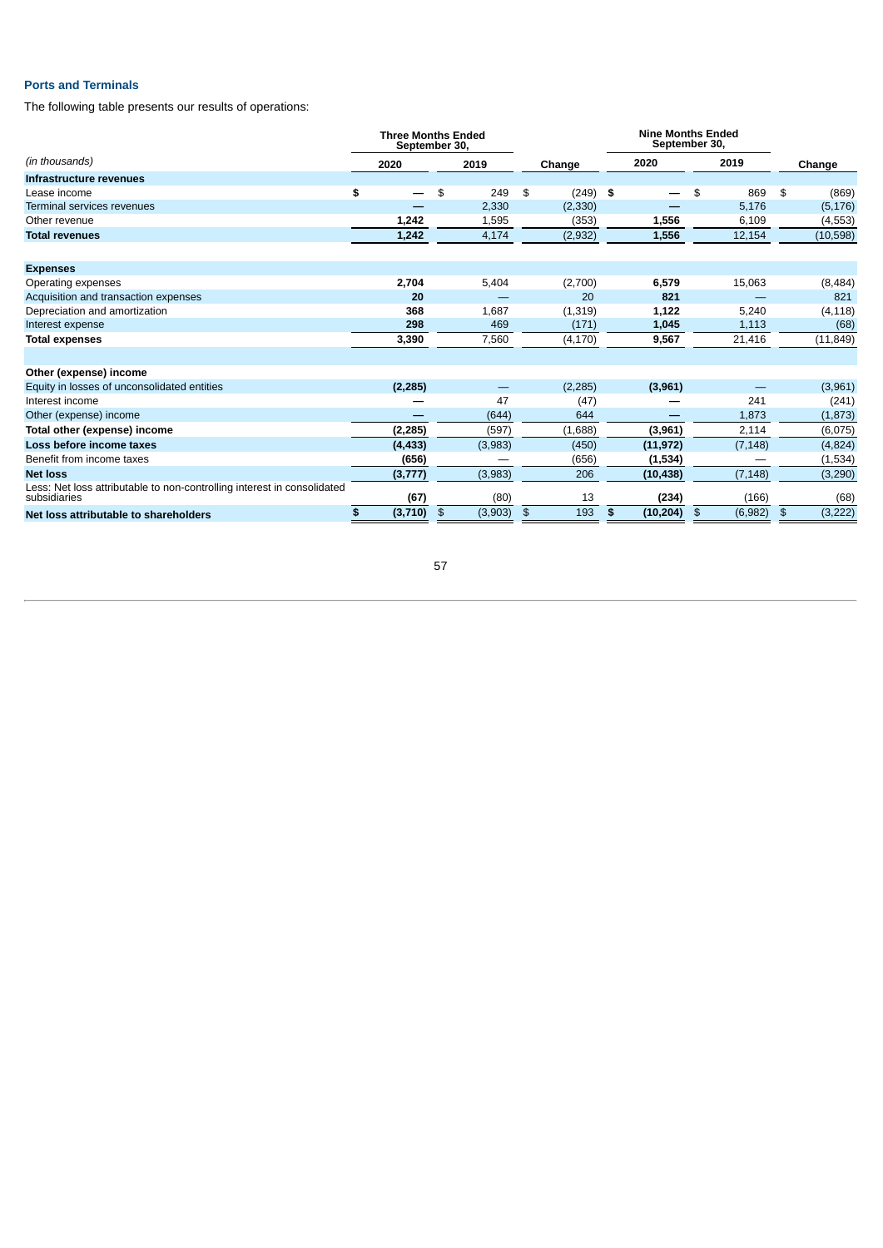# **Ports and Terminals**

The following table presents our results of operations:

|                                                                                         | <b>Three Months Ended</b> | September 30, |         |                  |   | <b>Nine Months Ended</b><br>September 30, |               |                |
|-----------------------------------------------------------------------------------------|---------------------------|---------------|---------|------------------|---|-------------------------------------------|---------------|----------------|
| (in thousands)                                                                          | 2020                      |               | 2019    | Change           |   | 2020                                      | 2019          | Change         |
| <b>Infrastructure revenues</b>                                                          |                           |               |         |                  |   |                                           |               |                |
| Lease income                                                                            | \$<br>—                   | \$            | 249     | \$<br>$(249)$ \$ |   |                                           | \$<br>869     | \$<br>(869)    |
| Terminal services revenues                                                              |                           |               | 2,330   | (2, 330)         |   |                                           | 5,176         | (5, 176)       |
| Other revenue                                                                           | 1,242                     |               | 1,595   | (353)            |   | 1,556                                     | 6,109         | (4,553)        |
| <b>Total revenues</b>                                                                   | 1,242                     |               | 4,174   | (2,932)          |   | 1,556                                     | 12,154        | (10, 598)      |
|                                                                                         |                           |               |         |                  |   |                                           |               |                |
| <b>Expenses</b>                                                                         |                           |               |         |                  |   |                                           |               |                |
| Operating expenses                                                                      | 2,704                     |               | 5,404   | (2,700)          |   | 6,579                                     | 15,063        | (8,484)        |
| Acquisition and transaction expenses                                                    | 20                        |               |         | 20               |   | 821                                       |               | 821            |
| Depreciation and amortization                                                           | 368                       |               | 1,687   | (1, 319)         |   | 1,122                                     | 5,240         | (4, 118)       |
| Interest expense                                                                        | 298                       |               | 469     | (171)            |   | 1,045                                     | 1,113         | (68)           |
| <b>Total expenses</b>                                                                   | 3,390                     |               | 7,560   | (4, 170)         |   | 9,567                                     | 21,416        | (11, 849)      |
|                                                                                         |                           |               |         |                  |   |                                           |               |                |
| Other (expense) income                                                                  |                           |               |         |                  |   |                                           |               |                |
| Equity in losses of unconsolidated entities                                             | (2, 285)                  |               |         | (2, 285)         |   | (3,961)                                   |               | (3,961)        |
| Interest income                                                                         |                           |               | 47      | (47)             |   |                                           | 241           | (241)          |
| Other (expense) income                                                                  |                           |               | (644)   | 644              |   |                                           | 1,873         | (1, 873)       |
| Total other (expense) income                                                            | (2, 285)                  |               | (597)   | (1,688)          |   | (3,961)                                   | 2,114         | (6,075)        |
| <b>Loss before income taxes</b>                                                         | (4, 433)                  |               | (3,983) | (450)            |   | (11, 972)                                 | (7, 148)      | (4,824)        |
| Benefit from income taxes                                                               | (656)                     |               |         | (656)            |   | (1,534)                                   |               | (1,534)        |
| <b>Net loss</b>                                                                         | (3, 777)                  |               | (3,983) | 206              |   | (10, 438)                                 | (7, 148)      | (3,290)        |
| Less: Net loss attributable to non-controlling interest in consolidated<br>subsidiaries | (67)                      |               | (80)    | 13               |   | (234)                                     | (166)         | (68)           |
| Net loss attributable to shareholders                                                   | (3,710)<br>S              | \$            | (3,903) | \$<br>193        | S | (10, 204)                                 | \$<br>(6,982) | \$<br>(3, 222) |
|                                                                                         |                           |               |         |                  |   |                                           |               |                |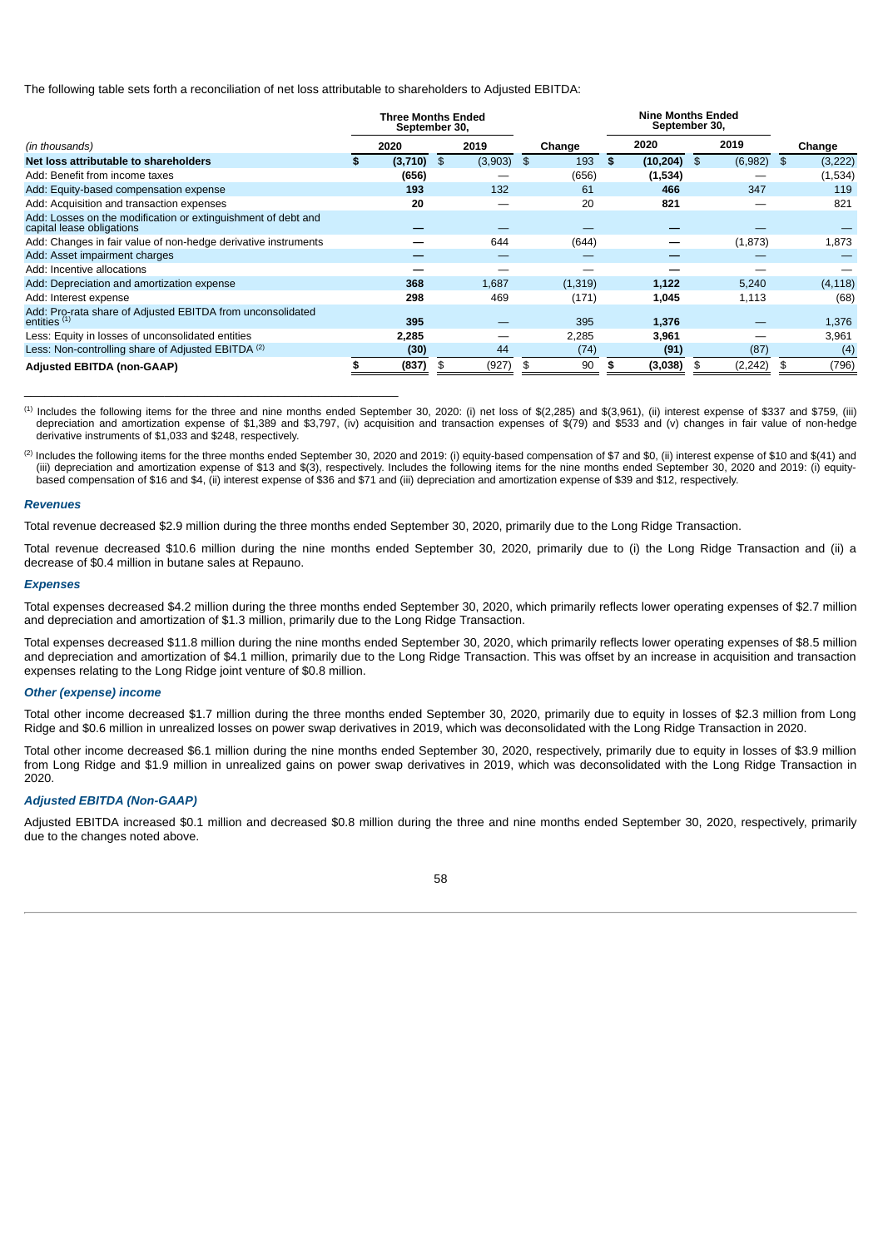The following table sets forth a reconciliation of net loss attributable to shareholders to Adjusted EBITDA:

\_\_\_\_\_\_\_\_\_\_\_\_\_\_\_\_\_\_\_\_\_\_\_\_\_\_\_\_\_\_\_\_\_\_\_\_\_\_\_\_\_\_\_\_\_\_\_\_\_\_\_\_\_\_\_\_

|                                                                                            | <b>Three Months Ended</b><br>September 30, |               |           | <b>Nine Months Ended</b><br>September 30, |                |   |          |    |          |
|--------------------------------------------------------------------------------------------|--------------------------------------------|---------------|-----------|-------------------------------------------|----------------|---|----------|----|----------|
| (in thousands)                                                                             | 2020                                       | 2019          | Change    |                                           | 2020           |   | 2019     |    | Change   |
| Net loss attributable to shareholders                                                      | (3,710)                                    | \$<br>(3,903) | \$<br>193 | \$                                        | $(10, 204)$ \$ |   | (6,982)  | \$ | (3,222)  |
| Add: Benefit from income taxes                                                             | (656)                                      |               | (656)     |                                           | (1,534)        |   |          |    | (1,534)  |
| Add: Equity-based compensation expense                                                     | 193                                        | 132           | 61        |                                           | 466            |   | 347      |    | 119      |
| Add: Acquisition and transaction expenses                                                  | 20                                         |               | 20        |                                           | 821            |   |          |    | 821      |
| Add: Losses on the modification or extinguishment of debt and<br>capital lease obligations |                                            |               |           |                                           |                |   |          |    |          |
| Add: Changes in fair value of non-hedge derivative instruments                             |                                            | 644           | (644)     |                                           |                |   | (1,873)  |    | 1,873    |
| Add: Asset impairment charges                                                              |                                            |               |           |                                           |                |   |          |    |          |
| Add: Incentive allocations                                                                 |                                            |               |           |                                           |                |   |          |    |          |
| Add: Depreciation and amortization expense                                                 | 368                                        | 1,687         | (1,319)   |                                           | 1,122          |   | 5,240    |    | (4, 118) |
| Add: Interest expense                                                                      | 298                                        | 469           | (171)     |                                           | 1,045          |   | 1,113    |    | (68)     |
| Add: Pro-rata share of Adjusted EBITDA from unconsolidated<br>entities <sup>(1)</sup>      | 395                                        |               | 395       |                                           | 1,376          |   |          |    | 1,376    |
| Less: Equity in losses of unconsolidated entities                                          | 2,285                                      |               | 2,285     |                                           | 3,961          |   |          |    | 3,961    |
| Less: Non-controlling share of Adjusted EBITDA <sup>(2)</sup>                              | (30)                                       | 44            | (74)      |                                           | (91)           |   | (87)     |    | (4)      |
| <b>Adjusted EBITDA (non-GAAP)</b>                                                          | (837)                                      | \$<br>(927)   | \$<br>90  |                                           | (3,038)        | S | (2, 242) |    | (796)    |

 $^{(1)}$  Includes the following items for the three and nine months ended September 30, 2020: (i) net loss of \$(2,285) and \$(3,961), (ii) interest expense of \$337 and \$759, (iii) depreciation and amortization expense of \$1,389 and \$3,797, (iv) acquisition and transaction expenses of \$(79) and \$533 and (v) changes in fair value of non-hedge derivative instruments of \$1,033 and \$248, respectively.

 $^{(2)}$  Includes the following items for the three months ended September 30, 2020 and 2019: (i) equity-based compensation of \$7 and \$0, (ii) interest expense of \$10 and \$(41) and (iii) depreciation and amortization expense of \$13 and \$(3), respectively. Includes the following items for the nine months ended September 30, 2020 and 2019: (i) equitybased compensation of \$16 and \$4, (ii) interest expense of \$36 and \$71 and (iii) depreciation and amortization expense of \$39 and \$12, respectively.

#### *Revenues*

Total revenue decreased \$2.9 million during the three months ended September 30, 2020, primarily due to the Long Ridge Transaction.

Total revenue decreased \$10.6 million during the nine months ended September 30, 2020, primarily due to (i) the Long Ridge Transaction and (ii) a decrease of \$0.4 million in butane sales at Repauno.

#### *Expenses*

Total expenses decreased \$4.2 million during the three months ended September 30, 2020, which primarily reflects lower operating expenses of \$2.7 million and depreciation and amortization of \$1.3 million, primarily due to the Long Ridge Transaction.

Total expenses decreased \$11.8 million during the nine months ended September 30, 2020, which primarily reflects lower operating expenses of \$8.5 million and depreciation and amortization of \$4.1 million, primarily due to the Long Ridge Transaction. This was offset by an increase in acquisition and transaction expenses relating to the Long Ridge joint venture of \$0.8 million.

### *Other (expense) income*

Total other income decreased \$1.7 million during the three months ended September 30, 2020, primarily due to equity in losses of \$2.3 million from Long Ridge and \$0.6 million in unrealized losses on power swap derivatives in 2019, which was deconsolidated with the Long Ridge Transaction in 2020.

Total other income decreased \$6.1 million during the nine months ended September 30, 2020, respectively, primarily due to equity in losses of \$3.9 million from Long Ridge and \$1.9 million in unrealized gains on power swap derivatives in 2019, which was deconsolidated with the Long Ridge Transaction in 2020.

# *Adjusted EBITDA (Non-GAAP)*

Adjusted EBITDA increased \$0.1 million and decreased \$0.8 million during the three and nine months ended September 30, 2020, respectively, primarily due to the changes noted above.

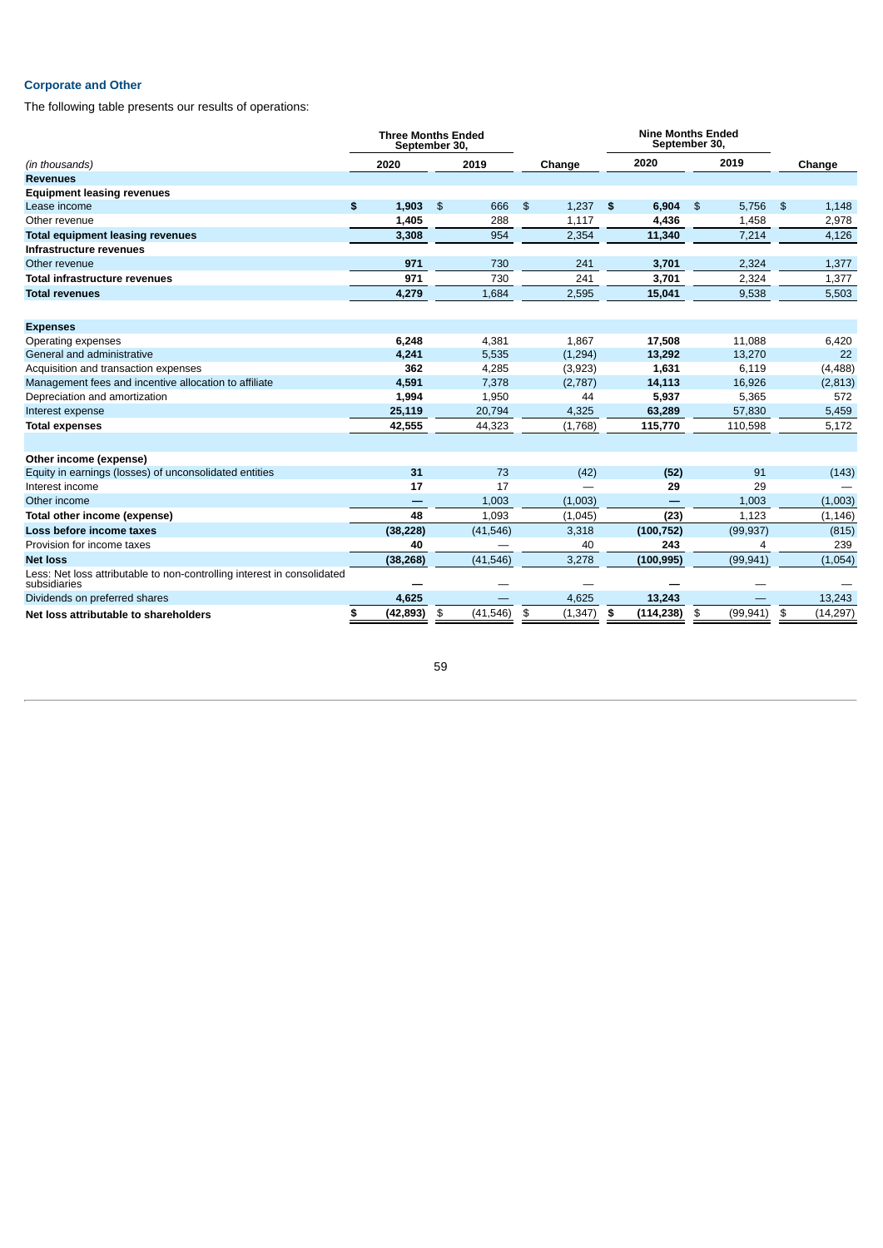# **Corporate and Other**

The following table presents our results of operations:

|                                                                                         |                 | <b>Three Months Ended</b><br>September 30, |                |                  | <b>Nine Months Ended</b><br>September 30, |                        |
|-----------------------------------------------------------------------------------------|-----------------|--------------------------------------------|----------------|------------------|-------------------------------------------|------------------------|
| (in thousands)                                                                          | 2020            | 2019                                       | Change         | 2020             | 2019                                      | Change                 |
| <b>Revenues</b>                                                                         |                 |                                            |                |                  |                                           |                        |
| <b>Equipment leasing revenues</b>                                                       |                 |                                            |                |                  |                                           |                        |
| Lease income                                                                            | \$<br>1,903     | $\frac{3}{2}$<br>666                       | 1,237<br>\$    | 6,904<br>-\$     | 5,756<br>$\frac{2}{3}$                    | $\frac{2}{3}$<br>1,148 |
| Other revenue                                                                           | 1,405           | 288                                        | 1,117          | 4,436            | 1,458                                     | 2,978                  |
| <b>Total equipment leasing revenues</b>                                                 | 3,308           | 954                                        | 2,354          | 11,340           | 7,214                                     | 4,126                  |
| Infrastructure revenues                                                                 |                 |                                            |                |                  |                                           |                        |
| Other revenue                                                                           | 971             | 730                                        | 241            | 3,701            | 2,324                                     | 1,377                  |
| Total infrastructure revenues                                                           | 971             | 730                                        | 241            | 3,701            | 2,324                                     | 1,377                  |
| <b>Total revenues</b>                                                                   | 4,279           | 1,684                                      | 2,595          | 15,041           | 9,538                                     | 5,503                  |
|                                                                                         |                 |                                            |                |                  |                                           |                        |
| <b>Expenses</b>                                                                         |                 |                                            |                |                  |                                           |                        |
| Operating expenses                                                                      | 6,248           | 4,381                                      | 1,867          | 17,508           | 11,088                                    | 6,420                  |
| General and administrative                                                              | 4,241           | 5.535                                      | (1, 294)       | 13,292           | 13,270                                    | 22                     |
| Acquisition and transaction expenses                                                    | 362             | 4,285                                      | (3,923)        | 1,631            | 6,119                                     | (4, 488)               |
| Management fees and incentive allocation to affiliate                                   | 4,591           | 7,378                                      | (2,787)        | 14,113           | 16,926                                    | (2,813)                |
| Depreciation and amortization                                                           | 1,994           | 1,950                                      | 44             | 5,937            | 5,365                                     | 572                    |
| Interest expense                                                                        | 25,119          | 20,794                                     | 4,325          | 63,289           | 57,830                                    | 5,459                  |
| <b>Total expenses</b>                                                                   | 42,555          | 44,323                                     | (1,768)        | 115,770          | 110,598                                   | 5,172                  |
|                                                                                         |                 |                                            |                |                  |                                           |                        |
| Other income (expense)                                                                  |                 |                                            |                |                  |                                           |                        |
| Equity in earnings (losses) of unconsolidated entities                                  | 31              | 73                                         | (42)           | (52)             | 91                                        | (143)                  |
| Interest income                                                                         | 17              | 17                                         |                | 29               | 29                                        |                        |
| Other income                                                                            |                 | 1,003                                      | (1,003)        |                  | 1,003                                     | (1,003)                |
| Total other income (expense)                                                            | 48              | 1,093                                      | (1,045)        | (23)             | 1,123                                     | (1, 146)               |
| Loss before income taxes                                                                | (38, 228)       | (41, 546)                                  | 3,318          | (100, 752)       | (99, 937)                                 | (815)                  |
| Provision for income taxes                                                              | 40              |                                            | 40             | 243              |                                           | 239                    |
| <b>Net loss</b>                                                                         | (38, 268)       | (41, 546)                                  | 3,278          | (100, 995)       | (99, 941)                                 | (1,054)                |
| Less: Net loss attributable to non-controlling interest in consolidated<br>subsidiaries |                 |                                            |                |                  |                                           |                        |
| Dividends on preferred shares                                                           | 4,625           |                                            | 4,625          | 13,243           |                                           | 13,243                 |
| Net loss attributable to shareholders                                                   | \$<br>(42, 893) | (41, 546)<br>\$                            | \$<br>(1, 347) | (114, 238)<br>\$ | (99, 941)<br>\$                           | (14, 297)<br>\$        |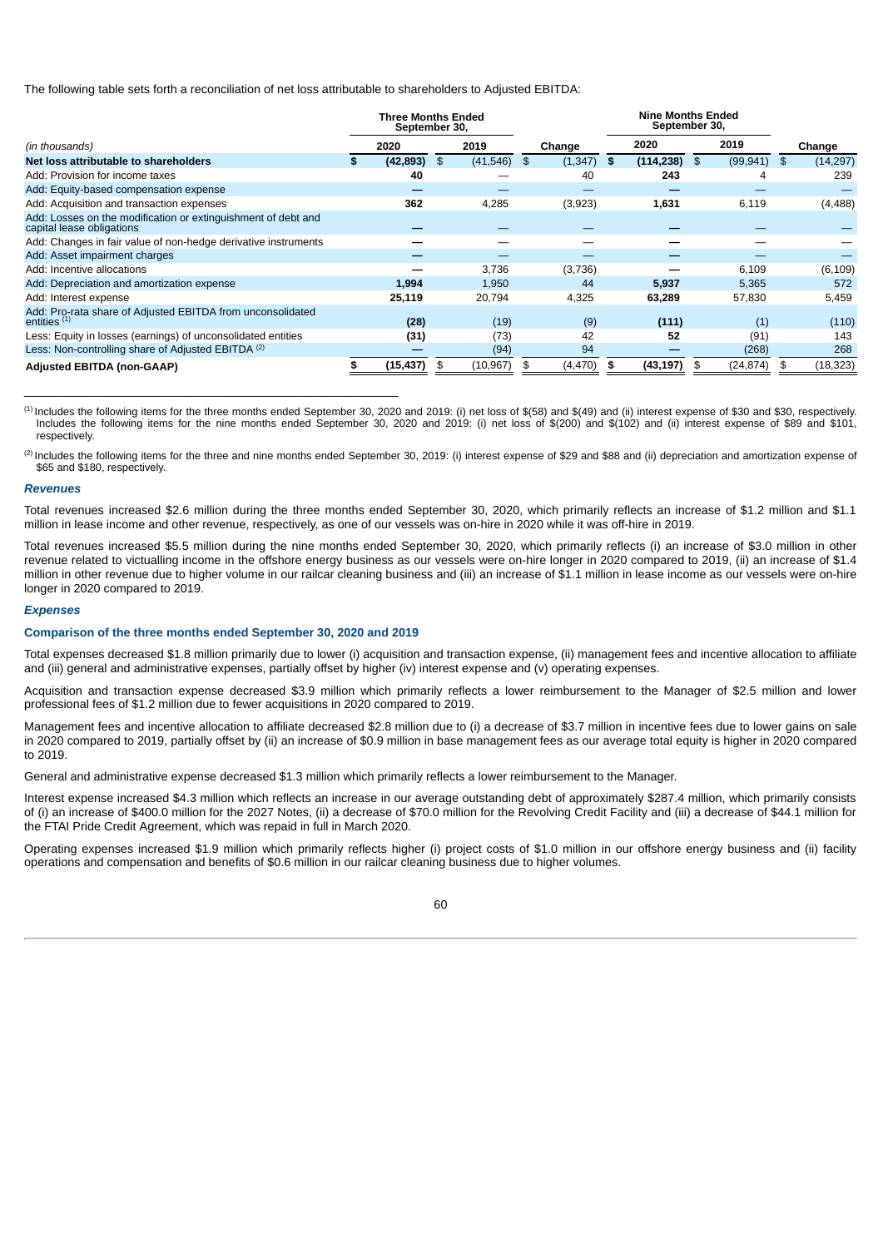The following table sets forth a reconciliation of net loss attributable to shareholders to Adjusted EBITDA:

|                                                                                            | <b>Three Months Ended</b><br>September 30, |           |    |           | <b>Nine Months Ended</b><br>September 30, |      |                 |    |           |                 |
|--------------------------------------------------------------------------------------------|--------------------------------------------|-----------|----|-----------|-------------------------------------------|------|-----------------|----|-----------|-----------------|
| (in thousands)                                                                             |                                            | 2020      |    | 2019      | Change                                    |      | 2020            |    | 2019      | Change          |
| Net loss attributable to shareholders                                                      |                                            | (42, 893) | \$ | (41,546)  | \$<br>(1, 347)                            | - \$ | $(114, 238)$ \$ |    | (99, 941) | \$<br>(14, 297) |
| Add: Provision for income taxes                                                            |                                            | 40        |    |           | 40                                        |      | 243             |    |           | 239             |
| Add: Equity-based compensation expense                                                     |                                            |           |    |           |                                           |      |                 |    |           |                 |
| Add: Acquisition and transaction expenses                                                  |                                            | 362       |    | 4,285     | (3,923)                                   |      | 1,631           |    | 6,119     | (4, 488)        |
| Add: Losses on the modification or extinguishment of debt and<br>capital lease obligations |                                            |           |    |           |                                           |      |                 |    |           |                 |
| Add: Changes in fair value of non-hedge derivative instruments                             |                                            |           |    |           |                                           |      |                 |    |           |                 |
| Add: Asset impairment charges                                                              |                                            |           |    |           |                                           |      |                 |    |           |                 |
| Add: Incentive allocations                                                                 |                                            |           |    | 3,736     | (3,736)                                   |      |                 |    | 6,109     | (6, 109)        |
| Add: Depreciation and amortization expense                                                 |                                            | 1,994     |    | 1,950     | 44                                        |      | 5,937           |    | 5,365     | 572             |
| Add: Interest expense                                                                      |                                            | 25,119    |    | 20,794    | 4,325                                     |      | 63,289          |    | 57,830    | 5,459           |
| Add: Pro-rata share of Adjusted EBITDA from unconsolidated<br>entities $(1)$               |                                            | (28)      |    | (19)      | (9)                                       |      | (111)           |    | (1)       | (110)           |
| Less: Equity in losses (earnings) of unconsolidated entities                               |                                            | (31)      |    | (73)      | 42                                        |      | 52              |    | (91)      | 143             |
| Less: Non-controlling share of Adjusted EBITDA (2)                                         |                                            |           |    | (94)      | 94                                        |      |                 |    | (268)     | 268             |
| <b>Adjusted EBITDA (non-GAAP)</b>                                                          |                                            | (15, 437) | £. | (10, 967) | (4, 470)                                  |      | (43, 197)       | £. | (24, 874) | (18, 323)       |

 $^{(1)}$  Includes the following items for the three months ended September 30, 2020 and 2019: (i) net loss of \$(58) and \$(49) and (ii) interest expense of \$30 and \$30, respectively. Includes the following items for the nine months ended September 30, 2020 and 2019: (i) net loss of \$(200) and \$(102) and (ii) interest expense of \$89 and \$101, respectively.

 $^{(2)}$  Includes the following items for the three and nine months ended September 30, 2019: (i) interest expense of \$29 and \$88 and (ii) depreciation and amortization expense of \$65 and \$180, respectively.

#### *Revenues*

Total revenues increased \$2.6 million during the three months ended September 30, 2020, which primarily reflects an increase of \$1.2 million and \$1.1 million in lease income and other revenue, respectively, as one of our vessels was on-hire in 2020 while it was off-hire in 2019.

Total revenues increased \$5.5 million during the nine months ended September 30, 2020, which primarily reflects (i) an increase of \$3.0 million in other revenue related to victualling income in the offshore energy business as our vessels were on-hire longer in 2020 compared to 2019, (ii) an increase of \$1.4 million in other revenue due to higher volume in our railcar cleaning business and (iii) an increase of \$1.1 million in lease income as our vessels were on-hire longer in 2020 compared to 2019.

## *Expenses*

### **Comparison of the three months ended September 30, 2020 and 2019**

\_\_\_\_\_\_\_\_\_\_\_\_\_\_\_\_\_\_\_\_\_\_\_\_\_\_\_\_\_\_\_\_\_\_\_\_\_\_\_\_\_\_\_\_\_\_\_\_\_\_\_\_\_\_\_\_

Total expenses decreased \$1.8 million primarily due to lower (i) acquisition and transaction expense, (ii) management fees and incentive allocation to affiliate and (iii) general and administrative expenses, partially offset by higher (iv) interest expense and (v) operating expenses.

Acquisition and transaction expense decreased \$3.9 million which primarily reflects a lower reimbursement to the Manager of \$2.5 million and lower professional fees of \$1.2 million due to fewer acquisitions in 2020 compared to 2019.

Management fees and incentive allocation to affiliate decreased \$2.8 million due to (i) a decrease of \$3.7 million in incentive fees due to lower gains on sale in 2020 compared to 2019, partially offset by (ii) an increase of \$0.9 million in base management fees as our average total equity is higher in 2020 compared to 2019.

General and administrative expense decreased \$1.3 million which primarily reflects a lower reimbursement to the Manager.

Interest expense increased \$4.3 million which reflects an increase in our average outstanding debt of approximately \$287.4 million, which primarily consists of (i) an increase of \$400.0 million for the 2027 Notes, (ii) a decrease of \$70.0 million for the Revolving Credit Facility and (iii) a decrease of \$44.1 million for the FTAI Pride Credit Agreement, which was repaid in full in March 2020.

Operating expenses increased \$1.9 million which primarily reflects higher (i) project costs of \$1.0 million in our offshore energy business and (ii) facility operations and compensation and benefits of \$0.6 million in our railcar cleaning business due to higher volumes.

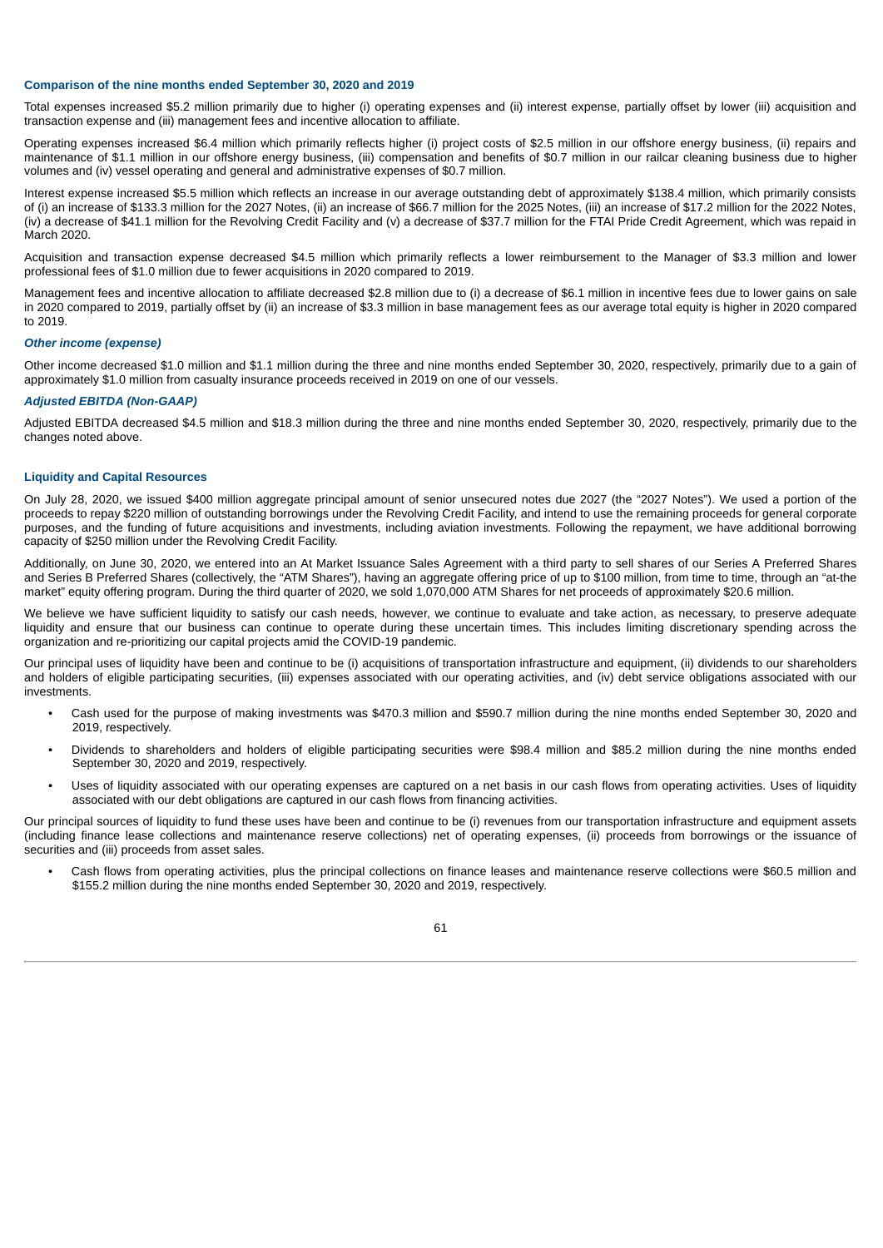### **Comparison of the nine months ended September 30, 2020 and 2019**

Total expenses increased \$5.2 million primarily due to higher (i) operating expenses and (ii) interest expense, partially offset by lower (iii) acquisition and transaction expense and (iii) management fees and incentive allocation to affiliate.

Operating expenses increased \$6.4 million which primarily reflects higher (i) project costs of \$2.5 million in our offshore energy business, (ii) repairs and maintenance of \$1.1 million in our offshore energy business, (iii) compensation and benefits of \$0.7 million in our railcar cleaning business due to higher volumes and (iv) vessel operating and general and administrative expenses of \$0.7 million.

Interest expense increased \$5.5 million which reflects an increase in our average outstanding debt of approximately \$138.4 million, which primarily consists of (i) an increase of \$133.3 million for the 2027 Notes, (ii) an increase of \$66.7 million for the 2025 Notes, (iii) an increase of \$17.2 million for the 2022 Notes, (iv) a decrease of \$41.1 million for the Revolving Credit Facility and (v) a decrease of \$37.7 million for the FTAI Pride Credit Agreement, which was repaid in March 2020.

Acquisition and transaction expense decreased \$4.5 million which primarily reflects a lower reimbursement to the Manager of \$3.3 million and lower professional fees of \$1.0 million due to fewer acquisitions in 2020 compared to 2019.

Management fees and incentive allocation to affiliate decreased \$2.8 million due to (i) a decrease of \$6.1 million in incentive fees due to lower gains on sale in 2020 compared to 2019, partially offset by (ii) an increase of \$3.3 million in base management fees as our average total equity is higher in 2020 compared to 2019.

#### *Other income (expense)*

Other income decreased \$1.0 million and \$1.1 million during the three and nine months ended September 30, 2020, respectively, primarily due to a gain of approximately \$1.0 million from casualty insurance proceeds received in 2019 on one of our vessels.

# *Adjusted EBITDA (Non-GAAP)*

Adjusted EBITDA decreased \$4.5 million and \$18.3 million during the three and nine months ended September 30, 2020, respectively, primarily due to the changes noted above.

### **Liquidity and Capital Resources**

On July 28, 2020, we issued \$400 million aggregate principal amount of senior unsecured notes due 2027 (the "2027 Notes"). We used a portion of the proceeds to repay \$220 million of outstanding borrowings under the Revolving Credit Facility, and intend to use the remaining proceeds for general corporate purposes, and the funding of future acquisitions and investments, including aviation investments. Following the repayment, we have additional borrowing capacity of \$250 million under the Revolving Credit Facility.

Additionally, on June 30, 2020, we entered into an At Market Issuance Sales Agreement with a third party to sell shares of our Series A Preferred Shares and Series B Preferred Shares (collectively, the "ATM Shares"), having an aggregate offering price of up to \$100 million, from time to time, through an "at-the market" equity offering program. During the third quarter of 2020, we sold 1,070,000 ATM Shares for net proceeds of approximately \$20.6 million.

We believe we have sufficient liquidity to satisfy our cash needs, however, we continue to evaluate and take action, as necessary, to preserve adequate liquidity and ensure that our business can continue to operate during these uncertain times. This includes limiting discretionary spending across the organization and re-prioritizing our capital projects amid the COVID-19 pandemic.

Our principal uses of liquidity have been and continue to be (i) acquisitions of transportation infrastructure and equipment, (ii) dividends to our shareholders and holders of eligible participating securities, (iii) expenses associated with our operating activities, and (iv) debt service obligations associated with our investments.

- Cash used for the purpose of making investments was \$470.3 million and \$590.7 million during the nine months ended September 30, 2020 and 2019, respectively.
- Dividends to shareholders and holders of eligible participating securities were \$98.4 million and \$85.2 million during the nine months ended September 30, 2020 and 2019, respectively.
- Uses of liquidity associated with our operating expenses are captured on a net basis in our cash flows from operating activities. Uses of liquidity associated with our debt obligations are captured in our cash flows from financing activities.

Our principal sources of liquidity to fund these uses have been and continue to be (i) revenues from our transportation infrastructure and equipment assets (including finance lease collections and maintenance reserve collections) net of operating expenses, (ii) proceeds from borrowings or the issuance of securities and (iii) proceeds from asset sales.

• Cash flows from operating activities, plus the principal collections on finance leases and maintenance reserve collections were \$60.5 million and \$155.2 million during the nine months ended September 30, 2020 and 2019, respectively.

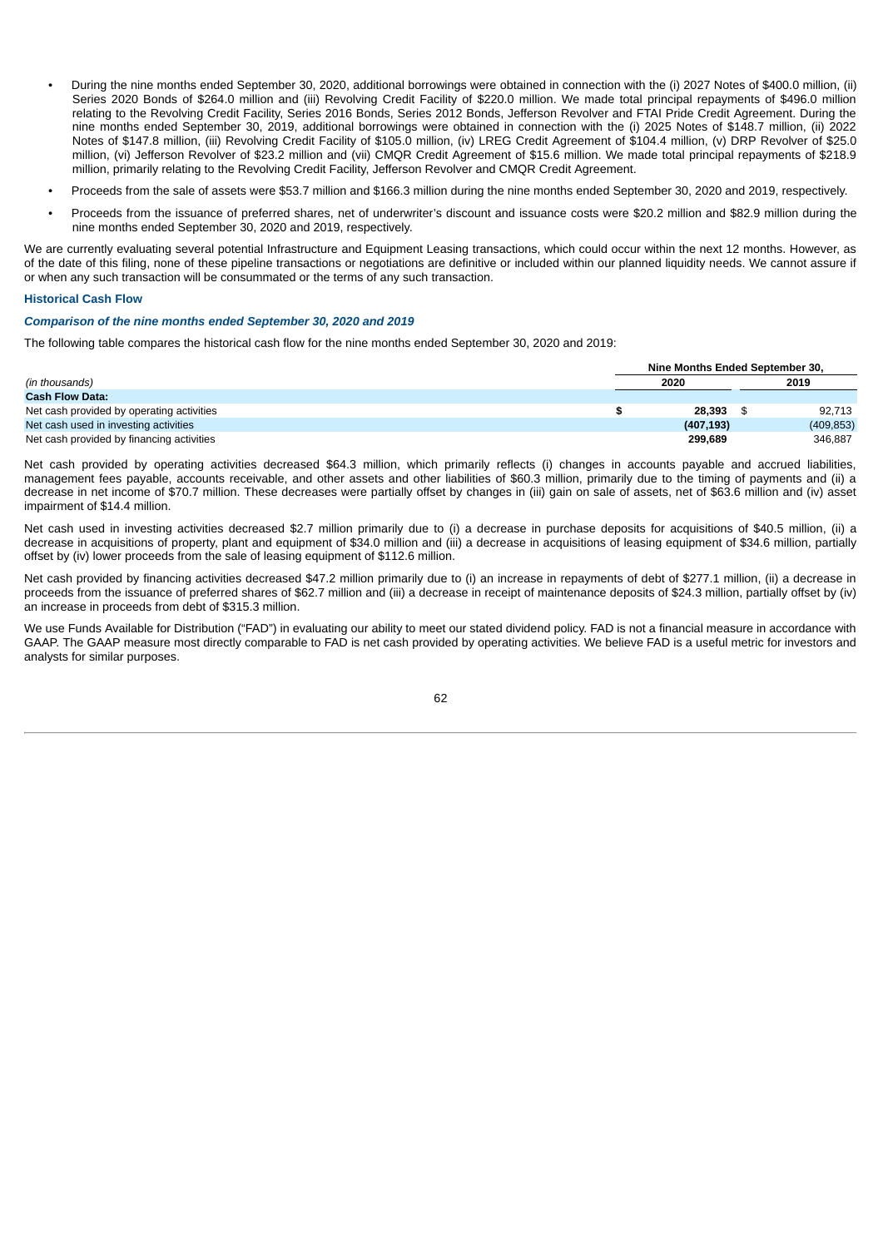- During the nine months ended September 30, 2020, additional borrowings were obtained in connection with the (i) 2027 Notes of \$400.0 million, (ii) Series 2020 Bonds of \$264.0 million and (iii) Revolving Credit Facility of \$220.0 million. We made total principal repayments of \$496.0 million relating to the Revolving Credit Facility, Series 2016 Bonds, Series 2012 Bonds, Jefferson Revolver and FTAI Pride Credit Agreement. During the nine months ended September 30, 2019, additional borrowings were obtained in connection with the (i) 2025 Notes of \$148.7 million, (ii) 2022 Notes of \$147.8 million, (iii) Revolving Credit Facility of \$105.0 million, (iv) LREG Credit Agreement of \$104.4 million, (v) DRP Revolver of \$25.0 million, (vi) Jefferson Revolver of \$23.2 million and (vii) CMQR Credit Agreement of \$15.6 million. We made total principal repayments of \$218.9 million, primarily relating to the Revolving Credit Facility, Jefferson Revolver and CMQR Credit Agreement.
- Proceeds from the sale of assets were \$53.7 million and \$166.3 million during the nine months ended September 30, 2020 and 2019, respectively.
- Proceeds from the issuance of preferred shares, net of underwriter's discount and issuance costs were \$20.2 million and \$82.9 million during the nine months ended September 30, 2020 and 2019, respectively.

We are currently evaluating several potential Infrastructure and Equipment Leasing transactions, which could occur within the next 12 months. However, as of the date of this filing, none of these pipeline transactions or negotiations are definitive or included within our planned liquidity needs. We cannot assure if or when any such transaction will be consummated or the terms of any such transaction.

### **Historical Cash Flow**

## *Comparison of the nine months ended September 30, 2020 and 2019*

The following table compares the historical cash flow for the nine months ended September 30, 2020 and 2019:

|                                           | Nine Months Ended September 30. |  |            |  |
|-------------------------------------------|---------------------------------|--|------------|--|
| (in thousands)                            | 2020                            |  | 2019       |  |
| <b>Cash Flow Data:</b>                    |                                 |  |            |  |
| Net cash provided by operating activities | 28.393                          |  | 92.713     |  |
| Net cash used in investing activities     | (407, 193)                      |  | (409, 853) |  |
| Net cash provided by financing activities | 299.689                         |  | 346.887    |  |

Net cash provided by operating activities decreased \$64.3 million, which primarily reflects (i) changes in accounts payable and accrued liabilities, management fees payable, accounts receivable, and other assets and other liabilities of \$60.3 million, primarily due to the timing of payments and (ii) a decrease in net income of \$70.7 million. These decreases were partially offset by changes in (iii) gain on sale of assets, net of \$63.6 million and (iv) asset impairment of \$14.4 million.

Net cash used in investing activities decreased \$2.7 million primarily due to (i) a decrease in purchase deposits for acquisitions of \$40.5 million, (ii) a decrease in acquisitions of property, plant and equipment of \$34.0 million and (iii) a decrease in acquisitions of leasing equipment of \$34.6 million, partially offset by (iv) lower proceeds from the sale of leasing equipment of \$112.6 million.

Net cash provided by financing activities decreased \$47.2 million primarily due to (i) an increase in repayments of debt of \$277.1 million, (ii) a decrease in proceeds from the issuance of preferred shares of \$62.7 million and (iii) a decrease in receipt of maintenance deposits of \$24.3 million, partially offset by (iv) an increase in proceeds from debt of \$315.3 million.

We use Funds Available for Distribution ("FAD") in evaluating our ability to meet our stated dividend policy. FAD is not a financial measure in accordance with GAAP. The GAAP measure most directly comparable to FAD is net cash provided by operating activities. We believe FAD is a useful metric for investors and analysts for similar purposes.

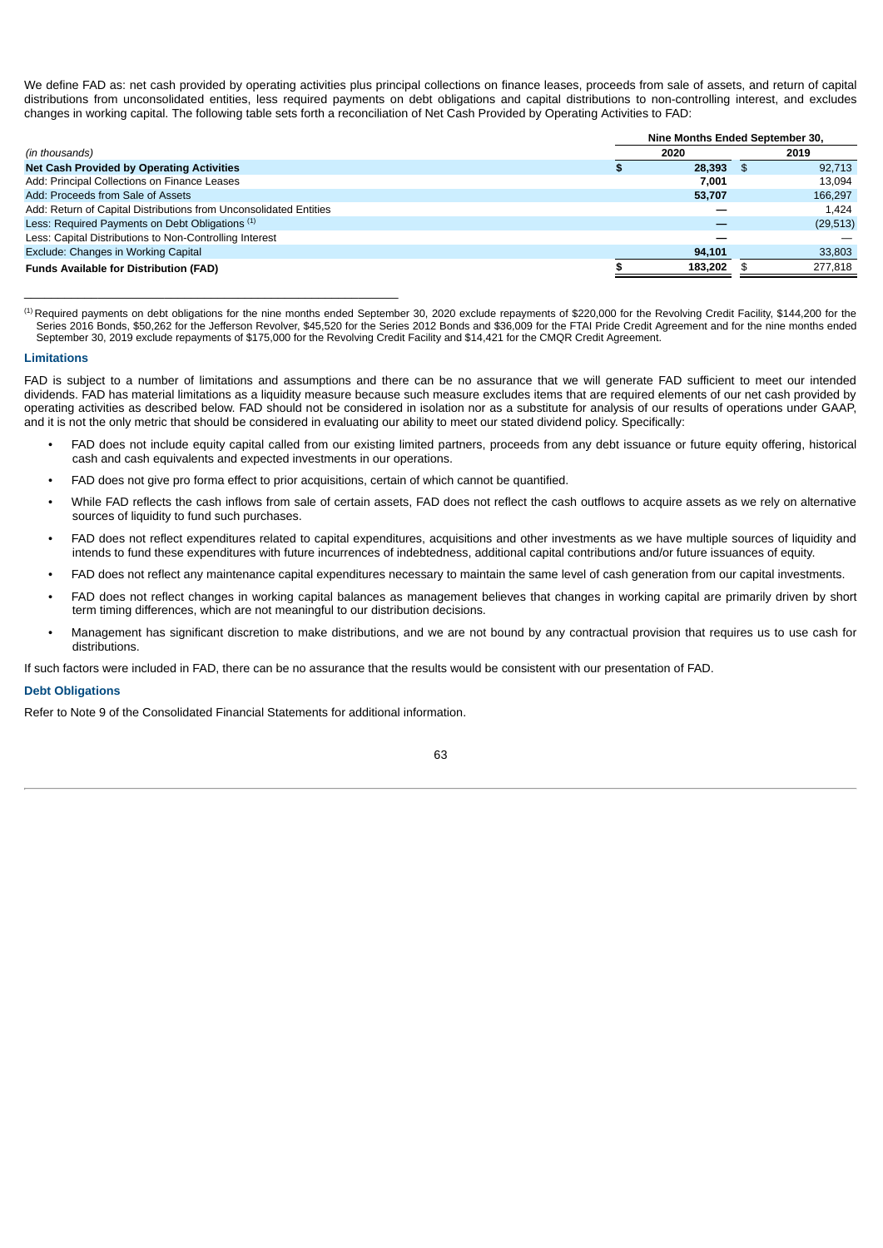We define FAD as: net cash provided by operating activities plus principal collections on finance leases, proceeds from sale of assets, and return of capital distributions from unconsolidated entities, less required payments on debt obligations and capital distributions to non-controlling interest, and excludes changes in working capital. The following table sets forth a reconciliation of Net Cash Provided by Operating Activities to FAD:

|                                                                   | Nine Months Ended September 30, |  |  |  |
|-------------------------------------------------------------------|---------------------------------|--|--|--|
| 2020<br>(in thousands)                                            | 2019                            |  |  |  |
| Net Cash Provided by Operating Activities<br>28.393<br>- 56       | 92.713                          |  |  |  |
| Add: Principal Collections on Finance Leases<br>7.001             | 13.094                          |  |  |  |
| Add: Proceeds from Sale of Assets<br>53.707                       | 166.297                         |  |  |  |
| Add: Return of Capital Distributions from Unconsolidated Entities | 1.424                           |  |  |  |
| Less: Required Payments on Debt Obligations (1)                   | (29, 513)                       |  |  |  |
| Less: Capital Distributions to Non-Controlling Interest           |                                 |  |  |  |
| Exclude: Changes in Working Capital<br>94,101                     | 33,803                          |  |  |  |
| 183,202<br><b>Funds Available for Distribution (FAD)</b>          | 277.818                         |  |  |  |

 $^{(1)}$  Required payments on debt obligations for the nine months ended September 30, 2020 exclude repayments of \$220,000 for the Revolving Credit Facility, \$144,200 for the Series 2016 Bonds, \$50,262 for the Jefferson Revolver, \$45,520 for the Series 2012 Bonds and \$36,009 for the FTAI Pride Credit Agreement and for the nine months ended September 30, 2019 exclude repayments of \$175,000 for the Revolving Credit Facility and \$14,421 for the CMQR Credit Agreement.

### **Limitations**

FAD is subject to a number of limitations and assumptions and there can be no assurance that we will generate FAD sufficient to meet our intended dividends. FAD has material limitations as a liquidity measure because such measure excludes items that are required elements of our net cash provided by operating activities as described below. FAD should not be considered in isolation nor as a substitute for analysis of our results of operations under GAAP, and it is not the only metric that should be considered in evaluating our ability to meet our stated dividend policy. Specifically:

- FAD does not include equity capital called from our existing limited partners, proceeds from any debt issuance or future equity offering, historical cash and cash equivalents and expected investments in our operations.
- FAD does not give pro forma effect to prior acquisitions, certain of which cannot be quantified.
- While FAD reflects the cash inflows from sale of certain assets, FAD does not reflect the cash outflows to acquire assets as we rely on alternative sources of liquidity to fund such purchases.
- FAD does not reflect expenditures related to capital expenditures, acquisitions and other investments as we have multiple sources of liquidity and intends to fund these expenditures with future incurrences of indebtedness, additional capital contributions and/or future issuances of equity.
- FAD does not reflect any maintenance capital expenditures necessary to maintain the same level of cash generation from our capital investments.
- FAD does not reflect changes in working capital balances as management believes that changes in working capital are primarily driven by short term timing differences, which are not meaningful to our distribution decisions.
- Management has significant discretion to make distributions, and we are not bound by any contractual provision that requires us to use cash for distributions.

If such factors were included in FAD, there can be no assurance that the results would be consistent with our presentation of FAD.

# **Debt Obligations**

Refer to Note 9 of the Consolidated Financial Statements for additional information.

 $\mathcal{L}_\text{max}$  and the contract of the contract of the contract of the contract of the contract of the contract of the contract of the contract of the contract of the contract of the contract of the contract of the contrac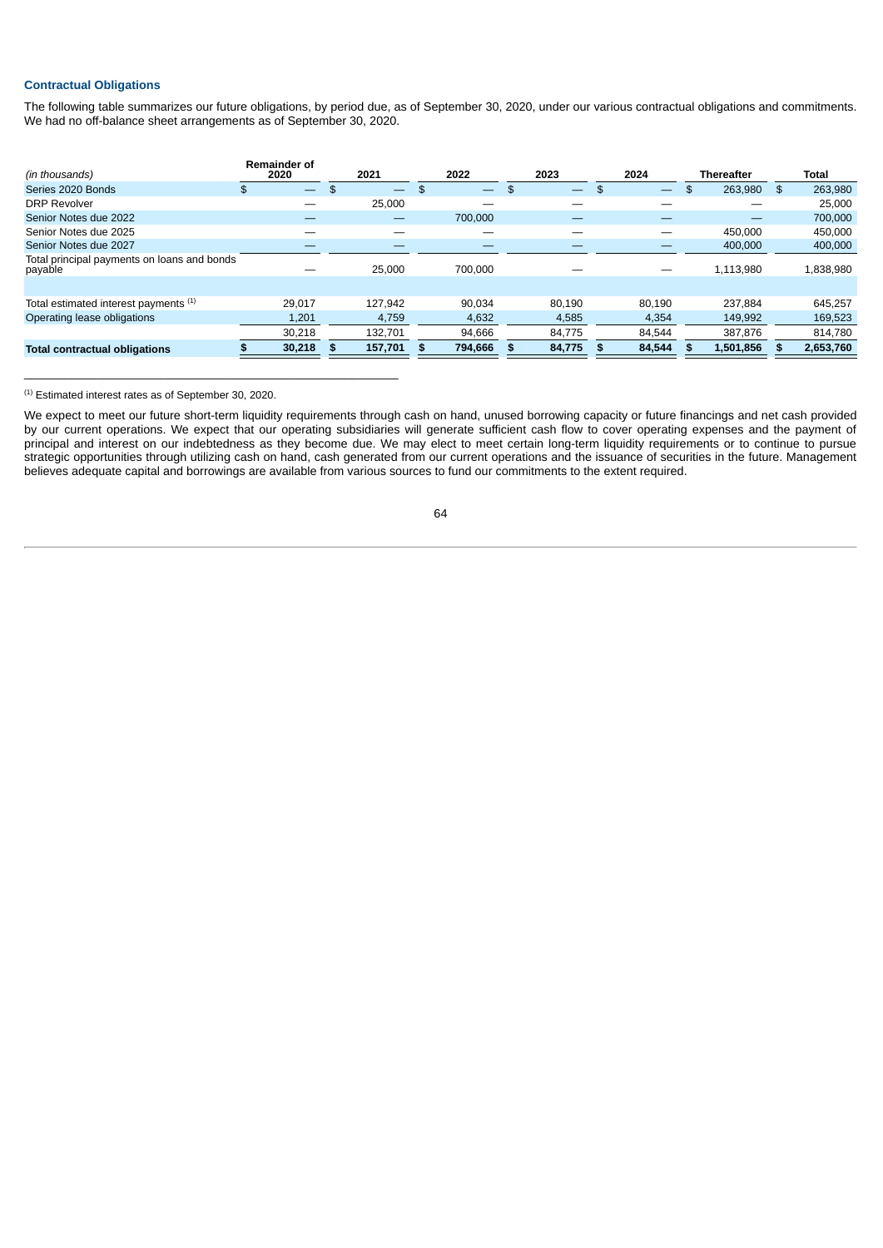# **Contractual Obligations**

The following table summarizes our future obligations, by period due, as of September 30, 2020, under our various contractual obligations and commitments. We had no off-balance sheet arrangements as of September 30, 2020.

| (in thousands)                                         | <b>Remainder of</b><br>2020 | 2021    | 2022                           | 2023   | 2024   | <b>Thereafter</b> | Total         |
|--------------------------------------------------------|-----------------------------|---------|--------------------------------|--------|--------|-------------------|---------------|
| Series 2020 Bonds                                      | —                           | \$<br>_ | \$<br>$\overline{\phantom{0}}$ | \$     | \$     | 263.980           | 263,980<br>\$ |
| <b>DRP Revolver</b>                                    |                             | 25.000  |                                |        |        |                   | 25,000        |
| Senior Notes due 2022                                  |                             |         | 700.000                        |        |        |                   | 700,000       |
| Senior Notes due 2025                                  |                             |         |                                |        |        | 450.000           | 450,000       |
| Senior Notes due 2027                                  |                             |         |                                |        |        | 400,000           | 400,000       |
| Total principal payments on loans and bonds<br>payable |                             | 25,000  | 700.000                        |        |        | 1,113,980         | 1,838,980     |
|                                                        |                             |         |                                |        |        |                   |               |
| Total estimated interest payments (1)                  | 29.017                      | 127.942 | 90.034                         | 80,190 | 80.190 | 237.884           | 645.257       |
| Operating lease obligations                            | 1,201                       | 4,759   | 4,632                          | 4,585  | 4,354  | 149,992           | 169,523       |
|                                                        | 30,218                      | 132.701 | 94,666                         | 84,775 | 84.544 | 387,876           | 814,780       |
| <b>Total contractual obligations</b>                   | 30,218                      | 157,701 | 794,666                        | 84,775 | 84,544 | 1,501,856         | 2,653,760     |
|                                                        |                             |         |                                |        |        |                   |               |

 $<sup>(1)</sup>$  Estimated interest rates as of September 30, 2020.</sup>

 $\mathcal{L}_\text{max}$  and the contract of the contract of the contract of the contract of the contract of the contract of the contract of the contract of the contract of the contract of the contract of the contract of the contrac

We expect to meet our future short-term liquidity requirements through cash on hand, unused borrowing capacity or future financings and net cash provided by our current operations. We expect that our operating subsidiaries will generate sufficient cash flow to cover operating expenses and the payment of principal and interest on our indebtedness as they become due. We may elect to meet certain long-term liquidity requirements or to continue to pursue strategic opportunities through utilizing cash on hand, cash generated from our current operations and the issuance of securities in the future. Management believes adequate capital and borrowings are available from various sources to fund our commitments to the extent required.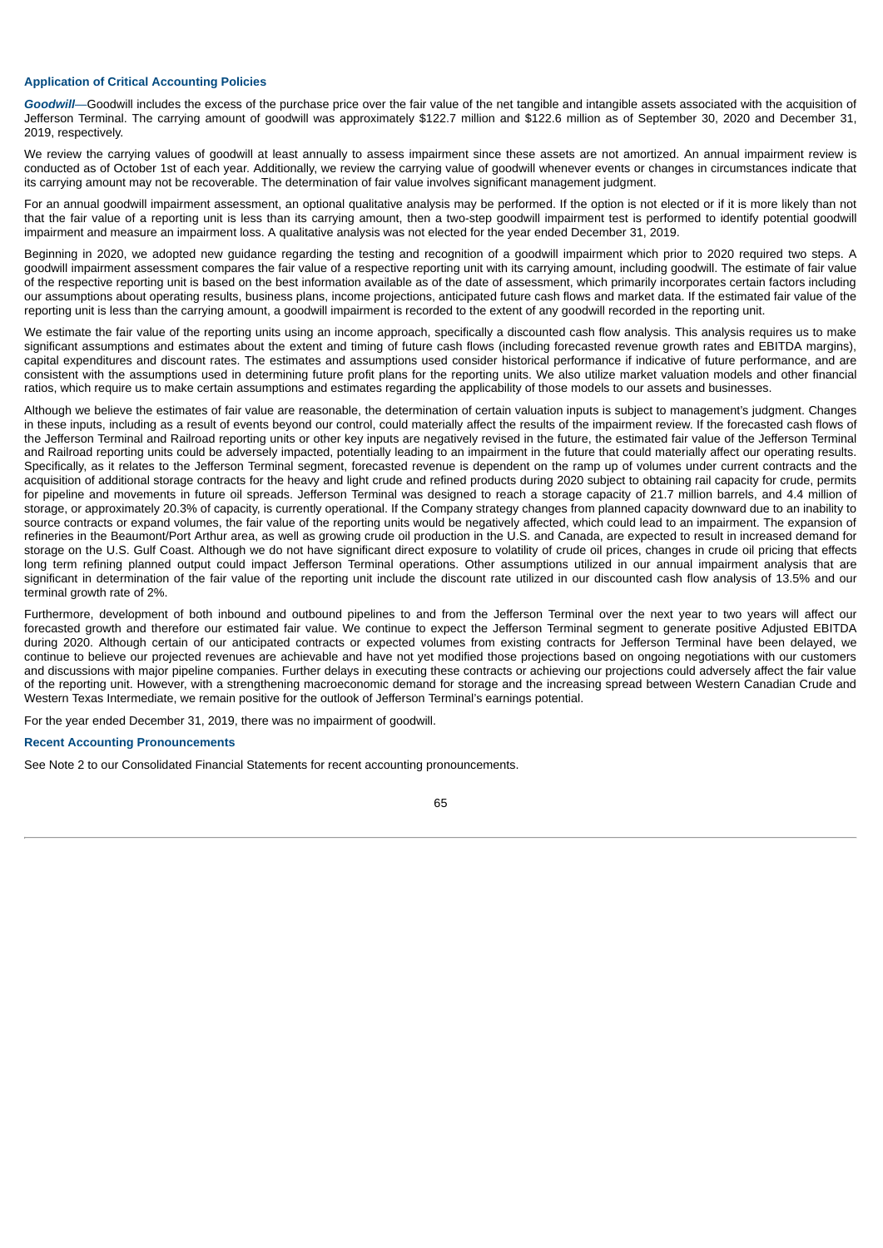### **Application of Critical Accounting Policies**

*Goodwill*—Goodwill includes the excess of the purchase price over the fair value of the net tangible and intangible assets associated with the acquisition of Jefferson Terminal. The carrying amount of goodwill was approximately \$122.7 million and \$122.6 million as of September 30, 2020 and December 31, 2019, respectively.

We review the carrying values of goodwill at least annually to assess impairment since these assets are not amortized. An annual impairment review is conducted as of October 1st of each year. Additionally, we review the carrying value of goodwill whenever events or changes in circumstances indicate that its carrying amount may not be recoverable. The determination of fair value involves significant management judgment.

For an annual goodwill impairment assessment, an optional qualitative analysis may be performed. If the option is not elected or if it is more likely than not that the fair value of a reporting unit is less than its carrying amount, then a two-step goodwill impairment test is performed to identify potential goodwill impairment and measure an impairment loss. A qualitative analysis was not elected for the year ended December 31, 2019.

Beginning in 2020, we adopted new guidance regarding the testing and recognition of a goodwill impairment which prior to 2020 required two steps. A goodwill impairment assessment compares the fair value of a respective reporting unit with its carrying amount, including goodwill. The estimate of fair value of the respective reporting unit is based on the best information available as of the date of assessment, which primarily incorporates certain factors including our assumptions about operating results, business plans, income projections, anticipated future cash flows and market data. If the estimated fair value of the reporting unit is less than the carrying amount, a goodwill impairment is recorded to the extent of any goodwill recorded in the reporting unit.

We estimate the fair value of the reporting units using an income approach, specifically a discounted cash flow analysis. This analysis requires us to make significant assumptions and estimates about the extent and timing of future cash flows (including forecasted revenue growth rates and EBITDA margins). capital expenditures and discount rates. The estimates and assumptions used consider historical performance if indicative of future performance, and are consistent with the assumptions used in determining future profit plans for the reporting units. We also utilize market valuation models and other financial ratios, which require us to make certain assumptions and estimates regarding the applicability of those models to our assets and businesses.

Although we believe the estimates of fair value are reasonable, the determination of certain valuation inputs is subject to management's judgment. Changes in these inputs, including as a result of events beyond our control, could materially affect the results of the impairment review. If the forecasted cash flows of the Jefferson Terminal and Railroad reporting units or other key inputs are negatively revised in the future, the estimated fair value of the Jefferson Terminal and Railroad reporting units could be adversely impacted, potentially leading to an impairment in the future that could materially affect our operating results. Specifically, as it relates to the Jefferson Terminal segment, forecasted revenue is dependent on the ramp up of volumes under current contracts and the acquisition of additional storage contracts for the heavy and light crude and refined products during 2020 subject to obtaining rail capacity for crude, permits for pipeline and movements in future oil spreads. Jefferson Terminal was designed to reach a storage capacity of 21.7 million barrels, and 4.4 million of storage, or approximately 20.3% of capacity, is currently operational. If the Company strategy changes from planned capacity downward due to an inability to source contracts or expand volumes, the fair value of the reporting units would be negatively affected, which could lead to an impairment. The expansion of refineries in the Beaumont/Port Arthur area, as well as growing crude oil production in the U.S. and Canada, are expected to result in increased demand for storage on the U.S. Gulf Coast. Although we do not have significant direct exposure to volatility of crude oil prices, changes in crude oil pricing that effects long term refining planned output could impact Jefferson Terminal operations. Other assumptions utilized in our annual impairment analysis that are significant in determination of the fair value of the reporting unit include the discount rate utilized in our discounted cash flow analysis of 13.5% and our terminal growth rate of 2%.

Furthermore, development of both inbound and outbound pipelines to and from the Jefferson Terminal over the next year to two years will affect our forecasted growth and therefore our estimated fair value. We continue to expect the Jefferson Terminal segment to generate positive Adjusted EBITDA during 2020. Although certain of our anticipated contracts or expected volumes from existing contracts for Jefferson Terminal have been delayed, we continue to believe our projected revenues are achievable and have not yet modified those projections based on ongoing negotiations with our customers and discussions with major pipeline companies. Further delays in executing these contracts or achieving our projections could adversely affect the fair value of the reporting unit. However, with a strengthening macroeconomic demand for storage and the increasing spread between Western Canadian Crude and Western Texas Intermediate, we remain positive for the outlook of Jefferson Terminal's earnings potential.

For the year ended December 31, 2019, there was no impairment of goodwill.

### **Recent Accounting Pronouncements**

See Note 2 to our Consolidated Financial Statements for recent accounting pronouncements.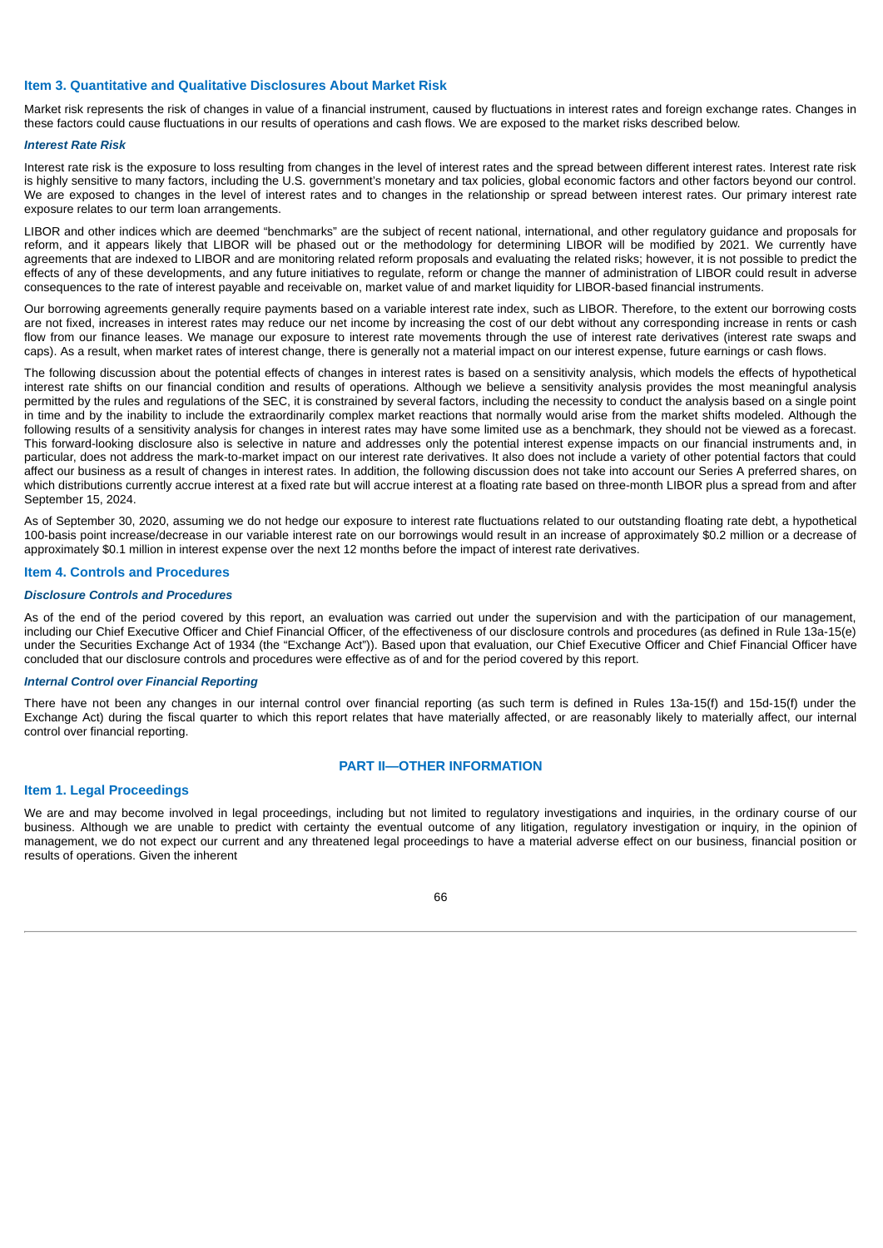## **Item 3. Quantitative and Qualitative Disclosures About Market Risk**

Market risk represents the risk of changes in value of a financial instrument, caused by fluctuations in interest rates and foreign exchange rates. Changes in these factors could cause fluctuations in our results of operations and cash flows. We are exposed to the market risks described below.

### *Interest Rate Risk*

Interest rate risk is the exposure to loss resulting from changes in the level of interest rates and the spread between different interest rates. Interest rate risk is highly sensitive to many factors, including the U.S. government's monetary and tax policies, global economic factors and other factors beyond our control. We are exposed to changes in the level of interest rates and to changes in the relationship or spread between interest rates. Our primary interest rate exposure relates to our term loan arrangements.

LIBOR and other indices which are deemed "benchmarks" are the subject of recent national, international, and other regulatory guidance and proposals for reform, and it appears likely that LIBOR will be phased out or the methodology for determining LIBOR will be modified by 2021. We currently have agreements that are indexed to LIBOR and are monitoring related reform proposals and evaluating the related risks; however, it is not possible to predict the effects of any of these developments, and any future initiatives to regulate, reform or change the manner of administration of LIBOR could result in adverse consequences to the rate of interest payable and receivable on, market value of and market liquidity for LIBOR-based financial instruments.

Our borrowing agreements generally require payments based on a variable interest rate index, such as LIBOR. Therefore, to the extent our borrowing costs are not fixed, increases in interest rates may reduce our net income by increasing the cost of our debt without any corresponding increase in rents or cash flow from our finance leases. We manage our exposure to interest rate movements through the use of interest rate derivatives (interest rate swaps and caps). As a result, when market rates of interest change, there is generally not a material impact on our interest expense, future earnings or cash flows.

The following discussion about the potential effects of changes in interest rates is based on a sensitivity analysis, which models the effects of hypothetical interest rate shifts on our financial condition and results of operations. Although we believe a sensitivity analysis provides the most meaningful analysis permitted by the rules and regulations of the SEC, it is constrained by several factors, including the necessity to conduct the analysis based on a single point in time and by the inability to include the extraordinarily complex market reactions that normally would arise from the market shifts modeled. Although the following results of a sensitivity analysis for changes in interest rates may have some limited use as a benchmark, they should not be viewed as a forecast. This forward-looking disclosure also is selective in nature and addresses only the potential interest expense impacts on our financial instruments and, in particular, does not address the mark-to-market impact on our interest rate derivatives. It also does not include a variety of other potential factors that could affect our business as a result of changes in interest rates. In addition, the following discussion does not take into account our Series A preferred shares, on which distributions currently accrue interest at a fixed rate but will accrue interest at a floating rate based on three-month LIBOR plus a spread from and after Sentember 15, 2024

As of September 30, 2020, assuming we do not hedge our exposure to interest rate fluctuations related to our outstanding floating rate debt, a hypothetical 100-basis point increase/decrease in our variable interest rate on our borrowings would result in an increase of approximately \$0.2 million or a decrease of approximately \$0.1 million in interest expense over the next 12 months before the impact of interest rate derivatives.

### **Item 4. Controls and Procedures**

### *Disclosure Controls and Procedures*

As of the end of the period covered by this report, an evaluation was carried out under the supervision and with the participation of our management, including our Chief Executive Officer and Chief Financial Officer, of the effectiveness of our disclosure controls and procedures (as defined in Rule 13a-15(e) under the Securities Exchange Act of 1934 (the "Exchange Act")). Based upon that evaluation, our Chief Executive Officer and Chief Financial Officer have concluded that our disclosure controls and procedures were effective as of and for the period covered by this report.

### *Internal Control over Financial Reporting*

There have not been any changes in our internal control over financial reporting (as such term is defined in Rules 13a-15(f) and 15d-15(f) under the Exchange Act) during the fiscal quarter to which this report relates that have materially affected, or are reasonably likely to materially affect, our internal control over financial reporting.

# **PART II—OTHER INFORMATION**

# **Item 1. Legal Proceedings**

We are and may become involved in legal proceedings, including but not limited to regulatory investigations and inquiries, in the ordinary course of our business. Although we are unable to predict with certainty the eventual outcome of any litigation, regulatory investigation or inquiry, in the opinion of management, we do not expect our current and any threatened legal proceedings to have a material adverse effect on our business, financial position or results of operations. Given the inherent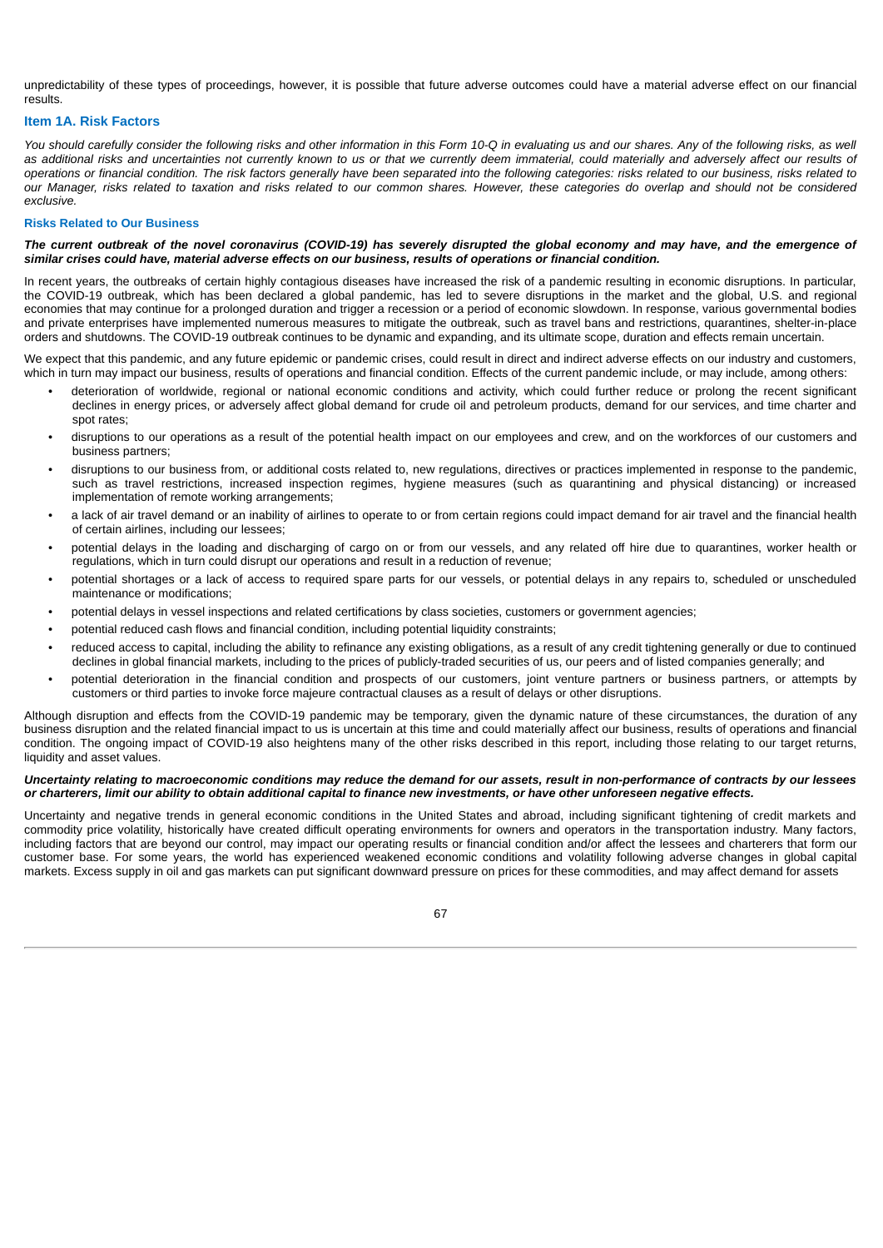unpredictability of these types of proceedings, however, it is possible that future adverse outcomes could have a material adverse effect on our financial results.

# **Item 1A. Risk Factors**

*You should carefully consider the following risks and other information in this Form 10-Q in evaluating us and our shares. Any of the following risks, as well* as additional risks and uncertainties not currently known to us or that we currently deem immaterial, could materially and adversely affect our results of *operations or financial condition. The risk factors generally have been separated into the following categories: risks related to our business, risks related to our Manager, risks related to taxation and risks related to our common shares. However, these categories do overlap and should not be considered exclusive.*

### **Risks Related to Our Business**

### *The current outbreak of the novel coronavirus (COVID-19) has severely disrupted the global economy and may have, and the emergence of similar crises could have, material adverse effects on our business, results of operations or financial condition.*

In recent years, the outbreaks of certain highly contagious diseases have increased the risk of a pandemic resulting in economic disruptions. In particular, the COVID-19 outbreak, which has been declared a global pandemic, has led to severe disruptions in the market and the global, U.S. and regional economies that may continue for a prolonged duration and trigger a recession or a period of economic slowdown. In response, various governmental bodies and private enterprises have implemented numerous measures to mitigate the outbreak, such as travel bans and restrictions, quarantines, shelter-in-place orders and shutdowns. The COVID-19 outbreak continues to be dynamic and expanding, and its ultimate scope, duration and effects remain uncertain.

We expect that this pandemic, and any future epidemic or pandemic crises, could result in direct and indirect adverse effects on our industry and customers, which in turn may impact our business, results of operations and financial condition. Effects of the current pandemic include, or may include, among others:

- deterioration of worldwide, regional or national economic conditions and activity, which could further reduce or prolong the recent significant declines in energy prices, or adversely affect global demand for crude oil and petroleum products, demand for our services, and time charter and spot rates;
- disruptions to our operations as a result of the potential health impact on our employees and crew, and on the workforces of our customers and business partners;
- disruptions to our business from, or additional costs related to, new regulations, directives or practices implemented in response to the pandemic, such as travel restrictions, increased inspection regimes, hygiene measures (such as quarantining and physical distancing) or increased implementation of remote working arrangements;
- a lack of air travel demand or an inability of airlines to operate to or from certain regions could impact demand for air travel and the financial health of certain airlines, including our lessees;
- potential delays in the loading and discharging of cargo on or from our vessels, and any related off hire due to quarantines, worker health or regulations, which in turn could disrupt our operations and result in a reduction of revenue;
- potential shortages or a lack of access to required spare parts for our vessels, or potential delays in any repairs to, scheduled or unscheduled maintenance or modifications;
- potential delays in vessel inspections and related certifications by class societies, customers or government agencies;
- potential reduced cash flows and financial condition, including potential liquidity constraints;
- reduced access to capital, including the ability to refinance any existing obligations, as a result of any credit tightening generally or due to continued declines in global financial markets, including to the prices of publicly-traded securities of us, our peers and of listed companies generally; and
- potential deterioration in the financial condition and prospects of our customers, joint venture partners or business partners, or attempts by customers or third parties to invoke force majeure contractual clauses as a result of delays or other disruptions.

Although disruption and effects from the COVID-19 pandemic may be temporary, given the dynamic nature of these circumstances, the duration of any business disruption and the related financial impact to us is uncertain at this time and could materially affect our business, results of operations and financial condition. The ongoing impact of COVID-19 also heightens many of the other risks described in this report, including those relating to our target returns, liquidity and asset values.

# *Uncertainty relating to macroeconomic conditions may reduce the demand for our assets, result in non-performance of contracts by our lessees or charterers, limit our ability to obtain additional capital to finance new investments, or have other unforeseen negative effects.*

Uncertainty and negative trends in general economic conditions in the United States and abroad, including significant tightening of credit markets and commodity price volatility, historically have created difficult operating environments for owners and operators in the transportation industry. Many factors, including factors that are beyond our control, may impact our operating results or financial condition and/or affect the lessees and charterers that form our customer base. For some years, the world has experienced weakened economic conditions and volatility following adverse changes in global capital markets. Excess supply in oil and gas markets can put significant downward pressure on prices for these commodities, and may affect demand for assets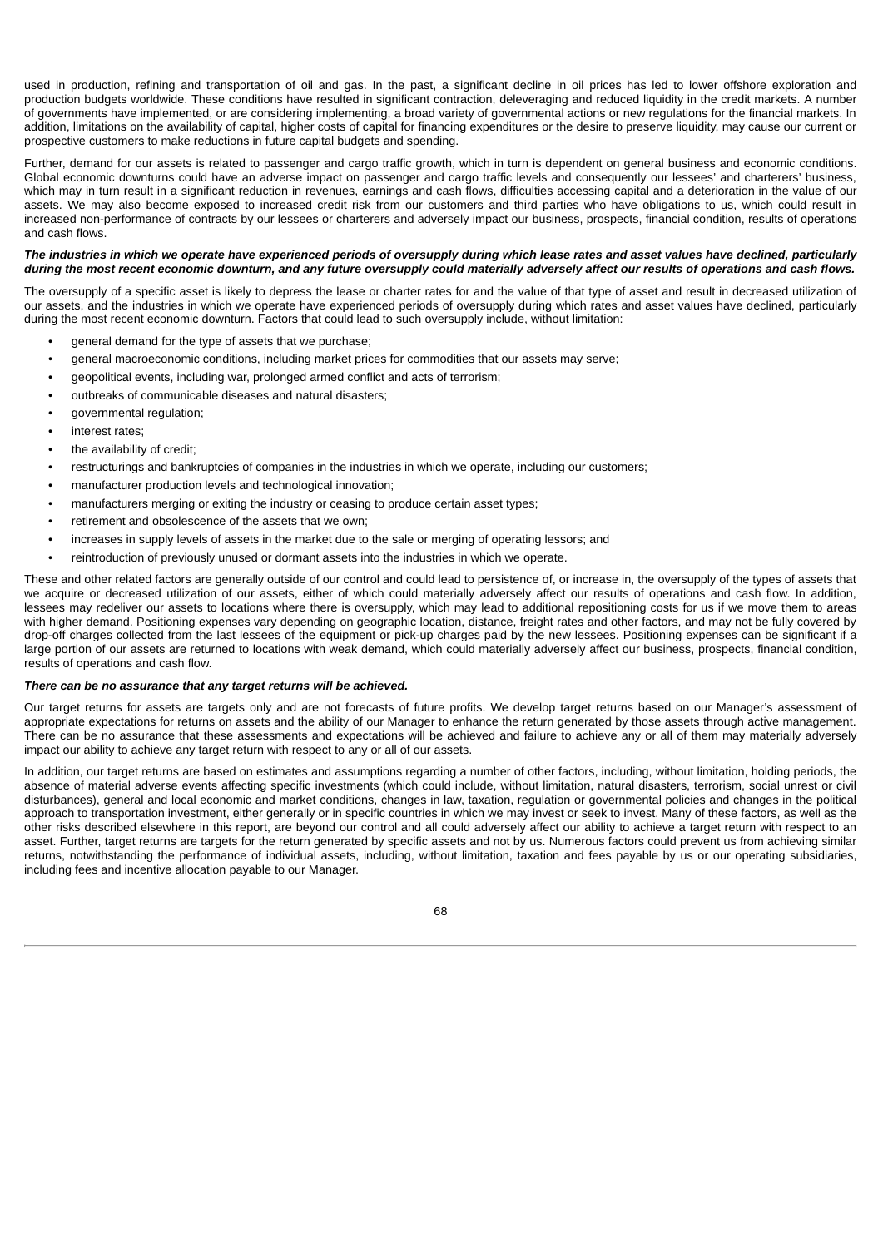used in production, refining and transportation of oil and gas. In the past, a significant decline in oil prices has led to lower offshore exploration and production budgets worldwide. These conditions have resulted in significant contraction, deleveraging and reduced liquidity in the credit markets. A number of governments have implemented, or are considering implementing, a broad variety of governmental actions or new regulations for the financial markets. In addition, limitations on the availability of capital, higher costs of capital for financing expenditures or the desire to preserve liquidity, may cause our current or prospective customers to make reductions in future capital budgets and spending.

Further, demand for our assets is related to passenger and cargo traffic growth, which in turn is dependent on general business and economic conditions. Global economic downturns could have an adverse impact on passenger and cargo traffic levels and consequently our lessees' and charterers' business, which may in turn result in a significant reduction in revenues, earnings and cash flows, difficulties accessing capital and a deterioration in the value of our assets. We may also become exposed to increased credit risk from our customers and third parties who have obligations to us, which could result in increased non-performance of contracts by our lessees or charterers and adversely impact our business, prospects, financial condition, results of operations and cash flows.

## *The industries in which we operate have experienced periods of oversupply during which lease rates and asset values have declined, particularly during the most recent economic downturn, and any future oversupply could materially adversely affect our results of operations and cash flows.*

The oversupply of a specific asset is likely to depress the lease or charter rates for and the value of that type of asset and result in decreased utilization of our assets, and the industries in which we operate have experienced periods of oversupply during which rates and asset values have declined, particularly during the most recent economic downturn. Factors that could lead to such oversupply include, without limitation:

- general demand for the type of assets that we purchase;
- general macroeconomic conditions, including market prices for commodities that our assets may serve;
- geopolitical events, including war, prolonged armed conflict and acts of terrorism;
- outbreaks of communicable diseases and natural disasters;
- governmental regulation;
- interest rates;
- the availability of credit:
- restructurings and bankruptcies of companies in the industries in which we operate, including our customers;
- manufacturer production levels and technological innovation;
- manufacturers merging or exiting the industry or ceasing to produce certain asset types;
- retirement and obsolescence of the assets that we own;
- increases in supply levels of assets in the market due to the sale or merging of operating lessors; and
- reintroduction of previously unused or dormant assets into the industries in which we operate.

These and other related factors are generally outside of our control and could lead to persistence of, or increase in, the oversupply of the types of assets that we acquire or decreased utilization of our assets, either of which could materially adversely affect our results of operations and cash flow. In addition, lessees may redeliver our assets to locations where there is oversupply, which may lead to additional repositioning costs for us if we move them to areas with higher demand. Positioning expenses vary depending on geographic location, distance, freight rates and other factors, and may not be fully covered by drop-off charges collected from the last lessees of the equipment or pick-up charges paid by the new lessees. Positioning expenses can be significant if a large portion of our assets are returned to locations with weak demand, which could materially adversely affect our business, prospects, financial condition, results of operations and cash flow.

# *There can be no assurance that any target returns will be achieved.*

Our target returns for assets are targets only and are not forecasts of future profits. We develop target returns based on our Manager's assessment of appropriate expectations for returns on assets and the ability of our Manager to enhance the return generated by those assets through active management. There can be no assurance that these assessments and expectations will be achieved and failure to achieve any or all of them may materially adversely impact our ability to achieve any target return with respect to any or all of our assets.

In addition, our target returns are based on estimates and assumptions regarding a number of other factors, including, without limitation, holding periods, the absence of material adverse events affecting specific investments (which could include, without limitation, natural disasters, terrorism, social unrest or civil disturbances), general and local economic and market conditions, changes in law, taxation, regulation or governmental policies and changes in the political approach to transportation investment, either generally or in specific countries in which we may invest or seek to invest. Many of these factors, as well as the other risks described elsewhere in this report, are beyond our control and all could adversely affect our ability to achieve a target return with respect to an asset. Further, target returns are targets for the return generated by specific assets and not by us. Numerous factors could prevent us from achieving similar returns, notwithstanding the performance of individual assets, including, without limitation, taxation and fees payable by us or our operating subsidiaries, including fees and incentive allocation payable to our Manager.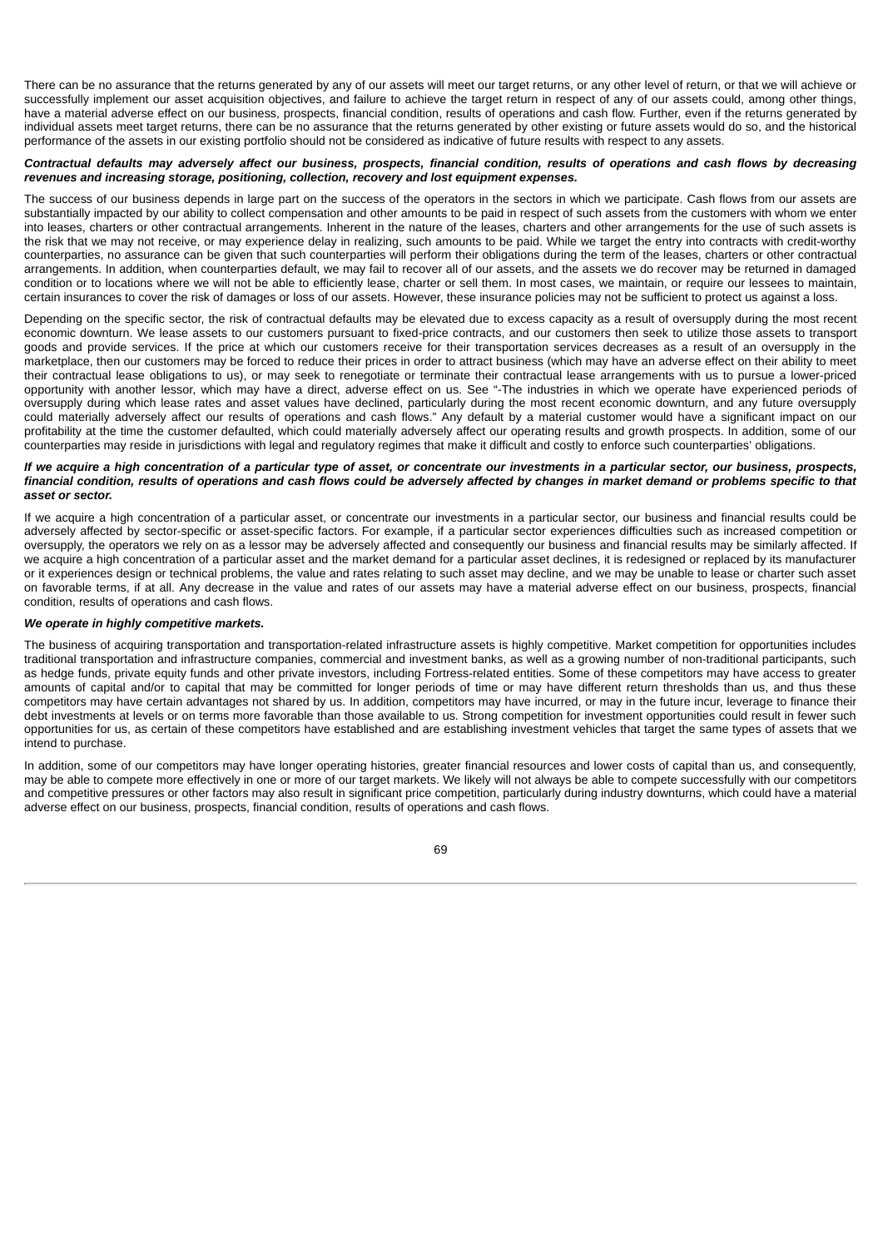There can be no assurance that the returns generated by any of our assets will meet our target returns, or any other level of return, or that we will achieve or successfully implement our asset acquisition objectives, and failure to achieve the target return in respect of any of our assets could, among other things, have a material adverse effect on our business, prospects, financial condition, results of operations and cash flow. Further, even if the returns generated by individual assets meet target returns, there can be no assurance that the returns generated by other existing or future assets would do so, and the historical performance of the assets in our existing portfolio should not be considered as indicative of future results with respect to any assets.

## *Contractual defaults may adversely affect our business, prospects, financial condition, results of operations and cash flows by decreasing revenues and increasing storage, positioning, collection, recovery and lost equipment expenses.*

The success of our business depends in large part on the success of the operators in the sectors in which we participate. Cash flows from our assets are substantially impacted by our ability to collect compensation and other amounts to be paid in respect of such assets from the customers with whom we enter into leases, charters or other contractual arrangements. Inherent in the nature of the leases, charters and other arrangements for the use of such assets is the risk that we may not receive, or may experience delay in realizing, such amounts to be paid. While we target the entry into contracts with credit-worthy counterparties, no assurance can be given that such counterparties will perform their obligations during the term of the leases, charters or other contractual arrangements. In addition, when counterparties default, we may fail to recover all of our assets, and the assets we do recover may be returned in damaged condition or to locations where we will not be able to efficiently lease, charter or sell them. In most cases, we maintain, or require our lessees to maintain, certain insurances to cover the risk of damages or loss of our assets. However, these insurance policies may not be sufficient to protect us against a loss.

Depending on the specific sector, the risk of contractual defaults may be elevated due to excess capacity as a result of oversupply during the most recent economic downturn. We lease assets to our customers pursuant to fixed-price contracts, and our customers then seek to utilize those assets to transport goods and provide services. If the price at which our customers receive for their transportation services decreases as a result of an oversupply in the marketplace, then our customers may be forced to reduce their prices in order to attract business (which may have an adverse effect on their ability to meet their contractual lease obligations to us), or may seek to renegotiate or terminate their contractual lease arrangements with us to pursue a lower-priced opportunity with another lessor, which may have a direct, adverse effect on us. See "-The industries in which we operate have experienced periods of oversupply during which lease rates and asset values have declined, particularly during the most recent economic downturn, and any future oversupply could materially adversely affect our results of operations and cash flows." Any default by a material customer would have a significant impact on our profitability at the time the customer defaulted, which could materially adversely affect our operating results and growth prospects. In addition, some of our counterparties may reside in jurisdictions with legal and regulatory regimes that make it difficult and costly to enforce such counterparties' obligations.

# *If we acquire a high concentration of a particular type of asset, or concentrate our investments in a particular sector, our business, prospects, financial condition, results of operations and cash flows could be adversely affected by changes in market demand or problems specific to that asset or sector.*

If we acquire a high concentration of a particular asset, or concentrate our investments in a particular sector, our business and financial results could be adversely affected by sector-specific or asset-specific factors. For example, if a particular sector experiences difficulties such as increased competition or oversupply, the operators we rely on as a lessor may be adversely affected and consequently our business and financial results may be similarly affected. If we acquire a high concentration of a particular asset and the market demand for a particular asset declines, it is redesigned or replaced by its manufacturer or it experiences design or technical problems, the value and rates relating to such asset may decline, and we may be unable to lease or charter such asset on favorable terms, if at all. Any decrease in the value and rates of our assets may have a material adverse effect on our business, prospects, financial condition, results of operations and cash flows.

# *We operate in highly competitive markets.*

The business of acquiring transportation and transportation-related infrastructure assets is highly competitive. Market competition for opportunities includes traditional transportation and infrastructure companies, commercial and investment banks, as well as a growing number of non-traditional participants, such as hedge funds, private equity funds and other private investors, including Fortress-related entities. Some of these competitors may have access to greater amounts of capital and/or to capital that may be committed for longer periods of time or may have different return thresholds than us, and thus these competitors may have certain advantages not shared by us. In addition, competitors may have incurred, or may in the future incur, leverage to finance their debt investments at levels or on terms more favorable than those available to us. Strong competition for investment opportunities could result in fewer such opportunities for us, as certain of these competitors have established and are establishing investment vehicles that target the same types of assets that we intend to purchase.

In addition, some of our competitors may have longer operating histories, greater financial resources and lower costs of capital than us, and consequently, may be able to compete more effectively in one or more of our target markets. We likely will not always be able to compete successfully with our competitors and competitive pressures or other factors may also result in significant price competition, particularly during industry downturns, which could have a material adverse effect on our business, prospects, financial condition, results of operations and cash flows.

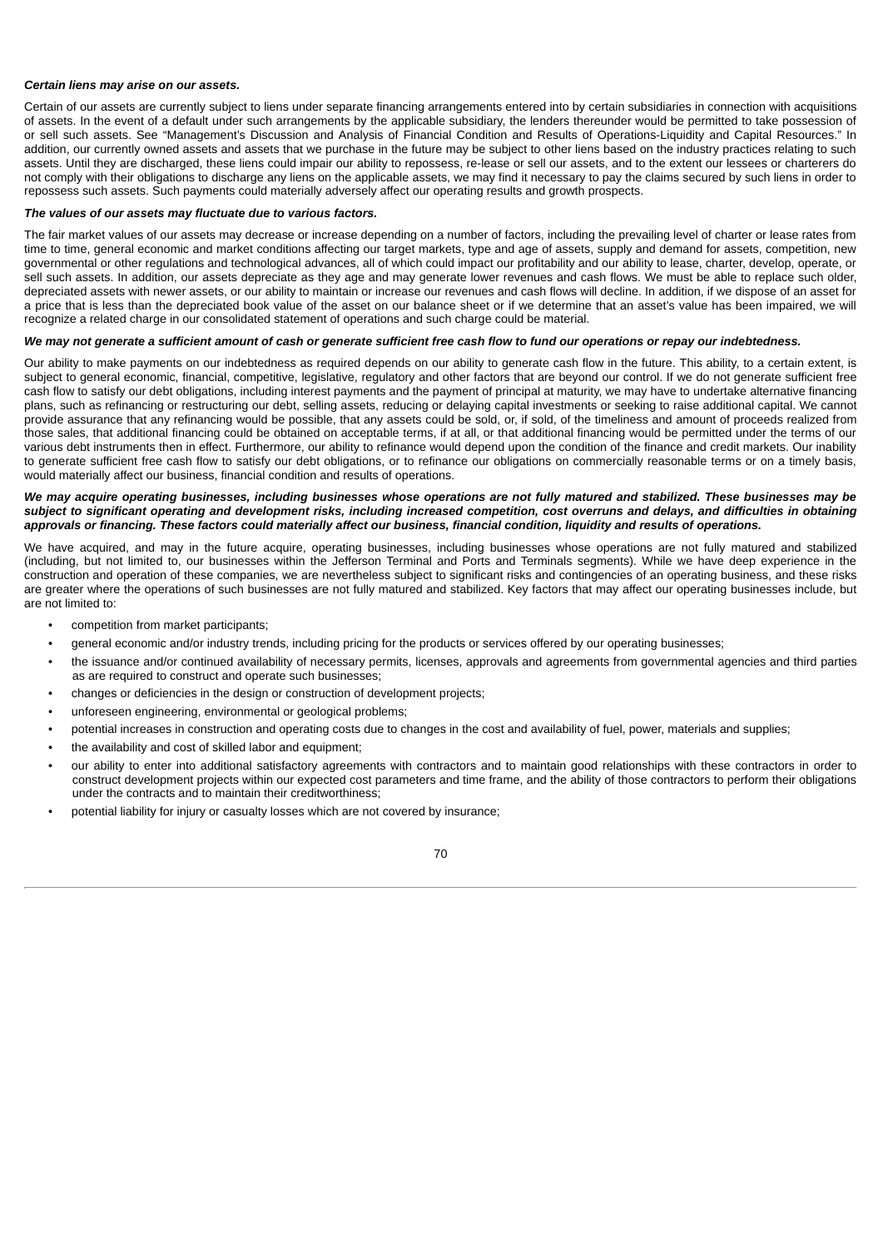### *Certain liens may arise on our assets.*

Certain of our assets are currently subject to liens under separate financing arrangements entered into by certain subsidiaries in connection with acquisitions of assets. In the event of a default under such arrangements by the applicable subsidiary, the lenders thereunder would be permitted to take possession of or sell such assets. See "Management's Discussion and Analysis of Financial Condition and Results of Operations-Liquidity and Capital Resources." In addition, our currently owned assets and assets that we purchase in the future may be subject to other liens based on the industry practices relating to such assets. Until they are discharged, these liens could impair our ability to repossess, re-lease or sell our assets, and to the extent our lessees or charterers do not comply with their obligations to discharge any liens on the applicable assets, we may find it necessary to pay the claims secured by such liens in order to repossess such assets. Such payments could materially adversely affect our operating results and growth prospects.

### *The values of our assets may fluctuate due to various factors.*

The fair market values of our assets may decrease or increase depending on a number of factors, including the prevailing level of charter or lease rates from time to time, general economic and market conditions affecting our target markets, type and age of assets, supply and demand for assets, competition, new governmental or other regulations and technological advances, all of which could impact our profitability and our ability to lease, charter, develop, operate, or sell such assets. In addition, our assets depreciate as they age and may generate lower revenues and cash flows. We must be able to replace such older, depreciated assets with newer assets, or our ability to maintain or increase our revenues and cash flows will decline. In addition, if we dispose of an asset for a price that is less than the depreciated book value of the asset on our balance sheet or if we determine that an asset's value has been impaired, we will recognize a related charge in our consolidated statement of operations and such charge could be material.

# *We may not generate a sufficient amount of cash or generate sufficient free cash flow to fund our operations or repay our indebtedness.*

Our ability to make payments on our indebtedness as required depends on our ability to generate cash flow in the future. This ability, to a certain extent, is subject to general economic, financial, competitive, legislative, regulatory and other factors that are beyond our control. If we do not generate sufficient free cash flow to satisfy our debt obligations, including interest payments and the payment of principal at maturity, we may have to undertake alternative financing plans, such as refinancing or restructuring our debt, selling assets, reducing or delaying capital investments or seeking to raise additional capital. We cannot provide assurance that any refinancing would be possible, that any assets could be sold, or, if sold, of the timeliness and amount of proceeds realized from those sales, that additional financing could be obtained on acceptable terms, if at all, or that additional financing would be permitted under the terms of our various debt instruments then in effect. Furthermore, our ability to refinance would depend upon the condition of the finance and credit markets. Our inability to generate sufficient free cash flow to satisfy our debt obligations, or to refinance our obligations on commercially reasonable terms or on a timely basis, would materially affect our business, financial condition and results of operations.

# *We may acquire operating businesses, including businesses whose operations are not fully matured and stabilized. These businesses may be subject to significant operating and development risks, including increased competition, cost overruns and delays, and difficulties in obtaining approvals or financing. These factors could materially affect our business, financial condition, liquidity and results of operations.*

We have acquired, and may in the future acquire, operating businesses, including businesses whose operations are not fully matured and stabilized (including, but not limited to, our businesses within the Jefferson Terminal and Ports and Terminals segments). While we have deep experience in the construction and operation of these companies, we are nevertheless subject to significant risks and contingencies of an operating business, and these risks are greater where the operations of such businesses are not fully matured and stabilized. Key factors that may affect our operating businesses include, but are not limited to:

- competition from market participants;
- general economic and/or industry trends, including pricing for the products or services offered by our operating businesses;
- the issuance and/or continued availability of necessary permits, licenses, approvals and agreements from governmental agencies and third parties as are required to construct and operate such businesses;
- changes or deficiencies in the design or construction of development projects;
- unforeseen engineering, environmental or geological problems;
- potential increases in construction and operating costs due to changes in the cost and availability of fuel, power, materials and supplies;
- the availability and cost of skilled labor and equipment;
- our ability to enter into additional satisfactory agreements with contractors and to maintain good relationships with these contractors in order to construct development projects within our expected cost parameters and time frame, and the ability of those contractors to perform their obligations under the contracts and to maintain their creditworthiness;
- potential liability for injury or casualty losses which are not covered by insurance;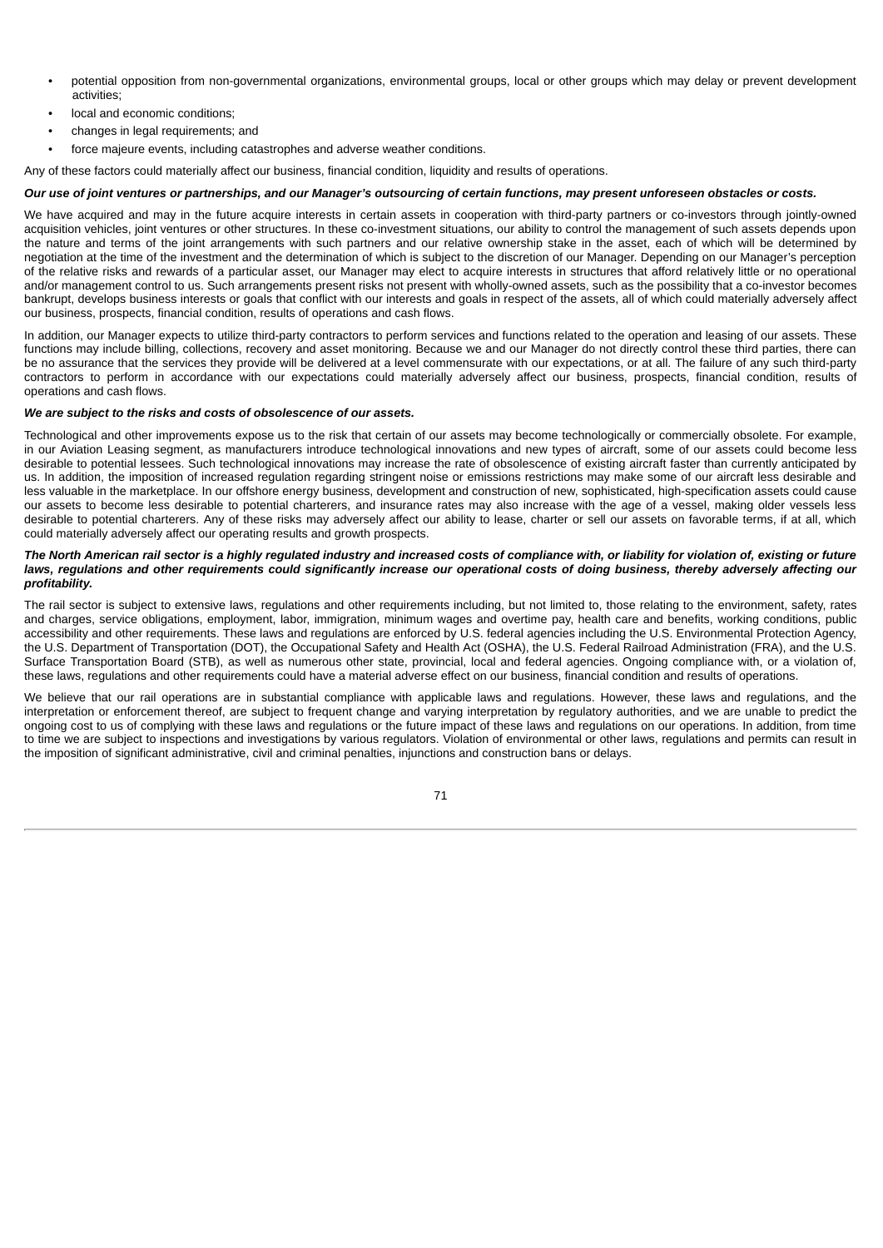- potential opposition from non-governmental organizations, environmental groups, local or other groups which may delay or prevent development activities;
- local and economic conditions;
- changes in legal requirements; and
- force majeure events, including catastrophes and adverse weather conditions.

Any of these factors could materially affect our business, financial condition, liquidity and results of operations.

## *Our use of joint ventures or partnerships, and our Manager's outsourcing of certain functions, may present unforeseen obstacles or costs.*

We have acquired and may in the future acquire interests in certain assets in cooperation with third-party partners or co-investors through jointly-owned acquisition vehicles, joint ventures or other structures. In these co-investment situations, our ability to control the management of such assets depends upon the nature and terms of the joint arrangements with such partners and our relative ownership stake in the asset, each of which will be determined by negotiation at the time of the investment and the determination of which is subject to the discretion of our Manager. Depending on our Manager's perception of the relative risks and rewards of a particular asset, our Manager may elect to acquire interests in structures that afford relatively little or no operational and/or management control to us. Such arrangements present risks not present with wholly-owned assets, such as the possibility that a co-investor becomes bankrupt, develops business interests or goals that conflict with our interests and goals in respect of the assets, all of which could materially adversely affect our business, prospects, financial condition, results of operations and cash flows.

In addition, our Manager expects to utilize third-party contractors to perform services and functions related to the operation and leasing of our assets. These functions may include billing, collections, recovery and asset monitoring. Because we and our Manager do not directly control these third parties, there can be no assurance that the services they provide will be delivered at a level commensurate with our expectations, or at all. The failure of any such third-party contractors to perform in accordance with our expectations could materially adversely affect our business, prospects, financial condition, results of operations and cash flows.

# *We are subject to the risks and costs of obsolescence of our assets.*

Technological and other improvements expose us to the risk that certain of our assets may become technologically or commercially obsolete. For example, in our Aviation Leasing segment, as manufacturers introduce technological innovations and new types of aircraft, some of our assets could become less desirable to potential lessees. Such technological innovations may increase the rate of obsolescence of existing aircraft faster than currently anticipated by us. In addition, the imposition of increased regulation regarding stringent noise or emissions restrictions may make some of our aircraft less desirable and less valuable in the marketplace. In our offshore energy business, development and construction of new, sophisticated, high-specification assets could cause our assets to become less desirable to potential charterers, and insurance rates may also increase with the age of a vessel, making older vessels less desirable to potential charterers. Any of these risks may adversely affect our ability to lease, charter or sell our assets on favorable terms, if at all, which could materially adversely affect our operating results and growth prospects.

### *The North American rail sector is a highly regulated industry and increased costs of compliance with, or liability for violation of, existing or future laws, regulations and other requirements could significantly increase our operational costs of doing business, thereby adversely affecting our profitability.*

The rail sector is subject to extensive laws, regulations and other requirements including, but not limited to, those relating to the environment, safety, rates and charges, service obligations, employment, labor, immigration, minimum wages and overtime pay, health care and benefits, working conditions, public accessibility and other requirements. These laws and regulations are enforced by U.S. federal agencies including the U.S. Environmental Protection Agency, the U.S. Department of Transportation (DOT), the Occupational Safety and Health Act (OSHA), the U.S. Federal Railroad Administration (FRA), and the U.S. Surface Transportation Board (STB), as well as numerous other state, provincial, local and federal agencies. Ongoing compliance with, or a violation of, these laws, regulations and other requirements could have a material adverse effect on our business, financial condition and results of operations.

We believe that our rail operations are in substantial compliance with applicable laws and regulations. However, these laws and regulations, and the interpretation or enforcement thereof, are subject to frequent change and varying interpretation by regulatory authorities, and we are unable to predict the ongoing cost to us of complying with these laws and regulations or the future impact of these laws and regulations on our operations. In addition, from time to time we are subject to inspections and investigations by various regulators. Violation of environmental or other laws, regulations and permits can result in the imposition of significant administrative, civil and criminal penalties, injunctions and construction bans or delays.

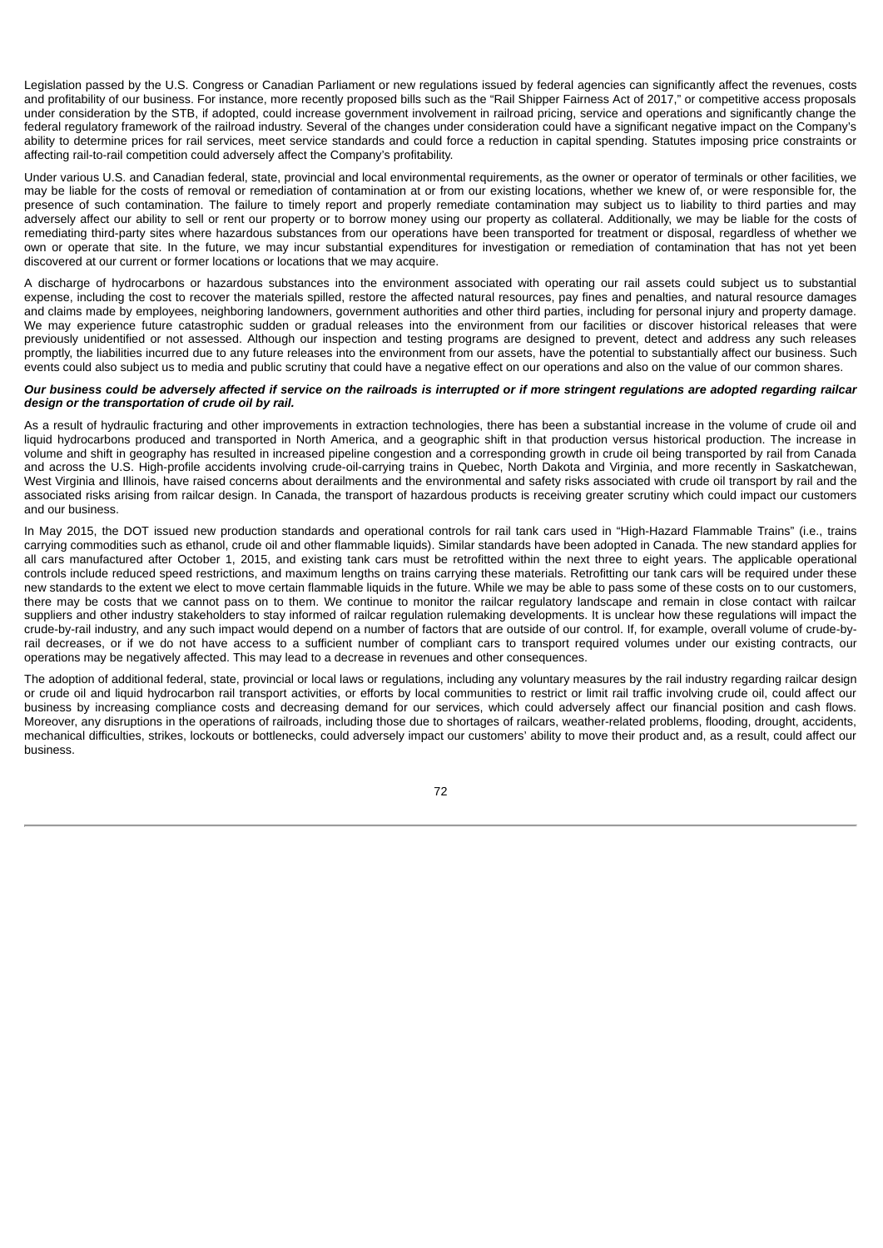Legislation passed by the U.S. Congress or Canadian Parliament or new regulations issued by federal agencies can significantly affect the revenues, costs and profitability of our business. For instance, more recently proposed bills such as the "Rail Shipper Fairness Act of 2017," or competitive access proposals under consideration by the STB, if adopted, could increase government involvement in railroad pricing, service and operations and significantly change the federal regulatory framework of the railroad industry. Several of the changes under consideration could have a significant negative impact on the Company's ability to determine prices for rail services, meet service standards and could force a reduction in capital spending. Statutes imposing price constraints or affecting rail-to-rail competition could adversely affect the Company's profitability.

Under various U.S. and Canadian federal, state, provincial and local environmental requirements, as the owner or operator of terminals or other facilities, we may be liable for the costs of removal or remediation of contamination at or from our existing locations, whether we knew of, or were responsible for, the presence of such contamination. The failure to timely report and properly remediate contamination may subject us to liability to third parties and may adversely affect our ability to sell or rent our property or to borrow money using our property as collateral. Additionally, we may be liable for the costs of remediating third-party sites where hazardous substances from our operations have been transported for treatment or disposal, regardless of whether we own or operate that site. In the future, we may incur substantial expenditures for investigation or remediation of contamination that has not yet been discovered at our current or former locations or locations that we may acquire.

A discharge of hydrocarbons or hazardous substances into the environment associated with operating our rail assets could subject us to substantial expense, including the cost to recover the materials spilled, restore the affected natural resources, pay fines and penalties, and natural resource damages and claims made by employees, neighboring landowners, government authorities and other third parties, including for personal injury and property damage. We may experience future catastrophic sudden or gradual releases into the environment from our facilities or discover historical releases that were previously unidentified or not assessed. Although our inspection and testing programs are designed to prevent, detect and address any such releases promptly, the liabilities incurred due to any future releases into the environment from our assets, have the potential to substantially affect our business. Such events could also subject us to media and public scrutiny that could have a negative effect on our operations and also on the value of our common shares.

#### *Our business could be adversely affected if service on the railroads is interrupted or if more stringent regulations are adopted regarding railcar design or the transportation of crude oil by rail.*

As a result of hydraulic fracturing and other improvements in extraction technologies, there has been a substantial increase in the volume of crude oil and liquid hydrocarbons produced and transported in North America, and a geographic shift in that production versus historical production. The increase in volume and shift in geography has resulted in increased pipeline congestion and a corresponding growth in crude oil being transported by rail from Canada and across the U.S. High-profile accidents involving crude-oil-carrying trains in Quebec, North Dakota and Virginia, and more recently in Saskatchewan, West Virginia and Illinois, have raised concerns about derailments and the environmental and safety risks associated with crude oil transport by rail and the associated risks arising from railcar design. In Canada, the transport of hazardous products is receiving greater scrutiny which could impact our customers and our business.

In May 2015, the DOT issued new production standards and operational controls for rail tank cars used in "High-Hazard Flammable Trains" (i.e., trains carrying commodities such as ethanol, crude oil and other flammable liquids). Similar standards have been adopted in Canada. The new standard applies for all cars manufactured after October 1, 2015, and existing tank cars must be retrofitted within the next three to eight years. The applicable operational controls include reduced speed restrictions, and maximum lengths on trains carrying these materials. Retrofitting our tank cars will be required under these new standards to the extent we elect to move certain flammable liquids in the future. While we may be able to pass some of these costs on to our customers, there may be costs that we cannot pass on to them. We continue to monitor the railcar regulatory landscape and remain in close contact with railcar suppliers and other industry stakeholders to stay informed of railcar regulation rulemaking developments. It is unclear how these regulations will impact the crude-by-rail industry, and any such impact would depend on a number of factors that are outside of our control. If, for example, overall volume of crude-byrail decreases, or if we do not have access to a sufficient number of compliant cars to transport required volumes under our existing contracts, our operations may be negatively affected. This may lead to a decrease in revenues and other consequences.

The adoption of additional federal, state, provincial or local laws or regulations, including any voluntary measures by the rail industry regarding railcar design or crude oil and liquid hydrocarbon rail transport activities, or efforts by local communities to restrict or limit rail traffic involving crude oil, could affect our business by increasing compliance costs and decreasing demand for our services, which could adversely affect our financial position and cash flows. Moreover, any disruptions in the operations of railroads, including those due to shortages of railcars, weather-related problems, flooding, drought, accidents, mechanical difficulties, strikes, lockouts or bottlenecks, could adversely impact our customers' ability to move their product and, as a result, could affect our business.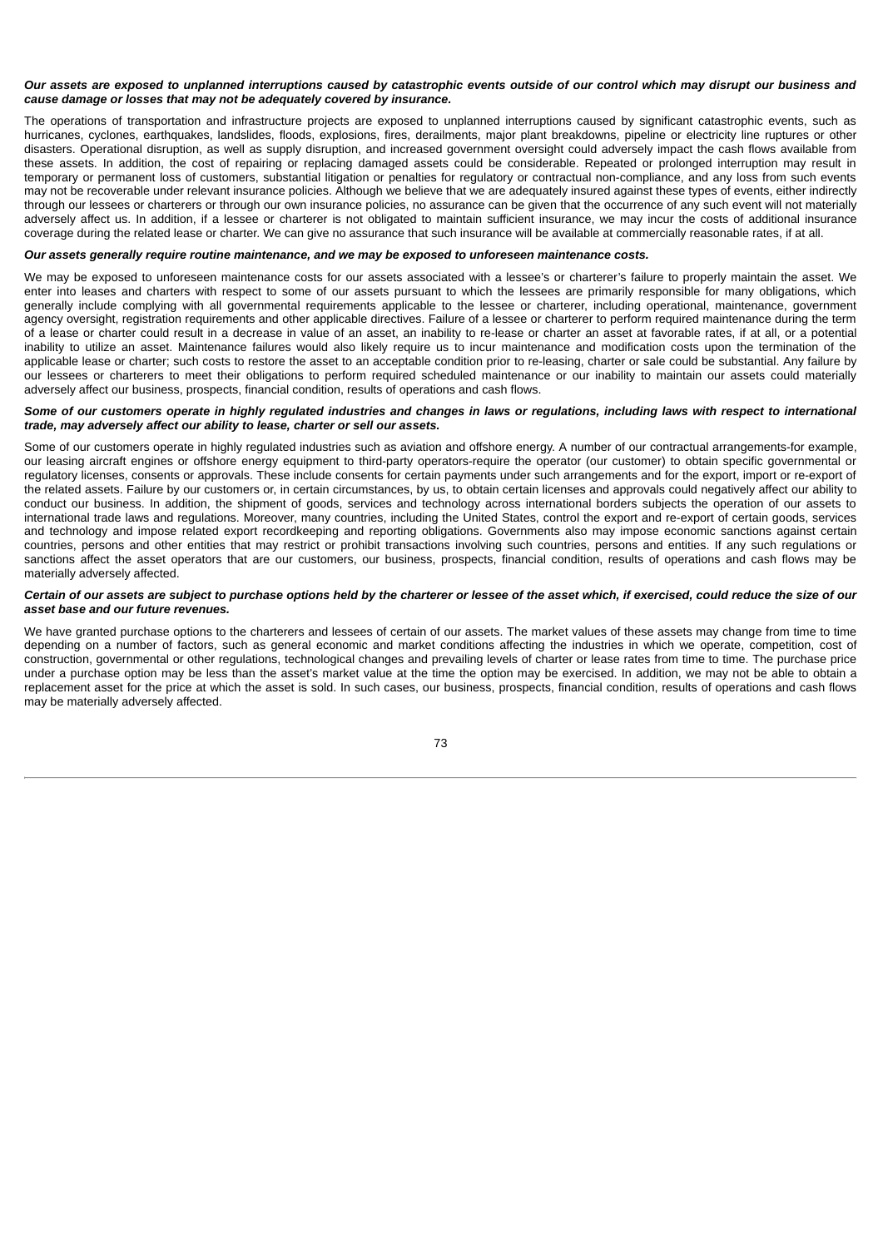#### *Our assets are exposed to unplanned interruptions caused by catastrophic events outside of our control which may disrupt our business and cause damage or losses that may not be adequately covered by insurance.*

The operations of transportation and infrastructure projects are exposed to unplanned interruptions caused by significant catastrophic events, such as hurricanes, cyclones, earthquakes, landslides, floods, explosions, fires, derailments, major plant breakdowns, pipeline or electricity line ruptures or other disasters. Operational disruption, as well as supply disruption, and increased government oversight could adversely impact the cash flows available from these assets. In addition, the cost of repairing or replacing damaged assets could be considerable. Repeated or prolonged interruption may result in temporary or permanent loss of customers, substantial litigation or penalties for regulatory or contractual non-compliance, and any loss from such events may not be recoverable under relevant insurance policies. Although we believe that we are adequately insured against these types of events, either indirectly through our lessees or charterers or through our own insurance policies, no assurance can be given that the occurrence of any such event will not materially adversely affect us. In addition, if a lessee or charterer is not obligated to maintain sufficient insurance, we may incur the costs of additional insurance coverage during the related lease or charter. We can give no assurance that such insurance will be available at commercially reasonable rates, if at all.

#### *Our assets generally require routine maintenance, and we may be exposed to unforeseen maintenance costs.*

We may be exposed to unforeseen maintenance costs for our assets associated with a lessee's or charterer's failure to properly maintain the asset. We enter into leases and charters with respect to some of our assets pursuant to which the lessees are primarily responsible for many obligations, which generally include complying with all governmental requirements applicable to the lessee or charterer, including operational, maintenance, government agency oversight, registration requirements and other applicable directives. Failure of a lessee or charterer to perform required maintenance during the term of a lease or charter could result in a decrease in value of an asset, an inability to re-lease or charter an asset at favorable rates, if at all, or a potential inability to utilize an asset. Maintenance failures would also likely require us to incur maintenance and modification costs upon the termination of the applicable lease or charter; such costs to restore the asset to an acceptable condition prior to re-leasing, charter or sale could be substantial. Any failure by our lessees or charterers to meet their obligations to perform required scheduled maintenance or our inability to maintain our assets could materially adversely affect our business, prospects, financial condition, results of operations and cash flows.

#### *Some of our customers operate in highly regulated industries and changes in laws or regulations, including laws with respect to international trade, may adversely affect our ability to lease, charter or sell our assets.*

Some of our customers operate in highly regulated industries such as aviation and offshore energy. A number of our contractual arrangements-for example, our leasing aircraft engines or offshore energy equipment to third-party operators-require the operator (our customer) to obtain specific governmental or regulatory licenses, consents or approvals. These include consents for certain payments under such arrangements and for the export, import or re-export of the related assets. Failure by our customers or, in certain circumstances, by us, to obtain certain licenses and approvals could negatively affect our ability to conduct our business. In addition, the shipment of goods, services and technology across international borders subjects the operation of our assets to international trade laws and regulations. Moreover, many countries, including the United States, control the export and re-export of certain goods, services and technology and impose related export recordkeeping and reporting obligations. Governments also may impose economic sanctions against certain countries, persons and other entities that may restrict or prohibit transactions involving such countries, persons and entities. If any such regulations or sanctions affect the asset operators that are our customers, our business, prospects, financial condition, results of operations and cash flows may be materially adversely affected.

#### *Certain of our assets are subject to purchase options held by the charterer or lessee of the asset which, if exercised, could reduce the size of our asset base and our future revenues.*

We have granted purchase options to the charterers and lessees of certain of our assets. The market values of these assets may change from time to time depending on a number of factors, such as general economic and market conditions affecting the industries in which we operate, competition, cost of construction, governmental or other regulations, technological changes and prevailing levels of charter or lease rates from time to time. The purchase price under a purchase option may be less than the asset's market value at the time the option may be exercised. In addition, we may not be able to obtain a replacement asset for the price at which the asset is sold. In such cases, our business, prospects, financial condition, results of operations and cash flows may be materially adversely affected.

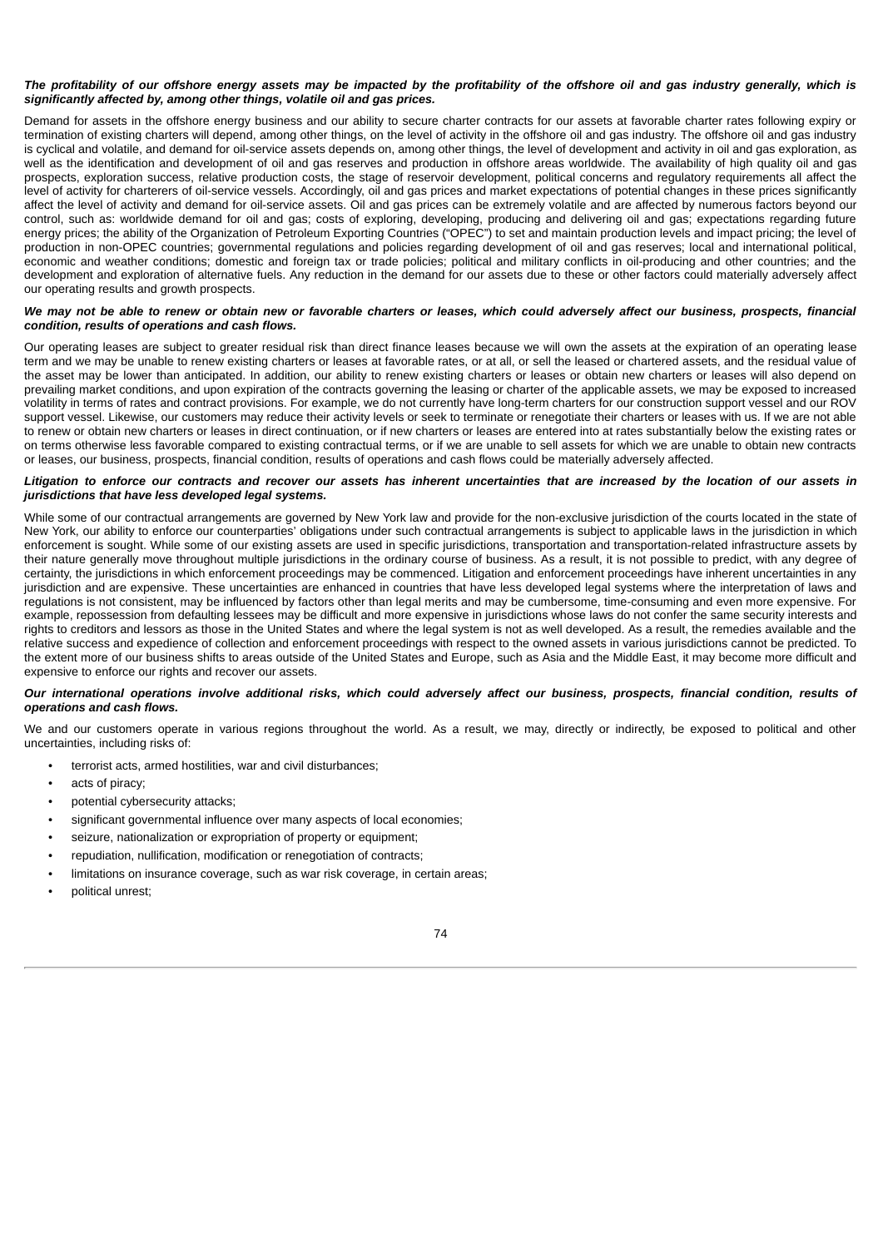#### The profitability of our offshore energy assets may be impacted by the profitability of the offshore oil and gas industry generally, which is *significantly affected by, among other things, volatile oil and gas prices.*

Demand for assets in the offshore energy business and our ability to secure charter contracts for our assets at favorable charter rates following expiry or termination of existing charters will depend, among other things, on the level of activity in the offshore oil and gas industry. The offshore oil and gas industry is cyclical and volatile, and demand for oil-service assets depends on, among other things, the level of development and activity in oil and gas exploration, as well as the identification and development of oil and gas reserves and production in offshore areas worldwide. The availability of high quality oil and gas prospects, exploration success, relative production costs, the stage of reservoir development, political concerns and regulatory requirements all affect the level of activity for charterers of oil-service vessels. Accordingly, oil and gas prices and market expectations of potential changes in these prices significantly affect the level of activity and demand for oil-service assets. Oil and gas prices can be extremely volatile and are affected by numerous factors beyond our control, such as: worldwide demand for oil and gas; costs of exploring, developing, producing and delivering oil and gas; expectations regarding future energy prices; the ability of the Organization of Petroleum Exporting Countries ("OPEC") to set and maintain production levels and impact pricing; the level of production in non-OPEC countries; governmental regulations and policies regarding development of oil and gas reserves; local and international political, economic and weather conditions; domestic and foreign tax or trade policies; political and military conflicts in oil-producing and other countries; and the development and exploration of alternative fuels. Any reduction in the demand for our assets due to these or other factors could materially adversely affect our operating results and growth prospects.

#### *We may not be able to renew or obtain new or favorable charters or leases, which could adversely affect our business, prospects, financial condition, results of operations and cash flows.*

Our operating leases are subject to greater residual risk than direct finance leases because we will own the assets at the expiration of an operating lease term and we may be unable to renew existing charters or leases at favorable rates, or at all, or sell the leased or chartered assets, and the residual value of the asset may be lower than anticipated. In addition, our ability to renew existing charters or leases or obtain new charters or leases will also depend on prevailing market conditions, and upon expiration of the contracts governing the leasing or charter of the applicable assets, we may be exposed to increased volatility in terms of rates and contract provisions. For example, we do not currently have long-term charters for our construction support vessel and our ROV support vessel. Likewise, our customers may reduce their activity levels or seek to terminate or renegotiate their charters or leases with us. If we are not able to renew or obtain new charters or leases in direct continuation, or if new charters or leases are entered into at rates substantially below the existing rates or on terms otherwise less favorable compared to existing contractual terms, or if we are unable to sell assets for which we are unable to obtain new contracts or leases, our business, prospects, financial condition, results of operations and cash flows could be materially adversely affected.

#### *Litigation to enforce our contracts and recover our assets has inherent uncertainties that are increased by the location of our assets in jurisdictions that have less developed legal systems.*

While some of our contractual arrangements are governed by New York law and provide for the non-exclusive jurisdiction of the courts located in the state of New York, our ability to enforce our counterparties' obligations under such contractual arrangements is subject to applicable laws in the jurisdiction in which enforcement is sought. While some of our existing assets are used in specific jurisdictions, transportation and transportation-related infrastructure assets by their nature generally move throughout multiple jurisdictions in the ordinary course of business. As a result, it is not possible to predict, with any degree of certainty, the jurisdictions in which enforcement proceedings may be commenced. Litigation and enforcement proceedings have inherent uncertainties in any jurisdiction and are expensive. These uncertainties are enhanced in countries that have less developed legal systems where the interpretation of laws and regulations is not consistent, may be influenced by factors other than legal merits and may be cumbersome, time-consuming and even more expensive. For example, repossession from defaulting lessees may be difficult and more expensive in jurisdictions whose laws do not confer the same security interests and rights to creditors and lessors as those in the United States and where the legal system is not as well developed. As a result, the remedies available and the relative success and expedience of collection and enforcement proceedings with respect to the owned assets in various jurisdictions cannot be predicted. To the extent more of our business shifts to areas outside of the United States and Europe, such as Asia and the Middle East, it may become more difficult and expensive to enforce our rights and recover our assets.

#### *Our international operations involve additional risks, which could adversely affect our business, prospects, financial condition, results of operations and cash flows.*

We and our customers operate in various regions throughout the world. As a result, we may, directly or indirectly, be exposed to political and other uncertainties, including risks of:

- terrorist acts, armed hostilities, war and civil disturbances;
- acts of piracy;
- potential cybersecurity attacks;
- significant governmental influence over many aspects of local economies;
- seizure, nationalization or expropriation of property or equipment;
- repudiation, nullification, modification or renegotiation of contracts;
- limitations on insurance coverage, such as war risk coverage, in certain areas;
- political unrest;

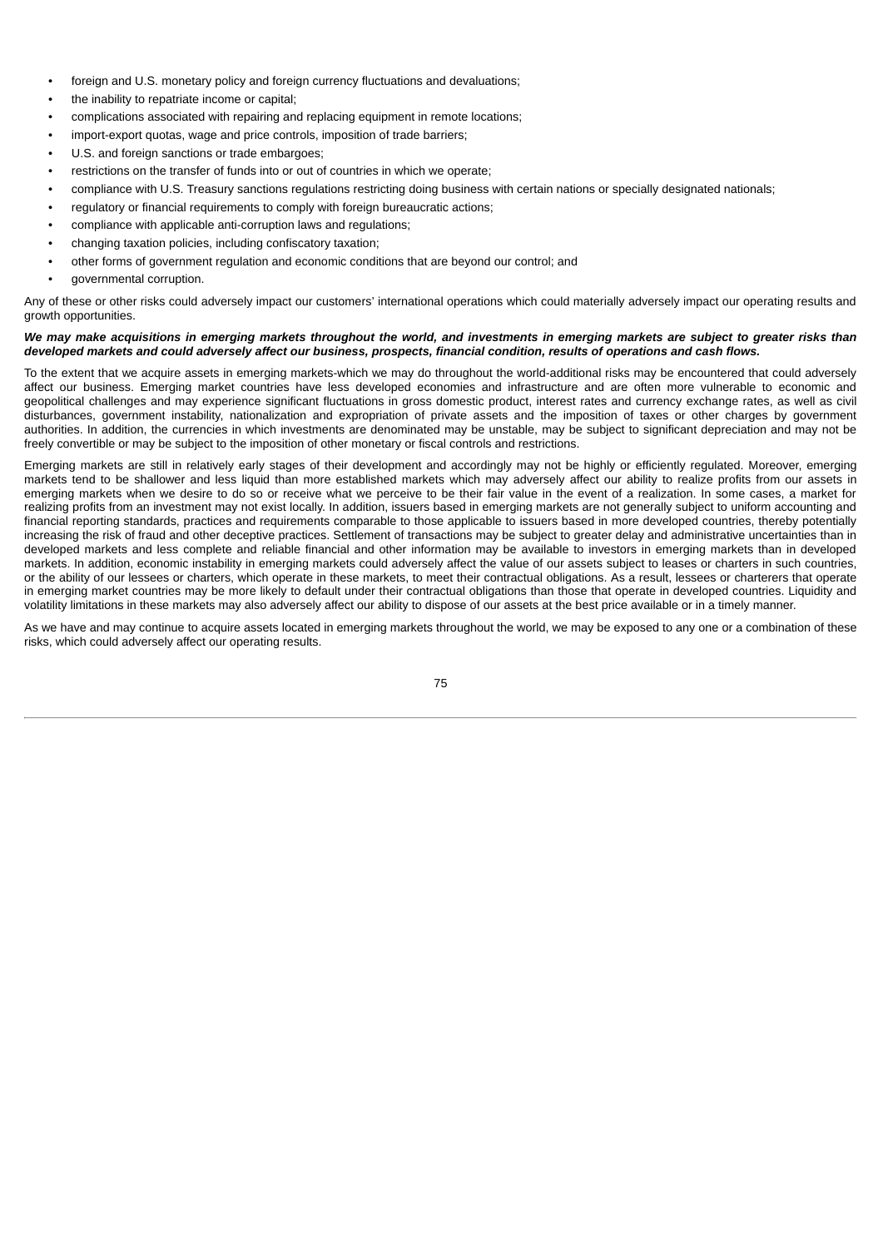- foreign and U.S. monetary policy and foreign currency fluctuations and devaluations;
- the inability to repatriate income or capital;
- complications associated with repairing and replacing equipment in remote locations;
- import-export quotas, wage and price controls, imposition of trade barriers;
- U.S. and foreign sanctions or trade embargoes;
- restrictions on the transfer of funds into or out of countries in which we operate;
- compliance with U.S. Treasury sanctions regulations restricting doing business with certain nations or specially designated nationals;
- regulatory or financial requirements to comply with foreign bureaucratic actions:
- compliance with applicable anti-corruption laws and regulations;
- changing taxation policies, including confiscatory taxation;
- other forms of government regulation and economic conditions that are beyond our control; and
- governmental corruption.

Any of these or other risks could adversely impact our customers' international operations which could materially adversely impact our operating results and growth opportunities.

## *We may make acquisitions in emerging markets throughout the world, and investments in emerging markets are subject to greater risks than developed markets and could adversely affect our business, prospects, financial condition, results of operations and cash flows.*

To the extent that we acquire assets in emerging markets-which we may do throughout the world-additional risks may be encountered that could adversely affect our business. Emerging market countries have less developed economies and infrastructure and are often more vulnerable to economic and geopolitical challenges and may experience significant fluctuations in gross domestic product, interest rates and currency exchange rates, as well as civil disturbances, government instability, nationalization and expropriation of private assets and the imposition of taxes or other charges by government authorities. In addition, the currencies in which investments are denominated may be unstable, may be subject to significant depreciation and may not be freely convertible or may be subject to the imposition of other monetary or fiscal controls and restrictions.

Emerging markets are still in relatively early stages of their development and accordingly may not be highly or efficiently regulated. Moreover, emerging markets tend to be shallower and less liquid than more established markets which may adversely affect our ability to realize profits from our assets in emerging markets when we desire to do so or receive what we perceive to be their fair value in the event of a realization. In some cases, a market for realizing profits from an investment may not exist locally. In addition, issuers based in emerging markets are not generally subject to uniform accounting and financial reporting standards, practices and requirements comparable to those applicable to issuers based in more developed countries, thereby potentially increasing the risk of fraud and other deceptive practices. Settlement of transactions may be subject to greater delay and administrative uncertainties than in developed markets and less complete and reliable financial and other information may be available to investors in emerging markets than in developed markets. In addition, economic instability in emerging markets could adversely affect the value of our assets subject to leases or charters in such countries, or the ability of our lessees or charters, which operate in these markets, to meet their contractual obligations. As a result, lessees or charterers that operate in emerging market countries may be more likely to default under their contractual obligations than those that operate in developed countries. Liquidity and volatility limitations in these markets may also adversely affect our ability to dispose of our assets at the best price available or in a timely manner.

As we have and may continue to acquire assets located in emerging markets throughout the world, we may be exposed to any one or a combination of these risks, which could adversely affect our operating results.

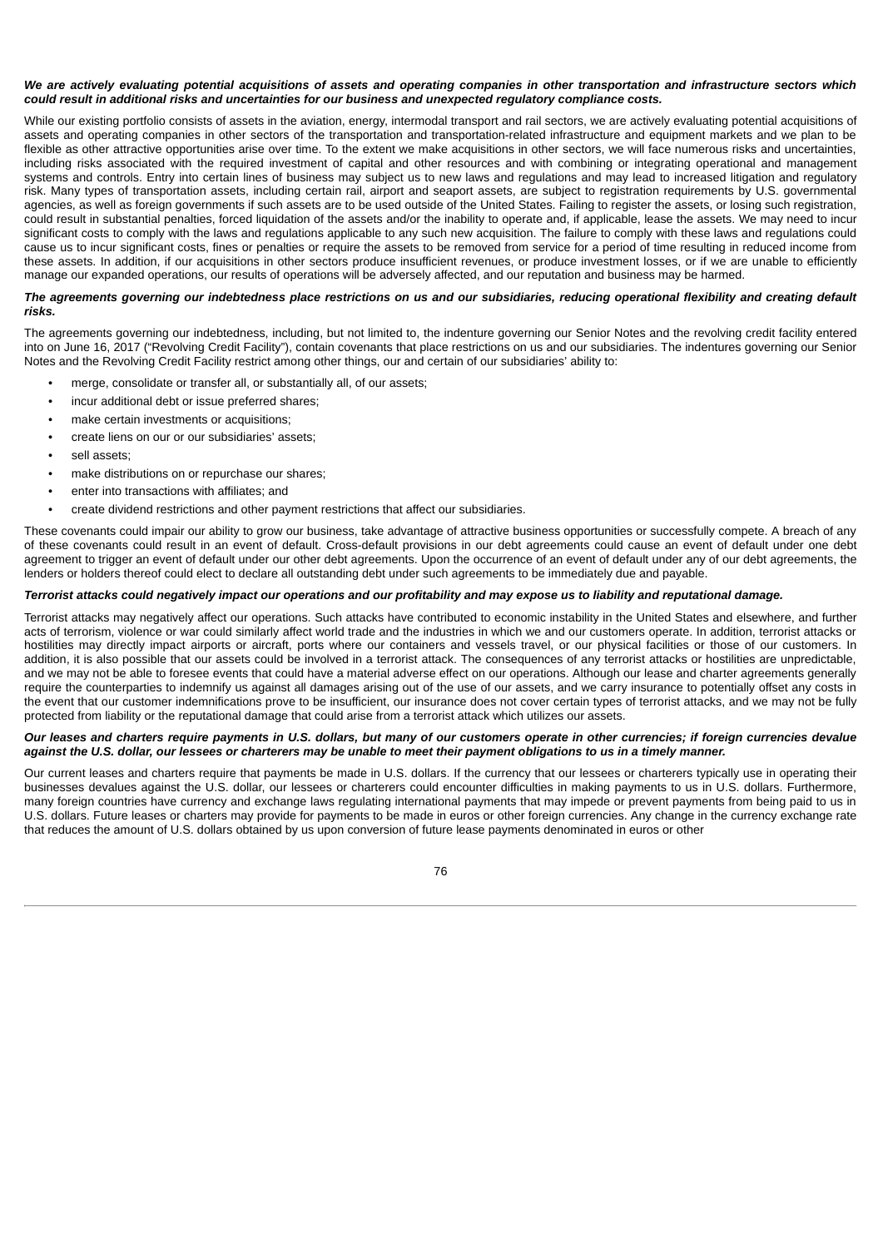#### *We are actively evaluating potential acquisitions of assets and operating companies in other transportation and infrastructure sectors which could result in additional risks and uncertainties for our business and unexpected regulatory compliance costs.*

While our existing portfolio consists of assets in the aviation, energy, intermodal transport and rail sectors, we are actively evaluating potential acquisitions of assets and operating companies in other sectors of the transportation and transportation-related infrastructure and equipment markets and we plan to be flexible as other attractive opportunities arise over time. To the extent we make acquisitions in other sectors, we will face numerous risks and uncertainties, including risks associated with the required investment of capital and other resources and with combining or integrating operational and management systems and controls. Entry into certain lines of business may subject us to new laws and regulations and may lead to increased litigation and regulatory risk. Many types of transportation assets, including certain rail, airport and seaport assets, are subject to registration requirements by U.S. governmental agencies, as well as foreign governments if such assets are to be used outside of the United States. Failing to register the assets, or losing such registration, could result in substantial penalties, forced liquidation of the assets and/or the inability to operate and, if applicable, lease the assets. We may need to incur significant costs to comply with the laws and regulations applicable to any such new acquisition. The failure to comply with these laws and regulations could cause us to incur significant costs, fines or penalties or require the assets to be removed from service for a period of time resulting in reduced income from these assets. In addition, if our acquisitions in other sectors produce insufficient revenues, or produce investment losses, or if we are unable to efficiently manage our expanded operations, our results of operations will be adversely affected, and our reputation and business may be harmed.

#### *The agreements governing our indebtedness place restrictions on us and our subsidiaries, reducing operational flexibility and creating default risks.*

The agreements governing our indebtedness, including, but not limited to, the indenture governing our Senior Notes and the revolving credit facility entered into on June 16, 2017 ("Revolving Credit Facility"), contain covenants that place restrictions on us and our subsidiaries. The indentures governing our Senior Notes and the Revolving Credit Facility restrict among other things, our and certain of our subsidiaries' ability to:

- merge, consolidate or transfer all, or substantially all, of our assets;
- incur additional debt or issue preferred shares;
- make certain investments or acquisitions;
- create liens on our or our subsidiaries' assets;
- sell assets;
- make distributions on or repurchase our shares;
- enter into transactions with affiliates; and
- create dividend restrictions and other payment restrictions that affect our subsidiaries.

These covenants could impair our ability to grow our business, take advantage of attractive business opportunities or successfully compete. A breach of any of these covenants could result in an event of default. Cross-default provisions in our debt agreements could cause an event of default under one debt agreement to trigger an event of default under our other debt agreements. Upon the occurrence of an event of default under any of our debt agreements, the lenders or holders thereof could elect to declare all outstanding debt under such agreements to be immediately due and payable.

## *Terrorist attacks could negatively impact our operations and our profitability and may expose us to liability and reputational damage.*

Terrorist attacks may negatively affect our operations. Such attacks have contributed to economic instability in the United States and elsewhere, and further acts of terrorism, violence or war could similarly affect world trade and the industries in which we and our customers operate. In addition, terrorist attacks or hostilities may directly impact airports or aircraft, ports where our containers and vessels travel, or our physical facilities or those of our customers. In addition, it is also possible that our assets could be involved in a terrorist attack. The consequences of any terrorist attacks or hostilities are unpredictable, and we may not be able to foresee events that could have a material adverse effect on our operations. Although our lease and charter agreements generally require the counterparties to indemnify us against all damages arising out of the use of our assets, and we carry insurance to potentially offset any costs in the event that our customer indemnifications prove to be insufficient, our insurance does not cover certain types of terrorist attacks, and we may not be fully protected from liability or the reputational damage that could arise from a terrorist attack which utilizes our assets.

## *Our leases and charters require payments in U.S. dollars, but many of our customers operate in other currencies; if foreign currencies devalue against the U.S. dollar, our lessees or charterers may be unable to meet their payment obligations to us in a timely manner.*

Our current leases and charters require that payments be made in U.S. dollars. If the currency that our lessees or charterers typically use in operating their businesses devalues against the U.S. dollar, our lessees or charterers could encounter difficulties in making payments to us in U.S. dollars. Furthermore, many foreign countries have currency and exchange laws regulating international payments that may impede or prevent payments from being paid to us in U.S. dollars. Future leases or charters may provide for payments to be made in euros or other foreign currencies. Any change in the currency exchange rate that reduces the amount of U.S. dollars obtained by us upon conversion of future lease payments denominated in euros or other

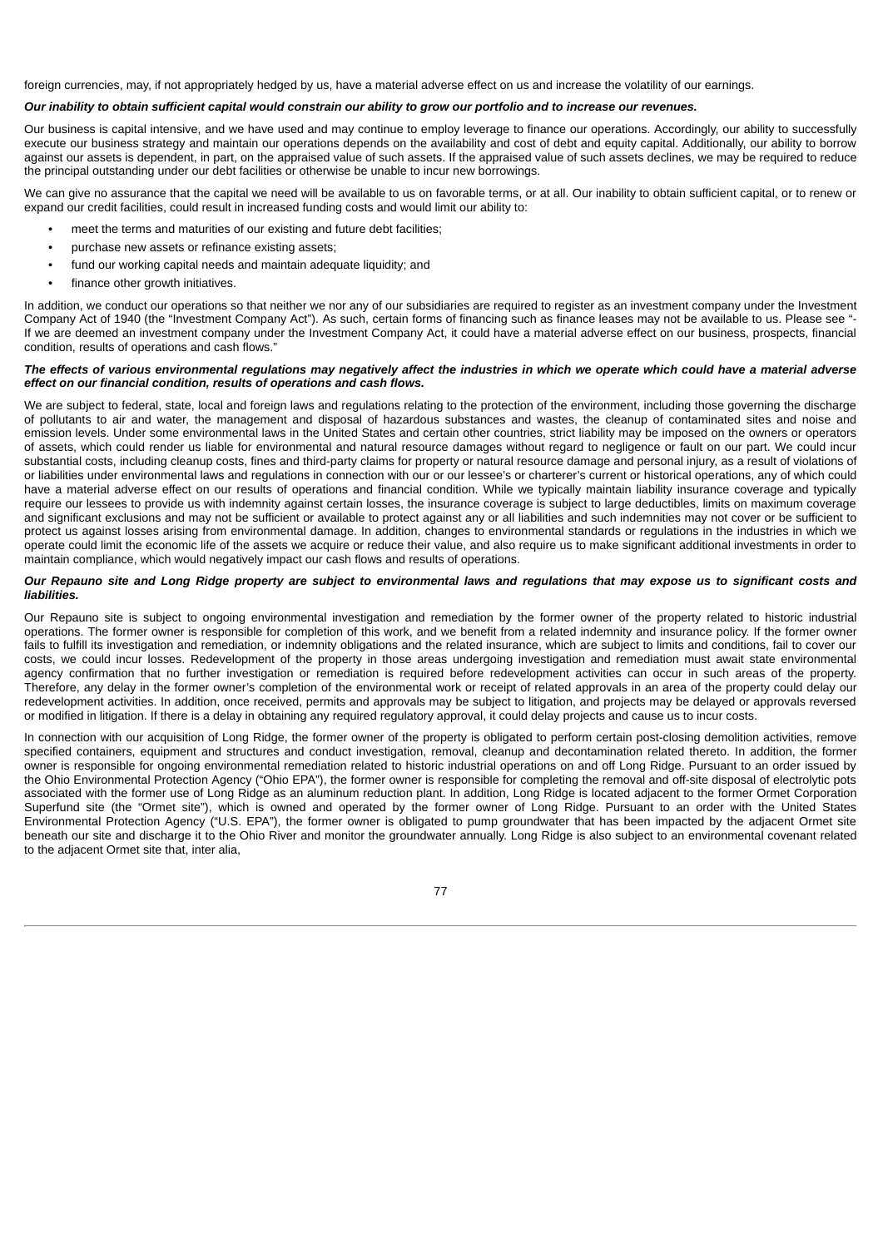foreign currencies, may, if not appropriately hedged by us, have a material adverse effect on us and increase the volatility of our earnings.

#### *Our inability to obtain sufficient capital would constrain our ability to grow our portfolio and to increase our revenues.*

Our business is capital intensive, and we have used and may continue to employ leverage to finance our operations. Accordingly, our ability to successfully execute our business strategy and maintain our operations depends on the availability and cost of debt and equity capital. Additionally, our ability to borrow against our assets is dependent, in part, on the appraised value of such assets. If the appraised value of such assets declines, we may be required to reduce the principal outstanding under our debt facilities or otherwise be unable to incur new borrowings.

We can give no assurance that the capital we need will be available to us on favorable terms, or at all. Our inability to obtain sufficient capital, or to renew or expand our credit facilities, could result in increased funding costs and would limit our ability to:

- meet the terms and maturities of our existing and future debt facilities;
- purchase new assets or refinance existing assets;
- fund our working capital needs and maintain adequate liquidity; and
- finance other growth initiatives.

In addition, we conduct our operations so that neither we nor any of our subsidiaries are required to register as an investment company under the Investment Company Act of 1940 (the "Investment Company Act"). As such, certain forms of financing such as finance leases may not be available to us. Please see "- If we are deemed an investment company under the Investment Company Act, it could have a material adverse effect on our business, prospects, financial condition, results of operations and cash flows."

## *The effects of various environmental regulations may negatively affect the industries in which we operate which could have a material adverse effect on our financial condition, results of operations and cash flows.*

We are subject to federal, state, local and foreign laws and regulations relating to the protection of the environment, including those governing the discharge of pollutants to air and water, the management and disposal of hazardous substances and wastes, the cleanup of contaminated sites and noise and emission levels. Under some environmental laws in the United States and certain other countries, strict liability may be imposed on the owners or operators of assets, which could render us liable for environmental and natural resource damages without regard to negligence or fault on our part. We could incur substantial costs, including cleanup costs, fines and third-party claims for property or natural resource damage and personal injury, as a result of violations of or liabilities under environmental laws and regulations in connection with our or our lessee's or charterer's current or historical operations, any of which could have a material adverse effect on our results of operations and financial condition. While we typically maintain liability insurance coverage and typically require our lessees to provide us with indemnity against certain losses, the insurance coverage is subject to large deductibles, limits on maximum coverage and significant exclusions and may not be sufficient or available to protect against any or all liabilities and such indemnities may not cover or be sufficient to protect us against losses arising from environmental damage. In addition, changes to environmental standards or regulations in the industries in which we operate could limit the economic life of the assets we acquire or reduce their value, and also require us to make significant additional investments in order to maintain compliance, which would negatively impact our cash flows and results of operations.

#### *Our Repauno site and Long Ridge property are subject to environmental laws and regulations that may expose us to significant costs and liabilities.*

Our Repauno site is subject to ongoing environmental investigation and remediation by the former owner of the property related to historic industrial operations. The former owner is responsible for completion of this work, and we benefit from a related indemnity and insurance policy. If the former owner fails to fulfill its investigation and remediation, or indemnity obligations and the related insurance, which are subject to limits and conditions, fail to cover our costs, we could incur losses. Redevelopment of the property in those areas undergoing investigation and remediation must await state environmental agency confirmation that no further investigation or remediation is required before redevelopment activities can occur in such areas of the property. Therefore, any delay in the former owner's completion of the environmental work or receipt of related approvals in an area of the property could delay our redevelopment activities. In addition, once received, permits and approvals may be subject to litigation, and projects may be delayed or approvals reversed or modified in litigation. If there is a delay in obtaining any required regulatory approval, it could delay projects and cause us to incur costs.

In connection with our acquisition of Long Ridge, the former owner of the property is obligated to perform certain post-closing demolition activities, remove specified containers, equipment and structures and conduct investigation, removal, cleanup and decontamination related thereto. In addition, the former owner is responsible for ongoing environmental remediation related to historic industrial operations on and off Long Ridge. Pursuant to an order issued by the Ohio Environmental Protection Agency ("Ohio EPA"), the former owner is responsible for completing the removal and off-site disposal of electrolytic pots associated with the former use of Long Ridge as an aluminum reduction plant. In addition, Long Ridge is located adjacent to the former Ormet Corporation Superfund site (the "Ormet site"), which is owned and operated by the former owner of Long Ridge. Pursuant to an order with the United States Environmental Protection Agency ("U.S. EPA"), the former owner is obligated to pump groundwater that has been impacted by the adjacent Ormet site beneath our site and discharge it to the Ohio River and monitor the groundwater annually. Long Ridge is also subject to an environmental covenant related to the adjacent Ormet site that, inter alia,

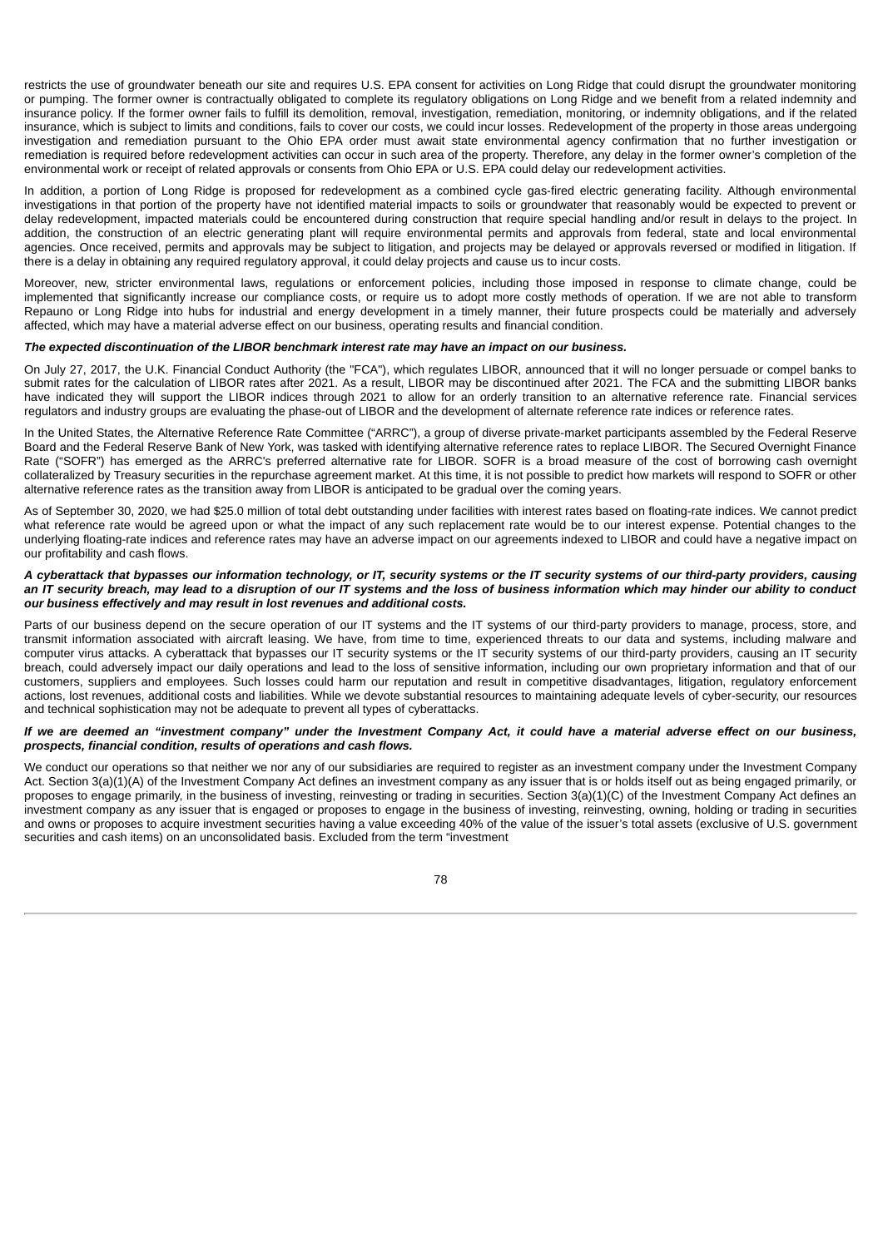restricts the use of groundwater beneath our site and requires U.S. EPA consent for activities on Long Ridge that could disrupt the groundwater monitoring or pumping. The former owner is contractually obligated to complete its regulatory obligations on Long Ridge and we benefit from a related indemnity and insurance policy. If the former owner fails to fulfill its demolition, removal, investigation, remediation, monitoring, or indemnity obligations, and if the related insurance, which is subject to limits and conditions, fails to cover our costs, we could incur losses. Redevelopment of the property in those areas undergoing investigation and remediation pursuant to the Ohio EPA order must await state environmental agency confirmation that no further investigation or remediation is required before redevelopment activities can occur in such area of the property. Therefore, any delay in the former owner's completion of the environmental work or receipt of related approvals or consents from Ohio EPA or U.S. EPA could delay our redevelopment activities.

In addition, a portion of Long Ridge is proposed for redevelopment as a combined cycle gas-fired electric generating facility. Although environmental investigations in that portion of the property have not identified material impacts to soils or groundwater that reasonably would be expected to prevent or delay redevelopment, impacted materials could be encountered during construction that require special handling and/or result in delays to the project. In addition, the construction of an electric generating plant will require environmental permits and approvals from federal, state and local environmental agencies. Once received, permits and approvals may be subject to litigation, and projects may be delayed or approvals reversed or modified in litigation. If there is a delay in obtaining any required regulatory approval, it could delay projects and cause us to incur costs.

Moreover, new, stricter environmental laws, regulations or enforcement policies, including those imposed in response to climate change, could be implemented that significantly increase our compliance costs, or require us to adopt more costly methods of operation. If we are not able to transform Repauno or Long Ridge into hubs for industrial and energy development in a timely manner, their future prospects could be materially and adversely affected, which may have a material adverse effect on our business, operating results and financial condition.

## *The expected discontinuation of the LIBOR benchmark interest rate may have an impact on our business.*

On July 27, 2017, the U.K. Financial Conduct Authority (the "FCA"), which regulates LIBOR, announced that it will no longer persuade or compel banks to submit rates for the calculation of LIBOR rates after 2021. As a result, LIBOR may be discontinued after 2021. The FCA and the submitting LIBOR banks have indicated they will support the LIBOR indices through 2021 to allow for an orderly transition to an alternative reference rate. Financial services regulators and industry groups are evaluating the phase-out of LIBOR and the development of alternate reference rate indices or reference rates.

In the United States, the Alternative Reference Rate Committee ("ARRC"), a group of diverse private-market participants assembled by the Federal Reserve Board and the Federal Reserve Bank of New York, was tasked with identifying alternative reference rates to replace LIBOR. The Secured Overnight Finance Rate ("SOFR") has emerged as the ARRC's preferred alternative rate for LIBOR. SOFR is a broad measure of the cost of borrowing cash overnight collateralized by Treasury securities in the repurchase agreement market. At this time, it is not possible to predict how markets will respond to SOFR or other alternative reference rates as the transition away from LIBOR is anticipated to be gradual over the coming years.

As of September 30, 2020, we had \$25.0 million of total debt outstanding under facilities with interest rates based on floating-rate indices. We cannot predict what reference rate would be agreed upon or what the impact of any such replacement rate would be to our interest expense. Potential changes to the underlying floating-rate indices and reference rates may have an adverse impact on our agreements indexed to LIBOR and could have a negative impact on our profitability and cash flows.

#### *A cyberattack that bypasses our information technology, or IT, security systems or the IT security systems of our third-party providers, causing an IT security breach, may lead to a disruption of our IT systems and the loss of business information which may hinder our ability to conduct our business effectively and may result in lost revenues and additional costs.*

Parts of our business depend on the secure operation of our IT systems and the IT systems of our third-party providers to manage, process, store, and transmit information associated with aircraft leasing. We have, from time to time, experienced threats to our data and systems, including malware and computer virus attacks. A cyberattack that bypasses our IT security systems or the IT security systems of our third-party providers, causing an IT security breach, could adversely impact our daily operations and lead to the loss of sensitive information, including our own proprietary information and that of our customers, suppliers and employees. Such losses could harm our reputation and result in competitive disadvantages, litigation, regulatory enforcement actions, lost revenues, additional costs and liabilities. While we devote substantial resources to maintaining adequate levels of cyber-security, our resources and technical sophistication may not be adequate to prevent all types of cyberattacks.

#### *If we are deemed an "investment company" under the Investment Company Act, it could have a material adverse effect on our business, prospects, financial condition, results of operations and cash flows.*

We conduct our operations so that neither we nor any of our subsidiaries are required to register as an investment company under the Investment Company Act. Section 3(a)(1)(A) of the Investment Company Act defines an investment company as any issuer that is or holds itself out as being engaged primarily, or proposes to engage primarily, in the business of investing, reinvesting or trading in securities. Section 3(a)(1)(C) of the Investment Company Act defines an investment company as any issuer that is engaged or proposes to engage in the business of investing, reinvesting, owning, holding or trading in securities and owns or proposes to acquire investment securities having a value exceeding 40% of the value of the issuer's total assets (exclusive of U.S. government securities and cash items) on an unconsolidated basis. Excluded from the term "investment

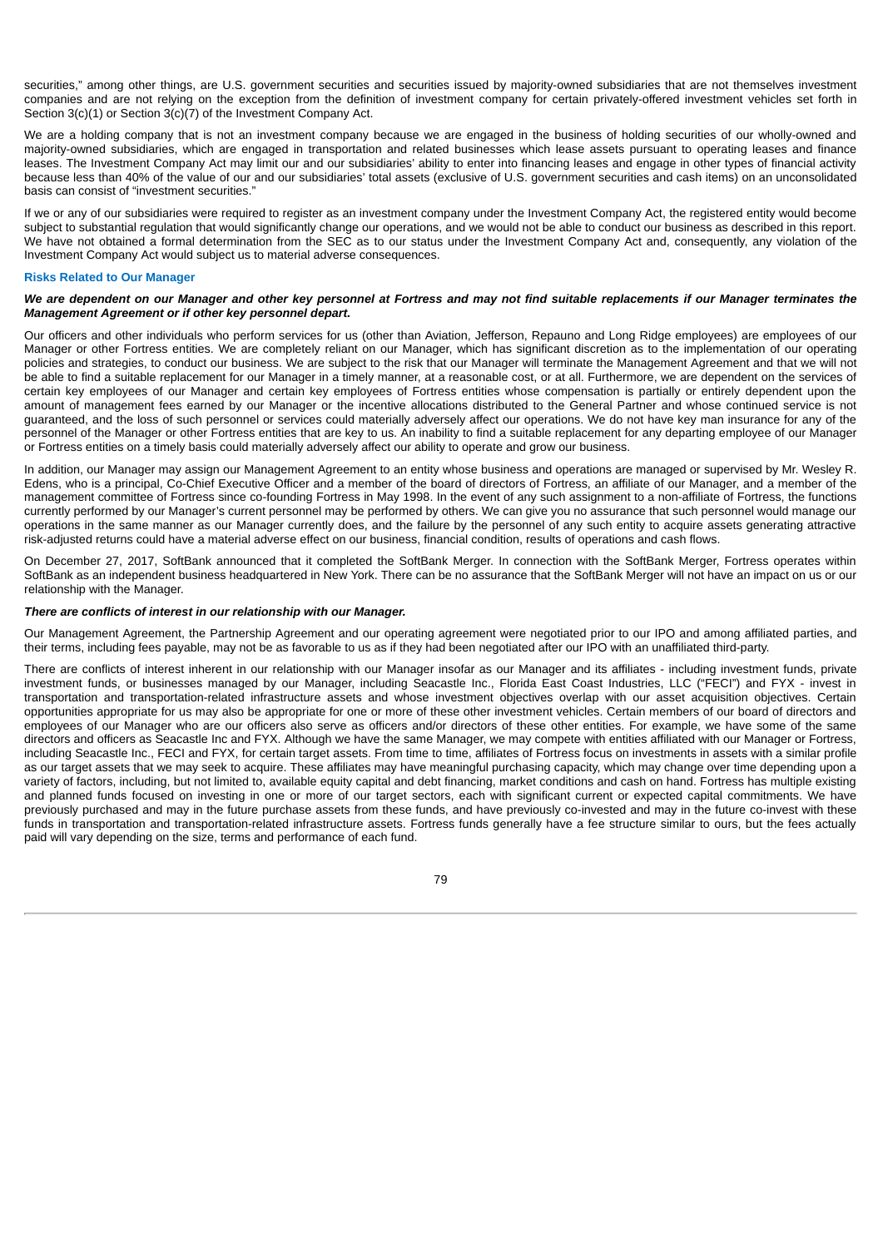securities," among other things, are U.S. government securities and securities issued by majority-owned subsidiaries that are not themselves investment companies and are not relying on the exception from the definition of investment company for certain privately-offered investment vehicles set forth in Section 3(c)(1) or Section 3(c)(7) of the Investment Company Act.

We are a holding company that is not an investment company because we are engaged in the business of holding securities of our wholly-owned and majority-owned subsidiaries, which are engaged in transportation and related businesses which lease assets pursuant to operating leases and finance leases. The Investment Company Act may limit our and our subsidiaries' ability to enter into financing leases and engage in other types of financial activity because less than 40% of the value of our and our subsidiaries' total assets (exclusive of U.S. government securities and cash items) on an unconsolidated basis can consist of "investment securities."

If we or any of our subsidiaries were required to register as an investment company under the Investment Company Act, the registered entity would become subject to substantial regulation that would significantly change our operations, and we would not be able to conduct our business as described in this report. We have not obtained a formal determination from the SEC as to our status under the Investment Company Act and, consequently, any violation of the Investment Company Act would subject us to material adverse consequences.

#### **Risks Related to Our Manager**

#### *We are dependent on our Manager and other key personnel at Fortress and may not find suitable replacements if our Manager terminates the Management Agreement or if other key personnel depart.*

Our officers and other individuals who perform services for us (other than Aviation, Jefferson, Repauno and Long Ridge employees) are employees of our Manager or other Fortress entities. We are completely reliant on our Manager, which has significant discretion as to the implementation of our operating policies and strategies, to conduct our business. We are subject to the risk that our Manager will terminate the Management Agreement and that we will not be able to find a suitable replacement for our Manager in a timely manner, at a reasonable cost, or at all. Furthermore, we are dependent on the services of certain key employees of our Manager and certain key employees of Fortress entities whose compensation is partially or entirely dependent upon the amount of management fees earned by our Manager or the incentive allocations distributed to the General Partner and whose continued service is not guaranteed, and the loss of such personnel or services could materially adversely affect our operations. We do not have key man insurance for any of the personnel of the Manager or other Fortress entities that are key to us. An inability to find a suitable replacement for any departing employee of our Manager or Fortress entities on a timely basis could materially adversely affect our ability to operate and grow our business.

In addition, our Manager may assign our Management Agreement to an entity whose business and operations are managed or supervised by Mr. Wesley R. Edens, who is a principal, Co-Chief Executive Officer and a member of the board of directors of Fortress, an affiliate of our Manager, and a member of the management committee of Fortress since co-founding Fortress in May 1998. In the event of any such assignment to a non-affiliate of Fortress, the functions currently performed by our Manager's current personnel may be performed by others. We can give you no assurance that such personnel would manage our operations in the same manner as our Manager currently does, and the failure by the personnel of any such entity to acquire assets generating attractive risk-adjusted returns could have a material adverse effect on our business, financial condition, results of operations and cash flows.

On December 27, 2017, SoftBank announced that it completed the SoftBank Merger. In connection with the SoftBank Merger, Fortress operates within SoftBank as an independent business headquartered in New York. There can be no assurance that the SoftBank Merger will not have an impact on us or our relationship with the Manager.

#### *There are conflicts of interest in our relationship with our Manager.*

Our Management Agreement, the Partnership Agreement and our operating agreement were negotiated prior to our IPO and among affiliated parties, and their terms, including fees payable, may not be as favorable to us as if they had been negotiated after our IPO with an unaffiliated third-party.

There are conflicts of interest inherent in our relationship with our Manager insofar as our Manager and its affiliates - including investment funds, private investment funds, or businesses managed by our Manager, including Seacastle Inc., Florida East Coast Industries, LLC ("FECI") and FYX - invest in transportation and transportation-related infrastructure assets and whose investment objectives overlap with our asset acquisition objectives. Certain opportunities appropriate for us may also be appropriate for one or more of these other investment vehicles. Certain members of our board of directors and employees of our Manager who are our officers also serve as officers and/or directors of these other entities. For example, we have some of the same directors and officers as Seacastle Inc and FYX. Although we have the same Manager, we may compete with entities affiliated with our Manager or Fortress, including Seacastle Inc., FECI and FYX, for certain target assets. From time to time, affiliates of Fortress focus on investments in assets with a similar profile as our target assets that we may seek to acquire. These affiliates may have meaningful purchasing capacity, which may change over time depending upon a variety of factors, including, but not limited to, available equity capital and debt financing, market conditions and cash on hand. Fortress has multiple existing and planned funds focused on investing in one or more of our target sectors, each with significant current or expected capital commitments. We have previously purchased and may in the future purchase assets from these funds, and have previously co-invested and may in the future co-invest with these funds in transportation and transportation-related infrastructure assets. Fortress funds generally have a fee structure similar to ours, but the fees actually paid will vary depending on the size, terms and performance of each fund.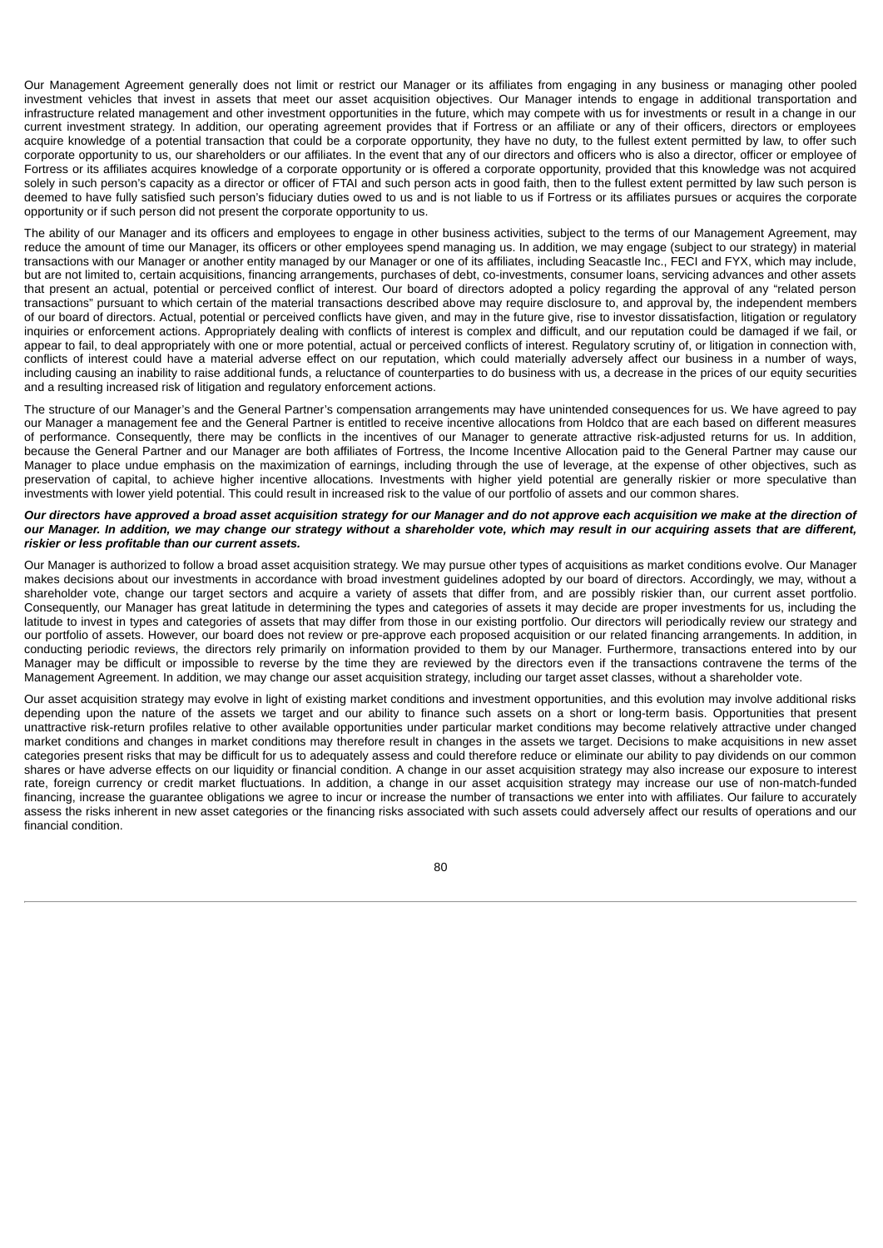Our Management Agreement generally does not limit or restrict our Manager or its affiliates from engaging in any business or managing other pooled investment vehicles that invest in assets that meet our asset acquisition objectives. Our Manager intends to engage in additional transportation and infrastructure related management and other investment opportunities in the future, which may compete with us for investments or result in a change in our current investment strategy. In addition, our operating agreement provides that if Fortress or an affiliate or any of their officers, directors or employees acquire knowledge of a potential transaction that could be a corporate opportunity, they have no duty, to the fullest extent permitted by law, to offer such corporate opportunity to us, our shareholders or our affiliates. In the event that any of our directors and officers who is also a director, officer or employee of Fortress or its affiliates acquires knowledge of a corporate opportunity or is offered a corporate opportunity, provided that this knowledge was not acquired solely in such person's capacity as a director or officer of FTAI and such person acts in good faith, then to the fullest extent permitted by law such person is deemed to have fully satisfied such person's fiduciary duties owed to us and is not liable to us if Fortress or its affiliates pursues or acquires the corporate opportunity or if such person did not present the corporate opportunity to us.

The ability of our Manager and its officers and employees to engage in other business activities, subject to the terms of our Management Agreement, may reduce the amount of time our Manager, its officers or other employees spend managing us. In addition, we may engage (subject to our strategy) in material transactions with our Manager or another entity managed by our Manager or one of its affiliates, including Seacastle Inc., FECI and FYX, which may include, but are not limited to, certain acquisitions, financing arrangements, purchases of debt, co-investments, consumer loans, servicing advances and other assets that present an actual, potential or perceived conflict of interest. Our board of directors adopted a policy regarding the approval of any "related person transactions" pursuant to which certain of the material transactions described above may require disclosure to, and approval by, the independent members of our board of directors. Actual, potential or perceived conflicts have given, and may in the future give, rise to investor dissatisfaction, litigation or regulatory inquiries or enforcement actions. Appropriately dealing with conflicts of interest is complex and difficult, and our reputation could be damaged if we fail, or appear to fail, to deal appropriately with one or more potential, actual or perceived conflicts of interest. Regulatory scrutiny of, or litigation in connection with, conflicts of interest could have a material adverse effect on our reputation, which could materially adversely affect our business in a number of ways, including causing an inability to raise additional funds, a reluctance of counterparties to do business with us, a decrease in the prices of our equity securities and a resulting increased risk of litigation and regulatory enforcement actions.

The structure of our Manager's and the General Partner's compensation arrangements may have unintended consequences for us. We have agreed to pay our Manager a management fee and the General Partner is entitled to receive incentive allocations from Holdco that are each based on different measures of performance. Consequently, there may be conflicts in the incentives of our Manager to generate attractive risk-adjusted returns for us. In addition, because the General Partner and our Manager are both affiliates of Fortress, the Income Incentive Allocation paid to the General Partner may cause our Manager to place undue emphasis on the maximization of earnings, including through the use of leverage, at the expense of other objectives, such as preservation of capital, to achieve higher incentive allocations. Investments with higher yield potential are generally riskier or more speculative than investments with lower yield potential. This could result in increased risk to the value of our portfolio of assets and our common shares.

#### *Our directors have approved a broad asset acquisition strategy for our Manager and do not approve each acquisition we make at the direction of our Manager. In addition, we may change our strategy without a shareholder vote, which may result in our acquiring assets that are different, riskier or less profitable than our current assets.*

Our Manager is authorized to follow a broad asset acquisition strategy. We may pursue other types of acquisitions as market conditions evolve. Our Manager makes decisions about our investments in accordance with broad investment guidelines adopted by our board of directors. Accordingly, we may, without a shareholder vote, change our target sectors and acquire a variety of assets that differ from, and are possibly riskier than, our current asset portfolio. Consequently, our Manager has great latitude in determining the types and categories of assets it may decide are proper investments for us, including the latitude to invest in types and categories of assets that may differ from those in our existing portfolio. Our directors will periodically review our strategy and our portfolio of assets. However, our board does not review or pre-approve each proposed acquisition or our related financing arrangements. In addition, in conducting periodic reviews, the directors rely primarily on information provided to them by our Manager. Furthermore, transactions entered into by our Manager may be difficult or impossible to reverse by the time they are reviewed by the directors even if the transactions contravene the terms of the Management Agreement. In addition, we may change our asset acquisition strategy, including our target asset classes, without a shareholder vote.

Our asset acquisition strategy may evolve in light of existing market conditions and investment opportunities, and this evolution may involve additional risks depending upon the nature of the assets we target and our ability to finance such assets on a short or long-term basis. Opportunities that present unattractive risk-return profiles relative to other available opportunities under particular market conditions may become relatively attractive under changed market conditions and changes in market conditions may therefore result in changes in the assets we target. Decisions to make acquisitions in new asset categories present risks that may be difficult for us to adequately assess and could therefore reduce or eliminate our ability to pay dividends on our common shares or have adverse effects on our liquidity or financial condition. A change in our asset acquisition strategy may also increase our exposure to interest rate, foreign currency or credit market fluctuations. In addition, a change in our asset acquisition strategy may increase our use of non-match-funded financing, increase the guarantee obligations we agree to incur or increase the number of transactions we enter into with affiliates. Our failure to accurately assess the risks inherent in new asset categories or the financing risks associated with such assets could adversely affect our results of operations and our financial condition.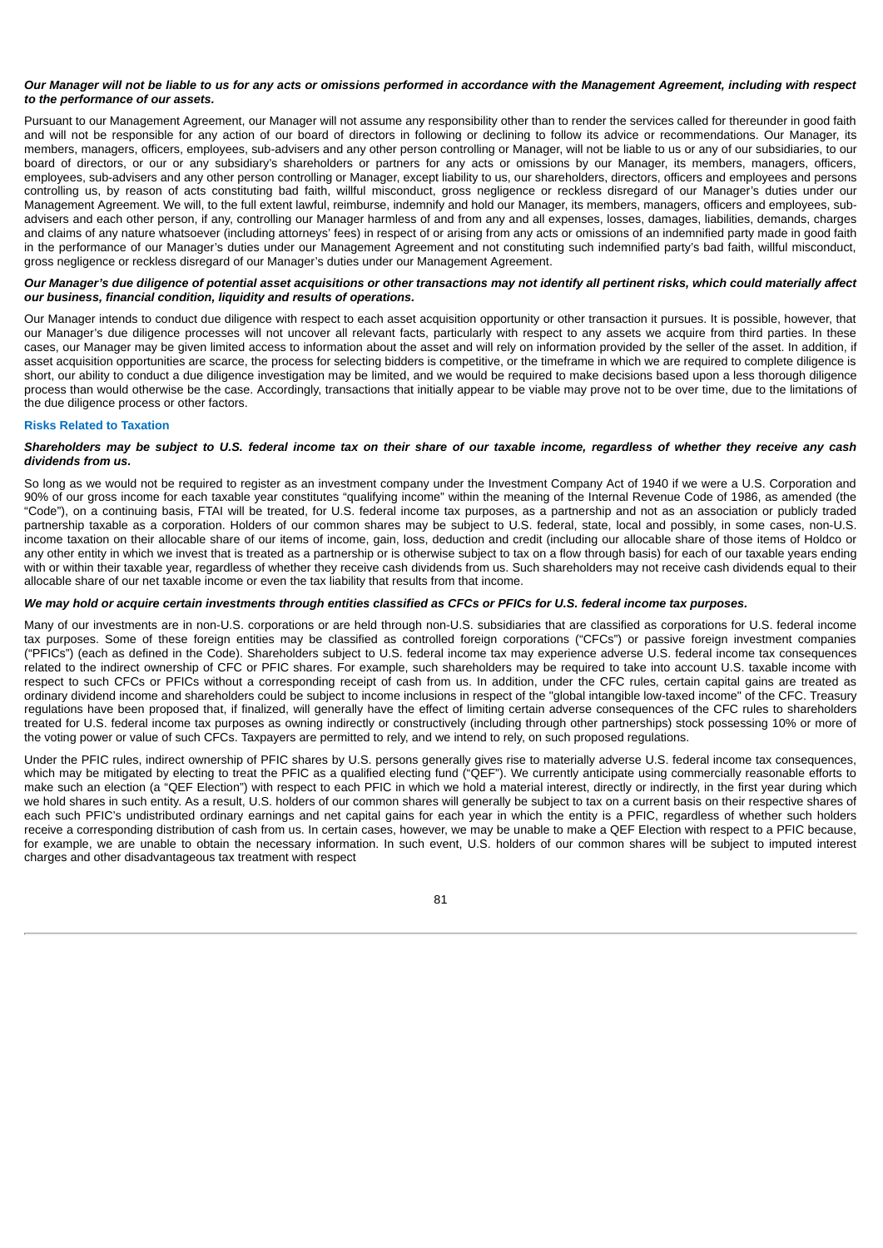#### *Our Manager will not be liable to us for any acts or omissions performed in accordance with the Management Agreement, including with respect to the performance of our assets.*

Pursuant to our Management Agreement, our Manager will not assume any responsibility other than to render the services called for thereunder in good faith and will not be responsible for any action of our board of directors in following or declining to follow its advice or recommendations. Our Manager, its members, managers, officers, employees, sub-advisers and any other person controlling or Manager, will not be liable to us or any of our subsidiaries, to our board of directors, or our or any subsidiary's shareholders or partners for any acts or omissions by our Manager, its members, managers, officers, employees, sub-advisers and any other person controlling or Manager, except liability to us, our shareholders, directors, officers and employees and persons controlling us, by reason of acts constituting bad faith, willful misconduct, gross negligence or reckless disregard of our Manager's duties under our Management Agreement. We will, to the full extent lawful, reimburse, indemnify and hold our Manager, its members, managers, officers and employees, subadvisers and each other person, if any, controlling our Manager harmless of and from any and all expenses, losses, damages, liabilities, demands, charges and claims of any nature whatsoever (including attorneys' fees) in respect of or arising from any acts or omissions of an indemnified party made in good faith in the performance of our Manager's duties under our Management Agreement and not constituting such indemnified party's bad faith, willful misconduct, gross negligence or reckless disregard of our Manager's duties under our Management Agreement.

#### *Our Manager's due diligence of potential asset acquisitions or other transactions may not identify all pertinent risks, which could materially affect our business, financial condition, liquidity and results of operations.*

Our Manager intends to conduct due diligence with respect to each asset acquisition opportunity or other transaction it pursues. It is possible, however, that our Manager's due diligence processes will not uncover all relevant facts, particularly with respect to any assets we acquire from third parties. In these cases, our Manager may be given limited access to information about the asset and will rely on information provided by the seller of the asset. In addition, if asset acquisition opportunities are scarce, the process for selecting bidders is competitive, or the timeframe in which we are required to complete diligence is short, our ability to conduct a due diligence investigation may be limited, and we would be required to make decisions based upon a less thorough diligence process than would otherwise be the case. Accordingly, transactions that initially appear to be viable may prove not to be over time, due to the limitations of the due diligence process or other factors.

## **Risks Related to Taxation**

#### *Shareholders may be subject to U.S. federal income tax on their share of our taxable income, regardless of whether they receive any cash dividends from us.*

So long as we would not be required to register as an investment company under the Investment Company Act of 1940 if we were a U.S. Corporation and 90% of our gross income for each taxable year constitutes "qualifying income" within the meaning of the Internal Revenue Code of 1986, as amended (the "Code"), on a continuing basis, FTAI will be treated, for U.S. federal income tax purposes, as a partnership and not as an association or publicly traded partnership taxable as a corporation. Holders of our common shares may be subject to U.S. federal, state, local and possibly, in some cases, non-U.S. income taxation on their allocable share of our items of income, gain, loss, deduction and credit (including our allocable share of those items of Holdco or any other entity in which we invest that is treated as a partnership or is otherwise subject to tax on a flow through basis) for each of our taxable years ending with or within their taxable year, regardless of whether they receive cash dividends from us. Such shareholders may not receive cash dividends equal to their allocable share of our net taxable income or even the tax liability that results from that income.

#### *We may hold or acquire certain investments through entities classified as CFCs or PFICs for U.S. federal income tax purposes.*

Many of our investments are in non-U.S. corporations or are held through non-U.S. subsidiaries that are classified as corporations for U.S. federal income tax purposes. Some of these foreign entities may be classified as controlled foreign corporations ("CFCs") or passive foreign investment companies ("PFICs") (each as defined in the Code). Shareholders subject to U.S. federal income tax may experience adverse U.S. federal income tax consequences related to the indirect ownership of CFC or PFIC shares. For example, such shareholders may be required to take into account U.S. taxable income with respect to such CFCs or PFICs without a corresponding receipt of cash from us. In addition, under the CFC rules, certain capital gains are treated as ordinary dividend income and shareholders could be subject to income inclusions in respect of the "global intangible low-taxed income" of the CFC. Treasury regulations have been proposed that, if finalized, will generally have the effect of limiting certain adverse consequences of the CFC rules to shareholders treated for U.S. federal income tax purposes as owning indirectly or constructively (including through other partnerships) stock possessing 10% or more of the voting power or value of such CFCs. Taxpayers are permitted to rely, and we intend to rely, on such proposed regulations.

Under the PFIC rules, indirect ownership of PFIC shares by U.S. persons generally gives rise to materially adverse U.S. federal income tax consequences, which may be mitigated by electing to treat the PFIC as a qualified electing fund ("QEF"). We currently anticipate using commercially reasonable efforts to make such an election (a "QEF Election") with respect to each PFIC in which we hold a material interest, directly or indirectly, in the first year during which we hold shares in such entity. As a result, U.S. holders of our common shares will generally be subject to tax on a current basis on their respective shares of each such PFIC's undistributed ordinary earnings and net capital gains for each year in which the entity is a PFIC, regardless of whether such holders receive a corresponding distribution of cash from us. In certain cases, however, we may be unable to make a QEF Election with respect to a PFIC because, for example, we are unable to obtain the necessary information. In such event, U.S. holders of our common shares will be subject to imputed interest charges and other disadvantageous tax treatment with respect

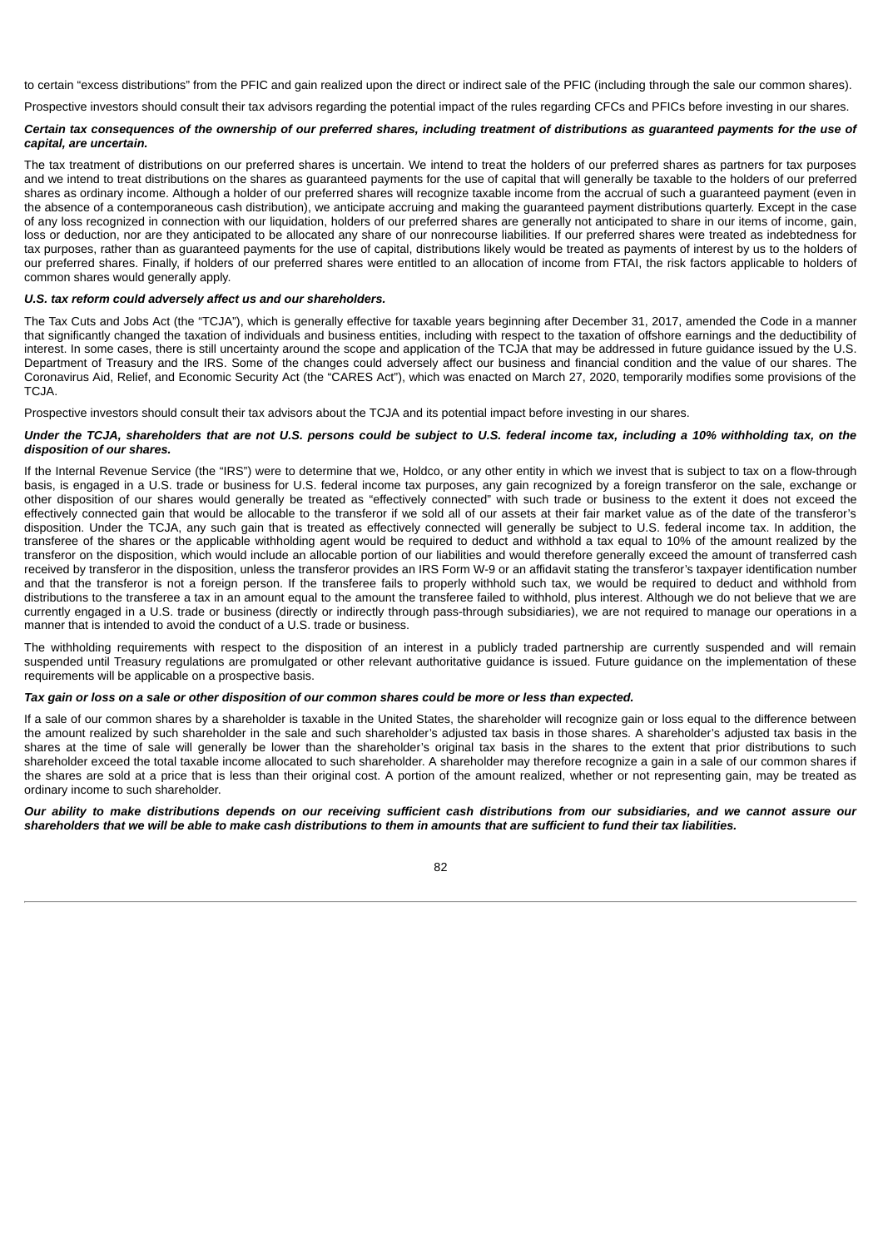to certain "excess distributions" from the PFIC and gain realized upon the direct or indirect sale of the PFIC (including through the sale our common shares).

Prospective investors should consult their tax advisors regarding the potential impact of the rules regarding CFCs and PFICs before investing in our shares.

## *Certain tax consequences of the ownership of our preferred shares, including treatment of distributions as guaranteed payments for the use of capital, are uncertain.*

The tax treatment of distributions on our preferred shares is uncertain. We intend to treat the holders of our preferred shares as partners for tax purposes and we intend to treat distributions on the shares as guaranteed payments for the use of capital that will generally be taxable to the holders of our preferred shares as ordinary income. Although a holder of our preferred shares will recognize taxable income from the accrual of such a guaranteed payment (even in the absence of a contemporaneous cash distribution), we anticipate accruing and making the guaranteed payment distributions quarterly. Except in the case of any loss recognized in connection with our liquidation, holders of our preferred shares are generally not anticipated to share in our items of income, gain, loss or deduction, nor are they anticipated to be allocated any share of our nonrecourse liabilities. If our preferred shares were treated as indebtedness for tax purposes, rather than as guaranteed payments for the use of capital, distributions likely would be treated as payments of interest by us to the holders of our preferred shares. Finally, if holders of our preferred shares were entitled to an allocation of income from FTAI, the risk factors applicable to holders of common shares would generally apply.

## *U.S. tax reform could adversely affect us and our shareholders.*

The Tax Cuts and Jobs Act (the "TCJA"), which is generally effective for taxable years beginning after December 31, 2017, amended the Code in a manner that significantly changed the taxation of individuals and business entities, including with respect to the taxation of offshore earnings and the deductibility of interest. In some cases, there is still uncertainty around the scope and application of the TCJA that may be addressed in future guidance issued by the U.S. Department of Treasury and the IRS. Some of the changes could adversely affect our business and financial condition and the value of our shares. The Coronavirus Aid, Relief, and Economic Security Act (the "CARES Act"), which was enacted on March 27, 2020, temporarily modifies some provisions of the TCJA.

Prospective investors should consult their tax advisors about the TCJA and its potential impact before investing in our shares.

#### *Under the TCJA, shareholders that are not U.S. persons could be subject to U.S. federal income tax, including a 10% withholding tax, on the disposition of our shares.*

If the Internal Revenue Service (the "IRS") were to determine that we, Holdco, or any other entity in which we invest that is subject to tax on a flow-through basis, is engaged in a U.S. trade or business for U.S. federal income tax purposes, any gain recognized by a foreign transferor on the sale, exchange or other disposition of our shares would generally be treated as "effectively connected" with such trade or business to the extent it does not exceed the effectively connected gain that would be allocable to the transferor if we sold all of our assets at their fair market value as of the date of the transferor's disposition. Under the TCJA, any such gain that is treated as effectively connected will generally be subject to U.S. federal income tax. In addition, the transferee of the shares or the applicable withholding agent would be required to deduct and withhold a tax equal to 10% of the amount realized by the transferor on the disposition, which would include an allocable portion of our liabilities and would therefore generally exceed the amount of transferred cash received by transferor in the disposition, unless the transferor provides an IRS Form W-9 or an affidavit stating the transferor's taxpayer identification number and that the transferor is not a foreign person. If the transferee fails to properly withhold such tax, we would be required to deduct and withhold from distributions to the transferee a tax in an amount equal to the amount the transferee failed to withhold, plus interest. Although we do not believe that we are currently engaged in a U.S. trade or business (directly or indirectly through pass-through subsidiaries), we are not required to manage our operations in a manner that is intended to avoid the conduct of a U.S. trade or business.

The withholding requirements with respect to the disposition of an interest in a publicly traded partnership are currently suspended and will remain suspended until Treasury regulations are promulgated or other relevant authoritative guidance is issued. Future guidance on the implementation of these requirements will be applicable on a prospective basis.

#### *Tax gain or loss on a sale or other disposition of our common shares could be more or less than expected.*

If a sale of our common shares by a shareholder is taxable in the United States, the shareholder will recognize gain or loss equal to the difference between the amount realized by such shareholder in the sale and such shareholder's adjusted tax basis in those shares. A shareholder's adjusted tax basis in the shares at the time of sale will generally be lower than the shareholder's original tax basis in the shares to the extent that prior distributions to such shareholder exceed the total taxable income allocated to such shareholder. A shareholder may therefore recognize a gain in a sale of our common shares if the shares are sold at a price that is less than their original cost. A portion of the amount realized, whether or not representing gain, may be treated as ordinary income to such shareholder.

*Our ability to make distributions depends on our receiving sufficient cash distributions from our subsidiaries, and we cannot assure our shareholders that we will be able to make cash distributions to them in amounts that are sufficient to fund their tax liabilities.*

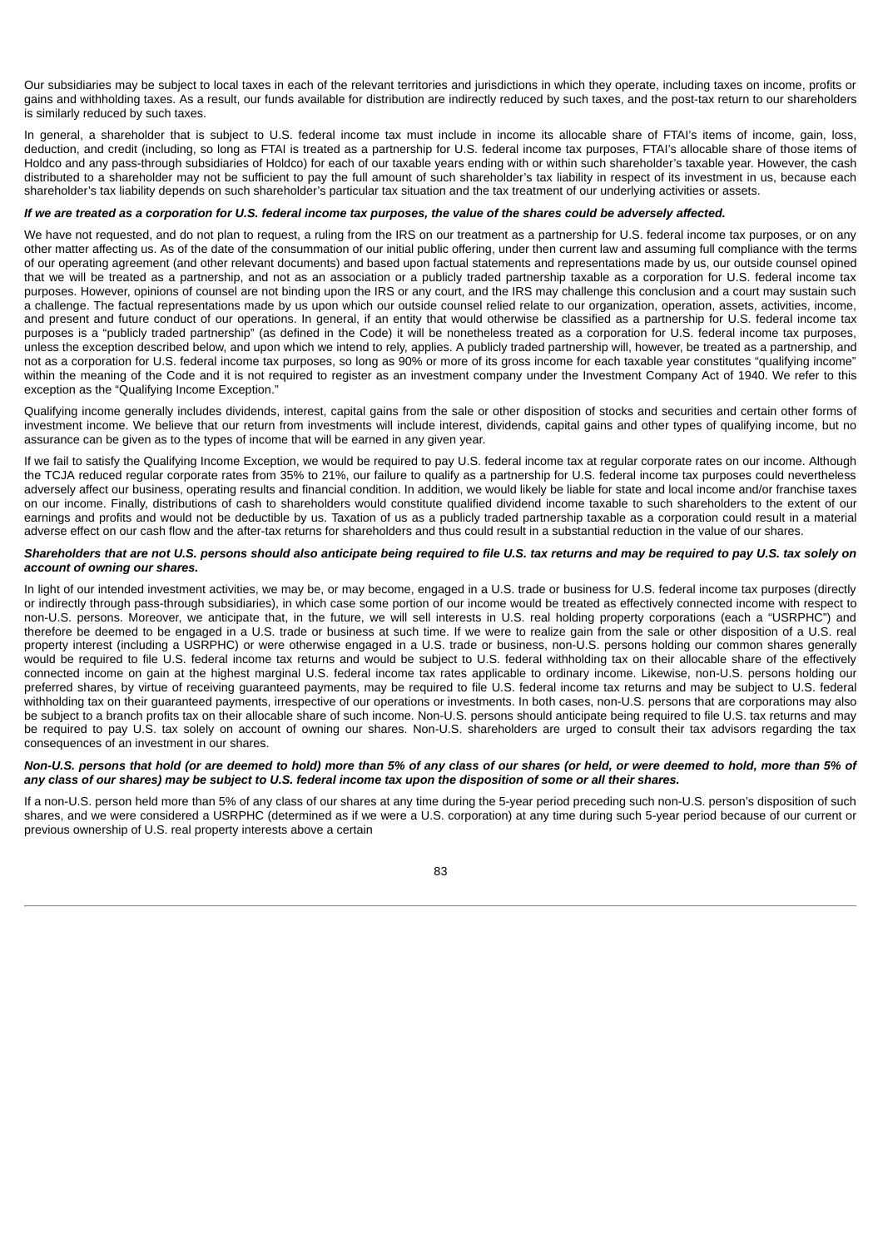Our subsidiaries may be subject to local taxes in each of the relevant territories and jurisdictions in which they operate, including taxes on income, profits or gains and withholding taxes. As a result, our funds available for distribution are indirectly reduced by such taxes, and the post-tax return to our shareholders is similarly reduced by such taxes.

In general, a shareholder that is subject to U.S. federal income tax must include in income its allocable share of FTAI's items of income, gain, loss, deduction, and credit (including, so long as FTAI is treated as a partnership for U.S. federal income tax purposes, FTAI's allocable share of those items of Holdco and any pass-through subsidiaries of Holdco) for each of our taxable years ending with or within such shareholder's taxable year. However, the cash distributed to a shareholder may not be sufficient to pay the full amount of such shareholder's tax liability in respect of its investment in us, because each shareholder's tax liability depends on such shareholder's particular tax situation and the tax treatment of our underlying activities or assets.

#### *If we are treated as a corporation for U.S. federal income tax purposes, the value of the shares could be adversely affected.*

We have not requested, and do not plan to request, a ruling from the IRS on our treatment as a partnership for U.S. federal income tax purposes, or on any other matter affecting us. As of the date of the consummation of our initial public offering, under then current law and assuming full compliance with the terms of our operating agreement (and other relevant documents) and based upon factual statements and representations made by us, our outside counsel opined that we will be treated as a partnership, and not as an association or a publicly traded partnership taxable as a corporation for U.S. federal income tax purposes. However, opinions of counsel are not binding upon the IRS or any court, and the IRS may challenge this conclusion and a court may sustain such a challenge. The factual representations made by us upon which our outside counsel relied relate to our organization, operation, assets, activities, income, and present and future conduct of our operations. In general, if an entity that would otherwise be classified as a partnership for U.S. federal income tax purposes is a "publicly traded partnership" (as defined in the Code) it will be nonetheless treated as a corporation for U.S. federal income tax purposes, unless the exception described below, and upon which we intend to rely, applies. A publicly traded partnership will, however, be treated as a partnership, and not as a corporation for U.S. federal income tax purposes, so long as 90% or more of its gross income for each taxable year constitutes "qualifying income" within the meaning of the Code and it is not required to register as an investment company under the Investment Company Act of 1940. We refer to this exception as the "Qualifying Income Exception."

Qualifying income generally includes dividends, interest, capital gains from the sale or other disposition of stocks and securities and certain other forms of investment income. We believe that our return from investments will include interest, dividends, capital gains and other types of qualifying income, but no assurance can be given as to the types of income that will be earned in any given year.

If we fail to satisfy the Qualifying Income Exception, we would be required to pay U.S. federal income tax at regular corporate rates on our income. Although the TCJA reduced regular corporate rates from 35% to 21%, our failure to qualify as a partnership for U.S. federal income tax purposes could nevertheless adversely affect our business, operating results and financial condition. In addition, we would likely be liable for state and local income and/or franchise taxes on our income. Finally, distributions of cash to shareholders would constitute qualified dividend income taxable to such shareholders to the extent of our earnings and profits and would not be deductible by us. Taxation of us as a publicly traded partnership taxable as a corporation could result in a material adverse effect on our cash flow and the after-tax returns for shareholders and thus could result in a substantial reduction in the value of our shares.

#### *Shareholders that are not U.S. persons should also anticipate being required to file U.S. tax returns and may be required to pay U.S. tax solely on account of owning our shares.*

In light of our intended investment activities, we may be, or may become, engaged in a U.S. trade or business for U.S. federal income tax purposes (directly or indirectly through pass-through subsidiaries), in which case some portion of our income would be treated as effectively connected income with respect to non-U.S. persons. Moreover, we anticipate that, in the future, we will sell interests in U.S. real holding property corporations (each a "USRPHC") and therefore be deemed to be engaged in a U.S. trade or business at such time. If we were to realize gain from the sale or other disposition of a U.S. real property interest (including a USRPHC) or were otherwise engaged in a U.S. trade or business, non-U.S. persons holding our common shares generally would be required to file U.S. federal income tax returns and would be subject to U.S. federal withholding tax on their allocable share of the effectively connected income on gain at the highest marginal U.S. federal income tax rates applicable to ordinary income. Likewise, non-U.S. persons holding our preferred shares, by virtue of receiving guaranteed payments, may be required to file U.S. federal income tax returns and may be subject to U.S. federal withholding tax on their guaranteed payments, irrespective of our operations or investments. In both cases, non-U.S. persons that are corporations may also be subject to a branch profits tax on their allocable share of such income. Non-U.S. persons should anticipate being required to file U.S. tax returns and may be required to pay U.S. tax solely on account of owning our shares. Non-U.S. shareholders are urged to consult their tax advisors regarding the tax consequences of an investment in our shares.

#### *Non-U.S. persons that hold (or are deemed to hold) more than 5% of any class of our shares (or held, or were deemed to hold, more than 5% of any class of our shares) may be subject to U.S. federal income tax upon the disposition of some or all their shares.*

If a non-U.S. person held more than 5% of any class of our shares at any time during the 5-year period preceding such non-U.S. person's disposition of such shares, and we were considered a USRPHC (determined as if we were a U.S. corporation) at any time during such 5-year period because of our current or previous ownership of U.S. real property interests above a certain

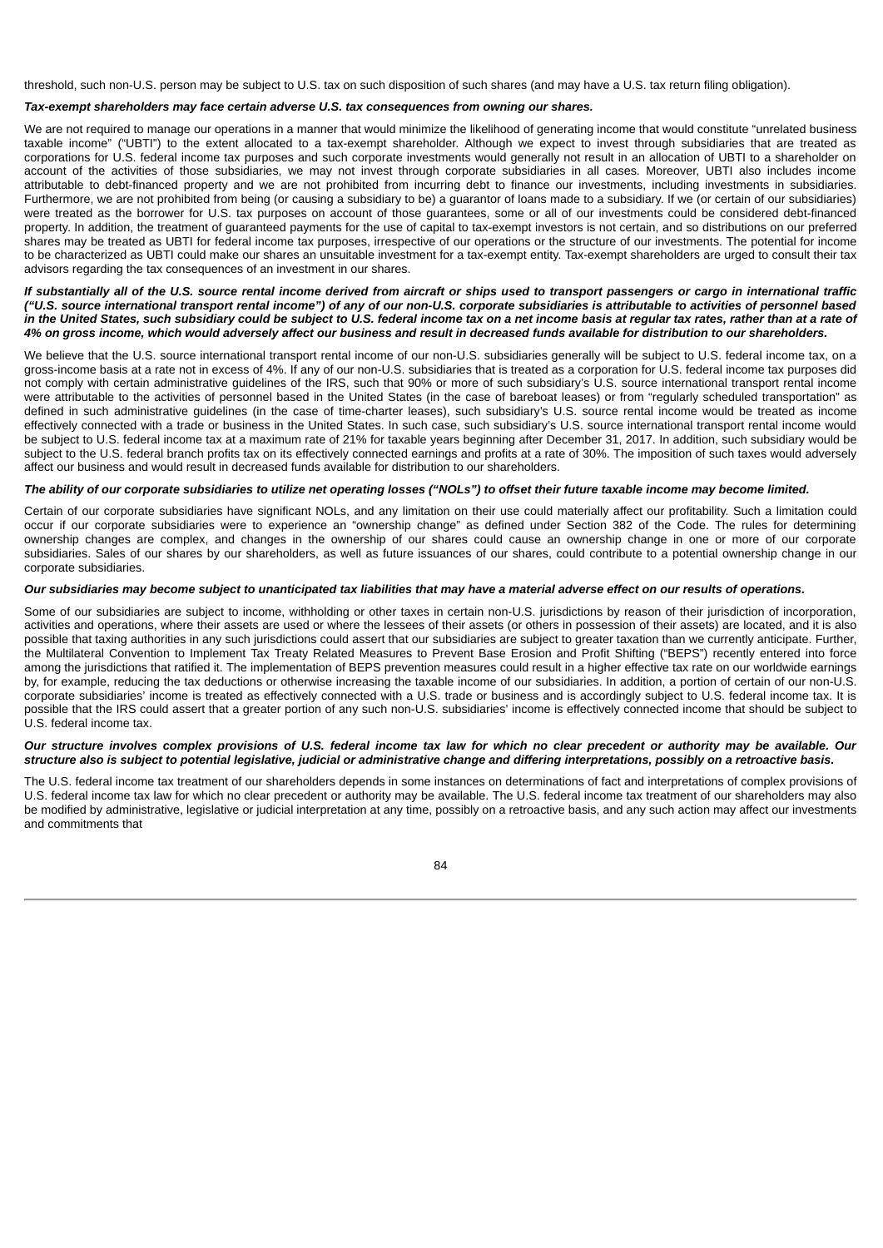threshold, such non-U.S. person may be subject to U.S. tax on such disposition of such shares (and may have a U.S. tax return filing obligation).

#### *Tax-exempt shareholders may face certain adverse U.S. tax consequences from owning our shares.*

We are not required to manage our operations in a manner that would minimize the likelihood of generating income that would constitute "unrelated business" taxable income" ("UBTI") to the extent allocated to a tax-exempt shareholder. Although we expect to invest through subsidiaries that are treated as corporations for U.S. federal income tax purposes and such corporate investments would generally not result in an allocation of UBTI to a shareholder on account of the activities of those subsidiaries, we may not invest through corporate subsidiaries in all cases. Moreover, UBTI also includes income attributable to debt-financed property and we are not prohibited from incurring debt to finance our investments, including investments in subsidiaries. Furthermore, we are not prohibited from being (or causing a subsidiary to be) a guarantor of loans made to a subsidiary. If we (or certain of our subsidiaries) were treated as the borrower for U.S. tax purposes on account of those guarantees, some or all of our investments could be considered debt-financed property. In addition, the treatment of guaranteed payments for the use of capital to tax-exempt investors is not certain, and so distributions on our preferred shares may be treated as UBTI for federal income tax purposes, irrespective of our operations or the structure of our investments. The potential for income to be characterized as UBTI could make our shares an unsuitable investment for a tax-exempt entity. Tax-exempt shareholders are urged to consult their tax advisors regarding the tax consequences of an investment in our shares.

#### *If substantially all of the U.S. source rental income derived from aircraft or ships used to transport passengers or cargo in international traffic ("U.S. source international transport rental income") of any of our non-U.S. corporate subsidiaries is attributable to activities of personnel based in the United States, such subsidiary could be subject to U.S. federal income tax on a net income basis at regular tax rates, rather than at a rate of 4% on gross income, which would adversely affect our business and result in decreased funds available for distribution to our shareholders.*

We believe that the U.S. source international transport rental income of our non-U.S. subsidiaries generally will be subject to U.S. federal income tax, on a gross-income basis at a rate not in excess of 4%. If any of our non-U.S. subsidiaries that is treated as a corporation for U.S. federal income tax purposes did not comply with certain administrative guidelines of the IRS, such that 90% or more of such subsidiary's U.S. source international transport rental income were attributable to the activities of personnel based in the United States (in the case of bareboat leases) or from "regularly scheduled transportation" as defined in such administrative guidelines (in the case of time-charter leases), such subsidiary's U.S. source rental income would be treated as income effectively connected with a trade or business in the United States. In such case, such subsidiary's U.S. source international transport rental income would be subject to U.S. federal income tax at a maximum rate of 21% for taxable years beginning after December 31, 2017. In addition, such subsidiary would be subject to the U.S. federal branch profits tax on its effectively connected earnings and profits at a rate of 30%. The imposition of such taxes would adversely affect our business and would result in decreased funds available for distribution to our shareholders.

#### *The ability of our corporate subsidiaries to utilize net operating losses ("NOLs") to offset their future taxable income may become limited.*

Certain of our corporate subsidiaries have significant NOLs, and any limitation on their use could materially affect our profitability. Such a limitation could occur if our corporate subsidiaries were to experience an "ownership change" as defined under Section 382 of the Code. The rules for determining ownership changes are complex, and changes in the ownership of our shares could cause an ownership change in one or more of our corporate subsidiaries. Sales of our shares by our shareholders, as well as future issuances of our shares, could contribute to a potential ownership change in our corporate subsidiaries.

#### *Our subsidiaries may become subject to unanticipated tax liabilities that may have a material adverse effect on our results of operations.*

Some of our subsidiaries are subject to income, withholding or other taxes in certain non-U.S. jurisdictions by reason of their jurisdiction of incorporation, activities and operations, where their assets are used or where the lessees of their assets (or others in possession of their assets) are located, and it is also possible that taxing authorities in any such jurisdictions could assert that our subsidiaries are subject to greater taxation than we currently anticipate. Further, the Multilateral Convention to Implement Tax Treaty Related Measures to Prevent Base Erosion and Profit Shifting ("BEPS") recently entered into force among the jurisdictions that ratified it. The implementation of BEPS prevention measures could result in a higher effective tax rate on our worldwide earnings by, for example, reducing the tax deductions or otherwise increasing the taxable income of our subsidiaries. In addition, a portion of certain of our non-U.S. corporate subsidiaries' income is treated as effectively connected with a U.S. trade or business and is accordingly subject to U.S. federal income tax. It is possible that the IRS could assert that a greater portion of any such non-U.S. subsidiaries' income is effectively connected income that should be subject to U.S. federal income tax.

#### *Our structure involves complex provisions of U.S. federal income tax law for which no clear precedent or authority may be available. Our structure also is subject to potential legislative, judicial or administrative change and differing interpretations, possibly on a retroactive basis.*

The U.S. federal income tax treatment of our shareholders depends in some instances on determinations of fact and interpretations of complex provisions of U.S. federal income tax law for which no clear precedent or authority may be available. The U.S. federal income tax treatment of our shareholders may also be modified by administrative, legislative or judicial interpretation at any time, possibly on a retroactive basis, and any such action may affect our investments and commitments that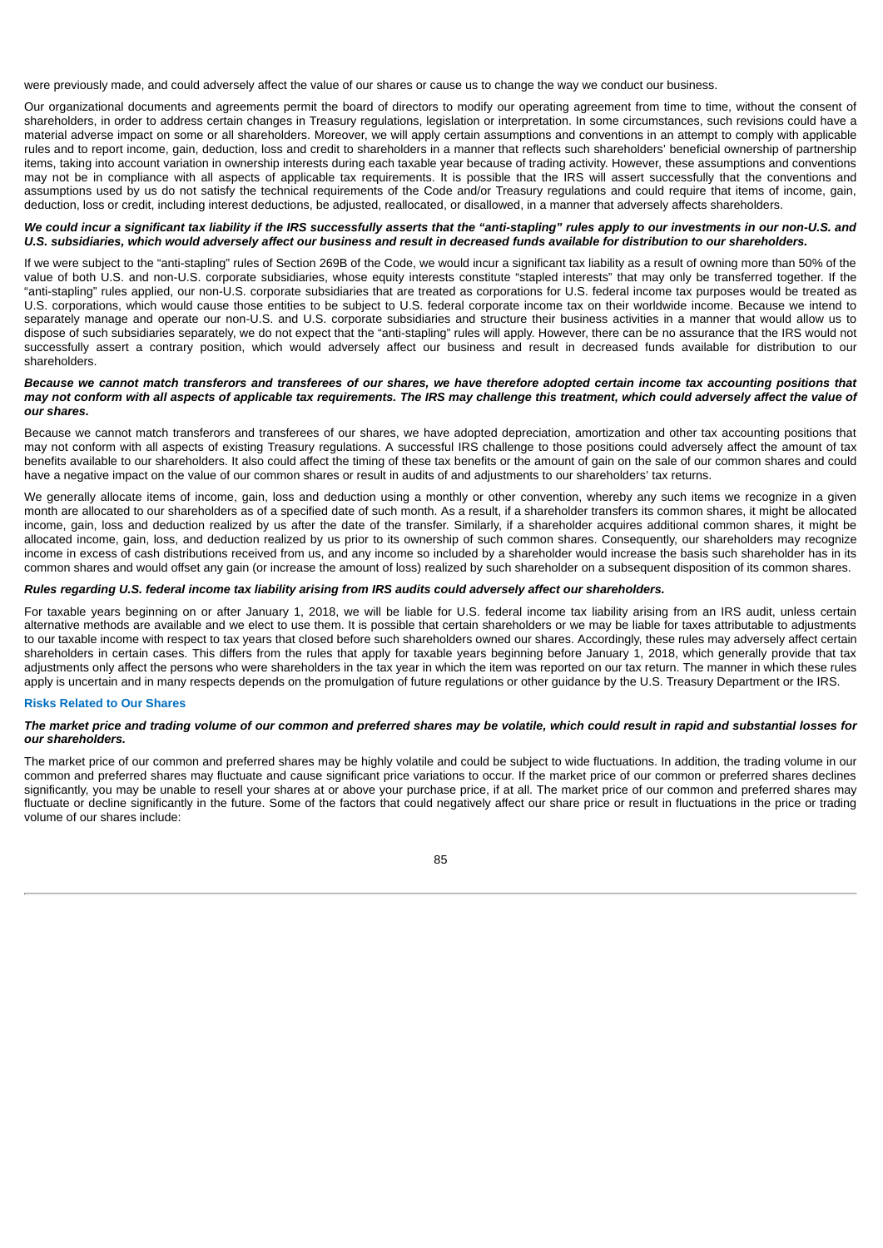were previously made, and could adversely affect the value of our shares or cause us to change the way we conduct our business.

Our organizational documents and agreements permit the board of directors to modify our operating agreement from time to time, without the consent of shareholders, in order to address certain changes in Treasury regulations, legislation or interpretation. In some circumstances, such revisions could have a material adverse impact on some or all shareholders. Moreover, we will apply certain assumptions and conventions in an attempt to comply with applicable rules and to report income, gain, deduction, loss and credit to shareholders in a manner that reflects such shareholders' beneficial ownership of partnership items, taking into account variation in ownership interests during each taxable year because of trading activity. However, these assumptions and conventions may not be in compliance with all aspects of applicable tax requirements. It is possible that the IRS will assert successfully that the conventions and assumptions used by us do not satisfy the technical requirements of the Code and/or Treasury regulations and could require that items of income, gain, deduction, loss or credit, including interest deductions, be adjusted, reallocated, or disallowed, in a manner that adversely affects shareholders.

#### *We could incur a significant tax liability if the IRS successfully asserts that the "anti-stapling" rules apply to our investments in our non-U.S. and U.S. subsidiaries, which would adversely affect our business and result in decreased funds available for distribution to our shareholders.*

If we were subject to the "anti-stapling" rules of Section 269B of the Code, we would incur a significant tax liability as a result of owning more than 50% of the value of both U.S. and non-U.S. corporate subsidiaries, whose equity interests constitute "stapled interests" that may only be transferred together. If the "anti-stapling" rules applied, our non-U.S. corporate subsidiaries that are treated as corporations for U.S. federal income tax purposes would be treated as U.S. corporations, which would cause those entities to be subject to U.S. federal corporate income tax on their worldwide income. Because we intend to separately manage and operate our non-U.S. and U.S. corporate subsidiaries and structure their business activities in a manner that would allow us to dispose of such subsidiaries separately, we do not expect that the "anti-stapling" rules will apply. However, there can be no assurance that the IRS would not successfully assert a contrary position, which would adversely affect our business and result in decreased funds available for distribution to our shareholders.

#### *Because we cannot match transferors and transferees of our shares, we have therefore adopted certain income tax accounting positions that may not conform with all aspects of applicable tax requirements. The IRS may challenge this treatment, which could adversely affect the value of our shares.*

Because we cannot match transferors and transferees of our shares, we have adopted depreciation, amortization and other tax accounting positions that may not conform with all aspects of existing Treasury regulations. A successful IRS challenge to those positions could adversely affect the amount of tax benefits available to our shareholders. It also could affect the timing of these tax benefits or the amount of gain on the sale of our common shares and could have a negative impact on the value of our common shares or result in audits of and adjustments to our shareholders' tax returns.

We generally allocate items of income, gain, loss and deduction using a monthly or other convention, whereby any such items we recognize in a given month are allocated to our shareholders as of a specified date of such month. As a result, if a shareholder transfers its common shares, it might be allocated income, gain, loss and deduction realized by us after the date of the transfer. Similarly, if a shareholder acquires additional common shares, it might be allocated income, gain, loss, and deduction realized by us prior to its ownership of such common shares. Consequently, our shareholders may recognize income in excess of cash distributions received from us, and any income so included by a shareholder would increase the basis such shareholder has in its common shares and would offset any gain (or increase the amount of loss) realized by such shareholder on a subsequent disposition of its common shares.

#### *Rules regarding U.S. federal income tax liability arising from IRS audits could adversely affect our shareholders.*

For taxable years beginning on or after January 1, 2018, we will be liable for U.S. federal income tax liability arising from an IRS audit, unless certain alternative methods are available and we elect to use them. It is possible that certain shareholders or we may be liable for taxes attributable to adjustments to our taxable income with respect to tax years that closed before such shareholders owned our shares. Accordingly, these rules may adversely affect certain shareholders in certain cases. This differs from the rules that apply for taxable years beginning before January 1, 2018, which generally provide that tax adjustments only affect the persons who were shareholders in the tax year in which the item was reported on our tax return. The manner in which these rules apply is uncertain and in many respects depends on the promulgation of future regulations or other guidance by the U.S. Treasury Department or the IRS.

#### **Risks Related to Our Shares**

#### *The market price and trading volume of our common and preferred shares may be volatile, which could result in rapid and substantial losses for our shareholders.*

The market price of our common and preferred shares may be highly volatile and could be subject to wide fluctuations. In addition, the trading volume in our common and preferred shares may fluctuate and cause significant price variations to occur. If the market price of our common or preferred shares declines significantly, you may be unable to resell your shares at or above your purchase price, if at all. The market price of our common and preferred shares may fluctuate or decline significantly in the future. Some of the factors that could negatively affect our share price or result in fluctuations in the price or trading volume of our shares include: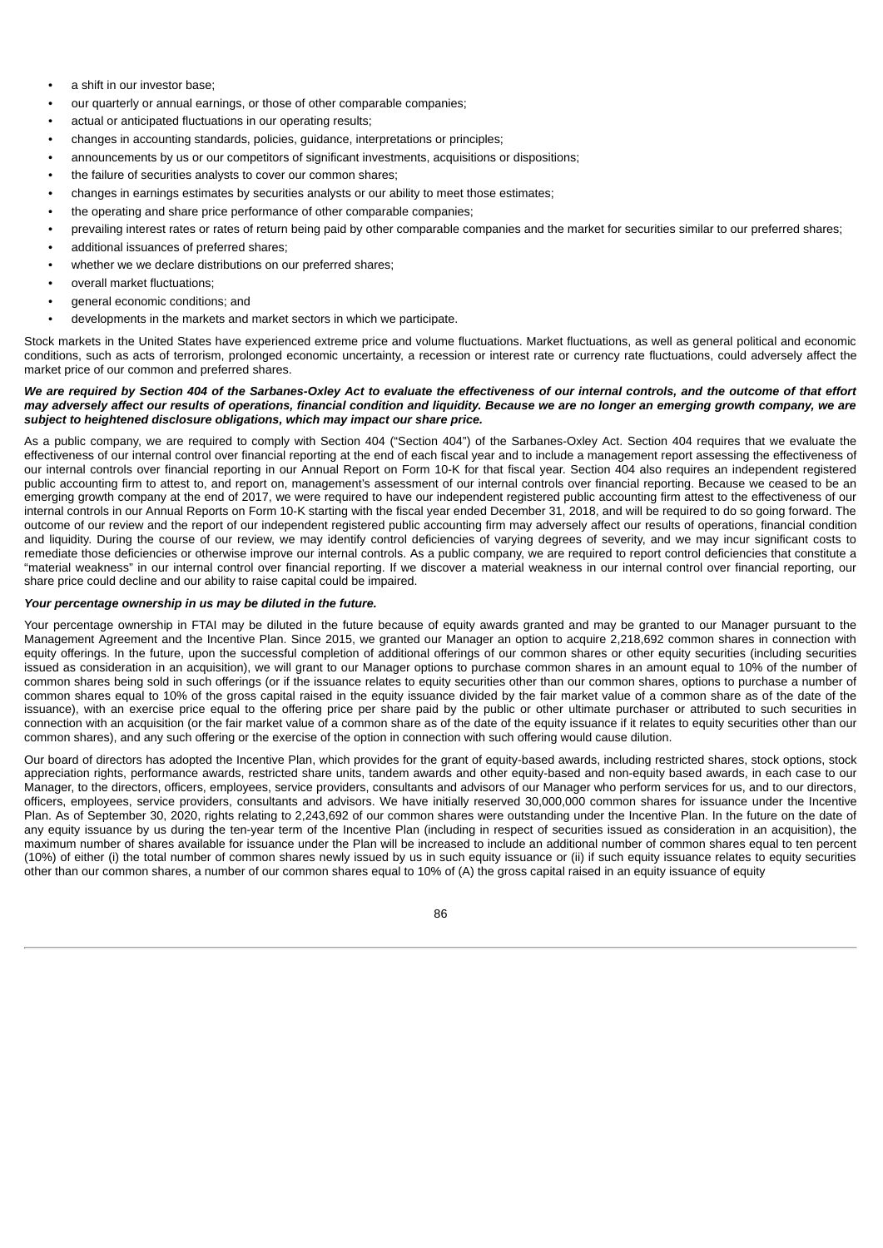- a shift in our investor base;
- our quarterly or annual earnings, or those of other comparable companies;
- actual or anticipated fluctuations in our operating results;
- changes in accounting standards, policies, guidance, interpretations or principles;
- announcements by us or our competitors of significant investments, acquisitions or dispositions;
- the failure of securities analysts to cover our common shares:
- changes in earnings estimates by securities analysts or our ability to meet those estimates;
- the operating and share price performance of other comparable companies;
- prevailing interest rates or rates of return being paid by other comparable companies and the market for securities similar to our preferred shares;
- additional issuances of preferred shares:
- whether we we declare distributions on our preferred shares;
- overall market fluctuations;
- general economic conditions; and
- developments in the markets and market sectors in which we participate.

Stock markets in the United States have experienced extreme price and volume fluctuations. Market fluctuations, as well as general political and economic conditions, such as acts of terrorism, prolonged economic uncertainty, a recession or interest rate or currency rate fluctuations, could adversely affect the market price of our common and preferred shares.

#### *We are required by Section 404 of the Sarbanes-Oxley Act to evaluate the effectiveness of our internal controls, and the outcome of that effort may adversely affect our results of operations, financial condition and liquidity. Because we are no longer an emerging growth company, we are subject to heightened disclosure obligations, which may impact our share price.*

As a public company, we are required to comply with Section 404 ("Section 404") of the Sarbanes-Oxley Act. Section 404 requires that we evaluate the effectiveness of our internal control over financial reporting at the end of each fiscal year and to include a management report assessing the effectiveness of our internal controls over financial reporting in our Annual Report on Form 10-K for that fiscal year. Section 404 also requires an independent registered public accounting firm to attest to, and report on, management's assessment of our internal controls over financial reporting. Because we ceased to be an emerging growth company at the end of 2017, we were required to have our independent registered public accounting firm attest to the effectiveness of our internal controls in our Annual Reports on Form 10-K starting with the fiscal year ended December 31, 2018, and will be required to do so going forward. The outcome of our review and the report of our independent registered public accounting firm may adversely affect our results of operations, financial condition and liquidity. During the course of our review, we may identify control deficiencies of varying degrees of severity, and we may incur significant costs to remediate those deficiencies or otherwise improve our internal controls. As a public company, we are required to report control deficiencies that constitute a "material weakness" in our internal control over financial reporting. If we discover a material weakness in our internal control over financial reporting, our share price could decline and our ability to raise capital could be impaired.

#### *Your percentage ownership in us may be diluted in the future.*

Your percentage ownership in FTAI may be diluted in the future because of equity awards granted and may be granted to our Manager pursuant to the Management Agreement and the Incentive Plan. Since 2015, we granted our Manager an option to acquire 2,218,692 common shares in connection with equity offerings. In the future, upon the successful completion of additional offerings of our common shares or other equity securities (including securities issued as consideration in an acquisition), we will grant to our Manager options to purchase common shares in an amount equal to 10% of the number of common shares being sold in such offerings (or if the issuance relates to equity securities other than our common shares, options to purchase a number of common shares equal to 10% of the gross capital raised in the equity issuance divided by the fair market value of a common share as of the date of the issuance), with an exercise price equal to the offering price per share paid by the public or other ultimate purchaser or attributed to such securities in connection with an acquisition (or the fair market value of a common share as of the date of the equity issuance if it relates to equity securities other than our common shares), and any such offering or the exercise of the option in connection with such offering would cause dilution.

Our board of directors has adopted the Incentive Plan, which provides for the grant of equity-based awards, including restricted shares, stock options, stock appreciation rights, performance awards, restricted share units, tandem awards and other equity-based and non-equity based awards, in each case to our Manager, to the directors, officers, employees, service providers, consultants and advisors of our Manager who perform services for us, and to our directors, officers, employees, service providers, consultants and advisors. We have initially reserved 30,000,000 common shares for issuance under the Incentive Plan. As of September 30, 2020, rights relating to 2,243,692 of our common shares were outstanding under the Incentive Plan. In the future on the date of any equity issuance by us during the ten-year term of the Incentive Plan (including in respect of securities issued as consideration in an acquisition), the maximum number of shares available for issuance under the Plan will be increased to include an additional number of common shares equal to ten percent (10%) of either (i) the total number of common shares newly issued by us in such equity issuance or (ii) if such equity issuance relates to equity securities other than our common shares, a number of our common shares equal to 10% of (A) the gross capital raised in an equity issuance of equity

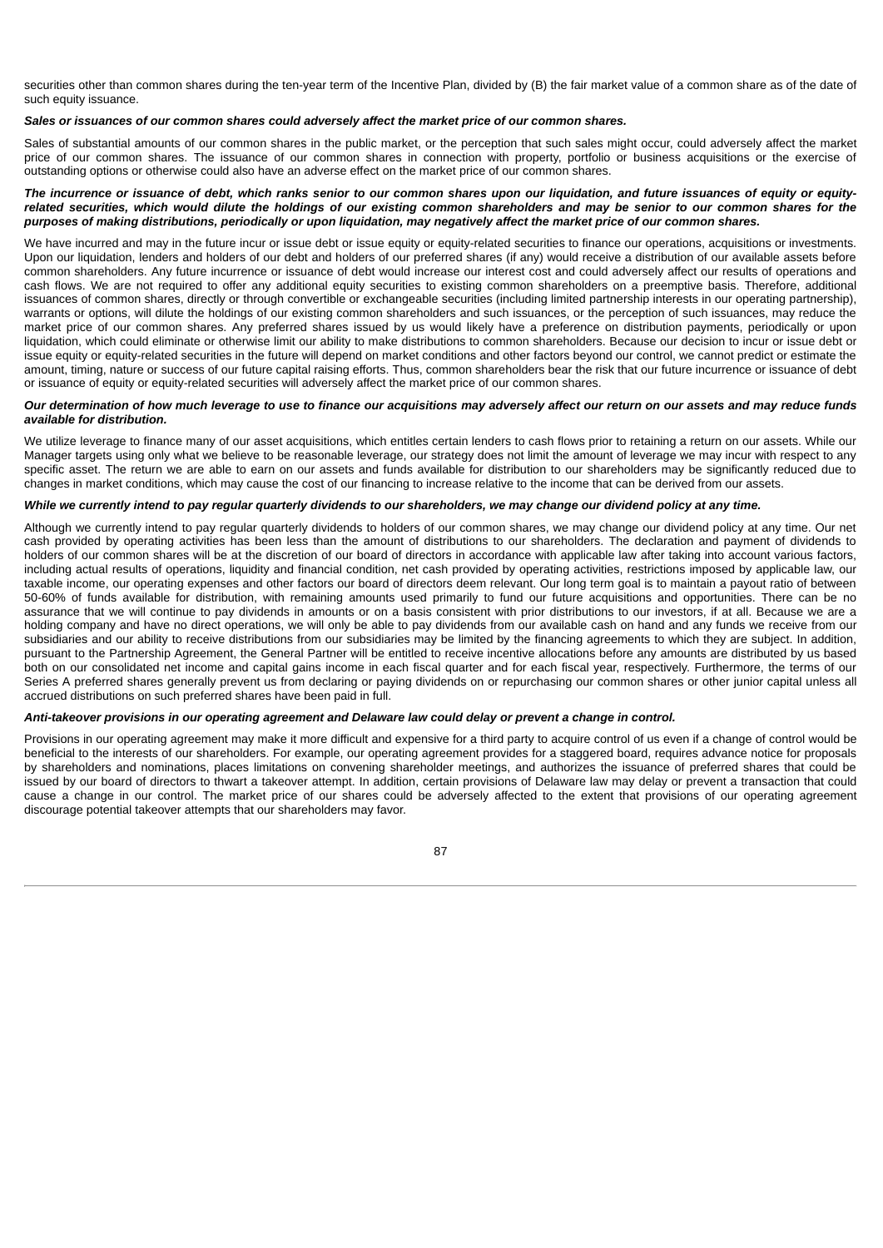securities other than common shares during the ten-year term of the Incentive Plan, divided by (B) the fair market value of a common share as of the date of such equity issuance.

### *Sales or issuances of our common shares could adversely affect the market price of our common shares.*

Sales of substantial amounts of our common shares in the public market, or the perception that such sales might occur, could adversely affect the market price of our common shares. The issuance of our common shares in connection with property, portfolio or business acquisitions or the exercise of outstanding options or otherwise could also have an adverse effect on the market price of our common shares.

#### *The incurrence or issuance of debt, which ranks senior to our common shares upon our liquidation, and future issuances of equity or equityrelated securities, which would dilute the holdings of our existing common shareholders and may be senior to our common shares for the purposes of making distributions, periodically or upon liquidation, may negatively affect the market price of our common shares.*

We have incurred and may in the future incur or issue debt or issue equity or equity-related securities to finance our operations, acquisitions or investments. Upon our liquidation, lenders and holders of our debt and holders of our preferred shares (if any) would receive a distribution of our available assets before common shareholders. Any future incurrence or issuance of debt would increase our interest cost and could adversely affect our results of operations and cash flows. We are not required to offer any additional equity securities to existing common shareholders on a preemptive basis. Therefore, additional issuances of common shares, directly or through convertible or exchangeable securities (including limited partnership interests in our operating partnership), warrants or options, will dilute the holdings of our existing common shareholders and such issuances, or the perception of such issuances, may reduce the market price of our common shares. Any preferred shares issued by us would likely have a preference on distribution payments, periodically or upon liquidation, which could eliminate or otherwise limit our ability to make distributions to common shareholders. Because our decision to incur or issue debt or issue equity or equity-related securities in the future will depend on market conditions and other factors beyond our control, we cannot predict or estimate the amount, timing, nature or success of our future capital raising efforts. Thus, common shareholders bear the risk that our future incurrence or issuance of debt or issuance of equity or equity-related securities will adversely affect the market price of our common shares.

#### *Our determination of how much leverage to use to finance our acquisitions may adversely affect our return on our assets and may reduce funds available for distribution.*

We utilize leverage to finance many of our asset acquisitions, which entitles certain lenders to cash flows prior to retaining a return on our assets. While our Manager targets using only what we believe to be reasonable leverage, our strategy does not limit the amount of leverage we may incur with respect to any specific asset. The return we are able to earn on our assets and funds available for distribution to our shareholders may be significantly reduced due to changes in market conditions, which may cause the cost of our financing to increase relative to the income that can be derived from our assets.

#### *While we currently intend to pay regular quarterly dividends to our shareholders, we may change our dividend policy at any time.*

Although we currently intend to pay regular quarterly dividends to holders of our common shares, we may change our dividend policy at any time. Our net cash provided by operating activities has been less than the amount of distributions to our shareholders. The declaration and payment of dividends to holders of our common shares will be at the discretion of our board of directors in accordance with applicable law after taking into account various factors, including actual results of operations, liquidity and financial condition, net cash provided by operating activities, restrictions imposed by applicable law, our taxable income, our operating expenses and other factors our board of directors deem relevant. Our long term goal is to maintain a payout ratio of between 50-60% of funds available for distribution, with remaining amounts used primarily to fund our future acquisitions and opportunities. There can be no assurance that we will continue to pay dividends in amounts or on a basis consistent with prior distributions to our investors, if at all. Because we are a holding company and have no direct operations, we will only be able to pay dividends from our available cash on hand and any funds we receive from our subsidiaries and our ability to receive distributions from our subsidiaries may be limited by the financing agreements to which they are subject. In addition, pursuant to the Partnership Agreement, the General Partner will be entitled to receive incentive allocations before any amounts are distributed by us based both on our consolidated net income and capital gains income in each fiscal quarter and for each fiscal year, respectively. Furthermore, the terms of our Series A preferred shares generally prevent us from declaring or paying dividends on or repurchasing our common shares or other junior capital unless all accrued distributions on such preferred shares have been paid in full.

## *Anti-takeover provisions in our operating agreement and Delaware law could delay or prevent a change in control.*

Provisions in our operating agreement may make it more difficult and expensive for a third party to acquire control of us even if a change of control would be beneficial to the interests of our shareholders. For example, our operating agreement provides for a staggered board, requires advance notice for proposals by shareholders and nominations, places limitations on convening shareholder meetings, and authorizes the issuance of preferred shares that could be issued by our board of directors to thwart a takeover attempt. In addition, certain provisions of Delaware law may delay or prevent a transaction that could cause a change in our control. The market price of our shares could be adversely affected to the extent that provisions of our operating agreement discourage potential takeover attempts that our shareholders may favor.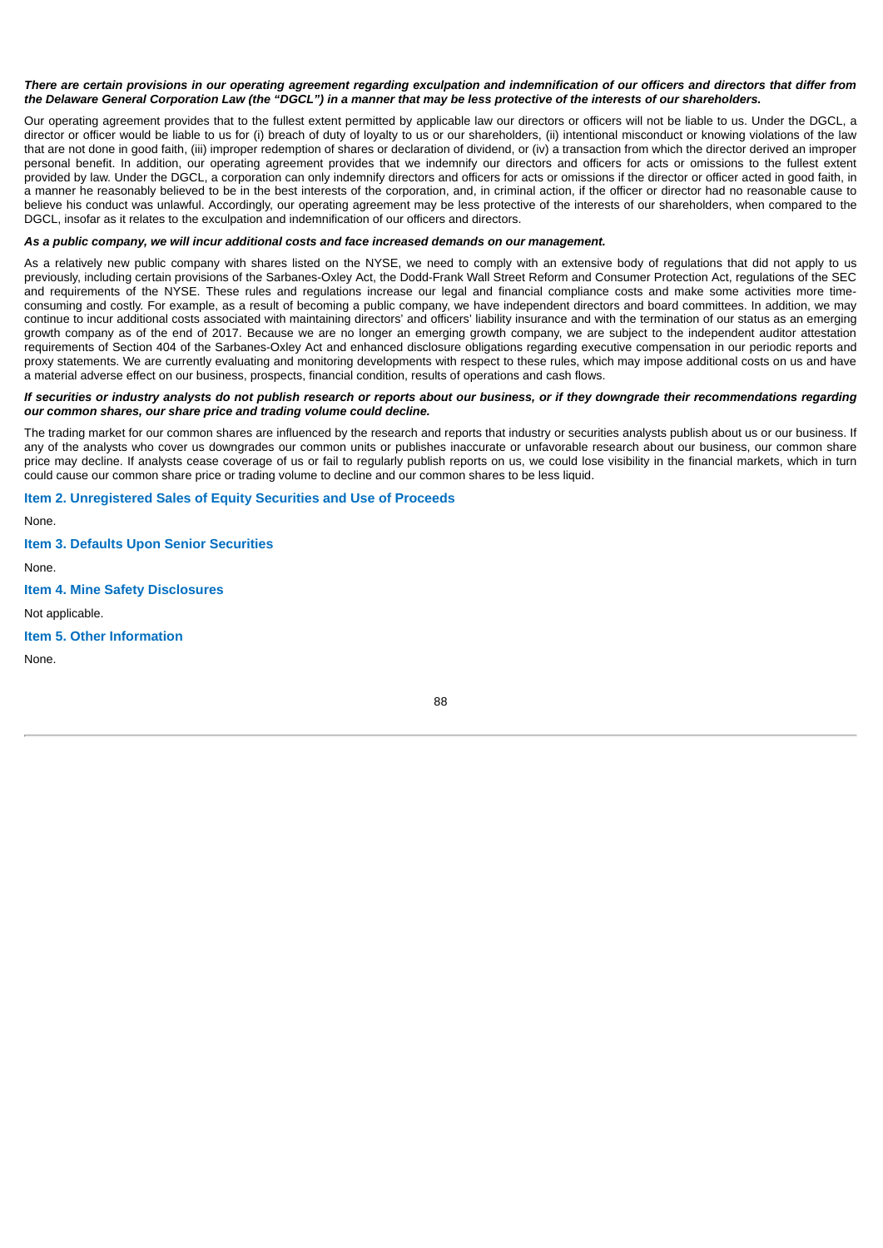## *There are certain provisions in our operating agreement regarding exculpation and indemnification of our officers and directors that differ from the Delaware General Corporation Law (the "DGCL") in a manner that may be less protective of the interests of our shareholders.*

Our operating agreement provides that to the fullest extent permitted by applicable law our directors or officers will not be liable to us. Under the DGCL, a director or officer would be liable to us for (i) breach of duty of loyalty to us or our shareholders, (ii) intentional misconduct or knowing violations of the law that are not done in good faith, (iii) improper redemption of shares or declaration of dividend, or (iv) a transaction from which the director derived an improper personal benefit. In addition, our operating agreement provides that we indemnify our directors and officers for acts or omissions to the fullest extent provided by law. Under the DGCL, a corporation can only indemnify directors and officers for acts or omissions if the director or officer acted in good faith, in a manner he reasonably believed to be in the best interests of the corporation, and, in criminal action, if the officer or director had no reasonable cause to believe his conduct was unlawful. Accordingly, our operating agreement may be less protective of the interests of our shareholders, when compared to the DGCL, insofar as it relates to the exculpation and indemnification of our officers and directors.

## *As a public company, we will incur additional costs and face increased demands on our management.*

As a relatively new public company with shares listed on the NYSE, we need to comply with an extensive body of regulations that did not apply to us previously, including certain provisions of the Sarbanes-Oxley Act, the Dodd-Frank Wall Street Reform and Consumer Protection Act, regulations of the SEC and requirements of the NYSE. These rules and regulations increase our legal and financial compliance costs and make some activities more timeconsuming and costly. For example, as a result of becoming a public company, we have independent directors and board committees. In addition, we may continue to incur additional costs associated with maintaining directors' and officers' liability insurance and with the termination of our status as an emerging growth company as of the end of 2017. Because we are no longer an emerging growth company, we are subject to the independent auditor attestation requirements of Section 404 of the Sarbanes-Oxley Act and enhanced disclosure obligations regarding executive compensation in our periodic reports and proxy statements. We are currently evaluating and monitoring developments with respect to these rules, which may impose additional costs on us and have a material adverse effect on our business, prospects, financial condition, results of operations and cash flows.

#### *If securities or industry analysts do not publish research or reports about our business, or if they downgrade their recommendations regarding our common shares, our share price and trading volume could decline.*

The trading market for our common shares are influenced by the research and reports that industry or securities analysts publish about us or our business. If any of the analysts who cover us downgrades our common units or publishes inaccurate or unfavorable research about our business, our common share price may decline. If analysts cease coverage of us or fail to regularly publish reports on us, we could lose visibility in the financial markets, which in turn could cause our common share price or trading volume to decline and our common shares to be less liquid.

#### **Item 2. Unregistered Sales of Equity Securities and Use of Proceeds**

None.

**Item 3. Defaults Upon Senior Securities**

None.

**Item 4. Mine Safety Disclosures**

Not applicable.

**Item 5. Other Information**

None.

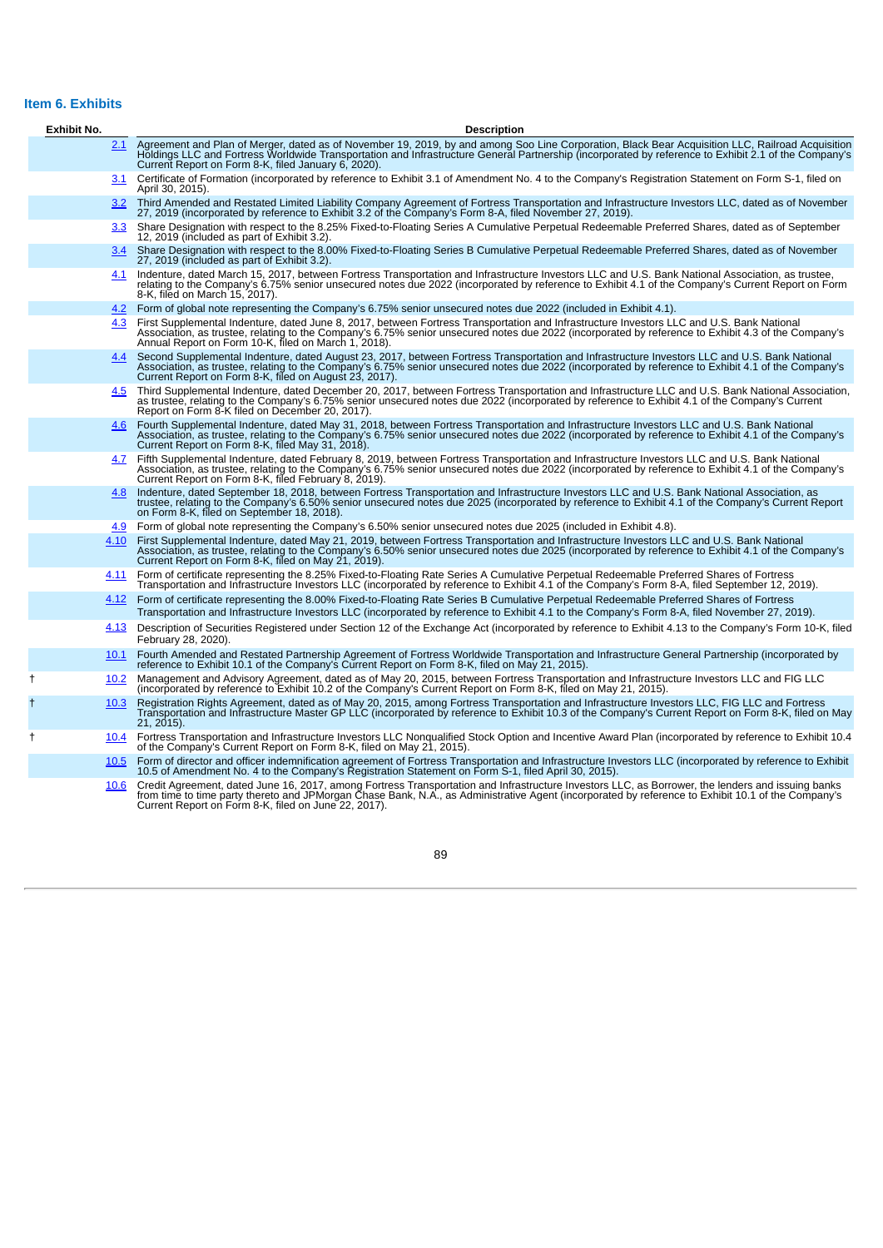# **Item 6. Exhibits**

| <b>Exhibit No.</b> | <b>Description</b>                                                                                                                                                                                                                                                                                                                                               |
|--------------------|------------------------------------------------------------------------------------------------------------------------------------------------------------------------------------------------------------------------------------------------------------------------------------------------------------------------------------------------------------------|
| $2.1^{\circ}$      | Agreement and Plan of Merger, dated as of November 19, 2019, by and among Soo Line Corporation, Black Bear Acquisition LLC, Railroad Acquisition<br>Holdings LLC and Fortress Worldwide Transportation and Infrastructure General<br>Current Report on Form 8-K, filed January 6, 2020).                                                                         |
| 3.1                | Certificate of Formation (incorporated by reference to Exhibit 3.1 of Amendment No. 4 to the Company's Registration Statement on Form S-1, filed on<br>April 30, 2015).                                                                                                                                                                                          |
|                    | 3.2 Third Amended and Restated Limited Liability Company Agreement of Fortress Transportation and Infrastructure Investors LLC, dated as of November<br>27, 2019 (incorporated by reference to Exhibit 3.2 of the Company's Form 8-A, filed November 27, 2019).                                                                                                  |
| 3.3                | Share Designation with respect to the 8.25% Fixed-to-Floating Series A Cumulative Perpetual Redeemable Preferred Shares, dated as of September<br>12, 2019 (included as part of Exhibit 3.2).                                                                                                                                                                    |
| $3.4^{\circ}$      | Share Designation with respect to the 8.00% Fixed-to-Floating Series B Cumulative Perpetual Redeemable Preferred Shares, dated as of November<br>27, 2019 (included as part of Exhibit 3.2).                                                                                                                                                                     |
| 4.1                | Indenture, dated March 15, 2017, between Fortress Transportation and Infrastructure Investors LLC and U.S. Bank National Association, as trustee,<br>relating to the Company's 6.75% senior unsecured notes due 2022 (incorporated by reference to Exhibit 4.1 of the Company's Current Report on Form<br>8-K, filed on March 15, 2017).                         |
| 4.2                | Form of global note representing the Company's 6.75% senior unsecured notes due 2022 (included in Exhibit 4.1).                                                                                                                                                                                                                                                  |
| 4.3                | First Supplemental Indenture, dated June 8, 2017, between Fortress Transportation and Infrastructure Investors LLC and U.S. Bank National<br>Association, as trustee, relating to the Company's 6.75% senior unsecured notes due 2022 (incorporated by reference to Exhibit 4.3 of the Company's<br>Annual Report on Form 10-K, filed on March 1, 2018).         |
| 4.4                | Second Supplemental Indenture, dated August 23, 2017, between Fortress Transportation and Infrastructure Investors LLC and U.S. Bank National<br>Association, as trustee, relating to the Company's 6.75% senior unsecured notes due 2022 (incorporated by reference to Exhibit 4.1 of the Company's<br>Current Report on Form 8-K, filed on August 23, 2017).   |
| 4.5                | Third Supplemental Indenture, dated December 20, 2017, between Fortress Transportation and Infrastructure LLC and U.S. Bank National Association,<br>as trustee, relating to the Company's 6.75% senior unsecured notes due 2022 (incorporated by reference to Exhibit 4.1 of the Company's Current<br>Report on Form 8-K filed on December 20, 2017).           |
| 4.6                | Fourth Supplemental Indenture, dated May 31, 2018, between Fortress Transportation and Infrastructure Investors LLC and U.S. Bank National<br>Association, as trustee, relating to the Company's 6.75% senior unsecured notes due 2022 (incorporated by reference to Exhibit 4.1 of the Company's<br>Current Report on Form 8-K, filed May 31, 2018).            |
|                    | 4.7 Fifth Supplemental Indenture, dated February 8, 2019, between Fortress Transportation and Infrastructure Investors LLC and U.S. Bank National<br>Association, as trustee, relating to the Company's 6.75% senior unsecured notes due 2022 (incorporated by reference to Exhibit 4.1 of the Company's<br>Current Report on Form 8-K, filed February 8, 2019). |
| 4.8                | Indenture, dated September 18, 2018, between Fortress Transportation and Infrastructure Investors LLC and U.S. Bank National Association, as<br>trustee, relating to the Company's 6.50% senior unsecured notes due 2025 (incorporated by reference to Exhibit 4.1 of the Company's Current Report<br>on Form 8-K, filed on September 18, 2018).                 |
| 4.9                | Form of global note representing the Company's 6.50% senior unsecured notes due 2025 (included in Exhibit 4.8).                                                                                                                                                                                                                                                  |
| 4.10               | First Supplemental Indenture, dated May 21, 2019, between Fortress Transportation and Infrastructure Investors LLC and U.S. Bank National<br>Association, as trustee, relating to the Company's 6.50% senior unsecured notes due 2025 (incorporated by reference to Exhibit 4.1 of the Company's<br>Current Report on Form 8-K, filed on May 21, 2019).          |
|                    | 4.11 Form of certificate representing the 8.25% Fixed-to-Floating Rate Series A Cumulative Perpetual Redeemable Preferred Shares of Fortress<br>Transportation and Infrastructure Investors LLC (incorporated by reference to Exhibit 4.1 of the Company's Form 8-A, filed September 12, 2019).                                                                  |
|                    | 4.12 Form of certificate representing the 8.00% Fixed-to-Floating Rate Series B Cumulative Perpetual Redeemable Preferred Shares of Fortress<br>Transportation and Infrastructure Investors LLC (incorporated by reference to Exhibit 4.1 to the Company's Form 8-A, filed November 27, 2019).                                                                   |
| 4.13               | Description of Securities Registered under Section 12 of the Exchange Act (incorporated by reference to Exhibit 4.13 to the Company's Form 10-K, filed<br>February 28, 2020).                                                                                                                                                                                    |
| 10.1               | Fourth Amended and Restated Partnership Agreement of Fortress Worldwide Transportation and Infrastructure General Partnership (incorporated by<br>reference to Exhibit 10.1 of the Company's Current Report on Form 8-K, filed on May 21, 2015).                                                                                                                 |
| 10.2               | Management and Advisory Agreement, dated as of May 20, 2015, between Fortress Transportation and Infrastructure Investors LLC and FIG LLC<br>(incorporated by reference to Exhibit 10.2 of the Company's Current Report on Form 8-K, filed on May 21, 2015).                                                                                                     |
| 10.3               | Registration Rights Agreement, dated as of May 20, 2015, among Fortress Transportation and Infrastructure Investors LLC, FIG LLC and Fortress<br>Transportation and Infrastructure Master GP LLC (incorporated by reference to Exhibit 10.3 of the Company's Current Report on Form 8-K, filed on May<br>21, 2015).                                              |
|                    | 10.4 Fortress Transportation and Infrastructure Investors LLC Nongualified Stock Option and Incentive Award Plan (incorporated by reference to Exhibit 10.4<br>of the Company's Current Report on Form 8-K, filed on May 21, 2015).                                                                                                                              |
| 10.5               | Form of director and officer indemnification agreement of Fortress Transportation and Infrastructure Investors LLC (incorporated by reference to Exhibit<br>10.5 of Amendment No. 4 to the Company's Registration Statement on Form S-1, filed April 30, 2015).                                                                                                  |
| 10.6               | Credit Agreement, dated June 16, 2017, among Fortress Transportation and Infrastructure Investors LLC, as Borrower, the lenders and issuing banks<br>from time to time party thereto and JPMorgan Chase Bank, N.A., as Administrative Agent (incorporated by reference to Exhibit 10.1 of the Company's<br>Current Report on Form 8-K, filed on June 22, 2017).  |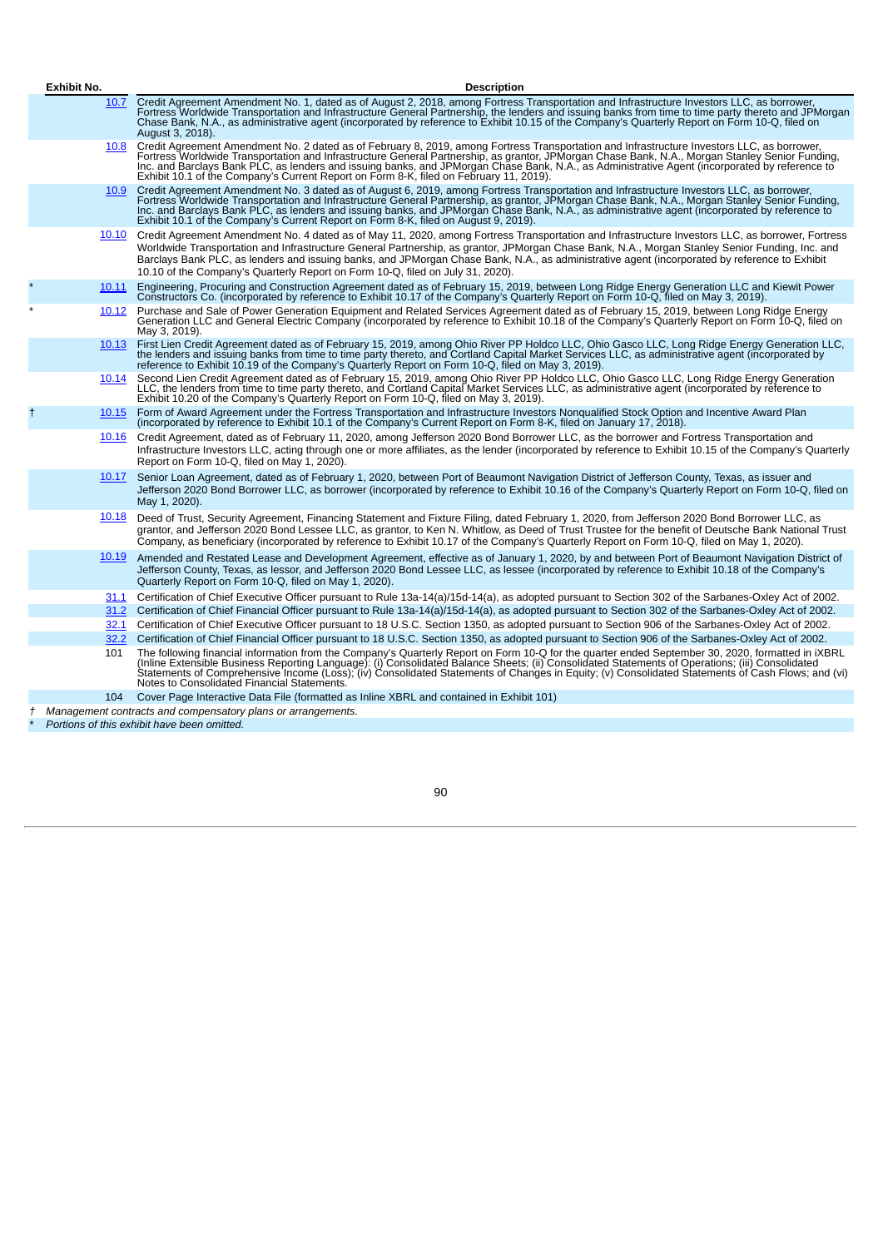| <b>Exhibit No.</b> |                                                              | <b>Description</b>                                                                                                                                                                                                                                                                                                                                                                                                                                                                                                                         |  |  |  |
|--------------------|--------------------------------------------------------------|--------------------------------------------------------------------------------------------------------------------------------------------------------------------------------------------------------------------------------------------------------------------------------------------------------------------------------------------------------------------------------------------------------------------------------------------------------------------------------------------------------------------------------------------|--|--|--|
|                    | 10.7                                                         | Credit Agreement Amendment No. 1, dated as of August 2, 2018, among Fortress Transportation and Infrastructure Investors LLC, as borrower,<br>Fortress Worldwide Transportation and Infrastructure General Partnership, the lende<br>Chase Bank, N.A., as administrative agent (incorporated by reference to Exhibit 10.15 of the Company's Quarterly Report on Form 10-Q, filed on<br>August 3, 2018).                                                                                                                                    |  |  |  |
|                    | 10.8                                                         | Credit Agreement Amendment No. 2 dated as of February 8, 2019, among Fortress Transportation and Infrastructure Investors LLC, as borrower,<br>Fortress Worldwide Transportation and Infrastructure General Partnership, as grantor, JPMorgan Chase Bank, N.A., Morgan Stanley Senior Funding,<br>Inc. and Barclays Bank PLC, as lenders and issuing banks, and JPMorgan Chase Bank, N.A., as Administrative Agent (incorporated by reference to<br>Exhibit 10.1 of the Company's Current Report on Form 8-K, filed on February 11, 2019). |  |  |  |
|                    | 10.9 <sup>°</sup>                                            | Credit Agreement Amendment No. 3 dated as of August 6, 2019, among Fortress Transportation and Infrastructure Investors LLC, as borrower,<br>Fortress Worldwide Transportation and Infrastructure General Partnership, as grantor, JPMorgan Chase Bank, N.A., Morgan Stanley Senior Funding,<br>Inc. and Barclays Bank PLC, as lenders and issuing banks, and JPMorgan Chase Bank, N.A., as administrative agent (incorporated by reference to<br>Exhibit 10.1 of the Company's Current Report on Form 8-K, filed on August 9, 2019).      |  |  |  |
|                    | 10.10                                                        | Credit Agreement Amendment No. 4 dated as of May 11, 2020, among Fortress Transportation and Infrastructure Investors LLC, as borrower, Fortress<br>Worldwide Transportation and Infrastructure General Partnership, as grantor, JPMorgan Chase Bank, N.A., Morgan Stanley Senior Funding, Inc. and<br>Barclays Bank PLC, as lenders and issuing banks, and JPMorgan Chase Bank, N.A., as administrative agent (incorporated by reference to Exhibit<br>10.10 of the Company's Ouarterly Report on Form 10-O, filed on July 31, 2020).     |  |  |  |
|                    | 10.11                                                        | Engineering, Procuring and Construction Agreement dated as of February 15, 2019, between Long Ridge Energy Generation LLC and Kiewit Power<br>Constructors Co. (incorporated by reference to Exhibit 10.17 of the Company's Quarterly Report on Form 10-Q, filed on May 3, 2019).                                                                                                                                                                                                                                                          |  |  |  |
|                    | 10.12                                                        | Purchase and Sale of Power Generation Equipment and Related Services Agreement dated as of February 15, 2019, between Long Ridge Energy<br>Generation LLC and General Electric Company (incorporated by reference to Exhibit 10.18 of the Company's Quarterly Report on Form 10-Q, filed on<br>May 3, 2019).                                                                                                                                                                                                                               |  |  |  |
|                    | 10.13                                                        | First Lien Credit Agreement dated as of February 15, 2019, among Ohio River PP Holdco LLC, Ohio Gasco LLC, Long Ridge Energy Generation LLC,<br>the lenders and issuing banks from time to time party thereto, and Cortland Capital Market Services LLC, as administrative agent (incorporated by<br>reference to Exhibit 10.19 of the Company's Quarterly Report on Form 10-Q, filed on May 3, 2019).                                                                                                                                     |  |  |  |
|                    | 10.14                                                        | Second Lien Credit Agreement dated as of February 15, 2019, among Ohio River PP Holdco LLC, Ohio Gasco LLC, Long Ridge Energy Generation<br>LLC, the lenders from time to time party thereto, and Cortland Capital Market Services LLC, as administrative agent (incorporated by reference to<br>Exhibit 10.20 of the Company's Quarterly Report on Form 10-O, filed on May 3, 2019).                                                                                                                                                      |  |  |  |
|                    | 10.15                                                        | Form of Award Agreement under the Fortress Transportation and Infrastructure Investors Nongualified Stock Option and Incentive Award Plan<br>(incorporated by reference to Exhibit 10.1 of the Company's Current Report on Form 8-K, filed on January 17, 2018).                                                                                                                                                                                                                                                                           |  |  |  |
|                    | 10.16                                                        | Credit Agreement, dated as of February 11, 2020, among Jefferson 2020 Bond Borrower LLC, as the borrower and Fortress Transportation and<br>Infrastructure Investors LLC, acting through one or more affiliates, as the lender (incorporated by reference to Exhibit 10.15 of the Company's Quarterly<br>Report on Form 10-Q, filed on May 1, 2020).                                                                                                                                                                                       |  |  |  |
|                    | 10.17                                                        | Senior Loan Agreement, dated as of February 1, 2020, between Port of Beaumont Navigation District of Jefferson County, Texas, as issuer and<br>Jefferson 2020 Bond Borrower LLC, as borrower (incorporated by reference to Exhibit 10.16 of the Company's Quarterly Report on Form 10-Q, filed on<br>May 1, 2020).                                                                                                                                                                                                                         |  |  |  |
|                    | 10.18                                                        | Deed of Trust, Security Agreement, Financing Statement and Fixture Filing, dated February 1, 2020, from Jefferson 2020 Bond Borrower LLC, as<br>grantor, and Jefferson 2020 Bond Lessee LLC, as grantor, to Ken N. Whitlow, as Deed of Trust Trustee for the benefit of Deutsche Bank National Trust<br>Company, as beneficiary (incorporated by reference to Exhibit 10.17 of the Company's Quarterly Report on Form 10-Q, filed on May 1, 2020).                                                                                         |  |  |  |
|                    | 10.19                                                        | Amended and Restated Lease and Development Agreement, effective as of January 1, 2020, by and between Port of Beaumont Navigation District of<br>Jefferson County, Texas, as lessor, and Jefferson 2020 Bond Lessee LLC, as lessee (incorporated by reference to Exhibit 10.18 of the Company's<br>Quarterly Report on Form 10-Q, filed on May 1, 2020).                                                                                                                                                                                   |  |  |  |
|                    |                                                              | 31.1 Certification of Chief Executive Officer pursuant to Rule 13a-14(a)/15d-14(a), as adopted pursuant to Section 302 of the Sarbanes-Oxley Act of 2002.                                                                                                                                                                                                                                                                                                                                                                                  |  |  |  |
|                    | 31.2                                                         | Certification of Chief Financial Officer pursuant to Rule 13a-14(a)/15d-14(a), as adopted pursuant to Section 302 of the Sarbanes-Oxley Act of 2002.                                                                                                                                                                                                                                                                                                                                                                                       |  |  |  |
|                    | 32.1                                                         | Certification of Chief Executive Officer pursuant to 18 U.S.C. Section 1350, as adopted pursuant to Section 906 of the Sarbanes-Oxley Act of 2002.                                                                                                                                                                                                                                                                                                                                                                                         |  |  |  |
|                    | 32.2                                                         | Certification of Chief Financial Officer pursuant to 18 U.S.C. Section 1350, as adopted pursuant to Section 906 of the Sarbanes-Oxley Act of 2002.                                                                                                                                                                                                                                                                                                                                                                                         |  |  |  |
|                    | 101                                                          | The following financial information from the Company's Quarterly Report on Form 10-Q for the quarter ended September 30, 2020, formatted in iXBRL<br>(Inline Extensible Business Reporting Language): (i) Consolidated Balance Sh<br>Notes to Consolidated Financial Statements.                                                                                                                                                                                                                                                           |  |  |  |
|                    | 104                                                          | Cover Page Interactive Data File (formatted as Inline XBRL and contained in Exhibit 101)                                                                                                                                                                                                                                                                                                                                                                                                                                                   |  |  |  |
|                    | Management contracts and compensatory plans or arrangements. |                                                                                                                                                                                                                                                                                                                                                                                                                                                                                                                                            |  |  |  |
|                    | Portions of this exhibit have been omitted.                  |                                                                                                                                                                                                                                                                                                                                                                                                                                                                                                                                            |  |  |  |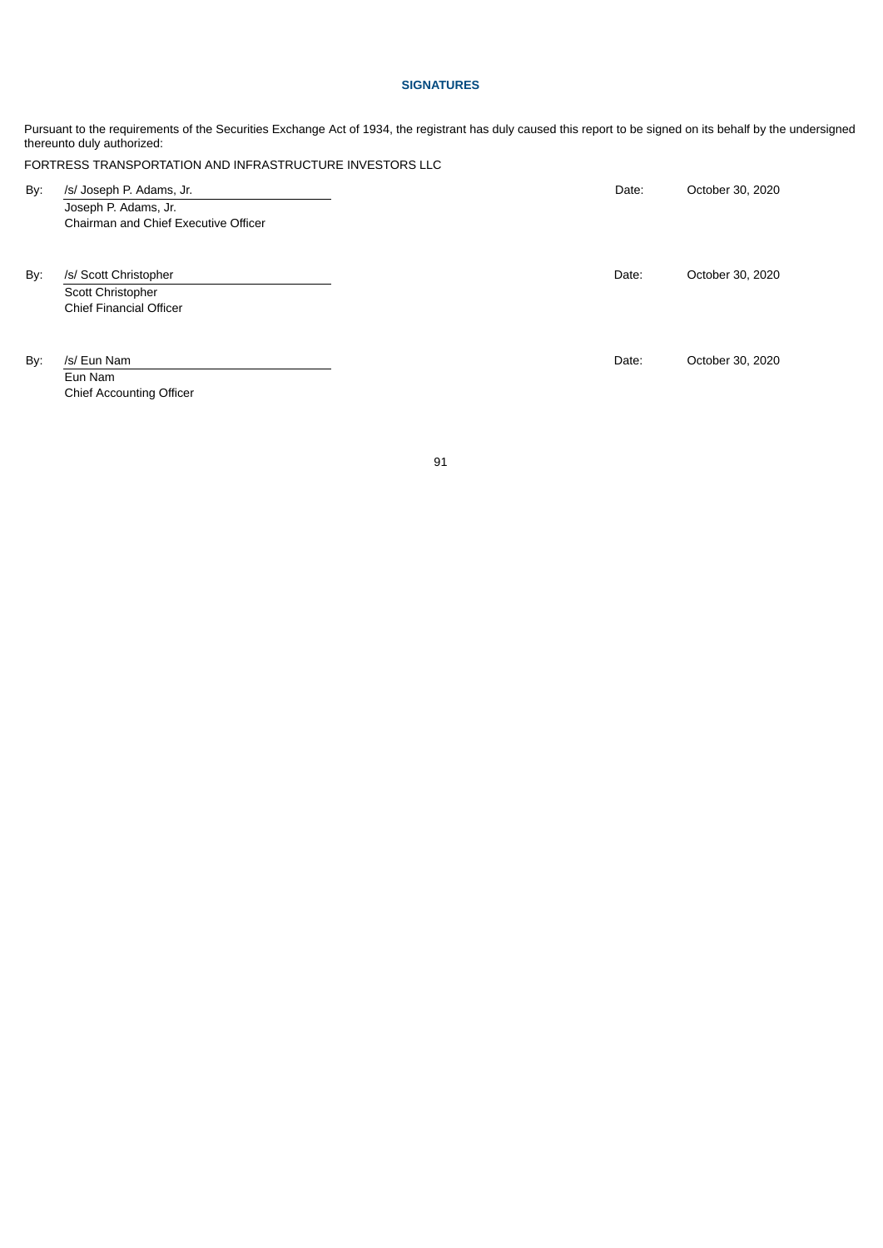# **SIGNATURES**

Pursuant to the requirements of the Securities Exchange Act of 1934, the registrant has duly caused this report to be signed on its behalf by the undersigned thereunto duly authorized:

|     | FORTRESS TRANSPORTATION AND INFRASTRUCTURE INVESTORS LLC                                 |       |                  |
|-----|------------------------------------------------------------------------------------------|-------|------------------|
| By: | /s/ Joseph P. Adams, Jr.<br>Joseph P. Adams, Jr.<br>Chairman and Chief Executive Officer | Date: | October 30, 2020 |
| By: | /s/ Scott Christopher<br>Scott Christopher<br><b>Chief Financial Officer</b>             | Date: | October 30, 2020 |
| By: | /s/ Eun Nam<br>Eun Nam<br><b>Chief Accounting Officer</b>                                | Date: | October 30, 2020 |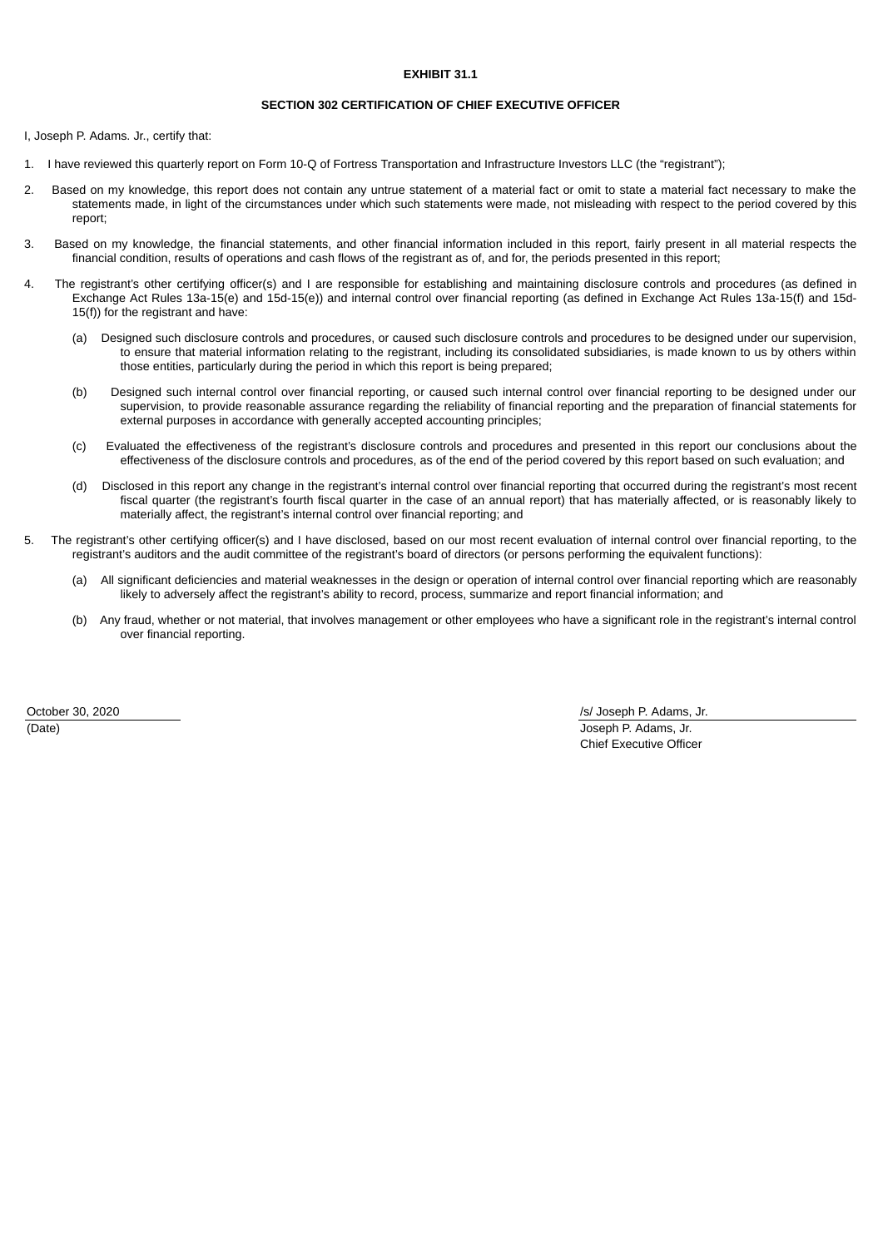#### **EXHIBIT 31.1**

# **SECTION 302 CERTIFICATION OF CHIEF EXECUTIVE OFFICER**

<span id="page-92-0"></span>I, Joseph P. Adams. Jr., certify that:

- 1. I have reviewed this quarterly report on Form 10-Q of Fortress Transportation and Infrastructure Investors LLC (the "registrant");
- 2. Based on my knowledge, this report does not contain any untrue statement of a material fact or omit to state a material fact necessary to make the statements made, in light of the circumstances under which such statements were made, not misleading with respect to the period covered by this report;
- 3. Based on my knowledge, the financial statements, and other financial information included in this report, fairly present in all material respects the financial condition, results of operations and cash flows of the registrant as of, and for, the periods presented in this report;
- 4. The registrant's other certifying officer(s) and I are responsible for establishing and maintaining disclosure controls and procedures (as defined in Exchange Act Rules 13a-15(e) and 15d-15(e)) and internal control over financial reporting (as defined in Exchange Act Rules 13a-15(f) and 15d-15(f)) for the registrant and have:
	- (a) Designed such disclosure controls and procedures, or caused such disclosure controls and procedures to be designed under our supervision, to ensure that material information relating to the registrant, including its consolidated subsidiaries, is made known to us by others within those entities, particularly during the period in which this report is being prepared;
	- (b) Designed such internal control over financial reporting, or caused such internal control over financial reporting to be designed under our supervision, to provide reasonable assurance regarding the reliability of financial reporting and the preparation of financial statements for external purposes in accordance with generally accepted accounting principles;
	- (c) Evaluated the effectiveness of the registrant's disclosure controls and procedures and presented in this report our conclusions about the effectiveness of the disclosure controls and procedures, as of the end of the period covered by this report based on such evaluation; and
	- (d) Disclosed in this report any change in the registrant's internal control over financial reporting that occurred during the registrant's most recent fiscal quarter (the registrant's fourth fiscal quarter in the case of an annual report) that has materially affected, or is reasonably likely to materially affect, the registrant's internal control over financial reporting; and
- 5. The registrant's other certifying officer(s) and I have disclosed, based on our most recent evaluation of internal control over financial reporting, to the registrant's auditors and the audit committee of the registrant's board of directors (or persons performing the equivalent functions):
	- (a) All significant deficiencies and material weaknesses in the design or operation of internal control over financial reporting which are reasonably likely to adversely affect the registrant's ability to record, process, summarize and report financial information; and
	- (b) Any fraud, whether or not material, that involves management or other employees who have a significant role in the registrant's internal control over financial reporting.

October 30, 2020 *October 30, 2020 Islams, Jr. October 30, 2020 Islams, Jr. October 30, 2020**Islams, Jr.* **<b>***October 30, 2020 Islams, Jr. October 30, 2020 Islams, Jr. <b><i>Islams, Jr. Islams, Jr. <b>* (Date) Joseph P. Adams, Jr. Chief Executive Officer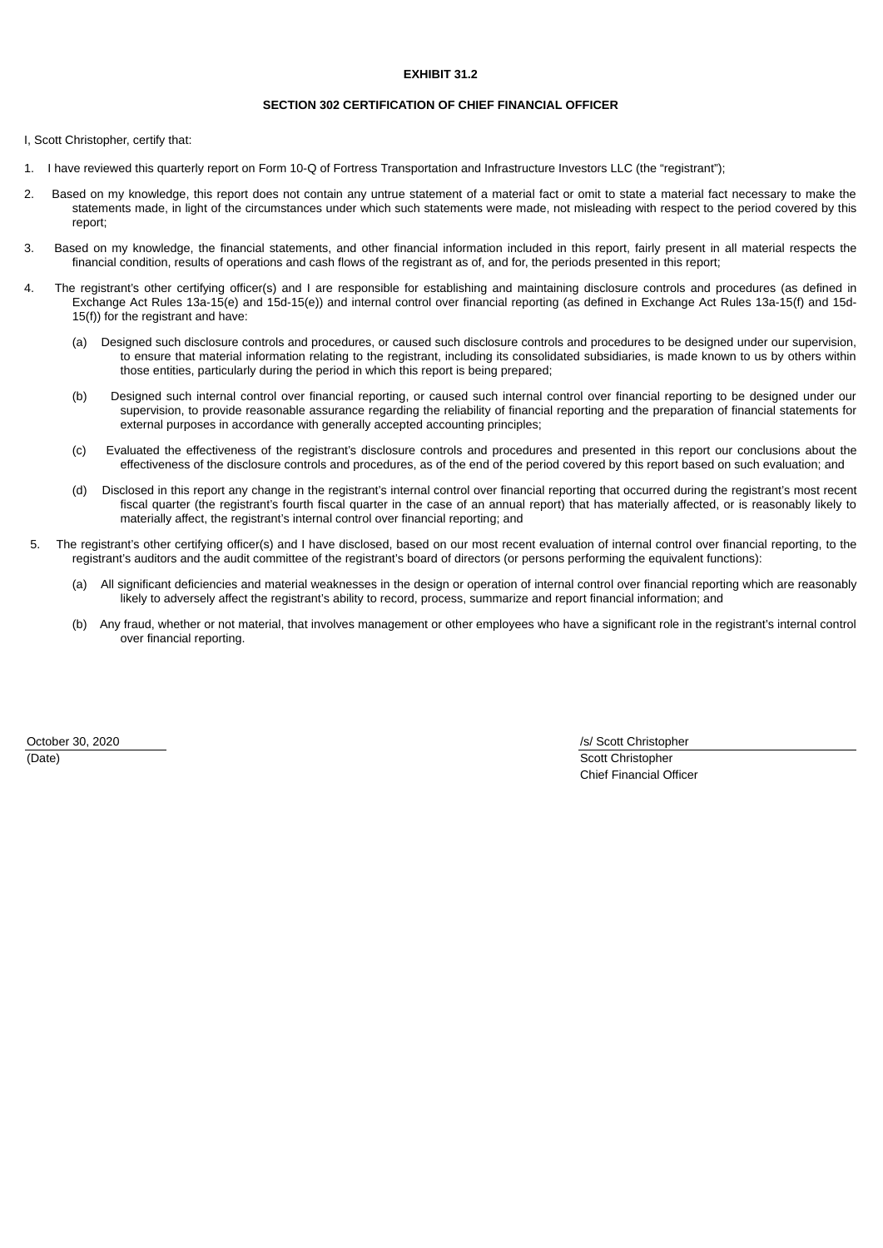### **EXHIBIT 31.2**

## **SECTION 302 CERTIFICATION OF CHIEF FINANCIAL OFFICER**

<span id="page-93-0"></span>I, Scott Christopher, certify that:

- 1. I have reviewed this quarterly report on Form 10-Q of Fortress Transportation and Infrastructure Investors LLC (the "registrant");
- 2. Based on my knowledge, this report does not contain any untrue statement of a material fact or omit to state a material fact necessary to make the statements made, in light of the circumstances under which such statements were made, not misleading with respect to the period covered by this report;
- 3. Based on my knowledge, the financial statements, and other financial information included in this report, fairly present in all material respects the financial condition, results of operations and cash flows of the registrant as of, and for, the periods presented in this report;
- 4. The registrant's other certifying officer(s) and I are responsible for establishing and maintaining disclosure controls and procedures (as defined in Exchange Act Rules 13a-15(e) and 15d-15(e)) and internal control over financial reporting (as defined in Exchange Act Rules 13a-15(f) and 15d-15(f)) for the registrant and have:
	- (a) Designed such disclosure controls and procedures, or caused such disclosure controls and procedures to be designed under our supervision, to ensure that material information relating to the registrant, including its consolidated subsidiaries, is made known to us by others within those entities, particularly during the period in which this report is being prepared;
	- (b) Designed such internal control over financial reporting, or caused such internal control over financial reporting to be designed under our supervision, to provide reasonable assurance regarding the reliability of financial reporting and the preparation of financial statements for external purposes in accordance with generally accepted accounting principles;
	- (c) Evaluated the effectiveness of the registrant's disclosure controls and procedures and presented in this report our conclusions about the effectiveness of the disclosure controls and procedures, as of the end of the period covered by this report based on such evaluation; and
	- (d) Disclosed in this report any change in the registrant's internal control over financial reporting that occurred during the registrant's most recent fiscal quarter (the registrant's fourth fiscal quarter in the case of an annual report) that has materially affected, or is reasonably likely to materially affect, the registrant's internal control over financial reporting; and
- 5. The registrant's other certifying officer(s) and I have disclosed, based on our most recent evaluation of internal control over financial reporting, to the registrant's auditors and the audit committee of the registrant's board of directors (or persons performing the equivalent functions):
	- (a) All significant deficiencies and material weaknesses in the design or operation of internal control over financial reporting which are reasonably likely to adversely affect the registrant's ability to record, process, summarize and report financial information; and
	- (b) Any fraud, whether or not material, that involves management or other employees who have a significant role in the registrant's internal control over financial reporting.

(Date) Scott Christopher

October 30, 2020 *Islamic 2020 Islamic 2020 Islamic 2020 Islamic 2020 Islamic 2020 Islamic 2020 Islamic 2020* Chief Financial Officer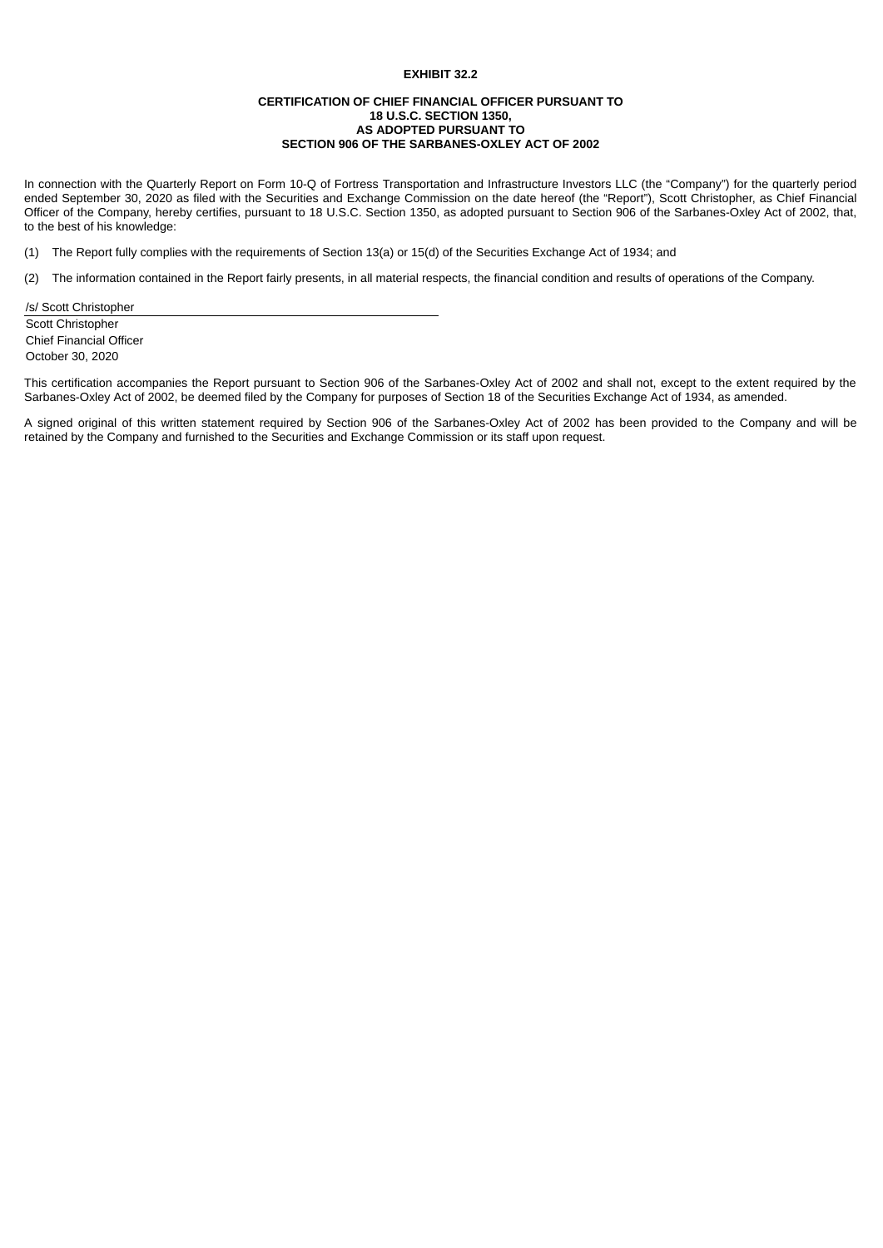## **EXHIBIT 32.2**

## **CERTIFICATION OF CHIEF FINANCIAL OFFICER PURSUANT TO 18 U.S.C. SECTION 1350, AS ADOPTED PURSUANT TO SECTION 906 OF THE SARBANES-OXLEY ACT OF 2002**

<span id="page-94-0"></span>In connection with the Quarterly Report on Form 10-Q of Fortress Transportation and Infrastructure Investors LLC (the "Company") for the quarterly period ended September 30, 2020 as filed with the Securities and Exchange Commission on the date hereof (the "Report"), Scott Christopher, as Chief Financial Officer of the Company, hereby certifies, pursuant to 18 U.S.C. Section 1350, as adopted pursuant to Section 906 of the Sarbanes-Oxley Act of 2002, that, to the best of his knowledge:

(1) The Report fully complies with the requirements of Section 13(a) or 15(d) of the Securities Exchange Act of 1934; and

(2) The information contained in the Report fairly presents, in all material respects, the financial condition and results of operations of the Company.

/s/ Scott Christopher Scott Christopher Chief Financial Officer October 30, 2020

This certification accompanies the Report pursuant to Section 906 of the Sarbanes-Oxley Act of 2002 and shall not, except to the extent required by the Sarbanes-Oxley Act of 2002, be deemed filed by the Company for purposes of Section 18 of the Securities Exchange Act of 1934, as amended.

A signed original of this written statement required by Section 906 of the Sarbanes-Oxley Act of 2002 has been provided to the Company and will be retained by the Company and furnished to the Securities and Exchange Commission or its staff upon request.